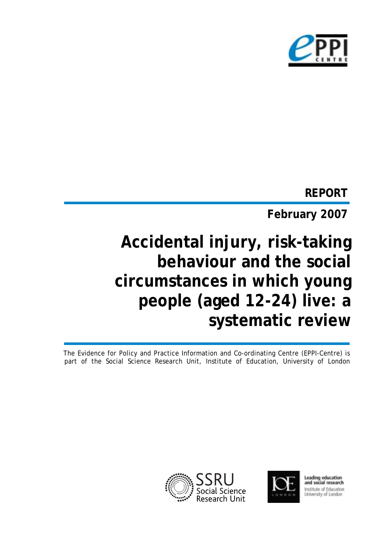

# **REPORT**

**February 2007**

# **Accidental injury, risk-taking behaviour and the social circumstances in which young people (aged 12-24) live: a systematic review**

The Evidence for Policy and Practice Information and Co-ordinating Centre (EPPI-Centre) is part of the Social Science Research Unit, Institute of Education, University of London





Leading education<br>and social research Institute of Education University of London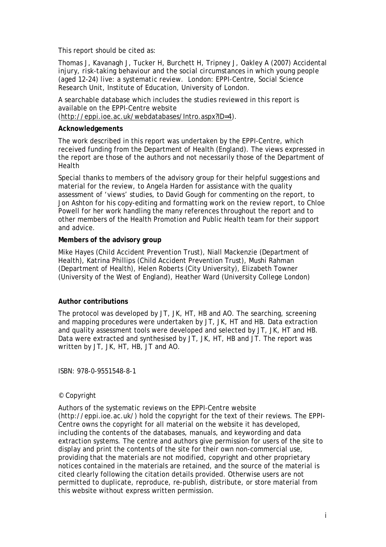This report should be cited as:

Thomas J, Kavanagh J, Tucker H, Burchett H, Tripney J, Oakley A (2007) *Accidental injury, risk-taking behaviour and the social circumstances in which young people (aged 12-24) live: a systematic review*. London: EPPI-Centre, Social Science Research Unit, Institute of Education, University of London.

A searchable database which includes the studies reviewed in this report is available on the EPPI-Centre website (http://eppi.ioe.ac.uk/webdatabases/Intro.aspx?ID=4).

#### **Acknowledgements**

The work described in this report was undertaken by the EPPI-Centre, which received funding from the Department of Health (England). The views expressed in the report are those of the authors and not necessarily those of the Department of Health

Special thanks to members of the advisory group for their helpful suggestions and material for the review, to Angela Harden for assistance with the quality assessment of 'views' studies, to David Gough for commenting on the report, to Jon Ashton for his copy-editing and formatting work on the review report, to Chloe Powell for her work handling the many references throughout the report and to other members of the Health Promotion and Public Health team for their support and advice.

#### **Members of the advisory group**

Mike Hayes (Child Accident Prevention Trust), Niall Mackenzie (Department of Health), Katrina Phillips (Child Accident Prevention Trust), Mushi Rahman (Department of Health), Helen Roberts (City University), Elizabeth Towner (University of the West of England), Heather Ward (University College London)

#### **Author contributions**

The protocol was developed by JT, JK, HT, HB and AO. The searching, screening and mapping procedures were undertaken by JT, JK, HT and HB. Data extraction and quality assessment tools were developed and selected by JT, JK, HT and HB. Data were extracted and synthesised by JT, JK, HT, HB and JT. The report was written by JT, JK, HT, HB, JT and AO.

ISBN: 978-0-9551548-8-1

#### © Copyright

Authors of the systematic reviews on the EPPI-Centre website (http://eppi.ioe.ac.uk/) hold the copyright for the text of their reviews. The EPPI-Centre owns the copyright for all material on the website it has developed, including the contents of the databases, manuals, and keywording and data extraction systems. The centre and authors give permission for users of the site to display and print the contents of the site for their own non-commercial use, providing that the materials are not modified, copyright and other proprietary notices contained in the materials are retained, and the source of the material is cited clearly following the citation details provided. Otherwise users are not permitted to duplicate, reproduce, re-publish, distribute, or store material from this website without express written permission.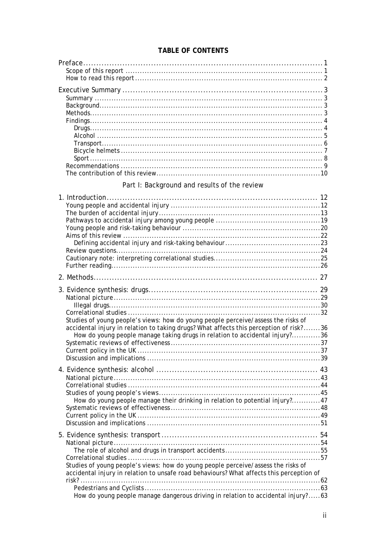#### TABLE OF CONTENTS

# Part I: Background and results of the review

| Studies of young people's views: how do young people perceive/assess the risks of<br>accidental injury in relation to taking drugs? What affects this perception of risk?36                                                                                       |  |
|-------------------------------------------------------------------------------------------------------------------------------------------------------------------------------------------------------------------------------------------------------------------|--|
| How do young people manage taking drugs in relation to accidental injury?36                                                                                                                                                                                       |  |
| How do young people manage their drinking in relation to potential injury?47                                                                                                                                                                                      |  |
| Studies of young people's views: how do young people perceive/assess the risks of<br>accidental injury in relation to unsafe road behaviours? What affects this perception of<br>How do young people manage dangerous driving in relation to accidental injury?63 |  |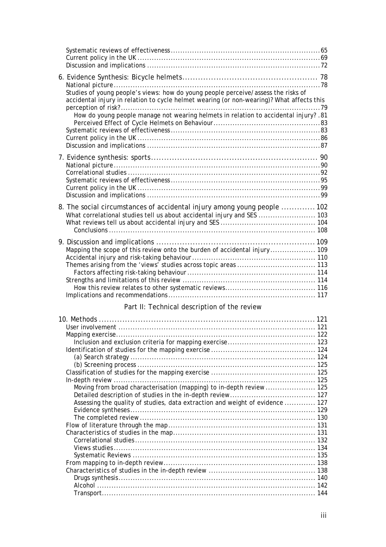| Studies of young people's views: how do young people perceive/assess the risks of<br>accidental injury in relation to cycle helmet wearing (or non-wearing)? What affects this<br>How do young people manage not wearing helmets in relation to accidental injury? .81 |  |
|------------------------------------------------------------------------------------------------------------------------------------------------------------------------------------------------------------------------------------------------------------------------|--|
|                                                                                                                                                                                                                                                                        |  |
| 8. The social circumstances of accidental injury among young people  102<br>What correlational studies tell us about accidental injury and SES  103                                                                                                                    |  |
| Themes arising from the 'views' studies across topic areas  113                                                                                                                                                                                                        |  |

## Part II: Technical description of the review

| Moving from broad characterisation (mapping) to in-depth review  125          |  |
|-------------------------------------------------------------------------------|--|
|                                                                               |  |
| Assessing the quality of studies, data extraction and weight of evidence  127 |  |
|                                                                               |  |
|                                                                               |  |
|                                                                               |  |
|                                                                               |  |
|                                                                               |  |
|                                                                               |  |
|                                                                               |  |
|                                                                               |  |
|                                                                               |  |
|                                                                               |  |
|                                                                               |  |
|                                                                               |  |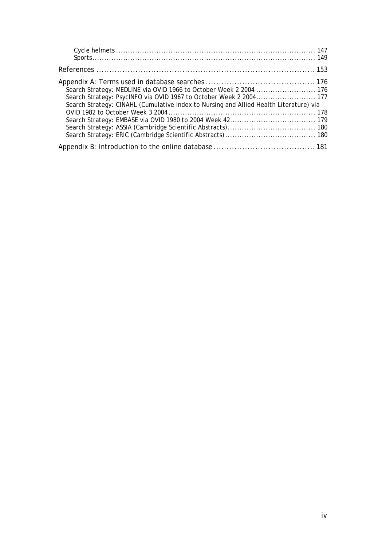| Search Strategy: MEDLINE via OVID 1966 to October Week 2 2004  176                     |  |
|----------------------------------------------------------------------------------------|--|
| Search Strategy: PsycINFO via OVID 1967 to October Week 2 2004 177                     |  |
| Search Strategy: CINAHL (Cumulative Index to Nursing and Allied Health Literature) via |  |
|                                                                                        |  |
|                                                                                        |  |
|                                                                                        |  |
|                                                                                        |  |
|                                                                                        |  |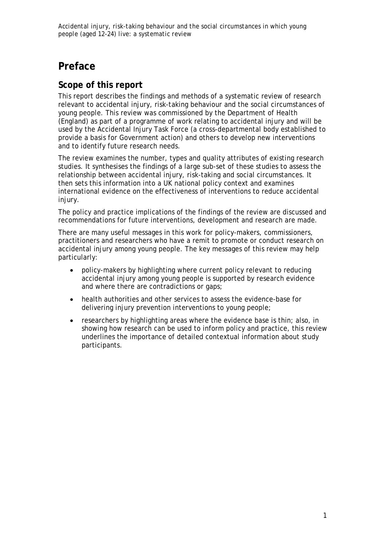# **Preface**

#### **Scope of this report**

This report describes the findings and methods of a systematic review of research relevant to accidental injury, risk-taking behaviour and the social circumstances of young people. This review was commissioned by the Department of Health (England) as part of a programme of work relating to accidental injury and will be used by the Accidental Injury Task Force (a cross-departmental body established to provide a basis for Government action) and others to develop new interventions and to identify future research needs.

The review examines the number, types and quality attributes of existing research studies. It synthesises the findings of a large sub-set of these studies to assess the relationship between accidental injury, risk-taking and social circumstances. It then sets this information into a UK national policy context and examines international evidence on the effectiveness of interventions to reduce accidental injury.

The policy and practice implications of the findings of the review are discussed and recommendations for future interventions, development and research are made.

There are many useful messages in this work for policy-makers, commissioners, practitioners and researchers who have a remit to promote or conduct research on accidental injury among young people. The key messages of this review may help particularly:

- policy-makers by highlighting where current policy relevant to reducing accidental injury among young people is supported by research evidence and where there are contradictions or gaps;
- health authorities and other services to assess the evidence-base for delivering injury prevention interventions to young people;
- researchers by highlighting areas where the evidence base is thin; also, in showing how research can be used to inform policy and practice, this review underlines the importance of detailed contextual information about study participants.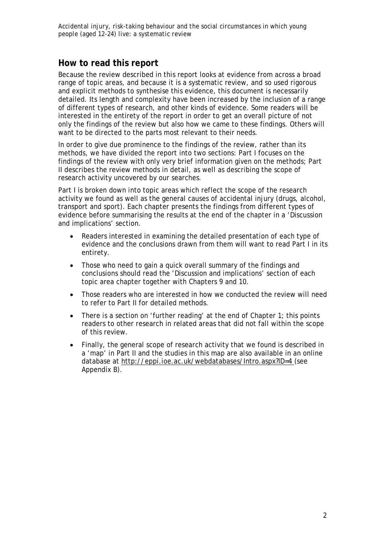#### **How to read this report**

Because the review described in this report looks at evidence from across a broad range of topic areas, and because it is a systematic review, and so used rigorous and explicit methods to synthesise this evidence, this document is necessarily detailed. Its length and complexity have been increased by the inclusion of a range of different types of research, and other kinds of evidence. Some readers will be interested in the entirety of the report in order to get an overall picture of not only the findings of the review but also how we came to these findings. Others will want to be directed to the parts most relevant to their needs.

In order to give due prominence to the findings of the review, rather than its methods, we have divided the report into two sections: Part I focuses on the findings of the review with only very brief information given on the methods; Part II describes the review methods in detail, as well as describing the scope of research activity uncovered by our searches.

Part I is broken down into topic areas which reflect the scope of the research activity we found as well as the general causes of accidental injury (drugs, alcohol, transport and sport). Each chapter presents the findings from different types of evidence before summarising the results at the end of the chapter in a 'Discussion and implications' section.

- Readers interested in examining the detailed presentation of each type of evidence and the conclusions drawn from them will want to read Part I in its entirety.
- Those who need to gain a quick overall summary of the findings and conclusions should read the 'Discussion and implications' section of each topic area chapter together with Chapters 9 and 10.
- Those readers who are interested in how we conducted the review will need to refer to Part II for detailed methods.
- There is a section on 'further reading' at the end of Chapter 1; this points readers to other research in related areas that did not fall within the scope of this review.
- Finally, the general scope of research activity that we found is described in a 'map' in Part II and the studies in this map are also available in an online database at http://eppi.ioe.ac.uk/webdatabases/Intro.aspx?ID=4 (see Appendix B).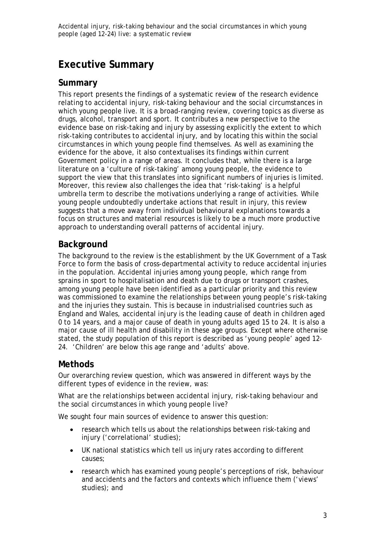# **Executive Summary**

#### **Summary**

This report presents the findings of a systematic review of the research evidence relating to accidental injury, risk-taking behaviour and the social circumstances in which young people live. It is a broad-ranging review, covering topics as diverse as drugs, alcohol, transport and sport. It contributes a new perspective to the evidence base on risk-taking and injury by assessing explicitly the extent to which risk-taking contributes to accidental injury, and by locating this within the social circumstances in which young people find themselves. As well as examining the evidence for the above, it also contextualises its findings within current Government policy in a range of areas. It concludes that, while there is a large literature on a 'culture of risk-taking' among young people, the evidence to support the view that this translates into significant numbers of injuries is limited. Moreover, this review also challenges the idea that 'risk-taking' is a helpful umbrella term to describe the motivations underlying a range of activities. While young people undoubtedly undertake actions that result in injury, this review suggests that a move away from individual behavioural explanations towards a focus on structures and material resources is likely to be a much more productive approach to understanding overall patterns of accidental injury.

## **Background**

The background to the review is the establishment by the UK Government of a Task Force to form the basis of cross-departmental activity to reduce accidental injuries in the population. Accidental injuries among young people, which range from sprains in sport to hospitalisation and death due to drugs or transport crashes, among young people have been identified as a particular priority and this review was commissioned to examine the relationships between young people's risk-taking and the injuries they sustain. This is because in industrialised countries such as England and Wales, accidental injury is the leading cause of death in children aged 0 to 14 years, and a major cause of death in young adults aged 15 to 24. It is also a major cause of ill health and disability in these age groups. Except where otherwise stated, the study population of this report is described as 'young people' aged 12- 24. 'Children' are below this age range and 'adults' above.

## **Methods**

Our overarching review question, which was answered in different ways by the different types of evidence in the review, was:

*What are the relationships between accidental injury, risk-taking behaviour and the social circumstances in which young people live?*

We sought four main sources of evidence to answer this question:

- research which tells us about the relationships between risk-taking and injury ('correlational' studies);
- UK national statistics which tell us injury rates according to different causes;
- research which has examined young people's perceptions of risk, behaviour and accidents and the factors and contexts which influence them ('views' studies); and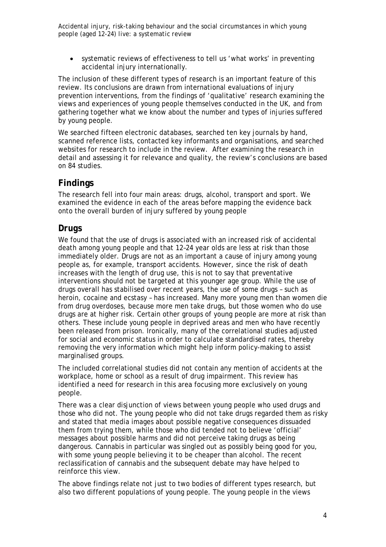• systematic reviews of effectiveness to tell us 'what works' in preventing accidental injury internationally.

The inclusion of these different types of research is an important feature of this review. Its conclusions are drawn from international evaluations of injury prevention interventions, from the findings of 'qualitative' research examining the views and experiences of young people themselves conducted in the UK, and from gathering together what we know about the number and types of injuries suffered by young people.

We searched fifteen electronic databases, searched ten key journals by hand, scanned reference lists, contacted key informants and organisations, and searched websites for research to include in the review. After examining the research in detail and assessing it for relevance and quality, the review's conclusions are based on 84 studies.

#### **Findings**

The research fell into four main areas: drugs, alcohol, transport and sport. We examined the evidence in each of the areas before mapping the evidence back onto the overall burden of injury suffered by young people

#### *Drugs*

We found that the use of drugs is associated with an increased risk of accidental death among young people and that 12–24 year olds are less at risk than those immediately older. Drugs are not as an important a cause of injury among young people as, for example, transport accidents. However, since the risk of death increases with the length of drug use, this is not to say that preventative interventions should not be targeted at this younger age group. While the use of drugs overall has stabilised over recent years, the use of some drugs – such as heroin, cocaine and ecstasy – has increased. Many more young men than women die from drug overdoses, because more men take drugs, but those women who do use drugs are at higher risk. Certain other groups of young people are more at risk than others. These include young people in deprived areas and men who have recently been released from prison. Ironically, many of the correlational studies adjusted for social and economic status in order to calculate standardised rates, thereby removing the very information which might help inform policy-making to assist marginalised groups.

The included correlational studies did not contain any mention of accidents at the workplace, home or school as a result of drug impairment. This review has identified a need for research in this area focusing more exclusively on young people.

There was a clear disjunction of views between young people who used drugs and those who did not. The young people who did not take drugs regarded them as risky and stated that media images about possible negative consequences dissuaded them from trying them, while those who did tended not to believe 'official' messages about possible harms and did not perceive taking drugs as being dangerous. Cannabis in particular was singled out as possibly being good for you, with some young people believing it to be cheaper than alcohol. The recent reclassification of cannabis and the subsequent debate may have helped to reinforce this view.

The above findings relate not just to two bodies of different types research, but also two different populations of young people. The young people in the views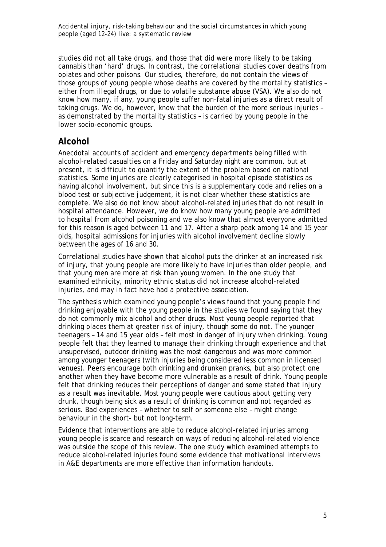studies did not all take drugs, and those that did were more likely to be taking cannabis than 'hard' drugs. In contrast, the correlational studies cover deaths from opiates and other poisons. Our studies, therefore, do not contain the views of those groups of young people whose deaths are covered by the mortality statistics – either from illegal drugs, or due to volatile substance abuse (VSA). We also do not know how many, if any, young people suffer non-fatal injuries as a direct result of taking drugs. We do, however, know that the burden of the more serious injuries – as demonstrated by the mortality statistics – is carried by young people in the lower socio-economic groups.

## *Alcohol*

Anecdotal accounts of accident and emergency departments being filled with alcohol-related casualties on a Friday and Saturday night are common, but at present, it is difficult to quantify the extent of the problem based on national statistics. Some injuries are clearly categorised in hospital episode statistics as having alcohol involvement, but since this is a supplementary code and relies on a blood test or subjective judgement, it is not clear whether these statistics are complete. We also do not know about alcohol-related injuries that do not result in hospital attendance. However, we do know how many young people are admitted to hospital from alcohol poisoning and we also know that almost everyone admitted for this reason is aged between 11 and 17. After a sharp peak among 14 and 15 year olds, hospital admissions for injuries with alcohol involvement decline slowly between the ages of 16 and 30.

Correlational studies have shown that alcohol puts the drinker at an increased risk of injury, that young people are more likely to have injuries than older people, and that young men are more at risk than young women. In the one study that examined ethnicity, minority ethnic status did not increase alcohol-related injuries, and may in fact have had a protective association.

The synthesis which examined young people's views found that young people find drinking enjoyable with the young people in the studies we found saying that they do not commonly mix alcohol and other drugs. Most young people reported that drinking places them at greater risk of injury, though some do not. The younger teenagers – 14 and 15 year olds – felt most in danger of injury when drinking. Young people felt that they learned to manage their drinking through experience and that unsupervised, outdoor drinking was the most dangerous and was more common among younger teenagers (with injuries being considered less common in licensed venues). Peers encourage both drinking and drunken pranks, but also protect one another when they have become more vulnerable as a result of drink. Young people felt that drinking reduces their perceptions of danger and some stated that injury as a result was inevitable. Most young people were cautious about getting very drunk, though being sick as a result of drinking is common and not regarded as serious. Bad experiences – whether to self or someone else – might change behaviour in the short- but not long-term.

Evidence that interventions are able to reduce alcohol-related injuries among young people is scarce and research on ways of reducing alcohol-related violence was outside the scope of this review. The one study which examined attempts to reduce alcohol-related injuries found some evidence that motivational interviews in A&E departments are more effective than information handouts.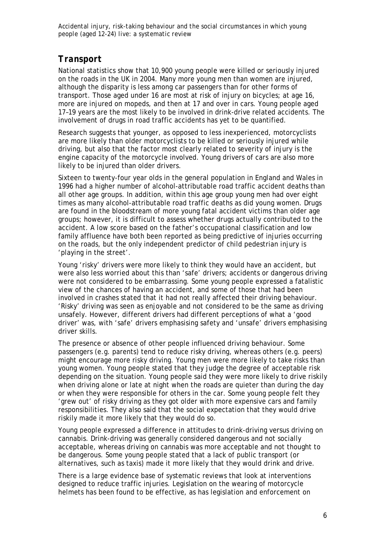## *Transport*

National statistics show that 10,900 young people were killed or seriously injured on the roads in the UK in 2004. Many more young men than women are injured, although the disparity is less among car passengers than for other forms of transport. Those aged under 16 are most at risk of injury on bicycles; at age 16, more are injured on mopeds, and then at 17 and over in cars. Young people aged 17–19 years are the most likely to be involved in drink-drive related accidents. The involvement of drugs in road traffic accidents has yet to be quantified.

Research suggests that younger, as opposed to less inexperienced, motorcyclists are more likely than older motorcyclists to be killed or seriously injured while driving, but also that the factor most clearly related to severity of injury is the engine capacity of the motorcycle involved. Young drivers of cars are also more likely to be injured than older drivers.

Sixteen to twenty-four year olds in the general population in England and Wales in 1996 had a higher number of alcohol-attributable road traffic accident deaths than all other age groups. In addition, within this age group young men had over eight times as many alcohol-attributable road traffic deaths as did young women. Drugs are found in the bloodstream of more young fatal accident victims than older age groups; however, it is difficult to assess whether drugs actually contributed to the accident. A low score based on the father's occupational classification and low family affluence have both been reported as being predictive of injuries occurring on the roads, but the only independent predictor of child pedestrian injury is 'playing in the street'.

Young 'risky' drivers were more likely to think they would have an accident, but were also less worried about this than 'safe' drivers; accidents or dangerous driving were not considered to be embarrassing. Some young people expressed a fatalistic view of the chances of having an accident, and some of those that had been involved in crashes stated that it had not really affected their driving behaviour. 'Risky' driving was seen as enjoyable and not considered to be the same as driving unsafely. However, different drivers had different perceptions of what a 'good driver' was, with 'safe' drivers emphasising safety and 'unsafe' drivers emphasising driver skills.

The presence or absence of other people influenced driving behaviour. Some passengers (e.g. parents) tend to reduce risky driving, whereas others (e.g. peers) might encourage more risky driving. Young men were more likely to take risks than young women. Young people stated that they judge the degree of acceptable risk depending on the situation. Young people said they were more likely to drive riskily when driving alone or late at night when the roads are quieter than during the day or when they were responsible for others in the car. Some young people felt they 'grew out' of risky driving as they got older with more expensive cars and family responsibilities. They also said that the social expectation that they would drive riskily made it more likely that they would do so.

Young people expressed a difference in attitudes to drink-driving versus driving on cannabis. Drink-driving was generally considered dangerous and not socially acceptable, whereas driving on cannabis was more acceptable and not thought to be dangerous. Some young people stated that a lack of public transport (or alternatives, such as taxis) made it more likely that they would drink and drive.

There is a large evidence base of systematic reviews that look at interventions designed to reduce traffic injuries. Legislation on the wearing of motorcycle helmets has been found to be effective, as has legislation and enforcement on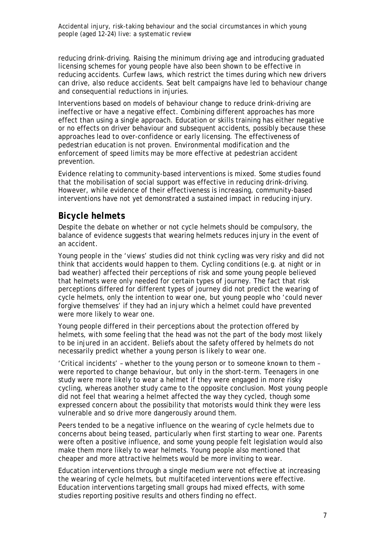reducing drink-driving. Raising the minimum driving age and introducing graduated licensing schemes for young people have also been shown to be effective in reducing accidents. Curfew laws, which restrict the times during which new drivers can drive, also reduce accidents. Seat belt campaigns have led to behaviour change and consequential reductions in injuries.

Interventions based on models of behaviour change to reduce drink-driving are ineffective or have a negative effect. Combining different approaches has more effect than using a single approach. Education or skills training has either negative or no effects on driver behaviour and subsequent accidents, possibly because these approaches lead to over-confidence or early licensing. The effectiveness of pedestrian education is not proven. Environmental modification and the enforcement of speed limits may be more effective at pedestrian accident prevention.

Evidence relating to community-based interventions is mixed. Some studies found that the mobilisation of social support was effective in reducing drink-driving. However, while evidence of their effectiveness is increasing, community-based interventions have not yet demonstrated a sustained impact in reducing injury.

#### *Bicycle helmets*

Despite the debate on whether or not cycle helmets should be compulsory, the balance of evidence suggests that wearing helmets reduces injury in the event of an accident.

Young people in the 'views' studies did not think cycling was very risky and did not think that accidents would happen to them. Cycling conditions (e.g. at night or in bad weather) affected their perceptions of risk and some young people believed that helmets were only needed for certain types of journey. The fact that risk perceptions differed for different types of journey did not predict the wearing of cycle helmets, only the intention to wear one, but young people who 'could never forgive themselves' if they had an injury which a helmet could have prevented were more likely to wear one.

Young people differed in their perceptions about the protection offered by helmets, with some feeling that the head was not the part of the body most likely to be injured in an accident. Beliefs about the safety offered by helmets do not necessarily predict whether a young person is likely to wear one.

'Critical incidents' – whether to the young person or to someone known to them – were reported to change behaviour, but only in the short-term. Teenagers in one study were more likely to wear a helmet if they were engaged in more risky cycling, whereas another study came to the opposite conclusion. Most young people did not feel that wearing a helmet affected the way they cycled, though some expressed concern about the possibility that motorists would think they were less vulnerable and so drive more dangerously around them.

Peers tended to be a negative influence on the wearing of cycle helmets due to concerns about being teased, particularly when first starting to wear one. Parents were often a positive influence, and some young people felt legislation would also make them more likely to wear helmets. Young people also mentioned that cheaper and more attractive helmets would be more inviting to wear.

Education interventions through a single medium were not effective at increasing the wearing of cycle helmets, but multifaceted interventions were effective. Education interventions targeting small groups had mixed effects, with some studies reporting positive results and others finding no effect.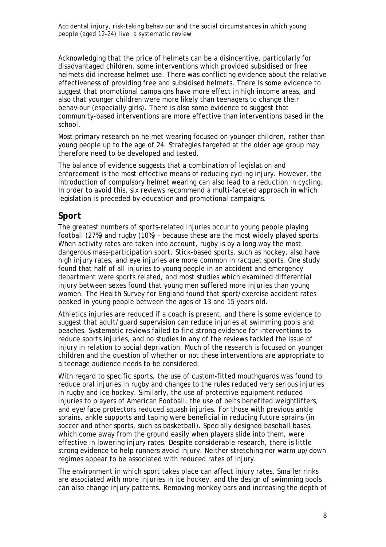Acknowledging that the price of helmets can be a disincentive, particularly for disadvantaged children, some interventions which provided subsidised or free helmets did increase helmet use. There was conflicting evidence about the relative effectiveness of providing free and subsidised helmets. There is some evidence to suggest that promotional campaigns have more effect in high income areas, and also that younger children were more likely than teenagers to change their behaviour (especially girls). There is also some evidence to suggest that community-based interventions are more effective than interventions based in the school.

Most primary research on helmet wearing focused on younger children, rather than young people up to the age of 24. Strategies targeted at the older age group may therefore need to be developed and tested.

The balance of evidence suggests that a combination of legislation and enforcement is the most effective means of reducing cycling injury. However, the introduction of compulsory helmet wearing can also lead to a reduction in cycling. In order to avoid this, six reviews recommend a multi-faceted approach in which legislation is preceded by education and promotional campaigns.

#### *Sport*

The greatest numbers of sports-related injuries occur to young people playing football (27%) and rugby (10%) – because these are the most widely played sports. When activity rates are taken into account, rugby is by a long way the most dangerous mass-participation sport. Stick-based sports, such as hockey, also have high injury rates, and eye injuries are more common in racquet sports. One study found that half of all injuries to young people in an accident and emergency department were sports related, and most studies which examined differential injury between sexes found that young men suffered more injuries than young women. The *Health Survey for England* found that sport/exercise accident rates peaked in young people between the ages of 13 and 15 years old.

Athletics injuries are reduced if a coach is present, and there is some evidence to suggest that adult/guard supervision can reduce injuries at swimming pools and beaches. Systematic reviews failed to find strong evidence for interventions to reduce sports injuries, and no studies in any of the reviews tackled the issue of injury in relation to social deprivation. Much of the research is focused on younger children and the question of whether or not these interventions are appropriate to a teenage audience needs to be considered.

With regard to specific sports, the use of custom-fitted mouthguards was found to reduce oral injuries in rugby and changes to the rules reduced very serious injuries in rugby and ice hockey. Similarly, the use of protective equipment reduced injuries to players of American Football, the use of belts benefited weightlifters, and eye/face protectors reduced squash injuries. For those with previous ankle sprains, ankle supports and taping were beneficial in reducing future sprains (in soccer and other sports, such as basketball). Specially designed baseball bases, which come away from the ground easily when players slide into them, were effective in lowering injury rates. Despite considerable research, there is little strong evidence to help runners avoid injury. Neither stretching nor warm up/down regimes appear to be associated with reduced rates of injury.

The environment in which sport takes place can affect injury rates. Smaller rinks are associated with more injuries in ice hockey, and the design of swimming pools can also change injury patterns. Removing monkey bars and increasing the depth of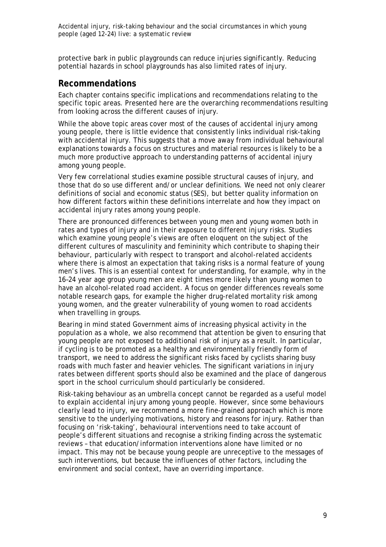protective bark in public playgrounds can reduce injuries significantly. Reducing potential hazards in school playgrounds has also limited rates of injury.

#### **Recommendations**

Each chapter contains specific implications and recommendations relating to the specific topic areas. Presented here are the overarching recommendations resulting from looking across the different causes of injury.

While the above topic areas cover most of the causes of accidental injury among young people, there is little evidence that consistently links individual risk-taking with accidental injury. This suggests that a move away from individual behavioural explanations towards a focus on structures and material resources is likely to be a much more productive approach to understanding patterns of accidental injury among young people.

Very few correlational studies examine possible structural causes of injury, and those that do so use different and/or unclear definitions. We need not only clearer definitions of social and economic status (SES), but better quality information on how different factors within these definitions interrelate and how they impact on accidental injury rates among young people.

There are pronounced differences between young men and young women both in rates and types of injury and in their exposure to different injury risks. Studies which examine young people's views are often eloquent on the subject of the different cultures of masculinity and femininity which contribute to shaping their behaviour, particularly with respect to transport and alcohol-related accidents where there is almost an expectation that taking risks is a normal feature of young men's lives. This is an essential context for understanding, for example, why in the 16–24 year age group young men are eight times more likely than young women to have an alcohol-related road accident. A focus on gender differences reveals some notable research gaps, for example the higher drug-related mortality risk among young women, and the greater vulnerability of young women to road accidents when travelling in groups.

Bearing in mind stated Government aims of increasing physical activity in the population as a whole, we also recommend that attention be given to ensuring that young people are not exposed to additional risk of injury as a result. In particular, if cycling is to be promoted as a healthy and environmentally friendly form of transport, we need to address the significant risks faced by cyclists sharing busy roads with much faster and heavier vehicles. The significant variations in injury rates between different sports should also be examined and the place of dangerous sport in the school curriculum should particularly be considered.

Risk-taking behaviour as an umbrella concept cannot be regarded as a useful model to explain accidental injury among young people. However, since some behaviours clearly lead to injury, we recommend a more fine-grained approach which is more sensitive to the underlying motivations, history and reasons for injury. Rather than focusing on 'risk-taking', behavioural interventions need to take account of people's different situations and recognise a striking finding across the systematic reviews – that education/information interventions alone have limited or no impact. This may not be because young people are unreceptive to the messages of such interventions, but because the influences of other factors, including the environment and social context, have an overriding importance.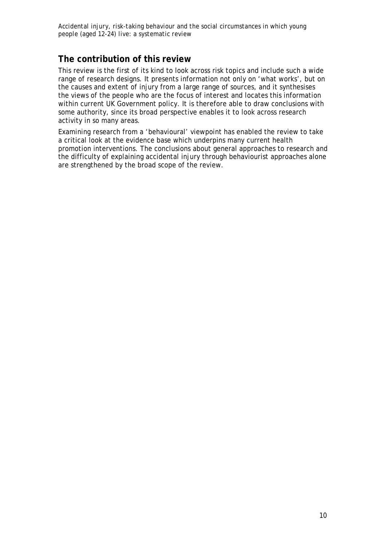#### **The contribution of this review**

This review is the first of its kind to look across risk topics and include such a wide range of research designs. It presents information not only on 'what works', but on the causes and extent of injury from a large range of sources, and it synthesises the views of the people who are the focus of interest and locates this information within current UK Government policy. It is therefore able to draw conclusions with some authority, since its broad perspective enables it to look across research activity in so many areas.

Examining research from a 'behavioural' viewpoint has enabled the review to take a critical look at the evidence base which underpins many current health promotion interventions. The conclusions about general approaches to research and the difficulty of explaining accidental injury through behaviourist approaches alone are strengthened by the broad scope of the review.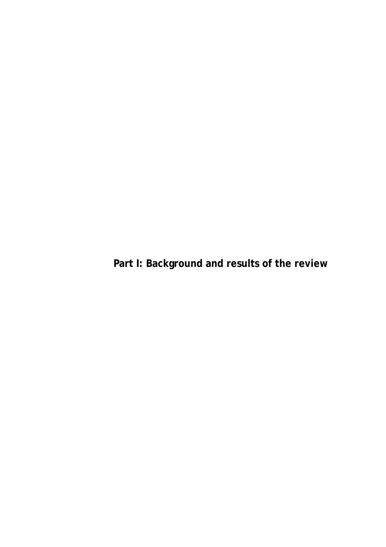**Part I: Background and results of the review**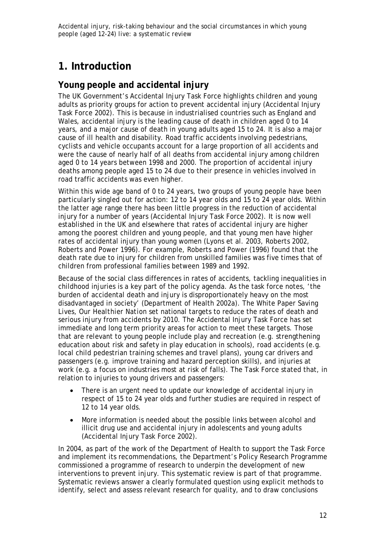# **1. Introduction**

#### **Young people and accidental injury**

The UK Government's Accidental Injury Task Force highlights children and young adults as priority groups for action to prevent accidental injury (Accidental Injury Task Force 2002). This is because in industrialised countries such as England and Wales, accidental injury is the leading cause of death in children aged 0 to 14 years, and a major cause of death in young adults aged 15 to 24. It is also a major cause of ill health and disability. Road traffic accidents involving pedestrians, cyclists and vehicle occupants account for a large proportion of all accidents and were the cause of nearly half of all deaths from accidental injury among children aged 0 to 14 years between 1998 and 2000. The proportion of accidental injury deaths among people aged 15 to 24 due to their presence in vehicles involved in road traffic accidents was even higher.

Within this wide age band of 0 to 24 years, two groups of young people have been particularly singled out for action: 12 to 14 year olds and 15 to 24 year olds. Within the latter age range there has been little progress in the reduction of accidental injury for a number of years (Accidental Injury Task Force 2002). It is now well established in the UK and elsewhere that rates of accidental injury are higher among the poorest children and young people, and that young men have higher rates of accidental injury than young women (Lyons et al. 2003, Roberts 2002, Roberts and Power 1996). For example, Roberts and Power (1996) found that the death rate due to injury for children from unskilled families was five times that of children from professional families between 1989 and 1992.

Because of the social class differences in rates of accidents, tackling inequalities in childhood injuries is a key part of the policy agenda. As the task force notes, 'the burden of accidental death and injury is disproportionately heavy on the most disadvantaged in society' (Department of Health 2002a). The White Paper *Saving Lives, Our Healthier Nation* set national targets to reduce the rates of death and serious injury from accidents by 2010. The Accidental Injury Task Force has set immediate and long term priority areas for action to meet these targets. Those that are relevant to young people include play and recreation (e.g. strengthening education about risk and safety in play education in schools), road accidents (e.g. local child pedestrian training schemes and travel plans), young car drivers and passengers (e.g. improve training and hazard perception skills), and injuries at work (e.g. a focus on industries most at risk of falls). The Task Force stated that, in relation to injuries to young drivers and passengers:

- There is an urgent need to update our knowledge of accidental injury in respect of 15 to 24 year olds and further studies are required in respect of 12 to 14 year olds.
- More information is needed about the possible links between alcohol and illicit drug use and accidental injury in adolescents and young adults (Accidental Injury Task Force 2002).

In 2004, as part of the work of the Department of Health to support the Task Force and implement its recommendations, the Department's Policy Research Programme commissioned a programme of research to underpin the development of new interventions to prevent injury. This systematic review is part of that programme. Systematic reviews answer a clearly formulated question using explicit methods to identify, select and assess relevant research for quality, and to draw conclusions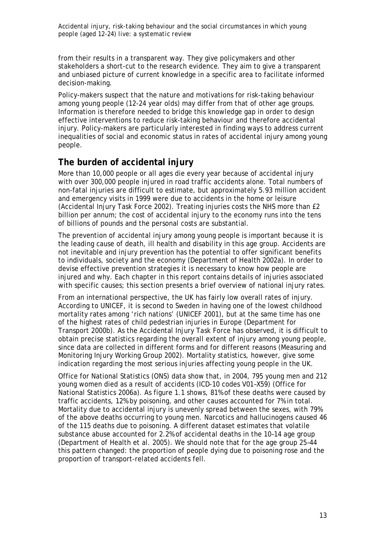from their results in a transparent way. They give policymakers and other stakeholders a short-cut to the research evidence. They aim to give a transparent and unbiased picture of current knowledge in a specific area to facilitate informed decision-making.

Policy-makers suspect that the nature and motivations for risk-taking behaviour among young people (12-24 year olds) may differ from that of other age groups. Information is therefore needed to bridge this knowledge gap in order to design effective interventions to reduce risk-taking behaviour and therefore accidental injury. Policy-makers are particularly interested in finding ways to address current inequalities of social and economic status in rates of accidental injury among young people.

#### **The burden of accidental injury**

More than 10,000 people or all ages die every year because of accidental injury with over 300,000 people injured in road traffic accidents alone. Total numbers of non-fatal injuries are difficult to estimate, but approximately 5.93 million accident and emergency visits in 1999 were due to accidents in the home or leisure (Accidental Injury Task Force 2002). Treating injuries costs the NHS more than £2 billion per annum; the cost of accidental injury to the economy runs into the tens of billions of pounds and the personal costs are substantial.

The prevention of accidental injury among young people is important because it is the leading cause of death, ill health and disability in this age group. Accidents are not inevitable and injury prevention has the potential to offer significant benefits to individuals, society and the economy (Department of Health 2002a). In order to devise effective prevention strategies it is necessary to know how people are injured and why. Each chapter in this report contains details of injuries associated with specific causes; this section presents a brief overview of national injury rates.

From an international perspective, the UK has fairly low overall rates of injury. According to UNICEF, it is second to Sweden in having one of the lowest childhood mortality rates among 'rich nations' (UNICEF 2001), but at the same time has one of the highest rates of child pedestrian injuries in Europe (Department for Transport 2000b). As the Accidental Injury Task Force has observed, it is difficult to obtain precise statistics regarding the overall extent of injury among young people, since data are collected in different forms and for different reasons (Measuring and Monitoring Injury Working Group 2002). Mortality statistics, however, give some indication regarding the most serious injuries affecting young people in the UK.

Office for National Statistics (ONS) data show that, in 2004, 795 young men and 212 young women died as a result of accidents (ICD-10 codes V01–X59) (Office for National Statistics 2006a). As figure 1.1 shows, 81% of these deaths were caused by traffic accidents, 12% by poisoning, and other causes accounted for 7% in total. Mortality due to accidental injury is unevenly spread between the sexes, with 79% of the above deaths occurring to young men. Narcotics and hallucinogens caused 46 of the 115 deaths due to poisoning. A different dataset estimates that volatile substance abuse accounted for 2.2% of accidental deaths in the 10–14 age group (Department of Health et al. 2005). We should note that for the age group 25–44 this pattern changed: the proportion of people dying due to poisoning rose and the proportion of transport-related accidents fell.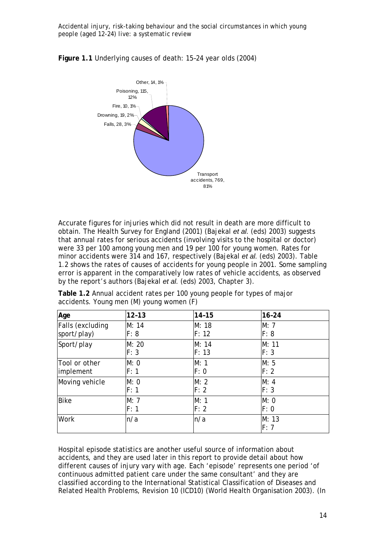

**Figure 1.1** Underlying causes of death: 15–24 year olds (2004)

Accurate figures for injuries which did not result in death are more difficult to obtain. The Health Survey for England (2001) (Bajekal *et al.* (eds) 2003) suggests that annual rates for serious accidents (involving visits to the hospital or doctor) were 33 per 100 among young men and 19 per 100 for young women. Rates for minor accidents were 314 and 167, respectively (Bajekal *et al.* (eds) 2003). Table 1.2 shows the rates of causes of accidents for young people in 2001. Some sampling error is apparent in the comparatively low rates of vehicle accidents, as observed by the report's authors (Bajekal *et al.* (eds) 2003, Chapter 3).

| Age              | $12 - 13$ | $14 - 15$ | $16 - 24$     |
|------------------|-----------|-----------|---------------|
| Falls (excluding | M: 14     | M: 18     | M: 7          |
| sport/play)      | F: 8      | F: 12     | F: 8          |
| Sport/play       | M: 20     | M: 14     | M: 11         |
|                  | F: 3      | F: 13     | F: 3          |
| Tool or other    | M: 0      | M: 1      | M: 5          |
| implement        | F: 1      | F: 0      | F: 2          |
| Moving vehicle   | M: 0      | M: 2      | M: 4          |
|                  | F: 1      | F: 2      | F: 3          |
| <b>Bike</b>      | M: 7      | M: 1      | M: 0          |
|                  | F: 1      | F: 2      | F: 0          |
| <b>Work</b>      | n/a       | n/a       | M: 13<br>F: 7 |

**Table 1.2** Annual accident rates per 100 young people for types of major accidents. Young men (M) young women (F)

Hospital episode statistics are another useful source of information about accidents, and they are used later in this report to provide detail about how different causes of injury vary with age. Each 'episode' represents one period 'of continuous admitted patient care under the same consultant' and they are classified according to the International Statistical Classification of Diseases and Related Health Problems, Revision 10 (ICD10) (World Health Organisation 2003). (In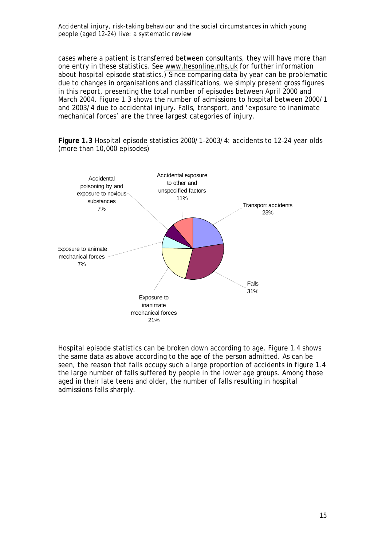cases where a patient is transferred between consultants, they will have more than one entry in these statistics. See www.hesonline.nhs.uk for further information about hospital episode statistics.) Since comparing data by year can be problematic due to changes in organisations and classifications, we simply present gross figures in this report, presenting the total number of episodes between April 2000 and March 2004. Figure 1.3 shows the number of admissions to hospital between 2000/1 and 2003/4 due to accidental injury. Falls, transport, and 'exposure to inanimate mechanical forces' are the three largest categories of injury.

**Figure 1.3** Hospital episode statistics 2000/1–2003/4: accidents to 12–24 year olds (more than 10,000 episodes)



Hospital episode statistics can be broken down according to age. Figure 1.4 shows the same data as above according to the age of the person admitted. As can be seen, the reason that falls occupy such a large proportion of accidents in figure 1.4 the large number of falls suffered by people in the lower age groups. Among those aged in their late teens and older, the number of falls resulting in hospital admissions falls sharply.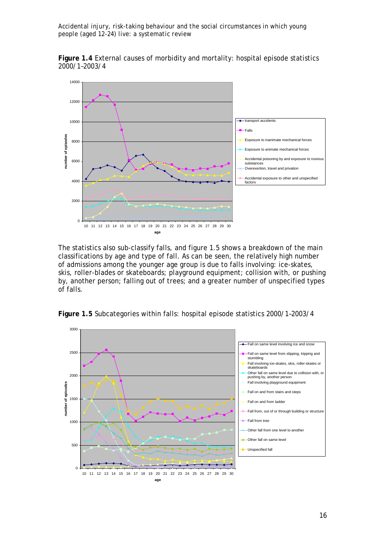**Figure 1.4** External causes of morbidity and mortality: hospital episode statistics 2000/1–2003/4



The statistics also sub-classify falls, and figure 1.5 shows a breakdown of the main classifications by age and type of fall. As can be seen, the relatively high number of admissions among the younger age group is due to falls involving: ice-skates, skis, roller-blades or skateboards; playground equipment; collision with, or pushing by, another person; falling out of trees; and a greater number of unspecified types of falls.



**Figure 1.5** Subcategories within falls: hospital episode statistics 2000/1–2003/4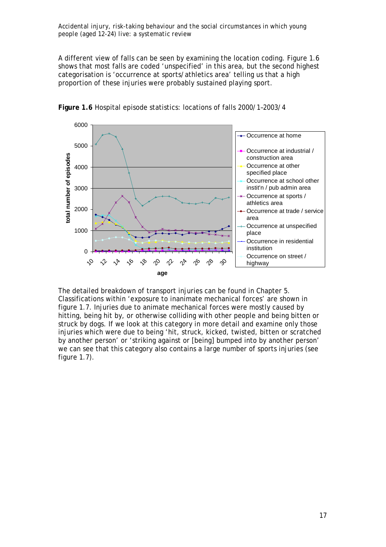A different view of falls can be seen by examining the location coding. Figure 1.6 shows that most falls are coded 'unspecified' in this area, but the second highest categorisation is 'occurrence at sports/athletics area' telling us that a high proportion of these injuries were probably sustained playing sport.



**Figure 1.6** Hospital episode statistics: locations of falls 2000/1–2003/4

The detailed breakdown of transport injuries can be found in Chapter 5. Classifications within 'exposure to inanimate mechanical forces' are shown in figure 1.7. Injuries due to animate mechanical forces were mostly caused by hitting, being hit by, or otherwise colliding with other people and being bitten or struck by dogs. If we look at this category in more detail and examine only those injuries which were due to being 'hit, struck, kicked, twisted, bitten or scratched by another person' or 'striking against or [being] bumped into by another person' we can see that this category also contains a large number of sports injuries (see figure  $1.7$ ).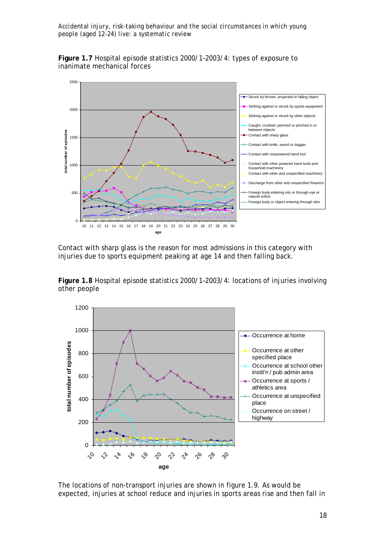**Figure 1.7** Hospital episode statistics 2000/1–2003/4: types of exposure to inanimate mechanical forces



Contact with sharp glass is the reason for most admissions in this category with injuries due to sports equipment peaking at age 14 and then falling back.

**Figure 1.8** Hospital episode statistics 2000/1–2003/4: locations of injuries involving other people



The locations of non-transport injuries are shown in figure 1.9. As would be expected, injuries at school reduce and injuries in sports areas rise and then fall in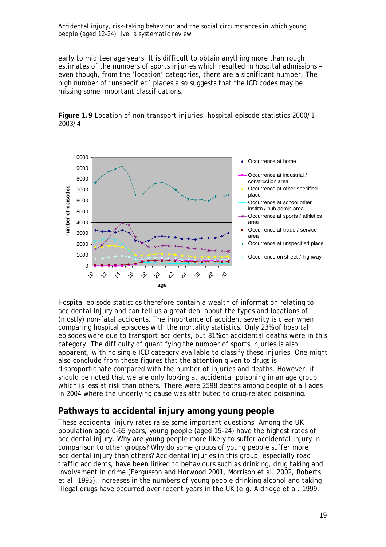early to mid teenage years. It is difficult to obtain anything more than rough estimates of the numbers of sports injuries which resulted in hospital admissions – even though, from the 'location' categories, there are a significant number. The high number of 'unspecified' places also suggests that the ICD codes may be missing some important classifications.



**Figure 1.9** Location of non-transport injuries: hospital episode statistics 2000/1– 2003/4

Hospital episode statistics therefore contain a wealth of information relating to accidental injury and can tell us a great deal about the types and locations of (mostly) non-fatal accidents. The importance of accident severity is clear when comparing hospital episodes with the mortality statistics. Only 23% of hospital episodes were due to transport accidents, but 81% of accidental deaths were in this category. The difficulty of quantifying the number of sports injuries is also apparent, with no single ICD category available to classify these injuries. One might also conclude from these figures that the attention given to drugs is disproportionate compared with the number of injuries and deaths. However, it should be noted that we are only looking at *accidental* poisoning in an age group which is less at risk than others. There were 2598 deaths among people of all ages in 2004 where the underlying cause was attributed to drug-related poisoning.

## **Pathways to accidental injury among young people**

These accidental injury rates raise some important questions. Among the UK population aged 0–65 years, young people (aged 15–24) have the highest rates of accidental injury. Why are young people more likely to suffer accidental injury in comparison to other groups? Why do some groups of young people suffer more accidental injury than others? Accidental injuries in this group, especially road traffic accidents, have been linked to behaviours such as drinking, drug taking and involvement in crime (Fergusson and Horwood 2001, Morrison et al. 2002, Roberts et al. 1995). Increases in the numbers of young people drinking alcohol and taking illegal drugs have occurred over recent years in the UK (e.g. Aldridge et al. 1999,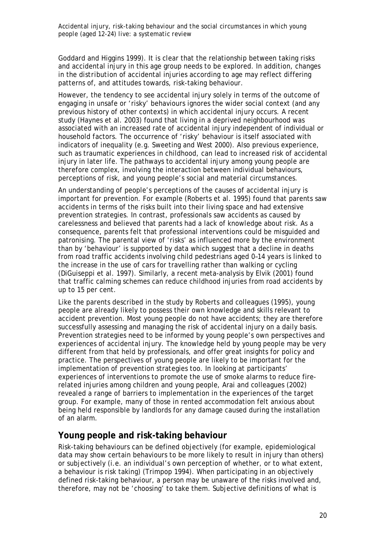Goddard and Higgins 1999). It is clear that the relationship between taking risks and accidental injury in this age group needs to be explored. In addition, changes in the *distribution* of accidental injuries according to age may reflect differing patterns of, and attitudes towards, risk-taking behaviour.

However, the tendency to see accidental injury solely in terms of the outcome of engaging in unsafe or 'risky' behaviours ignores the wider social context (and any previous history of other contexts) in which accidental injury occurs. A recent study (Haynes et al. 2003) found that living in a deprived neighbourhood was associated with an increased rate of accidental injury independent of individual or household factors. The occurrence of 'risky' behaviour is itself associated with indicators of inequality (e.g. Sweeting and West 2000). Also previous experience, such as traumatic experiences in childhood, can lead to increased risk of accidental injury in later life. The pathways to accidental injury among young people are therefore complex, involving the interaction between individual behaviours, perceptions of risk, and young people's social and material circumstances.

An understanding of people's perceptions of the causes of accidental injury is important for prevention. For example (Roberts et al. 1995) found that parents saw accidents in terms of the risks built into their living space and had extensive prevention strategies. In contrast, professionals saw accidents as caused by carelessness and believed that parents had a lack of knowledge about risk. As a consequence, parents felt that professional interventions could be misguided and patronising. The parental view of 'risks' as influenced more by the environment than by 'behaviour' is supported by data which suggest that a decline in deaths from road traffic accidents involving child pedestrians aged 0–14 years is linked to the increase in the use of cars for travelling rather than walking or cycling (DiGuiseppi et al. 1997). Similarly, a recent meta-analysis by Elvik (2001) found that traffic calming schemes can reduce childhood injuries from road accidents by up to 15 per cent.

Like the parents described in the study by Roberts and colleagues (1995), young people are already likely to possess their own knowledge and skills relevant to accident prevention. Most young people do not have accidents; they are therefore successfully assessing and managing the risk of accidental injury on a daily basis. Prevention strategies need to be informed by young people's own perspectives and experiences of accidental injury. The knowledge held by young people may be very different from that held by professionals, and offer great insights for policy and practice. The perspectives of young people are likely to be important for the implementation of prevention strategies too. In looking at participants' experiences of interventions to promote the use of smoke alarms to reduce firerelated injuries among children and young people, Arai and colleagues (2002) revealed a range of barriers to implementation in the experiences of the target group. For example, many of those in rented accommodation felt anxious about being held responsible by landlords for any damage caused during the installation of an alarm.

#### **Young people and risk-taking behaviour**

Risk-taking behaviours can be defined objectively (for example, epidemiological data may show certain behaviours to be more likely to result in injury than others) or subjectively (i.e. an individual's own perception of whether, or to what extent, a behaviour is risk taking) (Trimpop 1994). When participating in an objectively defined risk-taking behaviour, a person may be unaware of the risks involved and, therefore, may not be 'choosing' to take them. Subjective definitions of what is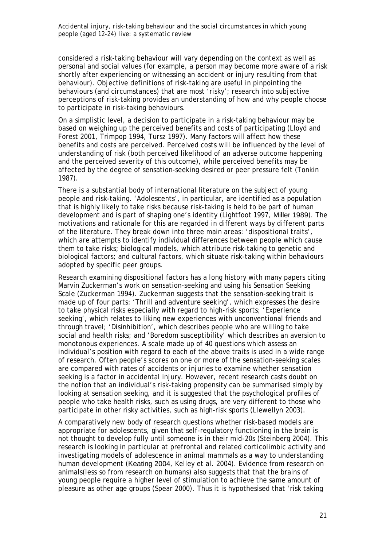considered a risk-taking behaviour will vary depending on the context as well as personal and social values (for example, a person may become more aware of a risk shortly after experiencing or witnessing an accident or injury resulting from that behaviour). Objective definitions of risk-taking are useful in pinpointing the behaviours (and circumstances) that are most 'risky'; research into subjective perceptions of risk-taking provides an understanding of how and why people choose to participate in risk-taking behaviours.

On a simplistic level, a decision to participate in a risk-taking behaviour may be based on weighing up the perceived benefits and costs of participating (Lloyd and Forest 2001, Trimpop 1994, Tursz 1997). Many factors will affect how these benefits and costs are perceived. Perceived costs will be influenced by the level of understanding of risk (both perceived likelihood of an adverse outcome happening and the perceived severity of this outcome), while perceived benefits may be affected by the degree of sensation-seeking desired or peer pressure felt (Tonkin 1987).

There is a substantial body of international literature on the subject of young people and risk-taking. 'Adolescents', in particular, are identified as a population that is highly likely to take risks because risk-taking is held to be part of human development and is part of shaping one's identity (Lightfoot 1997, Miller 1989). The motivations and rationale for this are regarded in different ways by different parts of the literature. They break down into three main areas: 'dispositional traits', which are attempts to identify individual differences between people which cause them to take risks; biological models, which attribute risk-taking to genetic and biological factors; and cultural factors, which situate risk-taking within behaviours adopted by specific peer groups.

Research examining dispositional factors has a long history with many papers citing Marvin Zuckerman's work on sensation-seeking and using his Sensation Seeking Scale (Zuckerman 1994). Zuckerman suggests that the sensation-seeking trait is made up of four parts: 'Thrill and adventure seeking', which expresses the desire to take physical risks especially with regard to high-risk sports; 'Experience seeking', which relates to liking new experiences with unconventional friends and through travel; 'Disinhibition', which describes people who are willing to take social and health risks; and 'Boredom susceptibility' which describes an aversion to monotonous experiences. A scale made up of 40 questions which assess an individual's position with regard to each of the above traits is used in a wide range of research. Often people's scores on one or more of the sensation-seeking scales are compared with rates of accidents or injuries to examine whether sensation seeking is a factor in accidental injury. However, recent research casts doubt on the notion that an individual's risk-taking propensity can be summarised simply by looking at sensation seeking, and it is suggested that the psychological profiles of people who take health risks, such as using drugs, are very different to those who participate in other risky activities, such as high-risk sports (Llewellyn 2003).

A comparatively new body of research questions whether risk-based models are appropriate for adolescents, given that self-regulatory functioning in the brain is not thought to develop fully until someone is in their mid-20s (Steinberg 2004). This research is looking in particular at prefrontal and related corticolimbic activity and investigating models of adolescence in animal mammals as a way to understanding human development (Keating 2004, Kelley et al. 2004). Evidence from research on animals(less so from research on humans) also suggests that that the brains of young people require a higher level of stimulation to achieve the same amount of pleasure as other age groups (Spear 2000). Thus it is hypothesised that 'risk taking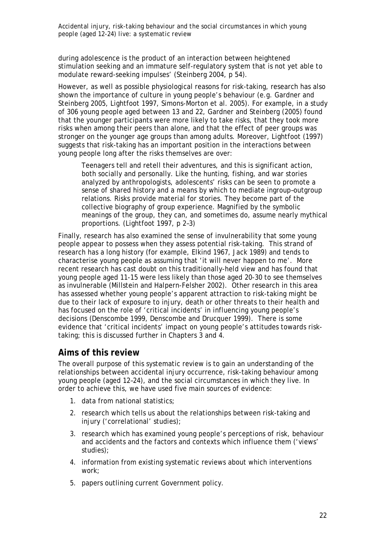during adolescence is the product of an interaction between heightened stimulation seeking and an immature self-regulatory system that is not yet able to modulate reward-seeking impulses' (Steinberg 2004, p 54).

However, as well as possible physiological reasons for risk-taking, research has also shown the importance of culture in young people's behaviour (e.g. Gardner and Steinberg 2005, Lightfoot 1997, Simons-Morton et al. 2005). For example, in a study of 306 young people aged between 13 and 22, Gardner and Steinberg (2005) found that the younger participants were more likely to take risks, that they took more risks when among their peers than alone, and that the effect of peer groups was stronger on the younger age groups than among adults. Moreover, Lightfoot (1997) suggests that risk-taking has an important position in the interactions between young people long after the risks themselves are over:

Teenagers tell and retell their adventures, and this is significant action, both socially and personally. Like the hunting, fishing, and war stories analyzed by anthropologists, adolescents' risks can be seen to promote a sense of shared history and a means by which to mediate ingroup–outgroup relations. Risks provide material for stories. They become part of the collective biography of group experience. Magnified by the symbolic meanings of the group, they can, and sometimes do, assume nearly mythical proportions. (Lightfoot 1997, p 2–3)

Finally, research has also examined the sense of invulnerability that some young people appear to possess when they assess potential risk-taking. This strand of research has a long history (for example, Elkind 1967, Jack 1989) and tends to characterise young people as assuming that 'it will never happen to me'. More recent research has cast doubt on this traditionally-held view and has found that young people aged 11-15 were less likely than those aged 20-30 to see themselves as invulnerable (Millstein and Halpern-Felsher 2002). Other research in this area has assessed whether young people's apparent attraction to risk-taking might be due to their lack of exposure to injury, death or other threats to their health and has focused on the role of 'critical incidents' in influencing young people's decisions (Denscombe 1999, Denscombe and Drucquer 1999). There is some evidence that 'critical incidents' impact on young people's attitudes towards risktaking; this is discussed further in Chapters 3 and 4.

#### **Aims of this review**

The overall purpose of this systematic review is to gain an understanding of the relationships between accidental injury occurrence, risk-taking behaviour among young people (aged 12–24), and the social circumstances in which they live. In order to achieve this, we have used five main sources of evidence:

- 1. data from national statistics;
- 2. research which tells us about the relationships between risk-taking and injury ('correlational' studies);
- 3. research which has examined young people's perceptions of risk, behaviour and accidents and the factors and contexts which influence them ('views' studies);
- 4. information from existing systematic reviews about which interventions work;
- 5. papers outlining current Government policy.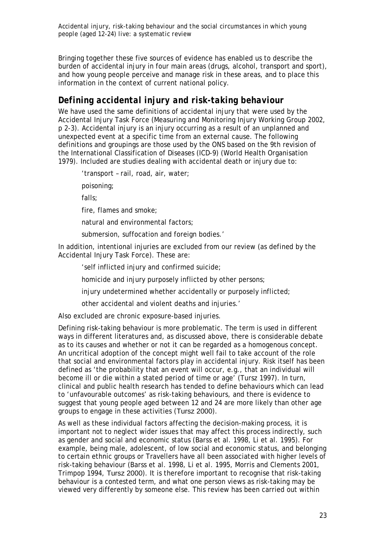Bringing together these five sources of evidence has enabled us to describe the burden of accidental injury in four main areas (drugs, alcohol, transport and sport), and how young people perceive and manage risk in these areas, and to place this information in the context of current national policy.

## *Defining accidental injury and risk-taking behaviour*

We have used the same definitions of accidental injury that were used by the Accidental Injury Task Force (Measuring and Monitoring Injury Working Group 2002, p 2-3). Accidental injury is an injury occurring as a result of an unplanned and unexpected event at a specific time from an external cause. The following definitions and groupings are those used by the ONS based on the 9th revision of the International Classification of Diseases (ICD-9) (World Health Organisation 1979). Included are studies dealing with accidental death or injury due to:

'transport – rail, road, air, water;

poisoning;

falls;

fire, flames and smoke;

natural and environmental factors;

submersion, suffocation and foreign bodies.'

In addition, intentional injuries are excluded from our review (as defined by the Accidental Injury Task Force). These are:

'self inflicted injury and confirmed suicide;

homicide and injury purposely inflicted by other persons;

injury undetermined whether accidentally or purposely inflicted;

other accidental and violent deaths and injuries.'

Also excluded are chronic exposure-based injuries.

Defining risk-taking behaviour is more problematic. The term is used in different ways in different literatures and, as discussed above, there is considerable debate as to its causes and whether or not it can be regarded as a homogenous concept. An uncritical adoption of the concept might well fail to take account of the role that social and environmental factors play in accidental injury. Risk itself has been defined as 'the probability that an event will occur, e.g., that an individual will become ill or die within a stated period of time or age' (Tursz 1997). In turn, clinical and public health research has tended to define behaviours which can lead to 'unfavourable outcomes' as risk-taking behaviours, and there is evidence to suggest that young people aged between 12 and 24 are more likely than other age groups to engage in these activities (Tursz 2000).

As well as these individual factors affecting the decision-making process, it is important not to neglect wider issues that may affect this process indirectly, such as gender and social and economic status (Barss et al. 1998, Li et al. 1995). For example, being male, adolescent, of low social and economic status, and belonging to certain ethnic groups or Travellers have all been associated with higher levels of risk-taking behaviour (Barss et al. 1998, Li et al. 1995, Morris and Clements 2001, Trimpop 1994, Tursz 2000). It is therefore important to recognise that risk-taking behaviour is a contested term, and what one person views as risk-taking may be viewed very differently by someone else. This review has been carried out within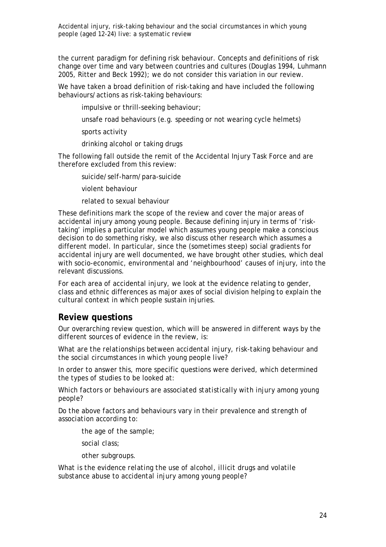the current paradigm for defining risk behaviour. Concepts and definitions of risk change over time and vary between countries and cultures (Douglas 1994, Luhmann 2005, Ritter and Beck 1992); we do not consider this variation in our review.

We have taken a broad definition of risk-taking and have included the following behaviours/actions as risk-taking behaviours:

impulsive or thrill-seeking behaviour;

unsafe road behaviours (e.g. speeding or not wearing cycle helmets)

sports activity

drinking alcohol or taking drugs

The following fall outside the remit of the Accidental Injury Task Force and are therefore excluded from this review:

suicide/self-harm/para-suicide

violent behaviour

related to sexual behaviour

These definitions mark the scope of the review and cover the major areas of accidental injury among young people. Because defining injury in terms of 'risktaking' implies a particular model which assumes young people make a conscious decision to do something risky, we also discuss other research which assumes a different model. In particular, since the (sometimes steep) social gradients for accidental injury are well documented, we have brought other studies, which deal with socio-economic, environmental and 'neighbourhood' causes of injury, into the relevant discussions.

For each area of accidental injury, we look at the evidence relating to gender, class and ethnic differences as major axes of social division helping to explain the cultural context in which people sustain injuries.

#### **Review questions**

Our overarching review question, which will be answered in different ways by the different sources of evidence in the review, is:

*What are the relationships between accidental injury, risk-taking behaviour and the social circumstances in which young people live?* 

In order to answer this, more specific questions were derived, which determined the types of studies to be looked at:

*Which factors or behaviours are associated statistically with injury among young people?* 

*Do the above factors and behaviours vary in their prevalence and strength of association according to:* 

*the age of the sample;* 

*social class;* 

*other subgroups.* 

*What is the evidence relating the use of alcohol, illicit drugs and volatile substance abuse to accidental injury among young people?*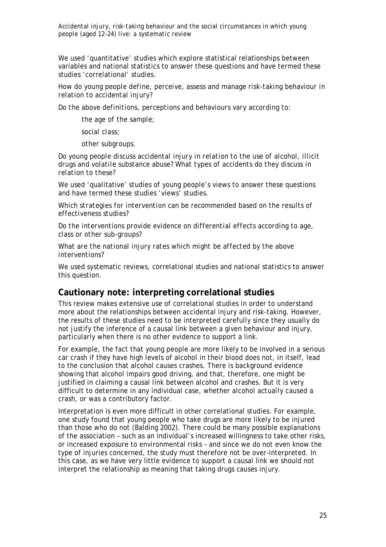We used 'quantitative' studies which explore statistical relationships between variables and national statistics to answer these questions and have termed these studies 'correlational' studies.

*How do young people define, perceive, assess and manage risk-taking behaviour in relation to accidental injury?* 

*Do the above definitions, perceptions and behaviours vary according to:* 

*the age of the sample;* 

*social class;* 

*other subgroups.* 

*Do young people discuss accidental injury in relation to the use of alcohol, illicit drugs and volatile substance abuse? What types of accidents do they discuss in relation to these?* 

We used 'qualitative' studies of young people's views to answer these questions and have termed these studies 'views' studies.

*Which strategies for intervention can be recommended based on the results of effectiveness studies?* 

*Do the interventions provide evidence on differential effects according to age, class or other sub-groups?* 

*What are the national injury rates which might be affected by the above interventions?* 

We used systematic reviews, correlational studies and national statistics to answer this question.

#### **Cautionary note: interpreting correlational studies**

This review makes extensive use of correlational studies in order to understand more about the relationships between accidental injury and risk-taking. However, the results of these studies need to be interpreted carefully since they usually do not justify the inference of a causal link between a given behaviour and injury, particularly when there is no other evidence to support a link.

For example, the fact that young people are more likely to be involved in a serious car crash if they have high levels of alcohol in their blood does not, in itself, lead to the conclusion that alcohol causes crashes. There is background evidence showing that alcohol impairs good driving, and that, therefore, one might be justified in claiming a causal link between alcohol and crashes. But it is very difficult to determine in any individual case, whether alcohol *actually* caused a crash, or was a contributory factor.

Interpretation is even more difficult in other correlational studies. For example, one study found that young people who take drugs are more likely to be injured than those who do not (Balding 2002). There could be many possible explanations of the association – such as an individual's increased willingness to take other risks, or increased exposure to environmental risks – and since we do not even know the type of injuries concerned, the study must therefore not be over-interpreted. In this case, as we have very little evidence to support a causal link we should not interpret the relationship as meaning that taking drugs *causes* injury.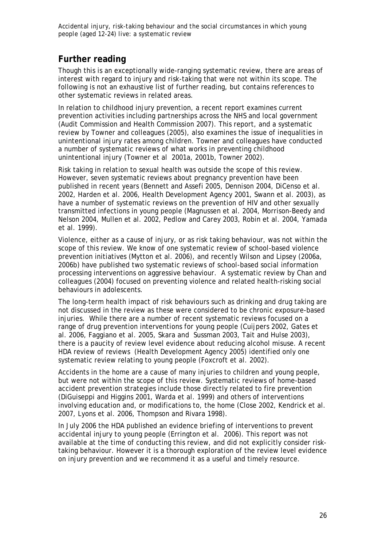## **Further reading**

Though this is an exceptionally wide-ranging systematic review, there are areas of interest with regard to injury and risk-taking that were not within its scope. The following is not an exhaustive list of further reading, but contains references to other systematic reviews in related areas.

In relation to childhood injury prevention, a recent report examines current prevention activities including partnerships across the NHS and local government (Audit Commission and Health Commission 2007). This report, and a systematic review by Towner and colleagues (2005), also examines the issue of inequalities in unintentional injury rates among children. Towner and colleagues have conducted a number of systematic reviews of what works in preventing childhood unintentional injury (Towner et al 2001a, 2001b, Towner 2002).

Risk taking in relation to sexual health was outside the scope of this review. However, seven systematic reviews about pregnancy prevention have been published in recent years (Bennett and Assefi 2005, Dennison 2004, DiCenso et al. 2002, Harden et al. 2006, Health Development Agency 2001, Swann et al. 2003), as have a number of systematic reviews on the prevention of HIV and other sexually transmitted infections in young people (Magnussen et al. 2004, Morrison-Beedy and Nelson 2004, Mullen et al. 2002, Pedlow and Carey 2003, Robin et al. 2004, Yamada et al. 1999).

Violence, either as a cause of injury, or as risk taking behaviour, was not within the scope of this review. We know of one systematic review of school-based violence prevention initiatives (Mytton et al. 2006), and recently Wilson and Lipsey (2006a, 2006b) have published two systematic reviews of school-based social information processing interventions on aggressive behaviour. A systematic review by Chan and colleagues (2004) focused on preventing violence and related health-risking social behaviours in adolescents.

The long-term health impact of risk behaviours such as drinking and drug taking are not discussed in the review as these were considered to be chronic exposure-based injuries. While there are a number of recent systematic reviews focused on a range of drug prevention interventions for young people (Cuijpers 2002, Gates et al. 2006, Faggiano et al. 2005, Skara and Sussman 2003, Tait and Hulse 2003), there is a paucity of review level evidence about reducing alcohol misuse. A recent HDA review of reviews (Health Development Agency 2005) identified only one systematic review relating to young people (Foxcroft et al. 2002).

Accidents in the home are a cause of many injuries to children and young people, but were not within the scope of this review. Systematic reviews of home-based accident prevention strategies include those directly related to fire prevention (DiGuiseppi and Higgins 2001, Warda et al. 1999) and others of interventions involving education and, or modifications to, the home (Close 2002, Kendrick et al. 2007, Lyons et al. 2006, Thompson and Rivara 1998).

In July 2006 the HDA published an evidence briefing of interventions to prevent accidental injury to young people (Errington et al. 2006). This report was not available at the time of conducting this review, and did not explicitly consider risktaking behaviour. However it is a thorough exploration of the review level evidence on injury prevention and we recommend it as a useful and timely resource.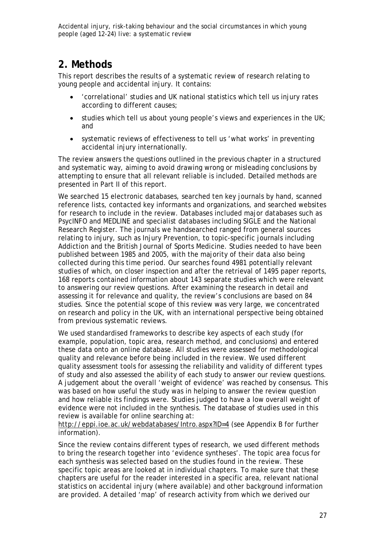## **2. Methods**

This report describes the results of a systematic review of research relating to young people and accidental injury. It contains:

- 'correlational' studies and UK national statistics which tell us injury rates according to different causes;
- studies which tell us about young people's views and experiences in the UK; and
- systematic reviews of effectiveness to tell us 'what works' in preventing accidental injury internationally.

The review answers the questions outlined in the previous chapter in a structured and systematic way, aiming to avoid drawing wrong or misleading conclusions by attempting to ensure that all relevant reliable is included. Detailed methods are presented in Part II of this report.

We searched 15 electronic databases, searched ten key journals by hand, scanned reference lists, contacted key informants and organizations, and searched websites for research to include in the review. Databases included major databases such as PsycINFO and MEDLINE and specialist databases including SIGLE and the National Research Register. The journals we handsearched ranged from general sources relating to injury, such as Injury Prevention, to topic-specific journals including Addiction and the British Journal of Sports Medicine. Studies needed to have been published between 1985 and 2005, with the majority of their data also being collected during this time period. Our searches found 4981 potentially relevant studies of which, on closer inspection and after the retrieval of 1495 paper reports, 168 reports contained information about 143 separate studies which were relevant to answering our review questions. After examining the research in detail and assessing it for relevance and quality, the review's conclusions are based on 84 studies. Since the potential scope of this review was very large, we concentrated on research and policy in the UK, with an international perspective being obtained from previous systematic reviews.

We used standardised frameworks to describe key aspects of each study (for example, population, topic area, research method, and conclusions) and entered these data onto an online database. All studies were assessed for methodological quality and relevance before being included in the review. We used different quality assessment tools for assessing the reliability and validity of different types of study and also assessed the ability of each study to answer our review questions. A judgement about the overall 'weight of evidence' was reached by consensus. This was based on how useful the study was in helping to answer the review question and how reliable its findings were. Studies judged to have a low overall weight of evidence were not included in the synthesis. The database of studies used in this review is available for online searching at:

http://eppi.ioe.ac.uk/webdatabases/Intro.aspx?ID=4 (see Appendix B for further information).

Since the review contains different types of research, we used different methods to bring the research together into 'evidence syntheses'. The topic area focus for each synthesis was selected based on the studies found in the review. These specific topic areas are looked at in individual chapters. To make sure that these chapters are useful for the reader interested in a specific area, relevant national statistics on accidental injury (where available) and other background information are provided. A detailed 'map' of research activity from which we derived our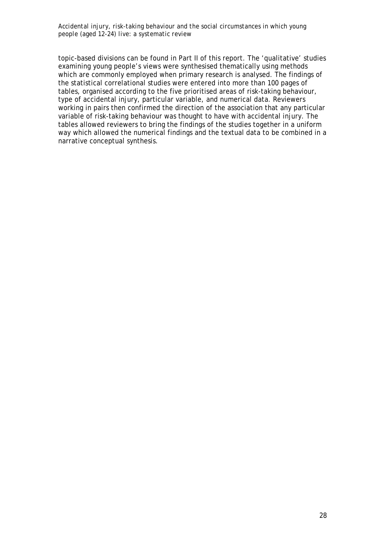topic-based divisions can be found in Part II of this report. The 'qualitative' studies examining young people's views were synthesised thematically using methods which are commonly employed when primary research is analysed. The findings of the statistical correlational studies were entered into more than 100 pages of tables, organised according to the five prioritised areas of risk-taking behaviour, type of accidental injury, particular variable, and numerical data. Reviewers working in pairs then confirmed the direction of the association that any particular variable of risk-taking behaviour was thought to have with accidental injury. The tables allowed reviewers to bring the findings of the studies together in a uniform way which allowed the numerical findings and the textual data to be combined in a narrative conceptual synthesis.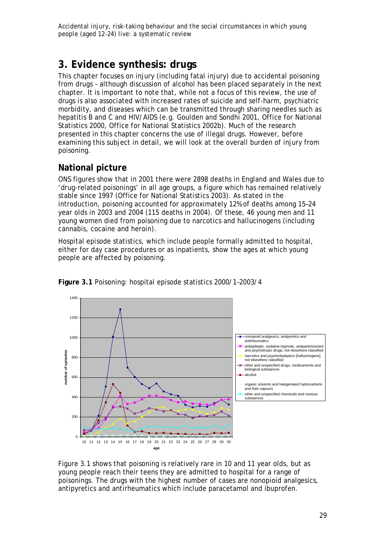# **3. Evidence synthesis: drugs**

This chapter focuses on injury (including fatal injury) due to accidental poisoning from drugs – although discussion of alcohol has been placed separately in the next chapter. It is important to note that, while not a focus of this review, the use of drugs is also associated with increased rates of suicide and self-harm, psychiatric morbidity, and diseases which can be transmitted through sharing needles such as hepatitis B and C and HIV/AIDS (e.g. Goulden and Sondhi 2001, Office for National Statistics 2000, Office for National Statistics 2002b). Much of the research presented in this chapter concerns the use of illegal drugs. However, before examining this subject in detail, we will look at the overall burden of injury from poisoning.

## **National picture**

ONS figures show that in 2001 there were 2898 deaths in England and Wales due to 'drug-related poisonings' in all age groups, a figure which has remained relatively stable since 1997 (Office for National Statistics 2003). As stated in the introduction, poisoning accounted for approximately 12% of deaths among 15–24 year olds in 2003 and 2004 (115 deaths in 2004). Of these, 46 young men and 11 young women died from poisoning due to narcotics and hallucinogens (including cannabis, cocaine and heroin).

Hospital episode statistics, which include people formally admitted to hospital, either for day case procedures or as inpatients, show the ages at which young people are affected by poisoning.



**Figure 3.1** Poisoning: hospital episode statistics 2000/1–2003/4

Figure 3.1 shows that poisoning is relatively rare in 10 and 11 year olds, but as young people reach their teens they are admitted to hospital for a range of poisonings. The drugs with the highest number of cases are nonopioid analgesics, antipyretics and antirheumatics which include paracetamol and ibuprofen.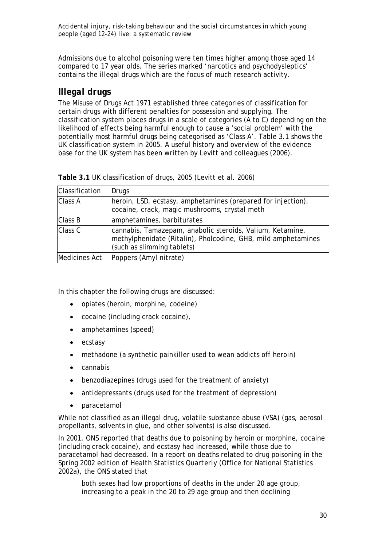Admissions due to alcohol poisoning were ten times higher among those aged 14 compared to 17 year olds. The series marked 'narcotics and psychodysleptics' contains the illegal drugs which are the focus of much research activity.

#### *Illegal drugs*

The Misuse of Drugs Act 1971 established three categories of classification for certain drugs with different penalties for possession and supplying. The classification system places drugs in a scale of categories (A to C) depending on the likelihood of effects being harmful enough to cause a 'social problem' with the potentially most harmful drugs being categorised as 'Class A'. Table 3.1 shows the UK classification system in 2005. A useful history and overview of the evidence base for the UK system has been written by Levitt and colleagues (2006).

| Classification | Drugs                                                                                                                                                    |
|----------------|----------------------------------------------------------------------------------------------------------------------------------------------------------|
| <b>Class A</b> | heroin, LSD, ecstasy, amphetamines (prepared for injection),<br>cocaine, crack, magic mushrooms, crystal meth                                            |
| <b>Class B</b> | amphetamines, barbiturates                                                                                                                               |
| Class C        | cannabis, Tamazepam, anabolic steroids, Valium, Ketamine,<br>methylphenidate (Ritalin), Pholcodine, GHB, mild amphetamines<br>(such as slimming tablets) |
| Medicines Act  | Poppers (Amyl nitrate)                                                                                                                                   |

**Table 3.1** UK classification of drugs, 2005 (Levitt et al. 2006)

In this chapter the following drugs are discussed:

- opiates (heroin, morphine, codeine)
- cocaine (including crack cocaine),
- amphetamines (speed)
- ecstasy
- methadone (a synthetic painkiller used to wean addicts off heroin)
- cannabis
- benzodiazepines (drugs used for the treatment of anxiety)
- antidepressants (drugs used for the treatment of depression)
- paracetamol

While not classified as an illegal drug, volatile substance abuse (VSA) (gas, aerosol propellants, solvents in glue, and other solvents) is also discussed.

In 2001, ONS reported that deaths due to poisoning by heroin or morphine, cocaine (including crack cocaine), and ecstasy had increased, while those due to paracetamol had decreased. In a report on deaths related to drug poisoning in the Spring 2002 edition of *Health Statistics Quarterly* (Office for National Statistics 2002a), the ONS stated that

both sexes had low proportions of deaths in the under 20 age group, increasing to a peak in the 20 to 29 age group and then declining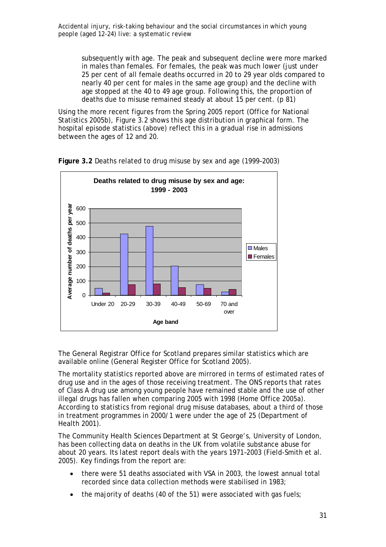subsequently with age. The peak and subsequent decline were more marked in males than females. For females, the peak was much lower (just under 25 per cent of all female deaths occurred in 20 to 29 year olds compared to nearly 40 per cent for males in the same age group) and the decline with age stopped at the 40 to 49 age group. Following this, the proportion of deaths due to misuse remained steady at about 15 per cent. (p 81)

Using the more recent figures from the Spring 2005 report (Office for National Statistics 2005b), Figure 3.2 shows this age distribution in graphical form. The hospital episode statistics (above) reflect this in a gradual rise in admissions between the ages of 12 and 20.



**Figure 3.2** Deaths related to drug misuse by sex and age (1999–2003)

The General Registrar Office for Scotland prepares similar statistics which are available online (General Register Office for Scotland 2005).

The mortality statistics reported above are mirrored in terms of estimated rates of drug use and in the ages of those receiving treatment. The ONS reports that rates of Class A drug use among young people have remained stable and the use of other illegal drugs has fallen when comparing 2005 with 1998 (Home Office 2005a). According to statistics from regional drug misuse databases, about a third of those in treatment programmes in 2000/1 were under the age of 25 (Department of Health 2001).

The Community Health Sciences Department at St George's, University of London, has been collecting data on deaths in the UK from volatile substance abuse for about 20 years. Its latest report deals with the years 1971–2003 (Field-Smith et al. 2005). Key findings from the report are:

- there were 51 deaths associated with VSA in 2003, the lowest annual total recorded since data collection methods were stabilised in 1983;
- the majority of deaths (40 of the 51) were associated with gas fuels;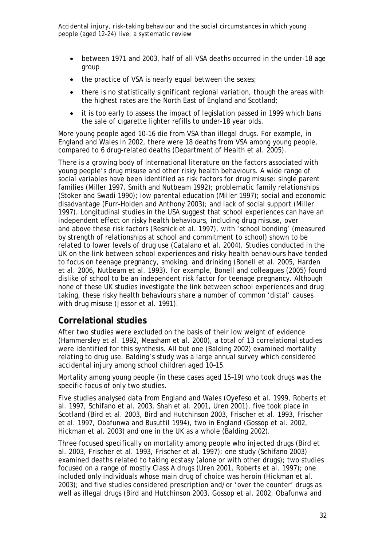- between 1971 and 2003, half of all VSA deaths occurred in the under-18 age group
- the practice of VSA is nearly equal between the sexes:
- there is no statistically significant regional variation, though the areas with the highest rates are the North East of England and Scotland;
- it is too early to assess the impact of legislation passed in 1999 which bans the sale of cigarette lighter refills to under-18 year olds.

More young people aged 10–16 die from VSA than illegal drugs. For example, in England and Wales in 2002, there were 18 deaths from VSA among young people, compared to 6 drug-related deaths (Department of Health et al. 2005).

There is a growing body of international literature on the factors associated with young people's drug misuse and other risky health behaviours. A wide range of social variables have been identified as risk factors for drug misuse: single parent families (Miller 1997, Smith and Nutbeam 1992); problematic family relationships (Stoker and Swadi 1990); low parental education (Miller 1997); social and economic disadvantage (Furr-Holden and Anthony 2003); and lack of social support (Miller 1997). Longitudinal studies in the USA suggest that school experiences can have an independent effect on risky health behaviours, including drug misuse, over and above these risk factors (Resnick et al. 1997), with 'school bonding' (measured by strength of relationships at school and commitment to school) shown to be related to lower levels of drug use (Catalano et al. 2004). Studies conducted in the UK on the link between school experiences and risky health behaviours have tended to focus on teenage pregnancy, smoking, and drinking (Bonell et al. 2005, Harden et al. 2006, Nutbeam et al. 1993). For example, Bonell and colleagues (2005) found dislike of school to be an independent risk factor for teenage pregnancy. Although none of these UK studies investigate the link between school experiences and drug taking, these risky health behaviours share a number of common 'distal' causes with drug misuse (Jessor et al. 1991).

# **Correlational studies**

After two studies were excluded on the basis of their low weight of evidence (Hammersley et al. 1992, Measham et al. 2000), a total of 13 correlational studies were identified for this synthesis. All but one (Balding 2002) examined mortality relating to drug use. Balding's study was a large annual survey which considered accidental injury among school children aged 10–15.

Mortality among young people (in these cases aged 15–19) who took drugs was the specific focus of only two studies.

Five studies analysed data from England and Wales (Oyefeso et al. 1999, Roberts et al. 1997, Schifano et al. 2003, Shah et al. 2001, Uren 2001), five took place in Scotland (Bird et al. 2003, Bird and Hutchinson 2003, Frischer et al. 1993, Frischer et al. 1997, Obafunwa and Busuttil 1994), two in England (Gossop et al. 2002, Hickman et al. 2003) and one in the UK as a whole (Balding 2002).

Three focused specifically on mortality among people who injected drugs (Bird et al. 2003, Frischer et al. 1993, Frischer et al. 1997); one study (Schifano 2003) examined deaths related to taking ecstasy (alone or with other drugs); two studies focused on a range of mostly Class A drugs (Uren 2001, Roberts et al. 1997); one included only individuals whose main drug of choice was heroin (Hickman et al. 2003); and five studies considered prescription and/or 'over the counter' drugs as well as illegal drugs (Bird and Hutchinson 2003, Gossop et al. 2002, Obafunwa and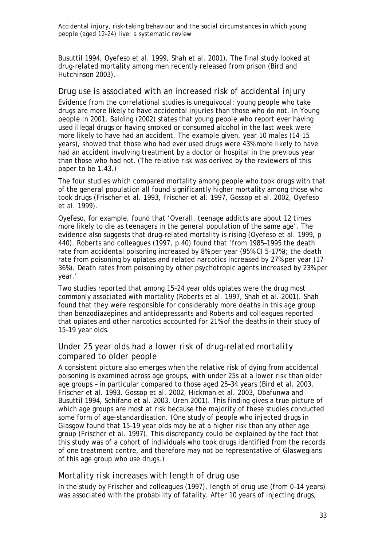Busuttil 1994, Oyefeso et al. 1999, Shah et al. 2001). The final study looked at drug-related mortality among men recently released from prison (Bird and Hutchinson 2003).

#### *Drug use is associated with an increased risk of accidental injury*

Evidence from the correlational studies is unequivocal: young people who take drugs are more likely to have accidental injuries than those who do not. In *Young people in 2001,* Balding (2002) states that young people who report ever having used illegal drugs or having smoked or consumed alcohol in the last week were more likely to have had an accident. The example given, year 10 males (14–15 years), showed that those who had ever used drugs were 43% more likely to have had an accident involving treatment by a doctor or hospital in the previous year than those who had not. (The relative risk was derived by the reviewers of this paper to be 1.43.)

The four studies which compared mortality among people who took drugs with that of the general population all found significantly higher mortality among those who took drugs (Frischer et al. 1993, Frischer et al. 1997, Gossop et al. 2002, Oyefeso et al. 1999).

Oyefeso, for example, found that 'Overall, teenage addicts are about 12 times more likely to die as teenagers in the general population of the same age'. The evidence also suggests that drug-related mortality is rising (Oyefeso et al. 1999, p 440). Roberts and colleagues (1997, p 40) found that 'from 1985–1995 the death rate from accidental poisoning increased by 8% per year (95% CI 5–17%); the death rate from poisoning by opiates and related narcotics increased by 27% per year (17– 36%). Death rates from poisoning by other psychotropic agents increased by 23% per year.'

Two studies reported that among 15–24 year olds opiates were the drug most commonly associated with mortality (Roberts et al. 1997, Shah et al. 2001). Shah found that they were responsible for considerably more deaths in this age group than benzodiazepines and antidepressants and Roberts and colleagues reported that opiates and other narcotics accounted for 21% of the deaths in their study of 15–19 year olds.

# *Under 25 year olds had a lower risk of drug-related mortality compared to older people*

A consistent picture also emerges when the relative risk of dying from accidental poisoning is examined across age groups, with under 25s at a lower risk than older age groups – in particular compared to those aged 25–34 years (Bird et al. 2003, Frischer et al. 1993, Gossop et al. 2002, Hickman et al. 2003, Obafunwa and Busuttil 1994, Schifano et al. 2003, Uren 2001). This finding gives a true picture of which age groups are most at risk because the majority of these studies conducted some form of age-standardisation. (One study of people who injected drugs in Glasgow found that 15–19 year olds may be at a higher risk than any other age group (Frischer et al*.* 1997). This discrepancy could be explained by the fact that this study was of a cohort of individuals who took drugs identified from the records of one treatment centre, and therefore may not be representative of Glaswegians of this age group who use drugs.)

#### *Mortality risk increases with length of drug use*

In the study by Frischer and colleagues (1997), length of drug use (from 0–14 years) was associated with the probability of fatality. After 10 years of injecting drugs,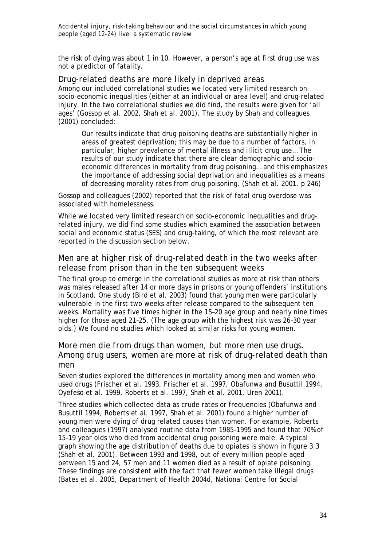the risk of dying was about 1 in 10. However, a person's age at first drug use was not a predictor of fatality.

*Drug-related deaths are more likely in deprived areas* Among our included correlational studies we located very limited research on socio-economic inequalities (either at an individual or area level) and drug-related injury. In the two correlational studies we did find, the results were given for 'all ages' (Gossop et al. 2002, Shah et al. 2001). The study by Shah and colleagues (2001) concluded:

Our results indicate that drug poisoning deaths are substantially higher in areas of greatest deprivation; this may be due to a number of factors, in particular, higher prevalence of mental illness and illicit drug use… The results of our study indicate that there are clear demographic and socioeconomic differences in mortality from drug poisoning… and this emphasizes the importance of addressing social deprivation and inequalities as a means of decreasing morality rates from drug poisoning. (Shah et al. 2001, p 246)

Gossop and colleagues (2002) reported that the risk of fatal drug overdose was associated with homelessness.

While we located very limited research on socio-economic inequalities and drugrelated injury, we did find some studies which examined the association between social and economic status (SES) and drug-taking, of which the most relevant are reported in the discussion section below.

# *Men are at higher risk of drug-related death in the two weeks after release from prison than in the ten subsequent weeks*

The final group to emerge in the correlational studies as more at risk than others was males released after 14 or more days in prisons or young offenders' institutions in Scotland. One study (Bird et al. 2003) found that young men were particularly vulnerable in the first two weeks after release compared to the subsequent ten weeks. Mortality was five times higher in the 15–20 age group and nearly nine times higher for those aged 21–25. (The age group with the highest risk was 26–30 year olds.) We found no studies which looked at similar risks for young women.

### *More men die from drugs than women, but more men use drugs. Among drug users, women are more at risk of drug-related death than men*

Seven studies explored the differences in mortality among men and women who used drugs (Frischer et al. 1993, Frischer et al. 1997, Obafunwa and Busuttil 1994, Oyefeso et al. 1999, Roberts et al. 1997, Shah et al. 2001, Uren 2001).

Three studies which collected data as crude rates or frequencies (Obafunwa and Busuttil 1994, Roberts et al. 1997, Shah et al. 2001) found a higher number of young men were dying of drug related causes than women. For example, Roberts and colleagues (1997) analysed routine data from 1985–1995 and found that 70% of 15–19 year olds who died from accidental drug poisoning were male. A typical graph showing the age distribution of deaths due to opiates is shown in figure 3.3 (Shah et al. 2001). Between 1993 and 1998, out of every million people aged between 15 and 24, 57 men and 11 women died as a result of opiate poisoning. These findings are consistent with the fact that fewer women take illegal drugs (Bates et al. 2005, Department of Health 2004d, National Centre for Social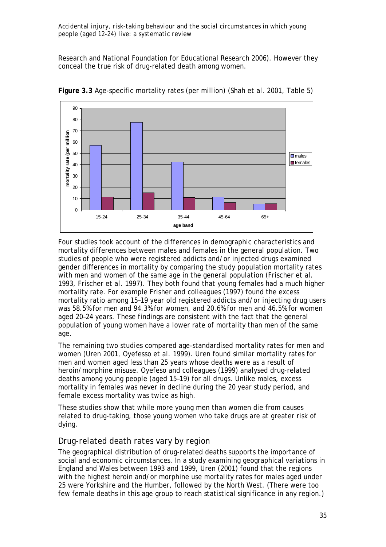Research and National Foundation for Educational Research 2006). However they conceal the true risk of drug-related death among women.



**Figure 3.3** Age-specific mortality rates (per million) (Shah et al. 2001, Table 5)

Four studies took account of the differences in demographic characteristics and mortality differences between males and females in the general population. Two studies of people who were registered addicts and/or injected drugs examined gender differences in mortality by comparing the study population mortality rates with men and women of the same age in the general population (Frischer et al. 1993, Frischer et al. 1997). They both found that young females had a much higher mortality rate. For example Frisher and colleagues (1997) found the excess mortality ratio among 15–19 year old registered addicts and/or injecting drug users was 58.5% for men and 94.3% for women, and 20.6% for men and 46.5% for women aged 20–24 years. These findings are consistent with the fact that the general population of young women have a lower rate of mortality than men of the same age.

The remaining two studies compared age-standardised mortality rates for men and women (Uren 2001, Oyefesso et al*.* 1999). Uren found similar mortality rates for men and women aged less than 25 years whose deaths were as a result of heroin/morphine misuse. Oyefeso and colleagues (1999) analysed drug-related deaths among young people (aged 15–19) for all drugs. Unlike males, excess mortality in females was never in decline during the 20 year study period, and female excess mortality was twice as high.

These studies show that while more young men than women die from causes related to drug-taking, those young women who take drugs are at greater risk of dying.

# *Drug-related death rates vary by region*

The geographical distribution of drug-related deaths supports the importance of social and economic circumstances. In a study examining geographical variations in England and Wales between 1993 and 1999, Uren (2001) found that the regions with the highest heroin and/or morphine use mortality rates for males aged under 25 were Yorkshire and the Humber, followed by the North West. (There were too few female deaths in this age group to reach statistical significance in any region.)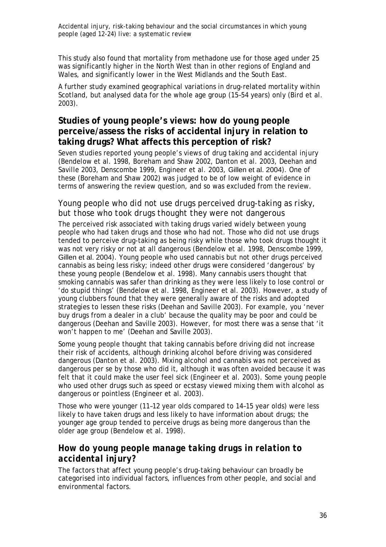This study also found that mortality from methadone use for those aged under 25 was significantly higher in the North West than in other regions of England and Wales, and significantly lower in the West Midlands and the South East.

A further study examined geographical variations in drug-related mortality within Scotland, but analysed data for the whole age group (15–54 years) only (Bird et al. 2003).

# **Studies of young people's views: how do young people perceive/assess the risks of accidental injury in relation to taking drugs? What affects this perception of risk?**

Seven studies reported young people's views of drug taking and accidental injury (Bendelow et al. 1998, Boreham and Shaw 2002, Danton et al. 2003, Deehan and Saville 2003, Denscombe 1999, Engineer et al. 2003, Gillen et al. 2004). One of these (Boreham and Shaw 2002) was judged to be of low weight of evidence in terms of answering the review question, and so was excluded from the review.

# *Young people who did not use drugs perceived drug-taking as risky, but those who took drugs thought they were not dangerous*

The perceived risk associated with taking drugs varied widely between young people who had taken drugs and those who had not. Those who did not use drugs tended to perceive drug-taking as being risky while those who took drugs thought it was not very risky or not at all dangerous (Bendelow et al. 1998, Denscombe 1999, Gillen et al. 2004). Young people who used cannabis but not other drugs perceived cannabis as being less risky; indeed other drugs were considered 'dangerous' by these young people (Bendelow et al. 1998). Many cannabis users thought that smoking cannabis was safer than drinking as they were less likely to lose control or 'do stupid things' (Bendelow et al. 1998, Engineer et al. 2003). However, a study of young clubbers found that they were generally aware of the risks and adopted strategies to lessen these risks (Deehan and Saville 2003). For example, you 'never buy drugs from a dealer in a club' because the quality may be poor and could be dangerous (Deehan and Saville 2003). However, for most there was a sense that 'it won't happen to me' (Deehan and Saville 2003).

Some young people thought that taking cannabis before driving did not increase their risk of accidents, although drinking alcohol before driving was considered dangerous (Danton et al. 2003). Mixing alcohol and cannabis was not perceived as dangerous per se by those who did it, although it was often avoided because it was felt that it could make the user feel sick (Engineer et al. 2003). Some young people who used other drugs such as speed or ecstasy viewed mixing them with alcohol as dangerous or pointless (Engineer et al. 2003).

Those who were younger (11–12 year olds compared to 14–15 year olds) were less likely to have taken drugs and less likely to have information about drugs; the younger age group tended to perceive drugs as being more dangerous than the older age group (Bendelow et al. 1998).

# *How do young people manage taking drugs in relation to accidental injury?*

The factors that affect young people's drug-taking behaviour can broadly be categorised into individual factors, influences from other people, and social and environmental factors.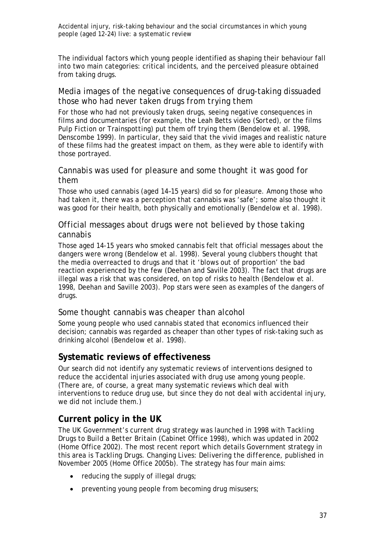The individual factors which young people identified as shaping their behaviour fall into two main categories: critical incidents, and the perceived pleasure obtained from taking drugs.

### *Media images of the negative consequences of drug-taking dissuaded those who had never taken drugs from trying them*

For those who had not previously taken drugs, seeing negative consequences in films and documentaries (for example, the Leah Betts video (*Sorted*), or the films *Pulp Fiction* or *Trainspotting*) put them off trying them (Bendelow et al. 1998, Denscombe 1999). In particular, they said that the vivid images and realistic nature of these films had the greatest impact on them, as they were able to identify with those portrayed.

### *Cannabis was used for pleasure and some thought it was good for them*

Those who used cannabis (aged 14–15 years) did so for pleasure. Among those who had taken it, there was a perception that cannabis was 'safe'; some also thought it was good for their health, both physically and emotionally (Bendelow et al. 1998).

### *Official messages about drugs were not believed by those taking cannabis*

Those aged 14-15 years who smoked cannabis felt that official messages about the dangers were wrong (Bendelow et al. 1998). Several young clubbers thought that the media overreacted to drugs and that it 'blows out of proportion' the bad reaction experienced by the few (Deehan and Saville 2003). The fact that drugs are illegal was a risk that was considered, on top of risks to health (Bendelow et al. 1998, Deehan and Saville 2003). Pop stars were seen as examples of the dangers of drugs.

### *Some thought cannabis was cheaper than alcohol*

Some young people who used cannabis stated that economics influenced their decision; cannabis was regarded as cheaper than other types of risk-taking such as drinking alcohol (Bendelow et al. 1998).

# **Systematic reviews of effectiveness**

Our search did not identify any systematic reviews of interventions designed to reduce the accidental injuries associated with drug use among young people. (There are, of course, a great many systematic reviews which deal with interventions to reduce drug use, but since they do not deal with accidental injury, we did not include them.)

# **Current policy in the UK**

The UK Government's current drug strategy was launched in 1998 with *Tackling Drugs to Build a Better Britain* (Cabinet Office 1998), which was updated in 2002 (Home Office 2002). The most recent report which details Government strategy in this area is *Tackling Drugs. Changing Lives: Delivering the difference*, published in November 2005 (Home Office 2005b). The strategy has four main aims:

- reducing the supply of illegal drugs;
- preventing young people from becoming drug misusers;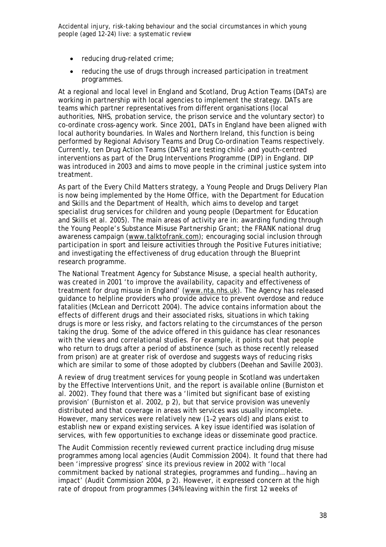- reducing drug-related crime:
- reducing the use of drugs through increased participation in treatment programmes.

At a regional and local level in England and Scotland, Drug Action Teams (DATs) are working in partnership with local agencies to implement the strategy. DATs are teams which partner representatives from different organisations (local authorities, NHS, probation service, the prison service and the voluntary sector) to co-ordinate cross-agency work. Since 2001, DATs in England have been aligned with local authority boundaries. In Wales and Northern Ireland, this function is being performed by Regional Advisory Teams and Drug Co-ordination Teams respectively. Currently, ten Drug Action Teams (DATs) are testing child- and youth-centred interventions as part of the Drug Interventions Programme (DIP) in England. DIP was introduced in 2003 and aims to move people in the criminal justice system into treatment.

As part of the *Every Child Matters* strategy, a Young People and Drugs Delivery Plan is now being implemented by the Home Office, with the Department for Education and Skills and the Department of Health, which aims to develop and target specialist drug services for children and young people (Department for Education and Skills et al. 2005). The main areas of activity are in: awarding funding through the *Young People's Substance Misuse Partnership Grant*; the *FRANK* national drug awareness campaign (www.talktofrank.com); encouraging social inclusion through participation in sport and leisure activities through the *Positive Futures* initiative; and investigating the effectiveness of drug education through the *Blueprint* research programme.

The National Treatment Agency for Substance Misuse, a special health authority, was created in 2001 'to improve the availability, capacity and effectiveness of treatment for drug misuse in England' (www.nta.nhs.uk). The Agency has released guidance to helpline providers who provide advice to prevent overdose and reduce fatalities (McLean and Derricott 2004). The advice contains information about the effects of different drugs and their associated risks, situations in which taking drugs is more or less risky, and factors relating to the circumstances of the person taking the drug. Some of the advice offered in this guidance has clear resonances with the views and correlational studies. For example, it points out that people who return to drugs after a period of abstinence (such as those recently released from prison) are at greater risk of overdose and suggests ways of reducing risks which are similar to some of those adopted by clubbers (Deehan and Saville 2003).

A review of drug treatment services for young people in Scotland was undertaken by the Effective Interventions Unit, and the report is available online (Burniston et al. 2002). They found that there was a 'limited but significant base of existing provision' (Burniston et al. 2002, p 2), but that service provision was unevenly distributed and that coverage in areas with services was usually incomplete. However, many services were relatively new (1–2 years old) and plans exist to establish new or expand existing services. A key issue identified was isolation of services, with few opportunities to exchange ideas or disseminate good practice.

The Audit Commission recently reviewed current practice including drug misuse programmes among local agencies (Audit Commission 2004). It found that there had been 'impressive progress' since its previous review in 2002 with 'local commitment backed by national strategies, programmes and funding… having an impact' (Audit Commission 2004, p 2). However, it expressed concern at the high rate of dropout from programmes (34% leaving within the first 12 weeks of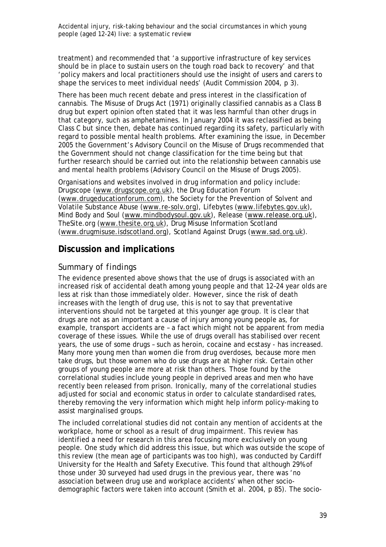treatment) and recommended that 'a supportive infrastructure of key services should be in place to sustain users on the tough road back to recovery' and that 'policy makers and local practitioners should use the insight of users and carers to shape the services to meet individual needs' (Audit Commission 2004, p 3).

There has been much recent debate and press interest in the classification of cannabis. The Misuse of Drugs Act (1971) originally classified cannabis as a Class B drug but expert opinion often stated that it was less harmful than other drugs in that category, such as amphetamines. In January 2004 it was reclassified as being Class C but since then, debate has continued regarding its safety, particularly with regard to possible mental health problems. After examining the issue, in December 2005 the Government's Advisory Council on the Misuse of Drugs recommended that the Government should not change classification for the time being but that further research should be carried out into the relationship between cannabis use and mental health problems (Advisory Council on the Misuse of Drugs 2005).

Organisations and websites involved in drug information and policy include: Drugscope (www.drugscope.org.uk), the Drug Education Forum (www.drugeducationforum.com), the Society for the Prevention of Solvent and Volatile Substance Abuse (www.re-solv.org), Lifebytes (www.lifebytes.gov.uk), Mind Body and Soul (www.mindbodysoul.gov.uk), Release (www.release.org.uk), TheSite.org (www.thesite.org.uk), Drug Misuse Information Scotland (www.drugmisuse.isdscotland.org), Scotland Against Drugs (www.sad.org.uk).

# **Discussion and implications**

#### *Summary of findings*

The evidence presented above shows that the use of drugs is associated with an increased risk of accidental death among young people and that 12–24 year olds are less at risk than those immediately older. However, since the risk of death increases with the length of drug use, this is not to say that preventative interventions should not be targeted at this younger age group. It is clear that drugs are not as an important a cause of injury among young people as, for example, transport accidents are – a fact which might not be apparent from media coverage of these issues. While the use of drugs overall has stabilised over recent years, the use of some drugs – such as heroin, cocaine and ecstasy - has increased. Many more young men than women die from drug overdoses, because more men take drugs, but those women who do use drugs are at higher risk. Certain other groups of young people are more at risk than others. Those found by the correlational studies include young people in deprived areas and men who have recently been released from prison. Ironically, many of the correlational studies adjusted for social and economic status in order to calculate standardised rates, thereby removing the very information which might help inform policy-making to assist marginalised groups.

The included correlational studies did not contain any mention of accidents at the workplace, home or school as a result of drug impairment. This review has identified a need for research in this area focusing more exclusively on young people. One study which did address this issue, but which was outside the scope of this review (the mean age of participants was too high), was conducted by Cardiff University for the Health and Safety Executive. This found that although 29% of those under 30 surveyed had used drugs in the previous year, there was 'no association between drug use and workplace accidents' when other sociodemographic factors were taken into account (Smith et al. 2004, p 85). The socio-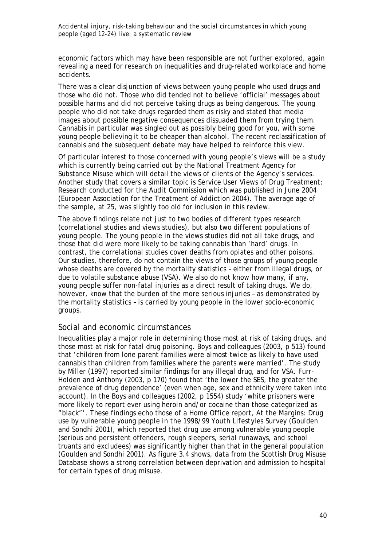economic factors which may have been responsible are not further explored, again revealing a need for research on inequalities and drug-related workplace and home accidents.

There was a clear disjunction of views between young people who used drugs and those who did not. Those who did tended not to believe 'official' messages about possible harms and did not perceive taking drugs as being dangerous. The young people who did not take drugs regarded them as risky and stated that media images about possible negative consequences dissuaded them from trying them. Cannabis in particular was singled out as possibly being good for you, with some young people believing it to be cheaper than alcohol. The recent reclassification of cannabis and the subsequent debate may have helped to reinforce this view.

Of particular interest to those concerned with young people's views will be a study which is currently being carried out by the National Treatment Agency for Substance Misuse which will detail the views of clients of the Agency's services. Another study that covers a similar topic is *Service User Views of Drug Treatment: Research conducted for the Audit Commission* which was published in June 2004 (European Association for the Treatment of Addiction 2004). The average age of the sample, at 25, was slightly too old for inclusion in this review.

The above findings relate not just to two bodies of different types research (correlational studies and views studies), but also two different populations of young people. The young people in the views studies did not all take drugs, and those that did were more likely to be taking cannabis than 'hard' drugs. In contrast, the correlational studies cover deaths from opiates and other poisons. Our studies, therefore, do not contain the views of those groups of young people whose deaths are covered by the mortality statistics – either from illegal drugs, or due to volatile substance abuse (VSA). We also do not know how many, if any, young people suffer non-fatal injuries as a direct result of taking drugs. We do, however, know that the burden of the more serious injuries – as demonstrated by the mortality statistics – is carried by young people in the lower socio-economic groups.

#### *Social and economic circumstances*

Inequalities play a major role in determining those most at risk of taking drugs, and those most at risk for fatal drug poisoning. Boys and colleagues (2003, p 513) found that 'children from lone parent families were almost twice as likely to have used cannabis than children from families where the parents were married'. The study by Miller (1997) reported similar findings for any illegal drug, and for VSA. Furr-Holden and Anthony (2003, p 170) found that 'the lower the SES, the greater the prevalence of drug dependence' (even when age, sex and ethnicity were taken into account). In the Boys and colleagues (2002, p 1554) study 'white prisoners were more likely to report ever using heroin and/or cocaine than those categorized as "black"'. These findings echo those of a Home Office report, *At the Margins: Drug use by vulnerable young people in the 1998/99 Youth Lifestyles Survey* (Goulden and Sondhi 2001), which reported that drug use among vulnerable young people (serious and persistent offenders, rough sleepers, serial runaways, and school truants and excludees) was significantly higher than that in the general population (Goulden and Sondhi 2001). As figure 3.4 shows, data from the Scottish Drug Misuse Database shows a strong correlation between deprivation and admission to hospital for certain types of drug misuse.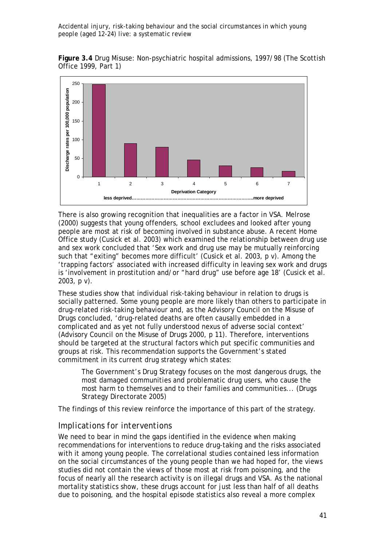**Figure 3.4** Drug Misuse: Non-psychiatric hospital admissions, 1997/98 (The Scottish Office 1999, Part 1)



There is also growing recognition that inequalities are a factor in VSA. Melrose (2000) suggests that young offenders, school excludees and looked after young people are most at risk of becoming involved in substance abuse. A recent Home Office study (Cusick et al. 2003) which examined the relationship between drug use and sex work concluded that 'Sex work and drug use may be mutually reinforcing such that "exiting" becomes more difficult' (Cusick et al. 2003, p v). Among the 'trapping factors' associated with increased difficulty in leaving sex work and drugs is 'involvement in prostitution and/or "hard drug" use before age 18' (Cusick et al. 2003, p v).

These studies show that individual risk-taking behaviour in relation to drugs is socially patterned. Some young people are more likely than others to participate in drug-related risk-taking behaviour and, as the Advisory Council on the Misuse of Drugs concluded, 'drug-related deaths are often causally embedded in a complicated and as yet not fully understood nexus of adverse social context' (Advisory Council on the Misuse of Drugs 2000, p 11). Therefore, interventions should be targeted at the structural factors which put specific communities and groups at risk. This recommendation supports the Government's stated commitment in its current drug strategy which states:

The Government's Drug Strategy focuses on the most dangerous drugs, the most damaged communities and problematic drug users, who cause the most harm to themselves and to their families and communities... (Drugs Strategy Directorate 2005)

The findings of this review reinforce the importance of this part of the strategy.

### *Implications for interventions*

We need to bear in mind the gaps identified in the evidence when making recommendations for interventions to reduce drug-taking and the risks associated with it among young people. The correlational studies contained less information on the social circumstances of the young people than we had hoped for, the views studies did not contain the views of those most at risk from poisoning, and the focus of nearly all the research activity is on illegal drugs and VSA. As the national mortality statistics show, these drugs account for just less than half of all deaths due to poisoning, and the hospital episode statistics also reveal a more complex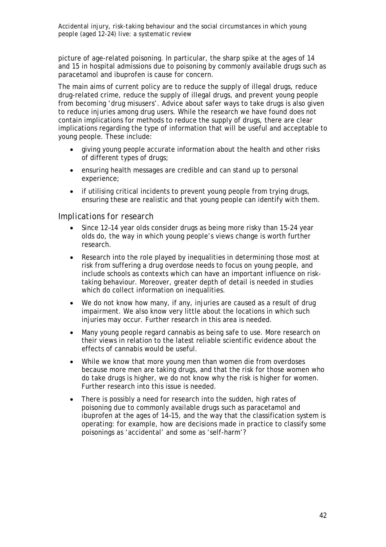picture of age-related poisoning. In particular, the sharp spike at the ages of 14 and 15 in hospital admissions due to poisoning by commonly available drugs such as paracetamol and ibuprofen is cause for concern.

The main aims of current policy are to reduce the supply of illegal drugs, reduce drug-related crime, reduce the supply of illegal drugs, and prevent young people from becoming 'drug misusers'. Advice about safer ways to take drugs is also given to reduce injuries among drug users. While the research we have found does not contain implications for methods to reduce the supply of drugs, there are clear implications regarding the type of information that will be useful and acceptable to young people. These include:

- giving young people accurate information about the health and other risks of different types of drugs;
- ensuring health messages are credible and can stand up to personal experience;
- if utilising critical incidents to prevent young people from trying drugs, ensuring these are realistic and that young people can identify with them.

### *Implications for research*

- Since 12–14 year olds consider drugs as being more risky than 15-24 year olds do, the way in which young people's views change is worth further research.
- Research into the role played by inequalities in determining those most at risk from suffering a drug overdose needs to focus on young people, and include schools as contexts which can have an important influence on risktaking behaviour. Moreover, greater depth of detail is needed in studies which do collect information on inequalities.
- We do not know how many, if any, injuries are caused as a result of drug impairment. We also know very little about the locations in which such injuries may occur. Further research in this area is needed.
- Many young people regard cannabis as being safe to use. More research on their views in relation to the latest reliable scientific evidence about the effects of cannabis would be useful.
- While we know that more young men than women die from overdoses because more men are taking drugs, and that the risk for those women who do take drugs is higher, we do not know *why* the risk is higher for women. Further research into this issue is needed.
- There is possibly a need for research into the sudden, high rates of poisoning due to commonly available drugs such as paracetamol and ibuprofen at the ages of 14–15, and the way that the classification system is operating: for example, how are decisions made in practice to classify some poisonings as 'accidental' and some as 'self-harm'?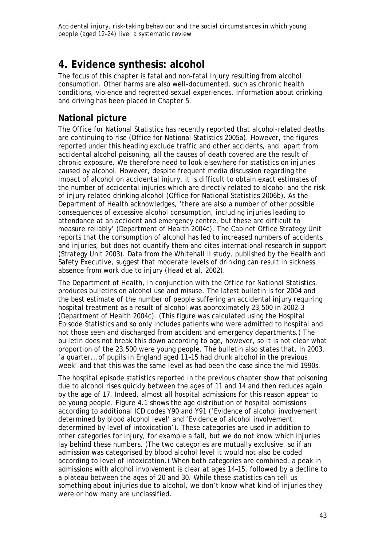# **4. Evidence synthesis: alcohol**

The focus of this chapter is fatal and non-fatal *injury* resulting from alcohol consumption. Other harms are also well-documented, such as chronic health conditions, violence and regretted sexual experiences. Information about drinking and driving has been placed in Chapter 5.

# **National picture**

The Office for National Statistics has recently reported that alcohol-related deaths are continuing to rise (Office for National Statistics 2005a). However, the figures reported under this heading exclude traffic and other accidents, and, apart from accidental alcohol poisoning, all the causes of death covered are the result of chronic exposure. We therefore need to look elsewhere for statistics on injuries caused by alcohol. However, despite frequent media discussion regarding the impact of alcohol on accidental injury, it is difficult to obtain exact estimates of the number of accidental injuries which are directly related to alcohol and the risk of injury related drinking alcohol (Office for National Statistics 2006b). As the Department of Health acknowledges, 'there are also a number of other possible consequences of excessive alcohol consumption, including injuries leading to attendance at an accident and emergency centre, but these are difficult to measure reliably' (Department of Health 2004c). The Cabinet Office Strategy Unit reports that the consumption of alcohol has led to increased numbers of accidents and injuries, but does not quantify them and cites international research in support (Strategy Unit 2003). Data from the Whitehall II study, published by the Health and Safety Executive, suggest that moderate levels of drinking can result in sickness absence from work due to injury (Head et al. 2002).

The Department of Health, in conjunction with the Office for National Statistics, produces bulletins on alcohol use and misuse. The latest bulletin is for 2004 and the best estimate of the number of people suffering an accidental injury requiring hospital treatment as a result of alcohol was approximately 23,500 in 2002–3 (Department of Health 2004c). (This figure was calculated using the Hospital Episode Statistics and so only includes patients who were admitted to hospital and not those seen and discharged from accident and emergency departments.) The bulletin does not break this down according to age, however, so it is not clear what proportion of the 23,500 were young people. The bulletin also states that, in 2003, 'a quarter...of pupils in England aged 11–15 had drunk alcohol in the previous week' and that this was the same level as had been the case since the mid 1990s.

The hospital episode statistics reported in the previous chapter show that poisoning due to alcohol rises quickly between the ages of 11 and 14 and then reduces again by the age of 17. Indeed, almost all hospital admissions for this reason appear to be young people. Figure 4.1 shows the age distribution of hospital admissions according to additional ICD codes Y90 and Y91 ('Evidence of alcohol involvement determined by blood alcohol level' and 'Evidence of alcohol involvement determined by level of intoxication'). These categories are used in addition to other categories for injury, for example a fall, but we do not know which injuries lay behind these numbers. (The two categories are mutually exclusive, so if an admission was categorised by blood alcohol level it would not also be coded according to level of intoxication.) When both categories are combined, a peak in admissions with alcohol involvement is clear at ages 14–15, followed by a decline to a plateau between the ages of 20 and 30. While these statistics can tell us something about injuries due to alcohol, we don't know what kind of injuries they were or how many are unclassified.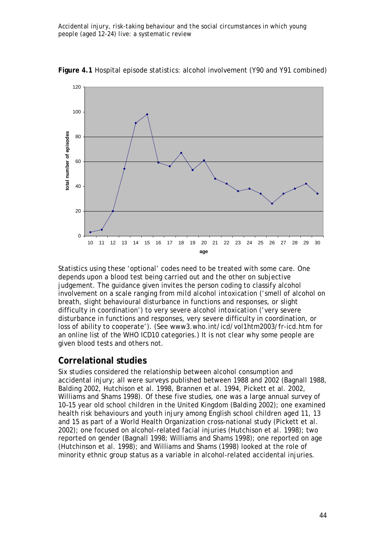

**Figure 4.1** Hospital episode statistics: alcohol involvement (Y90 and Y91 combined)

Statistics using these 'optional' codes need to be treated with some care. One depends upon a blood test being carried out and the other on subjective judgement. The guidance given invites the person coding to classify alcohol involvement on a scale ranging from *mild alcohol intoxication* ('smell of alcohol on breath, slight behavioural disturbance in functions and responses, or slight difficulty in coordination') to *very severe alcohol intoxication* ('very severe disturbance in functions and responses, very severe difficulty in coordination, or loss of ability to cooperate'). (See www3.who.int/icd/vol1htm2003/fr-icd.htm for an online list of the WHO ICD10 categories.) It is not clear why some people are given blood tests and others not.

# **Correlational studies**

Six studies considered the relationship between alcohol consumption and accidental injury; all were surveys published between 1988 and 2002 (Bagnall 1988, Balding 2002, Hutchison et al. 1998, Brannen et al. 1994, Pickett et al. 2002, Williams and Shams 1998). Of these five studies, one was a large annual survey of 10–15 year old school children in the United Kingdom (Balding 2002); one examined health risk behaviours and youth injury among English school children aged 11, 13 and 15 as part of a World Health Organization cross-national study (Pickett et al*.* 2002); one focused on alcohol-related facial injuries (Hutchison et al*.* 1998); two reported on gender (Bagnall 1998; Williams and Shams 1998); one reported on age (Hutchinson et al*.* 1998); and Williams and Shams (1998) looked at the role of minority ethnic group status as a variable in alcohol-related accidental injuries.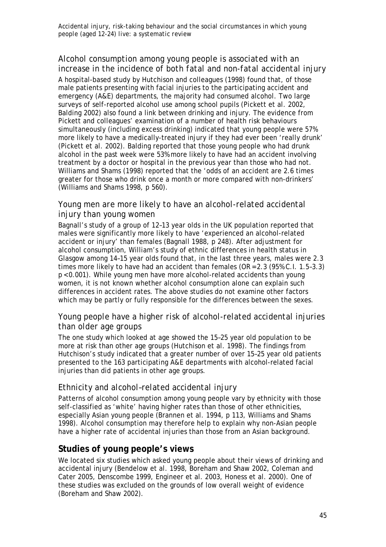# *Alcohol consumption among young people is associated with an increase in the incidence of both fatal and non-fatal accidental injury*

A hospital-based study by Hutchison and colleagues (1998) found that, of those male patients presenting with facial injuries to the participating accident and emergency (A&E) departments, the majority had consumed alcohol. Two large surveys of self-reported alcohol use among school pupils (Pickett et al*.* 2002, Balding 2002) also found a link between drinking and injury. The evidence from Pickett and colleagues' examination of a number of health risk behaviours simultaneously (including excess drinking) indicated that young people were 57% more likely to have a medically-treated injury if they had ever been 'really drunk' (Pickett et al*.* 2002). Balding reported that those young people who had drunk alcohol in the past week were 53% more likely to have had an accident involving treatment by a doctor or hospital in the previous year than those who had not. Williams and Shams (1998) reported that the 'odds of an accident are 2.6 times greater for those who drink once a month or more compared with non-drinkers' (Williams and Shams 1998, p 560).

# *Young men are more likely to have an alcohol-related accidental injury than young women*

Bagnall's study of a group of 12–13 year olds in the UK population reported that males were significantly more likely to have 'experienced an alcohol-related accident or injury' than females (Bagnall 1988, p 248). After adjustment for alcohol consumption, William's study of ethnic differences in health status in Glasgow among 14–15 year olds found that, in the last three years, males were 2.3 times more likely to have had an accident than females (OR = 2.3 (95% C.I. 1.5–3.3) p < 0.001). While young men have more alcohol-related accidents than young women, it is not known whether alcohol consumption alone can explain such differences in accident rates. The above studies do not examine other factors which may be partly or fully responsible for the differences between the sexes.

# *Young people have a higher risk of alcohol-related accidental injuries than older age groups*

The one study which looked at age showed the 15–25 year old population to be more at risk than other age groups (Hutchison et al*.* 1998). The findings from Hutchison's study indicated that a greater number of over 15–25 year old patients presented to the 163 participating A&E departments with alcohol-related facial injuries than did patients in other age groups.

# *Ethnicity and alcohol–related accidental injury*

Patterns of alcohol consumption among young people vary by ethnicity with those self-classified as 'white' having higher rates than those of other ethnicities, especially Asian young people (Brannen et al. 1994, p 113, Williams and Shams 1998). Alcohol consumption may therefore help to explain why non-Asian people have a higher rate of accidental injuries than those from an Asian background.

# **Studies of young people's views**

We located six studies which asked young people about their views of drinking and accidental injury (Bendelow et al. 1998, Boreham and Shaw 2002, Coleman and Cater 2005, Denscombe 1999, Engineer et al. 2003, Honess et al. 2000). One of these studies was excluded on the grounds of low overall weight of evidence (Boreham and Shaw 2002).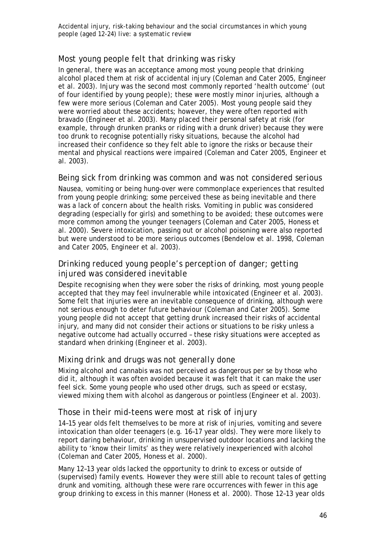# *Most young people felt that drinking was risky*

In general, there was an acceptance among most young people that drinking alcohol placed them at risk of accidental injury (Coleman and Cater 2005, Engineer et al. 2003). Injury was the second most commonly reported 'health outcome' (out of four identified by young people); these were mostly minor injuries, although a few were more serious (Coleman and Cater 2005). Most young people said they were worried about these accidents; however, they were often reported with bravado (Engineer et al*.* 2003). Many placed their personal safety at risk (for example, through drunken pranks or riding with a drunk driver) because they were too drunk to recognise potentially risky situations, because the alcohol had increased their confidence so they felt able to ignore the risks or because their mental and physical reactions were impaired (Coleman and Cater 2005, Engineer et al*.* 2003).

### *Being sick from drinking was common and was not considered serious*

Nausea, vomiting or being hung-over were commonplace experiences that resulted from young people drinking; some perceived these as being inevitable and there was a lack of concern about the health risks. Vomiting in public was considered degrading (especially for girls) and something to be avoided; these outcomes were more common among the younger teenagers (Coleman and Cater 2005, Honess et al. 2000). Severe intoxication, passing out or alcohol poisoning were also reported but were understood to be more serious outcomes (Bendelow et al. 1998, Coleman and Cater 2005, Engineer et al. 2003).

# *Drinking reduced young people's perception of danger; getting injured was considered inevitable*

Despite recognising when they were sober the risks of drinking, most young people accepted that they may feel invulnerable while intoxicated (Engineer et al*.* 2003). Some felt that injuries were an inevitable consequence of drinking, although were not serious enough to deter future behaviour (Coleman and Cater 2005). Some young people did not accept that getting drunk increased their risks of accidental injury, and many did not consider their actions or situations to be risky unless a negative outcome had actually occurred – these risky situations were accepted as standard when drinking (Engineer et al*.* 2003).

# *Mixing drink and drugs was not generally done*

Mixing alcohol and cannabis was not perceived as dangerous per se by those who did it, although it was often avoided because it was felt that it can make the user feel sick. Some young people who used other drugs, such as speed or ecstasy, viewed mixing them with alcohol as dangerous or pointless (Engineer et al*.* 2003).

# *Those in their mid-teens were most at risk of injury*

14–15 year olds felt themselves to be more at risk of injuries, vomiting and severe intoxication than older teenagers (e.g. 16–17 year olds). They were more likely to report daring behaviour, drinking in unsupervised outdoor locations and lacking the ability to 'know their limits' as they were relatively inexperienced with alcohol (Coleman and Cater 2005, Honess et al. 2000).

Many 12–13 year olds lacked the opportunity to drink to excess or outside of (supervised) family events. However they were still able to recount tales of getting drunk and vomiting, although these were rare occurrences with fewer in this age group drinking to excess in this manner (Honess et al*.* 2000). Those 12–13 year olds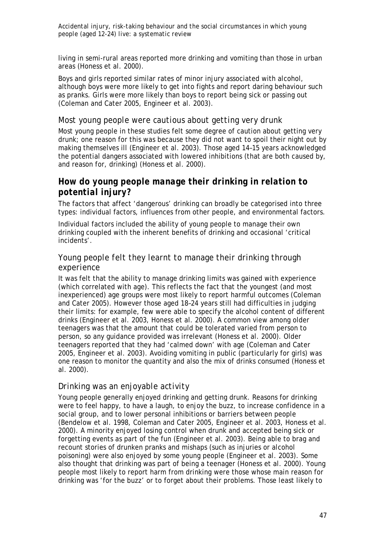living in semi-rural areas reported more drinking and vomiting than those in urban areas (Honess et al*.* 2000).

Boys and girls reported similar rates of minor injury associated with alcohol, although boys were more likely to get into fights and report daring behaviour such as pranks. Girls were more likely than boys to report being sick or passing out (Coleman and Cater 2005, Engineer et al. 2003).

#### *Most young people were cautious about getting very drunk*

Most young people in these studies felt some degree of caution about getting very drunk; one reason for this was because they did not want to spoil their night out by making themselves ill (Engineer et al*.* 2003). Those aged 14–15 years acknowledged the potential dangers associated with lowered inhibitions (that are both caused by, and reason for, drinking) (Honess et al. 2000).

# *How do young people manage their drinking in relation to potential injury?*

The factors that affect 'dangerous' drinking can broadly be categorised into three types: individual factors, influences from other people, and environmental factors.

Individual factors included the ability of young people to manage their own drinking coupled with the inherent benefits of drinking and occasional 'critical incidents'.

### *Young people felt they learnt to manage their drinking through experience*

It was felt that the ability to manage drinking limits was gained with experience (which correlated with age). This reflects the fact that the youngest (and most inexperienced) age groups were most likely to report harmful outcomes (Coleman and Cater 2005). However those aged 18–24 years still had difficulties in judging their limits: for example, few were able to specify the alcohol content of different drinks (Engineer et al*.* 2003, Honess et al*.* 2000). A common view among older teenagers was that the amount that could be tolerated varied from person to person, so any guidance provided was irrelevant (Honess et al*.* 2000). Older teenagers reported that they had 'calmed down' with age (Coleman and Cater 2005, Engineer et al. 2003). Avoiding vomiting in public (particularly for girls) was one reason to monitor the quantity and also the mix of drinks consumed (Honess et al*.* 2000).

### *Drinking was an enjoyable activity*

Young people generally enjoyed drinking and getting drunk. Reasons for drinking were to feel happy, to have a laugh, to enjoy the buzz, to increase confidence in a social group, and to lower personal inhibitions or barriers between people (Bendelow et al. 1998, Coleman and Cater 2005, Engineer et al. 2003, Honess et al. 2000). A minority enjoyed losing control when drunk and accepted being sick or forgetting events as part of the fun (Engineer et al*.* 2003). Being able to brag and recount stories of drunken pranks and mishaps (such as injuries or alcohol poisoning) were also enjoyed by some young people (Engineer et al*.* 2003). Some also thought that drinking was part of being a teenager (Honess et al*.* 2000). Young people most likely to report harm from drinking were those whose main reason for drinking was 'for the buzz' or to forget about their problems. Those least likely to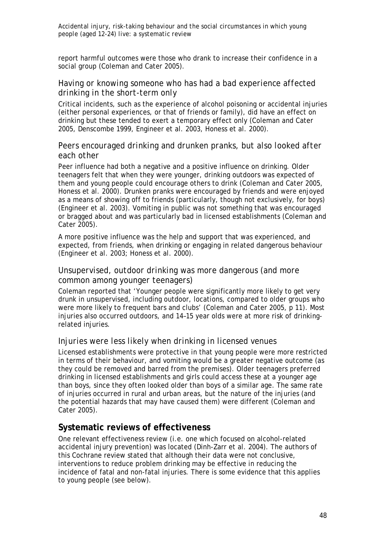report harmful outcomes were those who drank to increase their confidence in a social group (Coleman and Cater 2005).

### *Having or knowing someone who has had a bad experience affected drinking in the short-term only*

Critical incidents, such as the experience of alcohol poisoning or accidental injuries (either personal experiences, or that of friends or family), did have an effect on drinking but these tended to exert a temporary effect only (Coleman and Cater 2005, Denscombe 1999, Engineer et al. 2003, Honess et al. 2000).

### *Peers encouraged drinking and drunken pranks, but also looked after each other*

Peer influence had both a negative and a positive influence on drinking. Older teenagers felt that when they were younger, drinking outdoors was expected of them and young people could encourage others to drink (Coleman and Cater 2005, Honess et al. 2000). Drunken pranks were encouraged by friends and were enjoyed as a means of showing off to friends (particularly, though not exclusively, for boys) (Engineer et al*.* 2003). Vomiting in public was not something that was encouraged or bragged about and was particularly bad in licensed establishments (Coleman and Cater 2005).

A more positive influence was the help and support that was experienced, and expected, from friends, when drinking or engaging in related dangerous behaviour (Engineer et al*.* 2003; Honess et al*.* 2000).

### *Unsupervised, outdoor drinking was more dangerous (and more common among younger teenagers)*

Coleman reported that 'Younger people were significantly more likely to get very drunk in unsupervised, including outdoor, locations, compared to older groups who were more likely to frequent bars and clubs' (Coleman and Cater 2005, p 11). Most injuries also occurred outdoors, and 14–15 year olds were at more risk of drinkingrelated injuries.

### *Injuries were less likely when drinking in licensed venues*

Licensed establishments were protective in that young people were more restricted in terms of their behaviour, and vomiting would be a greater negative outcome (as they could be removed and barred from the premises). Older teenagers preferred drinking in licensed establishments and girls could access these at a younger age than boys, since they often looked older than boys of a similar age. The same rate of injuries occurred in rural and urban areas, but the nature of the injuries (and the potential hazards that may have caused them) were different (Coleman and Cater 2005).

# **Systematic reviews of effectiveness**

One relevant effectiveness review (i.e. one which focused on alcohol-related accidental injury prevention) was located (Dinh-Zarr et al. 2004). The authors of this Cochrane review stated that although their data were not conclusive, interventions to reduce problem drinking may be effective in reducing the incidence of fatal and non-fatal injuries. There is some evidence that this applies to young people (see below).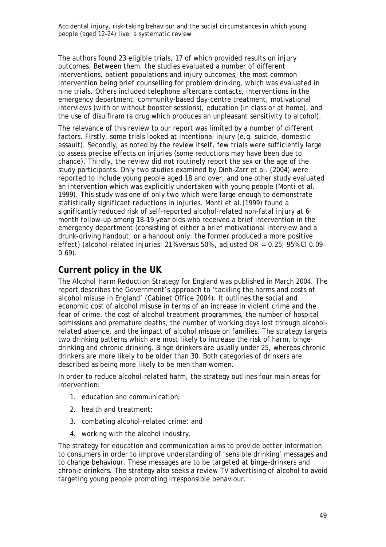The authors found 23 eligible trials, 17 of which provided results on injury outcomes. Between them, the studies evaluated a number of different interventions, patient populations and injury outcomes, the most common intervention being brief counselling for problem drinking, which was evaluated in nine trials. Others included telephone aftercare contacts, interventions in the emergency department, community-based day-centre treatment, motivational interviews (with or without booster sessions), education (in class or at home), and the use of disulfiram (a drug which produces an unpleasant sensitivity to alcohol).

The relevance of this review to our report was limited by a number of different factors. Firstly, some trials looked at intentional injury (e.g. suicide, domestic assault). Secondly, as noted by the review itself, few trials were sufficiently large to assess precise effects on injuries (some reductions may have been due to chance). Thirdly, the review did not routinely report the sex or the age of the study participants. Only two studies examined by Dinh-Zarr et al. (2004) were reported to include young people aged 18 and over, and one other study evaluated an intervention which was explicitly undertaken with young people (Monti et al. 1999). This study was one of only two which were large enough to demonstrate statistically significant reductions in injuries. Monti et al.(1999) found a significantly reduced risk of self-reported alcohol-related non-fatal injury at 6 month follow-up among 18–19 year olds who received a brief intervention in the emergency department (consisting of either a brief motivational interview and a drunk-driving handout, or a handout only: the former produced a more positive effect) (alcohol-related injuries: 21% versus 50%, adjusted OR =  $0.25$ ; 95% CI 0.09-0.69).

# **Current policy in the UK**

*The Alcohol Harm Reduction Strategy* for England was published in March 2004. The report describes the Government's approach to 'tackling the harms and costs of alcohol misuse in England' (Cabinet Office 2004). It outlines the social and economic cost of alcohol misuse in terms of an increase in violent crime and the fear of crime, the cost of alcohol treatment programmes, the number of hospital admissions and premature deaths, the number of working days lost through alcoholrelated absence, and the impact of alcohol misuse on families. The strategy targets two drinking patterns which are most likely to increase the risk of harm, bingedrinking and chronic drinking. Binge drinkers are usually under 25, whereas chronic drinkers are more likely to be older than 30. Both categories of drinkers are described as being more likely to be men than women.

In order to reduce alcohol-related harm, the strategy outlines four main areas for intervention:

- 1. education and communication;
- 2. health and treatment;
- 3. combating alcohol-related crime; and
- 4. working with the alcohol industry.

The strategy for education and communication aims to provide better information to consumers in order to improve understanding of 'sensible drinking' messages and to change behaviour. These messages are to be targeted at binge-drinkers and chronic drinkers. The strategy also seeks a review TV advertising of alcohol to avoid targeting young people promoting irresponsible behaviour.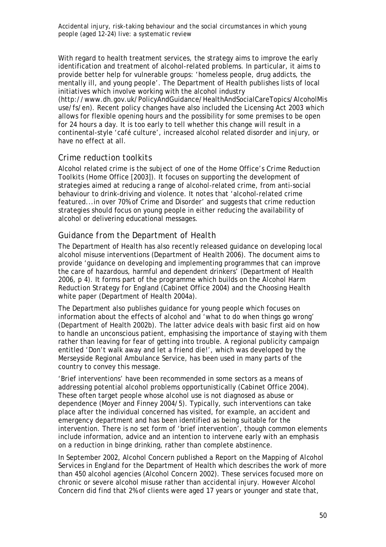With regard to health treatment services, the strategy aims to improve the early identification and treatment of alcohol-related problems. In particular, it aims to provide better help for vulnerable groups: 'homeless people, drug addicts, the mentally ill, and young people'. The Department of Health publishes lists of local initiatives which involve working with the alcohol industry (http://www.dh.gov.uk/PolicyAndGuidance/HealthAndSocialCareTopics/AlcoholMis use/fs/en). Recent policy changes have also included the Licensing Act 2003 which allows for flexible opening hours and the possibility for some premises to be open for 24 hours a day. It is too early to tell whether this change will result in a

continental-style 'café culture', increased alcohol related disorder and injury, or have no effect at all.

# *Crime reduction toolkits*

Alcohol related crime is the subject of one of the Home Office's *Crime Reduction Toolkits* (Home Office [2003]). It focuses on supporting the development of strategies aimed at reducing a range of alcohol-related crime, from anti-social behaviour to drink-driving and violence. It notes that 'alcohol-related crime featured...in over 70% of Crime and Disorder' and suggests that crime reduction strategies should focus on young people in either reducing the availability of alcohol or delivering educational messages.

# *Guidance from the Department of Health*

The Department of Health has also recently released guidance on developing local alcohol misuse interventions (Department of Health 2006). The document aims to provide 'guidance on developing and implementing programmes that can improve the care of hazardous, harmful and dependent drinkers' (Department of Health 2006, p 4). It forms part of the programme which builds on the *Alcohol Harm Reduction Strategy for England* (Cabinet Office 2004) and the *Choosing Health* white paper (Department of Health 2004a).

The Department also publishes guidance for young people which focuses on information about the effects of alcohol and 'what to do when things go wrong' (Department of Health 2002b). The latter advice deals with basic first aid on how to handle an unconscious patient, emphasising the importance of staying with them rather than leaving for fear of getting into trouble. A regional publicity campaign entitled 'Don't walk away and let a friend die!', which was developed by the Merseyside Regional Ambulance Service, has been used in many parts of the country to convey this message.

'Brief interventions' have been recommended in some sectors as a means of addressing potential alcohol problems opportunistically (Cabinet Office 2004). These often target people whose alcohol use is not diagnosed as abuse or dependence (Moyer and Finney 2004/5). Typically, such interventions can take place after the individual concerned has visited, for example, an accident and emergency department and has been identified as being suitable for the intervention. There is no set form of 'brief intervention', though common elements include information, advice and an intention to intervene early with an emphasis on a reduction in binge drinking, rather than complete abstinence.

In September 2002, Alcohol Concern published a *Report on the Mapping of Alcohol Services in England* for the Department of Health which describes the work of more than 450 alcohol agencies (Alcohol Concern 2002). These services focused more on chronic or severe alcohol misuse rather than accidental injury. However Alcohol Concern did find that 2% of clients were aged 17 years or younger and state that,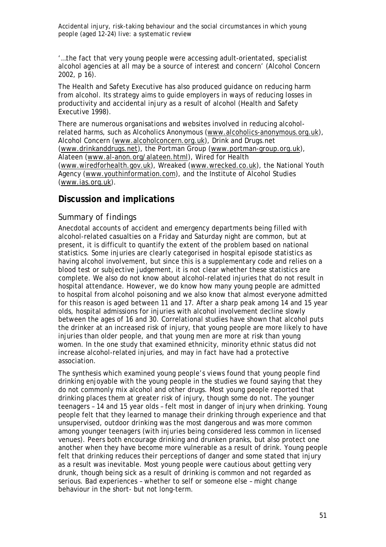'…the fact that very young people were accessing adult-orientated, specialist alcohol agencies at all may be a source of interest and concern' (Alcohol Concern 2002, p 16).

The Health and Safety Executive has also produced guidance on reducing harm from alcohol. Its strategy aims to guide employers in ways of reducing losses in productivity and accidental injury as a result of alcohol (Health and Safety Executive 1998).

There are numerous organisations and websites involved in reducing alcoholrelated harms, such as Alcoholics Anonymous (www.alcoholics-anonymous.org.uk), Alcohol Concern (www.alcoholconcern.org.uk), Drink and Drugs.net (www.drinkanddrugs.net), the Portman Group (www.portman-group.org.uk), Alateen (www.al-anon.org/alateen.html), Wired for Health (www.wiredforhealth.gov.uk), Wreaked (www.wrecked.co.uk), the National Youth Agency (www.youthinformation.com), and the Institute of Alcohol Studies (www.ias.org.uk).

# **Discussion and implications**

### *Summary of findings*

Anecdotal accounts of accident and emergency departments being filled with alcohol-related casualties on a Friday and Saturday night are common, but at present, it is difficult to quantify the extent of the problem based on national statistics. Some injuries are clearly categorised in hospital episode statistics as having alcohol involvement, but since this is a supplementary code and relies on a blood test or subjective judgement, it is not clear whether these statistics are complete. We also do not know about alcohol-related injuries that do not result in hospital attendance. However, we do know how many young people are admitted to hospital from alcohol poisoning and we also know that almost everyone admitted for this reason is aged between 11 and 17. After a sharp peak among 14 and 15 year olds, hospital admissions for injuries with alcohol involvement decline slowly between the ages of 16 and 30. Correlational studies have shown that alcohol puts the drinker at an increased risk of injury, that young people are more likely to have injuries than older people, and that young men are more at risk than young women. In the one study that examined ethnicity, minority ethnic status did not increase alcohol-related injuries, and may in fact have had a protective association.

The synthesis which examined young people's views found that young people find drinking enjoyable with the young people in the studies we found saying that they do not commonly mix alcohol and other drugs. Most young people reported that drinking places them at greater risk of injury, though some do not. The younger teenagers – 14 and 15 year olds – felt most in danger of injury when drinking. Young people felt that they learned to manage their drinking through experience and that unsupervised, outdoor drinking was the most dangerous and was more common among younger teenagers (with injuries being considered less common in licensed venues). Peers both encourage drinking and drunken pranks, but also protect one another when they have become more vulnerable as a result of drink. Young people felt that drinking reduces their perceptions of danger and some stated that injury as a result was inevitable. Most young people were cautious about getting very drunk, though being sick as a result of drinking is common and not regarded as serious. Bad experiences – whether to self or someone else – might change behaviour in the short- but not long-term.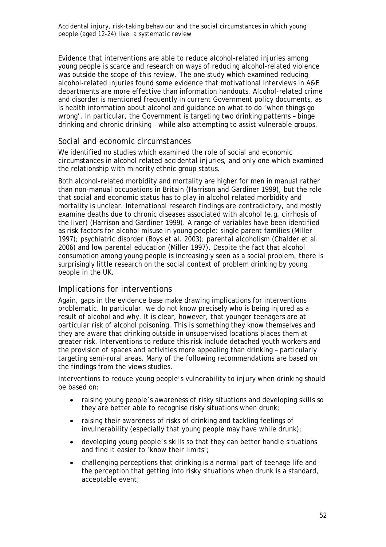Evidence that interventions are able to reduce alcohol-related injuries among young people is scarce and research on ways of reducing alcohol-related violence was outside the scope of this review. The one study which examined reducing alcohol-related injuries found some evidence that motivational interviews in A&E departments are more effective than information handouts. Alcohol-related crime and disorder is mentioned frequently in current Government policy documents, as is health information about alcohol and guidance on what to do 'when things go wrong'. In particular, the Government is targeting two drinking patterns – binge drinking and chronic drinking – while also attempting to assist vulnerable groups.

# *Social and economic circumstances*

We identified no studies which examined the role of social and economic circumstances in alcohol related accidental injuries, and only one which examined the relationship with minority ethnic group status.

Both alcohol-related morbidity and mortality are higher for men in manual rather than non-manual occupations in Britain (Harrison and Gardiner 1999), but the role that social and economic status has to play in alcohol related morbidity and mortality is unclear. International research findings are contradictory, and mostly examine deaths due to chronic diseases associated with alcohol (e.g. cirrhosis of the liver) (Harrison and Gardiner 1999). A range of variables have been identified as risk factors for alcohol misuse in young people: single parent families (Miller 1997); psychiatric disorder (Boys et al. 2003); parental alcoholism (Chalder et al. 2006) and low parental education (Miller 1997). Despite the fact that alcohol consumption among young people is increasingly seen as a social problem, there is surprisingly little research on the social context of problem drinking by young people in the UK.

# *Implications for interventions*

Again, gaps in the evidence base make drawing implications for interventions problematic. In particular, we do not know precisely who is being injured as a result of alcohol and why. It is clear, however, that younger teenagers are at particular risk of alcohol poisoning. This is something they know themselves and they are aware that drinking outside in unsupervised locations places them at greater risk. Interventions to reduce this risk include detached youth workers and the provision of spaces and activities more appealing than drinking – particularly targeting semi-rural areas. Many of the following recommendations are based on the findings from the views studies.

Interventions to reduce young people's vulnerability to injury when drinking should be based on:

- raising young people's awareness of risky situations and developing skills so they are better able to recognise risky situations when drunk;
- raising their awareness of risks of drinking and tackling feelings of invulnerability (especially that young people may have while drunk);
- developing young people's skills so that they can better handle situations and find it easier to 'know their limits';
- challenging perceptions that drinking is a normal part of teenage life and the perception that getting into risky situations when drunk is a standard, acceptable event;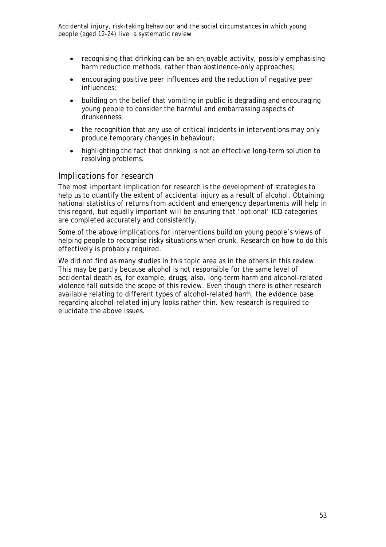- recognising that drinking can be an enjoyable activity, possibly emphasising harm reduction methods, rather than abstinence-only approaches;
- encouraging positive peer influences and the reduction of negative peer influences;
- building on the belief that vomiting in public is degrading and encouraging young people to consider the harmful and embarrassing aspects of drunkenness;
- the recognition that any use of critical incidents in interventions may only produce temporary changes in behaviour;
- highlighting the fact that drinking is not an effective long-term solution to resolving problems.

#### *Implications for research*

The most important implication for research is the development of strategies to help us to quantify the extent of accidental injury as a result of alcohol. Obtaining national statistics of returns from accident and emergency departments will help in this regard, but equally important will be ensuring that 'optional' ICD categories are completed accurately and consistently.

Some of the above implications for interventions build on young people's views of helping people to recognise risky situations when drunk. Research on how to do this effectively is probably required.

We did not find as many studies in this topic area as in the others in this review. This may be partly because alcohol is not responsible for the same level of accidental death as, for example, drugs; also, long-term harm and alcohol-related violence fall outside the scope of this review. Even though there is other research available relating to different types of alcohol-related harm, the evidence base regarding alcohol-related injury looks rather thin. New research is required to elucidate the above issues.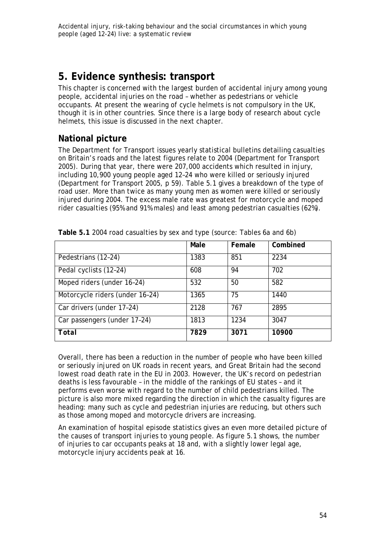# **5. Evidence synthesis: transport**

This chapter is concerned with the largest burden of accidental injury among young people, accidental injuries on the road – whether as pedestrians or vehicle occupants. At present the wearing of cycle helmets is not compulsory in the UK, though it is in other countries. Since there is a large body of research about cycle helmets, this issue is discussed in the next chapter.

# **National picture**

The Department for Transport issues yearly statistical bulletins detailing casualties on Britain's roads and the latest figures relate to 2004 (Department for Transport 2005). During that year, there were 207,000 accidents which resulted in injury, including 10,900 young people aged 12–24 who were killed or seriously injured (Department for Transport 2005, p 59). Table 5.1 gives a breakdown of the type of road user. More than twice as many young men as women were killed or seriously injured during 2004. The excess male rate was greatest for motorcycle and moped rider casualties (95% and 91% males) and least among pedestrian casualties (62%).

|                                 | Male | Female | Combined     |
|---------------------------------|------|--------|--------------|
| Pedestrians (12-24)             | 1383 | 851    | 2234         |
| Pedal cyclists (12-24)          | 608  | 94     | 702          |
| Moped riders (under 16-24)      | 532  | 50     | 582          |
| Motorcycle riders (under 16-24) | 1365 | 75     | 1440         |
| Car drivers (under 17-24)       | 2128 | 767    | 2895         |
| Car passengers (under 17-24)    | 1813 | 1234   | 3047         |
| Total                           | 7829 | 3071   | <i>10900</i> |

**Table 5.1** 2004 road casualties by sex and type (source: Tables 6a and 6b)

Overall, there has been a reduction in the number of people who have been killed or seriously injured on UK roads in recent years, and Great Britain had the second lowest road death rate in the EU in 2003. However, the UK's record on pedestrian deaths is less favourable – in the middle of the rankings of EU states – and it performs even worse with regard to the number of child pedestrians killed. The picture is also more mixed regarding the direction in which the casualty figures are heading: many such as cycle and pedestrian injuries are reducing, but others such as those among moped and motorcycle drivers are increasing.

An examination of hospital episode statistics gives an even more detailed picture of the causes of transport injuries to young people. As figure 5.1 shows, the number of injuries to car occupants peaks at 18 and, with a slightly lower legal age, motorcycle injury accidents peak at 16.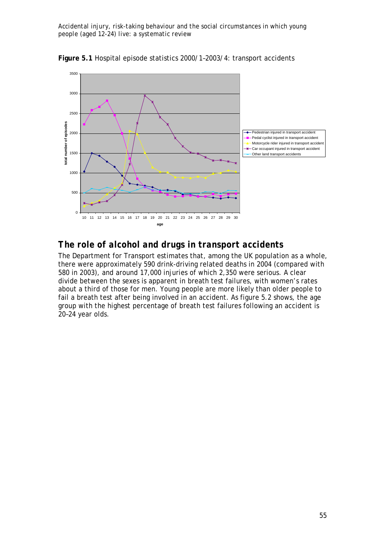



# *The role of alcohol and drugs in transport accidents*

The Department for Transport estimates that, among the UK population as a whole, there were approximately 590 drink-driving related deaths in 2004 (compared with 580 in 2003), and around 17,000 injuries of which 2,350 were serious. A clear divide between the sexes is apparent in breath test failures, with women's rates about a third of those for men. Young people are more likely than older people to fail a breath test after being involved in an accident. As figure 5.2 shows, the age group with the highest percentage of breath test failures following an accident is 20–24 year olds.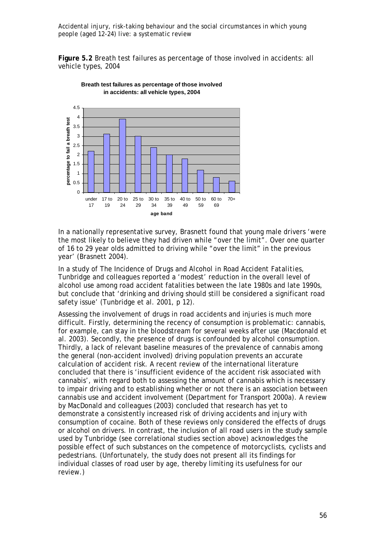**Figure 5.2** Breath test failures as percentage of those involved in accidents: all vehicle types, 2004





In a nationally representative survey, Brasnett found that young male drivers 'were the most likely to believe they had driven while "over the limit". Over one quarter of 16 to 29 year olds admitted to driving while "over the limit" in the previous year' (Brasnett 2004).

In a study of *The Incidence of Drugs and Alcohol in Road Accident Fatalities*, Tunbridge and colleagues reported a 'modest' reduction in the overall level of alcohol use among road accident fatalities between the late 1980s and late 1990s, but conclude that 'drinking and driving should still be considered a significant road safety issue' (Tunbridge et al. 2001, p 12).

Assessing the involvement of drugs in road accidents and injuries is much more difficult. Firstly, determining the recency of consumption is problematic: cannabis, for example, can stay in the bloodstream for several weeks after use (Macdonald et al. 2003). Secondly, the presence of drugs is confounded by alcohol consumption. Thirdly, a lack of relevant baseline measures of the prevalence of cannabis among the general (non-accident involved) driving population prevents an accurate calculation of accident risk. A recent review of the international literature concluded that there is 'insufficient evidence of the accident risk associated with cannabis', with regard both to assessing the amount of cannabis which is necessary to impair driving and to establishing whether or not there is an association between cannabis use and accident involvement (Department for Transport 2000a). A review by MacDonald and colleagues (2003) concluded that research has yet to demonstrate a consistently increased risk of driving accidents and injury with consumption of cocaine. Both of these reviews only considered the effects of drugs or alcohol on drivers. In contrast, the inclusion of all road users in the study sample used by Tunbridge (see correlational studies section above) acknowledges the possible effect of such substances on the competence of motorcyclists, cyclists and pedestrians. (Unfortunately, the study does not present all its findings for individual classes of road user by age, thereby limiting its usefulness for our review.)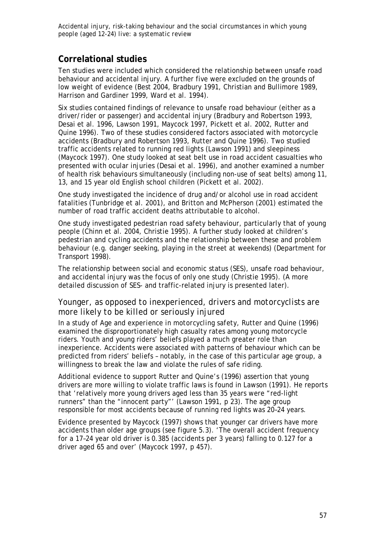# **Correlational studies**

Ten studies were included which considered the relationship between unsafe road behaviour and accidental injury. A further five were excluded on the grounds of low weight of evidence (Best 2004, Bradbury 1991, Christian and Bullimore 1989, Harrison and Gardiner 1999, Ward et al. 1994).

Six studies contained findings of relevance to unsafe road behaviour (either as a driver/rider or passenger) and accidental injury (Bradbury and Robertson 1993, Desai et al. 1996, Lawson 1991, Maycock 1997, Pickett et al. 2002, Rutter and Quine 1996). Two of these studies considered factors associated with motorcycle accidents (Bradbury and Robertson 1993, Rutter and Quine 1996). Two studied traffic accidents related to running red lights (Lawson 1991) and sleepiness (Maycock 1997). One study looked at seat belt use in road accident casualties who presented with ocular injuries (Desai et al*.* 1996), and another examined a number of health risk behaviours simultaneously (including non-use of seat belts) among 11, 13, and 15 year old English school children (Pickett et al*.* 2002).

One study investigated the incidence of drug and/or alcohol use in road accident fatalities (Tunbridge et al. 2001), and Britton and McPherson (2001) estimated the number of road traffic accident deaths attributable to alcohol.

One study investigated pedestrian road safety behaviour, particularly that of young people (Chinn et al. 2004, Christie 1995). A further study looked at children's pedestrian and cycling accidents and the relationship between these and problem behaviour (e.g. danger seeking, playing in the street at weekends) (Department for Transport 1998).

The relationship between social and economic status (SES), unsafe road behaviour, and accidental injury was the focus of only one study (Christie 1995). (A more detailed discussion of SES- and traffic-related injury is presented later).

### *Younger, as opposed to inexperienced, drivers and motorcyclists are more likely to be killed or seriously injured*

In a study of *Age and experience in motorcycling safety,* Rutter and Quine (1996) examined the disproportionately high casualty rates among young motorcycle riders. Youth and young riders' beliefs played a much greater role than inexperience. Accidents were associated with patterns of behaviour which can be predicted from riders' beliefs – notably, in the case of this particular age group, a willingness to break the law and violate the rules of safe riding.

Additional evidence to support Rutter and Quine's (1996) assertion that young drivers are more willing to violate traffic laws is found in Lawson (1991). He reports that 'relatively more young drivers aged less than 35 years were "red-light runners" than the "innocent party"' (Lawson 1991, p 23). The age group responsible for most accidents because of running red lights was 20–24 years.

Evidence presented by Maycock (1997) shows that younger car drivers have more accidents than older age groups (see figure 5.3). 'The overall accident frequency for a 17–24 year old driver is 0.385 (accidents per 3 years) falling to 0.127 for a driver aged 65 and over' (Maycock 1997, p 457).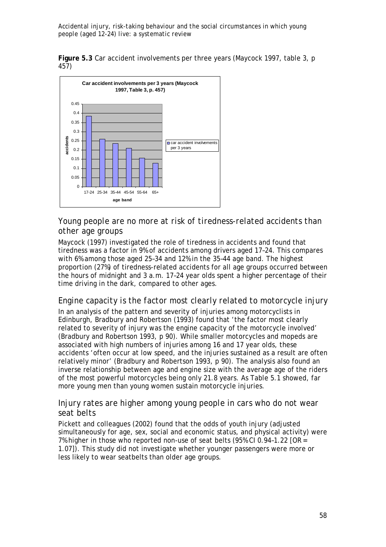**Figure 5.3** Car accident involvements per three years (Maycock 1997, table 3, p 457)



*Young people are no more at risk of tiredness-related accidents than other age groups* 

Maycock (1997) investigated the role of tiredness in accidents and found that tiredness was a factor in 9% of accidents among drivers aged 17–24. This compares with 6% among those aged 25–34 and 12% in the 35–44 age band. The highest proportion (27%) of tiredness-related accidents for all age groups occurred between the hours of midnight and 3 a.m. 17–24 year olds spent a higher percentage of their time driving in the dark, compared to other ages.

### *Engine capacity is the factor most clearly related to motorcycle injury*

In an analysis of the pattern and severity of injuries among motorcyclists in Edinburgh, Bradbury and Robertson (1993) found that 'the factor most clearly related to severity of injury was the engine capacity of the motorcycle involved' (Bradbury and Robertson 1993, p 90). While smaller motorcycles and mopeds are associated with high numbers of injuries among 16 and 17 year olds, these accidents 'often occur at low speed, and the injuries sustained as a result are often relatively minor' (Bradbury and Robertson 1993, p 90). The analysis also found an inverse relationship between age and engine size with the average age of the riders of the most powerful motorcycles being only 21.8 years. As Table 5.1 showed, far more young men than young women sustain motorcycle injuries.

### *Injury rates are higher among young people in cars who do not wear seat belts*

Pickett and colleagues (2002) found that the odds of youth injury (adjusted simultaneously for age, sex, social and economic status, and physical activity) were 7% higher in those who reported non-use of seat belts (95% CI 0.94–1.22 [OR = 1.07]). This study did not investigate whether younger passengers were more or less likely to wear seatbelts than older age groups.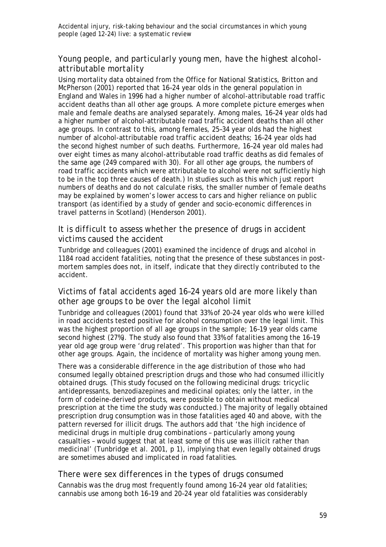# *Young people, and particularly young men, have the highest alcoholattributable mortality*

Using mortality data obtained from the Office for National Statistics, Britton and McPherson (2001) reported that 16–24 year olds in the general population in England and Wales in 1996 had a higher number of alcohol-attributable road traffic accident deaths than all other age groups. A more complete picture emerges when male and female deaths are analysed separately. Among males, 16–24 year olds had a higher number of alcohol-attributable road traffic accident deaths than all other age groups. In contrast to this, among females, 25–34 year olds had the highest number of alcohol-attributable road traffic accident deaths; 16–24 year olds had the second highest number of such deaths. Furthermore, 16–24 year old males had over eight times as many alcohol-attributable road traffic deaths as did females of the same age (249 compared with 30). For all other age groups, the numbers of road traffic accidents which were attributable to alcohol were not sufficiently high to be in the top three causes of death.) In studies such as this which just report numbers of deaths and do not calculate risks, the smaller number of female deaths may be explained by women's lower access to cars and higher reliance on public transport (as identified by a study of gender and socio-economic differences in travel patterns in Scotland) (Henderson 2001).

### *It is difficult to assess whether the presence of drugs in accident victims caused the accident*

Tunbridge and colleagues (2001) examined the incidence of drugs and alcohol in 1184 road accident fatalities, noting that the presence of these substances in postmortem samples does not, in itself, indicate that they directly contributed to the accident.

### *Victims of fatal accidents aged 16–24 years old are more likely than other age groups to be over the legal alcohol limit*

Tunbridge and colleagues (2001) found that 33% of 20–24 year olds who were killed in road accidents tested positive for alcohol consumption over the legal limit. This was the highest proportion of all age groups in the sample; 16–19 year olds came second highest (27%). The study also found that 33% of fatalities among the 16–19 year old age group were 'drug related'. This proportion was higher than that for other age groups. Again, the incidence of mortality was higher among young men.

There was a considerable difference in the age distribution of those who had consumed legally obtained prescription drugs and those who had consumed illicitly obtained drugs. (This study focused on the following medicinal drugs: tricyclic antidepressants, benzodiazepines and medicinal opiates; only the latter, in the form of codeine-derived products, were possible to obtain without medical prescription at the time the study was conducted.) The majority of legally obtained prescription drug consumption was in those fatalities aged 40 and above, with the pattern reversed for illicit drugs. The authors add that 'the high incidence of medicinal drugs in multiple drug combinations – particularly among young casualties - would suggest that at least some of this use was illicit rather than medicinal' (Tunbridge et al. 2001, p 1), implying that even legally obtained drugs are sometimes abused and implicated in road fatalities.

### *There were sex differences in the types of drugs consumed*

Cannabis was the drug most frequently found among 16–24 year old fatalities; cannabis use among both 16–19 and 20–24 year old fatalities was considerably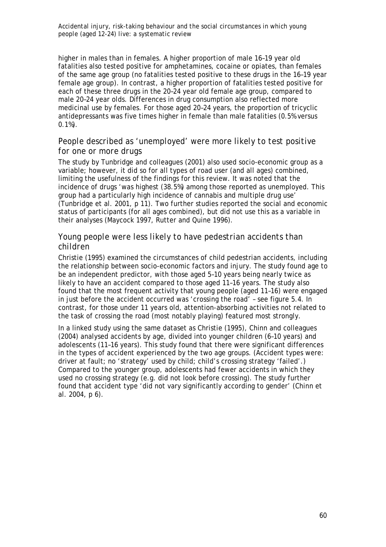higher in males than in females. A higher proportion of male 16–19 year old fatalities also tested positive for amphetamines, cocaine or opiates, than females of the same age group (no fatalities tested positive to these drugs in the 16–19 year female age group). In contrast, a higher proportion of fatalities tested positive for each of these three drugs in the 20–24 year old female age group, compared to male 20–24 year olds. Differences in drug consumption also reflected more medicinal use by females. For those aged 20–24 years, the proportion of tricyclic antidepressants was five times higher in female than male fatalities (0.5% versus 0.1%).

### *People described as 'unemployed' were more likely to test positive for one or more drugs*

The study by Tunbridge and colleagues (2001) also used socio-economic group as a variable; however, it did so for all types of road user (and all ages) combined, limiting the usefulness of the findings for this review. It was noted that the incidence of drugs 'was highest (38.5%) among those reported as unemployed. This group had a particularly high incidence of cannabis and multiple drug use' (Tunbridge et al. 2001, p 11). Two further studies reported the social and economic status of participants (for all ages combined), but did not use this as a variable in their analyses (Maycock 1997, Rutter and Quine 1996).

### *Young people were less likely to have pedestrian accidents than children*

Christie (1995) examined the circumstances of child pedestrian accidents, including the relationship between socio-economic factors and injury. The study found age to be an independent predictor, with those aged 5–10 years being nearly twice as likely to have an accident compared to those aged 11–16 years. The study also found that the most frequent activity that young people (aged 11–16) were engaged in just before the accident occurred was 'crossing the road' – see figure 5.4. In contrast, for those under 11 years old, attention-absorbing activities not related to the task of crossing the road (most notably playing) featured most strongly.

In a linked study using the same dataset as Christie (1995), Chinn and colleagues (2004) analysed accidents by age, divided into younger children (6–10 years) and adolescents (11–16 years). This study found that there were significant differences in the types of accident experienced by the two age groups. (Accident types were: driver at fault; no 'strategy' used by child; child's crossing strategy 'failed'.) Compared to the younger group, adolescents had fewer accidents in which they used no crossing strategy (e.g. did not look before crossing). The study further found that accident type 'did not vary significantly according to gender' (Chinn et al. 2004, p 6).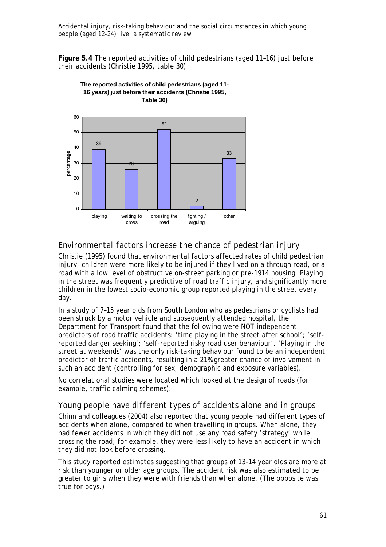**Figure 5.4** The reported activities of child pedestrians (aged 11–16) just before their accidents (Christie 1995, table 30)



# *Environmental factors increase the chance of pedestrian injury*

Christie (1995) found that environmental factors affected rates of child pedestrian injury: children were more likely to be injured if they lived on a through road, or a road with a low level of obstructive on-street parking or pre-1914 housing. Playing in the street was frequently predictive of road traffic injury, and significantly more children in the lowest socio-economic group reported playing in the street every day.

In a study of 7–15 year olds from South London who as pedestrians or cyclists had been struck by a motor vehicle and subsequently attended hospital, the Department for Transport found that the following were NOT independent predictors of road traffic accidents: 'time playing in the street after school'; 'selfreported danger seeking'; 'self-reported risky road user behaviour'. 'Playing in the street at weekends' was the only risk-taking behaviour found to be an independent predictor of traffic accidents, resulting in a 21% greater chance of involvement in such an accident (controlling for sex, demographic and exposure variables).

No correlational studies were located which looked at the design of roads (for example, traffic calming schemes).

### *Young people have different types of accidents alone and in groups*

Chinn and colleagues (2004) also reported that young people had different types of accidents when alone, compared to when travelling in groups. When alone, they had fewer accidents in which they did not use any road safety 'strategy' while crossing the road; for example, they were less likely to have an accident in which they did not look before crossing.

This study reported estimates suggesting that groups of 13–14 year olds are more at risk than younger or older age groups. The accident risk was also estimated to be greater to girls when they were with friends than when alone. (The opposite was true for boys.)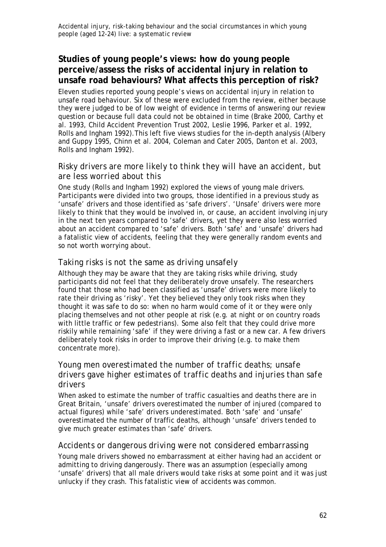# **Studies of young people's views: how do young people perceive/assess the risks of accidental injury in relation to unsafe road behaviours? What affects this perception of risk?**

Eleven studies reported young people's views on accidental injury in relation to unsafe road behaviour. Six of these were excluded from the review, either because they were judged to be of low weight of evidence in terms of answering our review question or because full data could not be obtained in time (Brake 2000, Carthy et al. 1993, Child Accident Prevention Trust 2002, Leslie 1996, Parker et al. 1992, Rolls and Ingham 1992).This left five views studies for the in-depth analysis (Albery and Guppy 1995, Chinn et al. 2004, Coleman and Cater 2005, Danton et al. 2003, Rolls and Ingham 1992).

### *Risky drivers are more likely to think they will have an accident, but are less worried about this*

One study (Rolls and Ingham 1992) explored the views of young male drivers. Participants were divided into two groups, those identified in a previous study as 'unsafe' drivers and those identified as 'safe drivers'. 'Unsafe' drivers were more likely to think that they would be involved in, or cause, an accident involving injury in the next ten years compared to 'safe' drivers, yet they were also less worried about an accident compared to 'safe' drivers. Both 'safe' and 'unsafe' drivers had a fatalistic view of accidents, feeling that they were generally random events and so not worth worrying about.

### *Taking risks is not the same as driving unsafely*

Although they may be aware that they are taking risks while driving, study participants did not feel that they deliberately drove unsafely. The researchers found that those who had been classified as 'unsafe' drivers were more likely to rate their driving as 'risky'. Yet they believed they only took risks when they thought it was safe to do so: when no harm would come of it or they were only placing themselves and not other people at risk (e.g. at night or on country roads with little traffic or few pedestrians). Some also felt that they could drive more riskily while remaining 'safe' if they were driving a fast or a new car. A few drivers deliberately took risks in order to improve their driving (e.g. to make them concentrate more).

# *Young men overestimated the number of traffic deaths; unsafe drivers gave higher estimates of traffic deaths and injuries than safe drivers*

When asked to estimate the number of traffic casualties and deaths there are in Great Britain, 'unsafe' drivers overestimated the number of injured (compared to actual figures) while 'safe' drivers underestimated. Both 'safe' and 'unsafe' overestimated the number of traffic deaths, although 'unsafe' drivers tended to give much greater estimates than 'safe' drivers.

### *Accidents or dangerous driving were not considered embarrassing*

Young male drivers showed no embarrassment at either having had an accident or admitting to driving dangerously. There was an assumption (especially among 'unsafe' drivers) that all male drivers would take risks at some point and it was just unlucky if they crash. This fatalistic view of accidents was common.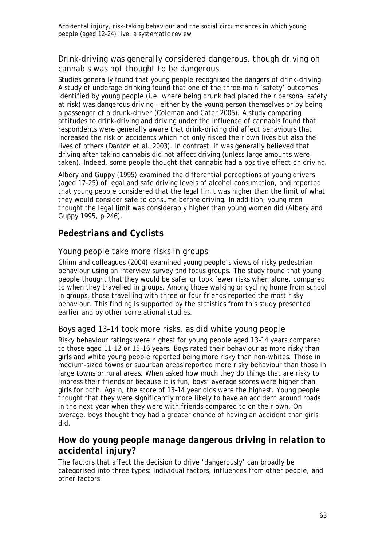# *Drink-driving was generally considered dangerous, though driving on cannabis was not thought to be dangerous*

Studies generally found that young people recognised the dangers of drink-driving. A study of underage drinking found that one of the three main 'safety' outcomes identified by young people (i.e. where being drunk had placed their personal safety at risk) was dangerous driving – either by the young person themselves or by being a passenger of a drunk-driver (Coleman and Cater 2005). A study comparing attitudes to drink-driving and driving under the influence of cannabis found that respondents were generally aware that drink-driving did affect behaviours that increased the risk of accidents which not only risked their own lives but also the lives of others (Danton et al. 2003). In contrast, it was generally believed that driving after taking cannabis did not affect driving (unless large amounts were taken). Indeed, some people thought that cannabis had a positive effect on driving.

Albery and Guppy (1995) examined the differential perceptions of young drivers (aged 17–25) of legal and safe driving levels of alcohol consumption, and reported that young people considered that the legal limit was higher than the limit of what they would consider safe to consume before driving. In addition, young men thought the legal limit was considerably higher than young women did (Albery and Guppy 1995, p 246).

# *Pedestrians and Cyclists*

# *Young people take more risks in groups*

Chinn and colleagues (2004) examined young people's views of risky pedestrian behaviour using an interview survey and focus groups. The study found that young people thought that they would be safer or took fewer risks when alone, compared to when they travelled in groups. Among those walking or cycling home from school in groups, those travelling with three or four friends reported the most risky behaviour. This finding is supported by the statistics from this study presented earlier and by other correlational studies.

# *Boys aged 13–14 took more risks, as did white young people*

Risky behaviour ratings were highest for young people aged 13–14 years compared to those aged 11–12 or 15–16 years. Boys rated their behaviour as more risky than girls and white young people reported being more risky than non-whites. Those in medium-sized towns or suburban areas reported more risky behaviour than those in large towns or rural areas. When asked how much they do things that are risky to impress their friends or because it is fun, boys' average scores were higher than girls for both. Again, the score of 13–14 year olds were the highest. Young people thought that they were significantly more likely to have an accident around roads in the next year when they were with friends compared to on their own. On average, boys thought they had a greater chance of having an accident than girls did.

# *How do young people manage dangerous driving in relation to accidental injury?*

The factors that affect the decision to drive 'dangerously' can broadly be categorised into three types: individual factors, influences from other people, and other factors.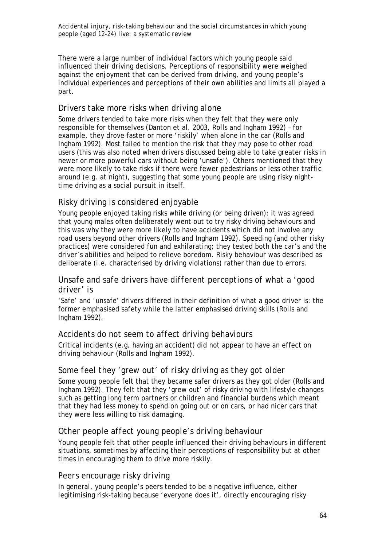There were a large number of individual factors which young people said influenced their driving decisions. Perceptions of responsibility were weighed against the enjoyment that can be derived from driving, and young people's individual experiences and perceptions of their own abilities and limits all played a part.

### *Drivers take more risks when driving alone*

Some drivers tended to take more risks when they felt that they were only responsible for themselves (Danton et al. 2003, Rolls and Ingham 1992) – for example, they drove faster or more 'riskily' when alone in the car (Rolls and Ingham 1992). Most failed to mention the risk that they may pose to other road users (this was also noted when drivers discussed being able to take greater risks in newer or more powerful cars without being 'unsafe'). Others mentioned that they were more likely to take risks if there were fewer pedestrians or less other traffic around (e.g. at night), suggesting that some young people are using risky nighttime driving as a social pursuit in itself.

# *Risky driving is considered enjoyable*

Young people enjoyed taking risks while driving (or being driven): it was agreed that young males often deliberately went out to try risky driving behaviours and this was why they were more likely to have accidents which did not involve any road users beyond other drivers (Rolls and Ingham 1992). Speeding (and other risky practices) were considered fun and exhilarating; they tested both the car's and the driver's abilities and helped to relieve boredom. Risky behaviour was described as deliberate (i.e. characterised by driving violations) rather than due to errors.

### *Unsafe and safe drivers have different perceptions of what a 'good driver' is*

'Safe' and 'unsafe' drivers differed in their definition of what a good driver is: the former emphasised safety while the latter emphasised driving skills (Rolls and Ingham 1992).

### *Accidents do not seem to affect driving behaviours*

Critical incidents (e.g. having an accident) did not appear to have an effect on driving behaviour (Rolls and Ingham 1992).

### *Some feel they 'grew out' of risky driving as they got older*

Some young people felt that they became safer drivers as they got older (Rolls and Ingham 1992). They felt that they 'grew out' of risky driving with lifestyle changes such as getting long term partners or children and financial burdens which meant that they had less money to spend on going out or on cars, or had nicer cars that they were less willing to risk damaging.

### *Other people affect young people's driving behaviour*

Young people felt that other people influenced their driving behaviours in different situations, sometimes by affecting their perceptions of responsibility but at other times in encouraging them to drive more riskily.

### *Peers encourage risky driving*

In general, young people's peers tended to be a negative influence, either legitimising risk-taking because 'everyone does it', directly encouraging risky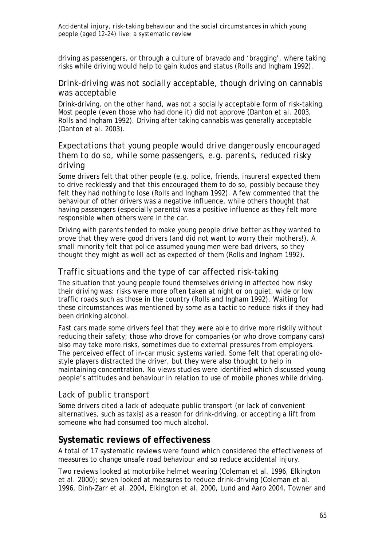driving as passengers, or through a culture of bravado and 'bragging', where taking risks while driving would help to gain kudos and status (Rolls and Ingham 1992).

### *Drink-driving was not socially acceptable, though driving on cannabis was acceptable*

Drink-driving, on the other hand, was not a socially acceptable form of risk-taking. Most people (even those who had done it) did not approve (Danton et al. 2003, Rolls and Ingham 1992). Driving after taking cannabis was generally acceptable (Danton et al. 2003).

# *Expectations that young people would drive dangerously encouraged them to do so, while some passengers, e.g. parents, reduced risky driving*

Some drivers felt that other people (e.g. police, friends, insurers) expected them to drive recklessly and that this encouraged them to do so, possibly because they felt they had nothing to lose (Rolls and Ingham 1992). A few commented that the behaviour of other drivers was a negative influence, while others thought that having passengers (especially parents) was a positive influence as they felt more responsible when others were in the car.

Driving with parents tended to make young people drive better as they wanted to prove that they were good drivers (and did not want to worry their mothers!). A small minority felt that police assumed young men were bad drivers, so they thought they might as well act as expected of them (Rolls and Ingham 1992).

### *Traffic situations and the type of car affected risk-taking*

The situation that young people found themselves driving in affected how risky their driving was: risks were more often taken at night or on quiet, wide or low traffic roads such as those in the country (Rolls and Ingham 1992). Waiting for these circumstances was mentioned by some as a tactic to reduce risks if they had been drinking alcohol.

Fast cars made some drivers feel that they were able to drive more riskily without reducing their safety; those who drove for companies (or who drove company cars) also may take more risks, sometimes due to external pressures from employers. The perceived effect of in-car music systems varied. Some felt that operating oldstyle players distracted the driver, but they were also thought to help in maintaining concentration. No views studies were identified which discussed young people's attitudes and behaviour in relation to use of mobile phones while driving.

### *Lack of public transport*

Some drivers cited a lack of adequate public transport (or lack of convenient alternatives, such as taxis) as a reason for drink-driving, or accepting a lift from someone who had consumed too much alcohol.

# **Systematic reviews of effectiveness**

A total of 17 systematic reviews were found which considered the effectiveness of measures to change unsafe road behaviour and so reduce accidental injury.

Two reviews looked at motorbike helmet wearing (Coleman et al. 1996, Elkington et al. 2000); seven looked at measures to reduce drink-driving (Coleman et al. 1996, Dinh-Zarr et al. 2004, Elkington et al. 2000, Lund and Aaro 2004, Towner and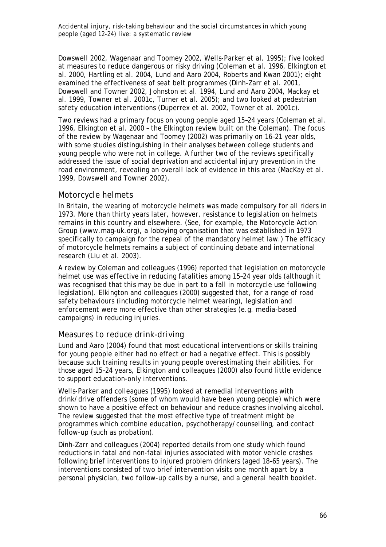Dowswell 2002, Wagenaar and Toomey 2002, Wells-Parker et al. 1995); five looked at measures to reduce dangerous or risky driving (Coleman et al. 1996, Elkington et al. 2000, Hartling et al. 2004, Lund and Aaro 2004, Roberts and Kwan 2001); eight examined the effectiveness of seat belt programmes (Dinh-Zarr et al. 2001, Dowswell and Towner 2002, Johnston et al. 1994, Lund and Aaro 2004, Mackay et al. 1999, Towner et al. 2001c, Turner et al. 2005); and two looked at pedestrian safety education interventions (Duperrex et al. 2002, Towner et al. 2001c).

Two reviews had a primary focus on young people aged 15–24 years (Coleman et al. 1996, Elkington et al. 2000 – the Elkington review built on the Coleman). The focus of the review by Wagenaar and Toomey (2002) was primarily on 16–21 year olds, with some studies distinguishing in their analyses between college students and young people who were not in college. A further two of the reviews specifically addressed the issue of social deprivation and accidental injury prevention in the road environment, revealing an overall lack of evidence in this area (MacKay et al*.* 1999, Dowswell and Towner 2002).

### *Motorcycle helmets*

In Britain, the wearing of motorcycle helmets was made compulsory for all riders in 1973. More than thirty years later, however, resistance to legislation on helmets remains in this country and elsewhere. (See, for example, the Motorcycle Action Group (www.mag-uk.org), a lobbying organisation that was established in 1973 specifically to campaign for the repeal of the mandatory helmet law.) The efficacy of motorcycle helmets remains a subject of continuing debate and international research (Liu et al. 2003).

A review by Coleman and colleagues (1996) reported that legislation on motorcycle helmet use was effective in reducing fatalities among 15–24 year olds (although it was recognised that this may be due in part to a fall in motorcycle use following legislation). Elkington and colleagues (2000) suggested that, for a range of road safety behaviours (including motorcycle helmet wearing), legislation and enforcement were more effective than other strategies (e.g. media-based campaigns) in reducing injuries.

### *Measures to reduce drink-driving*

Lund and Aaro (2004) found that most educational interventions or skills training for young people either had no effect or had a negative effect. This is possibly because such training results in young people overestimating their abilities. For those aged 15–24 years, Elkington and colleagues (2000) also found little evidence to support education-only interventions.

Wells-Parker and colleagues (1995) looked at remedial interventions with drink/drive offenders (some of whom would have been young people) which were shown to have a positive effect on behaviour and reduce crashes involving alcohol. The review suggested that the most effective type of treatment might be programmes which combine education, psychotherapy/counselling, and contact follow-up (such as probation).

Dinh-Zarr and colleagues (2004) reported details from one study which found reductions in fatal and non-fatal injuries associated with motor vehicle crashes following brief interventions to injured problem drinkers (aged 18–65 years). The interventions consisted of two brief intervention visits one month apart by a personal physician, two follow-up calls by a nurse, and a general health booklet.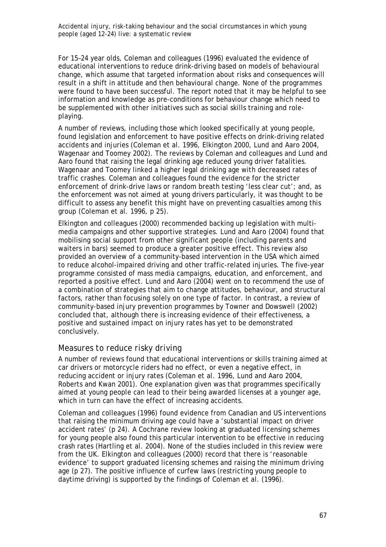For 15–24 year olds, Coleman and colleagues (1996) evaluated the evidence of educational interventions to reduce drink-driving based on models of behavioural change, which assume that targeted information about risks and consequences will result in a shift in attitude and then behavioural change. None of the programmes were found to have been successful. The report noted that it may be helpful to see information and knowledge as pre-conditions for behaviour change which need to be supplemented with other initiatives such as social skills training and roleplaying.

A number of reviews, including those which looked specifically at young people, found legislation and enforcement to have positive effects on drink-driving related accidents and injuries (Coleman et al*.* 1996, Elkington 2000, Lund and Aaro 2004, Wagenaar and Toomey 2002). The reviews by Coleman and colleagues and Lund and Aaro found that raising the legal drinking age reduced young driver fatalities. Wagenaar and Toomey linked a higher legal drinking age with decreased rates of traffic crashes. Coleman and colleagues found the evidence for the stricter enforcement of drink-drive laws or random breath testing 'less clear cut'; and, as the enforcement was not aimed at young drivers particularly, it was thought to be difficult to assess any benefit this might have on preventing casualties among this group (Coleman et al. 1996, p 25).

Elkington and colleagues (2000) recommended backing up legislation with multimedia campaigns and other supportive strategies. Lund and Aaro (2004) found that mobilising social support from other significant people (including parents and waiters in bars) seemed to produce a greater positive effect. This review also provided an overview of a community-based intervention in the USA which aimed to reduce alcohol-impaired driving and other traffic-related injuries. The five-year programme consisted of mass media campaigns, education, and enforcement, and reported a positive effect. Lund and Aaro (2004) went on to recommend the use of a combination of strategies that aim to change attitudes, behaviour, and structural factors, rather than focusing solely on one type of factor. In contrast, a review of community-based injury prevention programmes by Towner and Dowswell (2002) concluded that, although there is increasing evidence of their effectiveness, a positive and sustained impact on injury rates has yet to be demonstrated conclusively.

### *Measures to reduce risky driving*

A number of reviews found that educational interventions or skills training aimed at car drivers or motorcycle riders had no effect, or even a negative effect, in reducing accident or injury rates (Coleman et al*.* 1996, Lund and Aaro 2004, Roberts and Kwan 2001). One explanation given was that programmes specifically aimed at young people can lead to their being awarded licenses at a younger age, which in turn can have the effect of increasing accidents.

Coleman and colleagues (1996) found evidence from Canadian and US interventions that raising the minimum driving age could have a 'substantial impact on driver accident rates' (p 24). A Cochrane review looking at graduated licensing schemes for young people also found this particular intervention to be effective in reducing crash rates (Hartling et al. 2004). None of the studies included in this review were from the UK. Elkington and colleagues (2000) record that there is 'reasonable evidence' to support graduated licensing schemes and raising the minimum driving age (p 27). The positive influence of curfew laws (restricting young people to daytime driving) is supported by the findings of Coleman et al*.* (1996).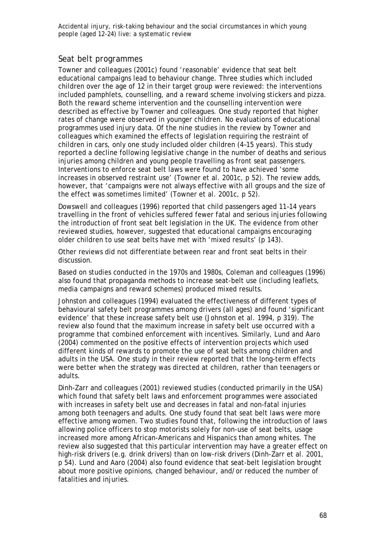### *Seat belt programmes*

Towner and colleagues (2001c) found 'reasonable' evidence that seat belt educational campaigns lead to behaviour change. Three studies which included children over the age of 12 in their target group were reviewed: the interventions included pamphlets, counselling, and a reward scheme involving stickers and pizza. Both the reward scheme intervention and the counselling intervention were described as effective by Towner and colleagues. One study reported that higher rates of change were observed in younger children. No evaluations of educational programmes used injury data. Of the nine studies in the review by Towner and colleagues which examined the effects of legislation requiring the restraint of children in cars, only one study included older children (4–15 years). This study reported a decline following legislative change in the number of deaths and serious injuries among children and young people travelling as front seat passengers. Interventions to enforce seat belt laws were found to have achieved 'some increases in observed restraint use' (Towner et al. 2001c, p 52). The review adds, however, that 'campaigns were not always effective with all groups and the size of the effect was sometimes limited' (Towner et al. 2001c, p 52).

Dowswell and colleagues (1996) reported that child passengers aged 11–14 years travelling in the front of vehicles suffered fewer fatal and serious injuries following the introduction of front seat belt legislation in the UK. The evidence from other reviewed studies, however, suggested that educational campaigns encouraging older children to use seat belts have met with 'mixed results' (p 143).

Other reviews did not differentiate between rear and front seat belts in their discussion.

Based on studies conducted in the 1970s and 1980s, Coleman and colleagues (1996) also found that propaganda methods to increase seat-belt use (including leaflets, media campaigns and reward schemes) produced mixed results.

Johnston and colleagues (1994) evaluated the effectiveness of different types of behavioural safety belt programmes among drivers (all ages) and found 'significant evidence' that these increase safety belt use (Johnston et al. 1994, p 319). The review also found that the maximum increase in safety belt use occurred with a programme that combined enforcement with incentives. Similarly, Lund and Aaro (2004) commented on the positive effects of intervention projects which used different kinds of rewards to promote the use of seat belts among children and adults in the USA. One study in their review reported that the long-term effects were better when the strategy was directed at children, rather than teenagers or adults.

Dinh-Zarr and colleagues (2001) reviewed studies (conducted primarily in the USA) which found that safety belt laws and enforcement programmes were associated with increases in safety belt use and decreases in fatal and non-fatal injuries among both teenagers and adults. One study found that seat belt laws were more effective among women. Two studies found that, following the introduction of laws allowing police officers to stop motorists solely for non-use of seat belts, usage increased more among African-Americans and Hispanics than among whites. The review also suggested that this particular intervention may have a greater effect on high-risk drivers (e.g. drink drivers) than on low-risk drivers (Dinh-Zarr et al. 2001, p 54). Lund and Aaro (2004) also found evidence that seat-belt legislation brought about more positive opinions, changed behaviour, and/or reduced the number of fatalities and injuries.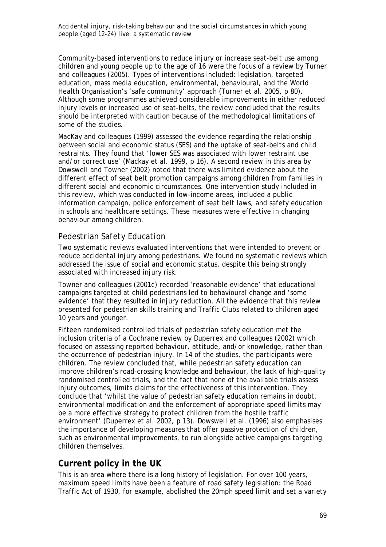Community-based interventions to reduce injury or increase seat-belt use among children and young people up to the age of 16 were the focus of a review by Turner and colleagues (2005). Types of interventions included: legislation, targeted education, mass media education, environmental, behavioural, and the World Health Organisation's 'safe community' approach (Turner et al. 2005, p 80). Although some programmes achieved considerable improvements in either reduced injury levels or increased use of seat-belts, the review concluded that the results should be interpreted with caution because of the methodological limitations of some of the studies.

MacKay and colleagues (1999) assessed the evidence regarding the relationship between social and economic status (SES) and the uptake of seat-belts and child restraints. They found that 'lower SES was associated with lower restraint use and/or correct use' (Mackay et al. 1999, p 16). A second review in this area by Dowswell and Towner (2002) noted that there was limited evidence about the different effect of seat belt promotion campaigns among children from families in different social and economic circumstances. One intervention study included in this review, which was conducted in low-income areas, included a public information campaign, police enforcement of seat belt laws, and safety education in schools and healthcare settings. These measures were effective in changing behaviour among children.

## *Pedestrian Safety Education*

Two systematic reviews evaluated interventions that were intended to prevent or reduce accidental injury among pedestrians. We found no systematic reviews which addressed the issue of social and economic status, despite this being strongly associated with increased injury risk.

Towner and colleagues (2001c) recorded 'reasonable evidence' that educational campaigns targeted at child pedestrians led to behavioural change and 'some evidence' that they resulted in injury reduction. All the evidence that this review presented for pedestrian skills training and Traffic Clubs related to children aged 10 years and younger.

Fifteen randomised controlled trials of pedestrian safety education met the inclusion criteria of a Cochrane review by Duperrex and colleagues (2002) which focused on assessing reported behaviour, attitude, and/or knowledge, rather than the occurrence of pedestrian injury. In 14 of the studies, the participants were children. The review concluded that, while pedestrian safety education can improve children's road-crossing knowledge and behaviour, the lack of high-quality randomised controlled trials, and the fact that none of the available trials assess injury outcomes, limits claims for the effectiveness of this intervention. They conclude that 'whilst the value of pedestrian safety education remains in doubt, environmental modification and the enforcement of appropriate speed limits may be a more effective strategy to protect children from the hostile traffic environment' (Duperrex et al. 2002, p 13). Dowswell et al. (1996) also emphasises the importance of developing measures that offer passive protection of children, such as environmental improvements, to run alongside active campaigns targeting children themselves.

## **Current policy in the UK**

This is an area where there is a long history of legislation. For over 100 years, maximum speed limits have been a feature of road safety legislation: the Road Traffic Act of 1930, for example, abolished the 20mph speed limit and set a variety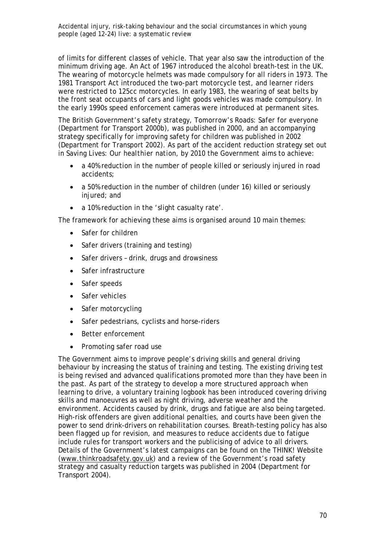of limits for different classes of vehicle. That year also saw the introduction of the minimum driving age. An Act of 1967 introduced the alcohol breath-test in the UK. The wearing of motorcycle helmets was made compulsory for all riders in 1973. The 1981 Transport Act introduced the two-part motorcycle test, and learner riders were restricted to 125cc motorcycles. In early 1983, the wearing of seat belts by the front seat occupants of cars and light goods vehicles was made compulsory. In the early 1990s speed enforcement cameras were introduced at permanent sites.

The British Government's safety strategy, *Tomorrow's Roads: Safer for everyone*  (Department for Transport 2000b), was published in 2000, and an accompanying strategy specifically for improving safety for children was published in 2002 (Department for Transport 2002). As part of the accident reduction strategy set out in *Saving Lives: Our healthier nation*, by 2010 the Government aims to achieve:

- a 40% reduction in the number of people killed or seriously injured in road accidents;
- a 50% reduction in the number of children (under 16) killed or seriously injured; and
- a 10% reduction in the 'slight casualty rate'.

The framework for achieving these aims is organised around 10 main themes:

- Safer for children
- Safer drivers (training and testing)
- Safer drivers drink, drugs and drowsiness
- Safer infrastructure
- Safer speeds
- Safer vehicles
- Safer motorcycling
- Safer pedestrians, cyclists and horse-riders
- Better enforcement
- Promoting safer road use

The Government aims to improve people's driving skills and general driving behaviour by increasing the status of training and testing. The existing driving test is being revised and advanced qualifications promoted more than they have been in the past. As part of the strategy to develop a more structured approach when learning to drive, a voluntary training logbook has been introduced covering driving skills and manoeuvres as well as night driving, adverse weather and the environment. Accidents caused by drink, drugs and fatigue are also being targeted. High-risk offenders are given additional penalties, and courts have been given the power to send drink-drivers on rehabilitation courses. Breath-testing policy has also been flagged up for revision, and measures to reduce accidents due to fatigue include rules for transport workers and the publicising of advice to all drivers. Details of the Government's latest campaigns can be found on the THINK! Website (www.thinkroadsafety.gov.uk) and a review of the Government's road safety strategy and casualty reduction targets was published in 2004 (Department for Transport 2004).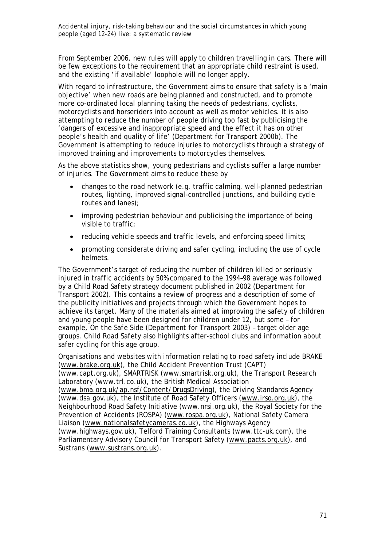From September 2006, new rules will apply to children travelling in cars. There will be few exceptions to the requirement that an appropriate child restraint is used, and the existing 'if available' loophole will no longer apply.

With regard to infrastructure, the Government aims to ensure that safety is a 'main objective' when new roads are being planned and constructed, and to promote more co-ordinated local planning taking the needs of pedestrians, cyclists, motorcyclists and horseriders into account as well as motor vehicles. It is also attempting to reduce the number of people driving too fast by publicising the 'dangers of excessive and inappropriate speed and the effect it has on other people's health and quality of life' (Department for Transport 2000b). The Government is attempting to reduce injuries to motorcyclists through a strategy of improved training and improvements to motorcycles themselves.

As the above statistics show, young pedestrians and cyclists suffer a large number of injuries. The Government aims to reduce these by

- changes to the road network (e.g. traffic calming, well-planned pedestrian routes, lighting, improved signal-controlled junctions, and building cycle routes and lanes);
- improving pedestrian behaviour and publicising the importance of being visible to traffic;
- reducing vehicle speeds and traffic levels, and enforcing speed limits;
- promoting considerate driving and safer cycling, including the use of cycle helmets.

The Government's target of reducing the number of children killed or seriously injured in traffic accidents by 50% compared to the 1994–98 average was followed by a *Child Road Safety* strategy document published in 2002 (Department for Transport 2002). This contains a review of progress and a description of some of the publicity initiatives and projects through which the Government hopes to achieve its target. Many of the materials aimed at improving the safety of children and young people have been designed for children under 12, but some – for example, *On the Safe Side* (Department for Transport 2003) *–* target older age groups*. Child Road Safety* also highlights after-school clubs and information about safer cycling for this age group.

Organisations and websites with information relating to road safety include BRAKE (www.brake.org.uk), the Child Accident Prevention Trust (CAPT) (www.capt.org.uk), SMARTRISK (www.smartrisk.org.uk), the Transport Research Laboratory (www.trl.co.uk), the British Medical Association (www.bma.org.uk/ap.nsf/Content/DrugsDriving), the Driving Standards Agency (www.dsa.gov.uk), the Institute of Road Safety Officers (www.irso.org.uk), the Neighbourhood Road Safety Initiative (www.nrsi.org.uk), the Royal Society for the Prevention of Accidents (ROSPA) (www.rospa.org.uk), National Safety Camera Liaison (www.nationalsafetycameras.co.uk), the Highways Agency (www.highways.gov.uk), Telford Training Consultants (www.ttc-uk.com), the Parliamentary Advisory Council for Transport Safety (www.pacts.org.uk), and Sustrans (www.sustrans.org.uk).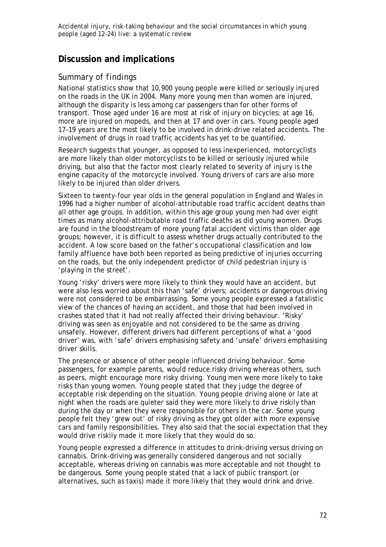## **Discussion and implications**

## *Summary of findings*

National statistics show that 10,900 young people were killed or seriously injured on the roads in the UK in 2004. Many more young men than women are injured, although the disparity is less among car passengers than for other forms of transport. Those aged under 16 are most at risk of injury on bicycles; at age 16, more are injured on mopeds, and then at 17 and over in cars. Young people aged 17–19 years are the most likely to be involved in drink-drive related accidents. The involvement of drugs in road traffic accidents has yet to be quantified.

Research suggests that younger, as opposed to less inexperienced, motorcyclists are more likely than older motorcyclists to be killed or seriously injured while driving, but also that the factor most clearly related to severity of injury is the engine capacity of the motorcycle involved. Young drivers of cars are also more likely to be injured than older drivers.

Sixteen to twenty-four year olds in the general population in England and Wales in 1996 had a higher number of alcohol-attributable road traffic accident deaths than all other age groups. In addition, within this age group young men had over eight times as many alcohol-attributable road traffic deaths as did young women. Drugs are found in the bloodstream of more young fatal accident victims than older age groups; however, it is difficult to assess whether drugs actually contributed to the accident. A low score based on the father's occupational classification and low family affluence have both been reported as being predictive of injuries occurring on the roads, but the only independent predictor of child pedestrian injury is 'playing in the street'.

Young 'risky' drivers were more likely to think they would have an accident, but were also less worried about this than 'safe' drivers; accidents or dangerous driving were not considered to be embarrassing. Some young people expressed a fatalistic view of the chances of having an accident, and those that had been involved in crashes stated that it had not really affected their driving behaviour. 'Risky' driving was seen as enjoyable and not considered to be the same as driving unsafely. However, different drivers had different perceptions of what a 'good driver' was, with 'safe' drivers emphasising safety and 'unsafe' drivers emphasising driver skills.

The presence or absence of other people influenced driving behaviour. Some passengers, for example parents, would reduce risky driving whereas others, such as peers, might encourage more risky driving. Young men were more likely to take risks than young women. Young people stated that they judge the degree of acceptable risk depending on the situation. Young people driving alone or late at night when the roads are quieter said they were more likely to drive riskily than during the day or when they were responsible for others in the car. Some young people felt they 'grew out' of risky driving as they got older with more expensive cars and family responsibilities. They also said that the social expectation that they would drive riskily made it more likely that they would do so.

Young people expressed a difference in attitudes to drink-driving versus driving on cannabis. Drink-driving was generally considered dangerous and not socially acceptable, whereas driving on cannabis was more acceptable and not thought to be dangerous. Some young people stated that a lack of public transport (or alternatives, such as taxis) made it more likely that they would drink and drive.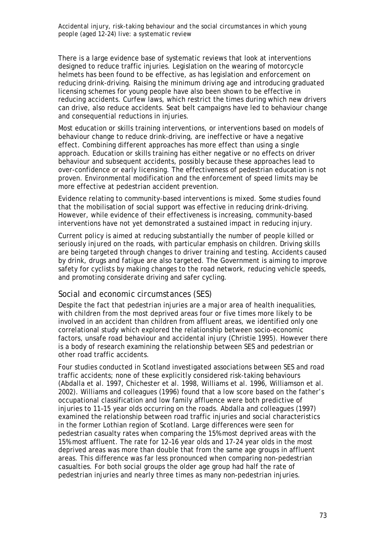There is a large evidence base of systematic reviews that look at interventions designed to reduce traffic injuries. Legislation on the wearing of motorcycle helmets has been found to be effective, as has legislation and enforcement on reducing drink-driving. Raising the minimum driving age and introducing graduated licensing schemes for young people have also been shown to be effective in reducing accidents. Curfew laws, which restrict the times during which new drivers can drive, also reduce accidents. Seat belt campaigns have led to behaviour change and consequential reductions in injuries.

Most education or skills training interventions, or interventions based on models of behaviour change to reduce drink-driving, are ineffective or have a negative effect. Combining different approaches has more effect than using a single approach. Education or skills training has either negative or no effects on driver behaviour and subsequent accidents, possibly because these approaches lead to over-confidence or early licensing. The effectiveness of pedestrian education is not proven. Environmental modification and the enforcement of speed limits may be more effective at pedestrian accident prevention.

Evidence relating to community-based interventions is mixed. Some studies found that the mobilisation of social support was effective in reducing drink-driving. However, while evidence of their effectiveness is increasing, community-based interventions have not yet demonstrated a sustained impact in reducing injury.

Current policy is aimed at reducing substantially the number of people killed or seriously injured on the roads, with particular emphasis on children. Driving skills are being targeted through changes to driver training and testing. Accidents caused by drink, drugs and fatigue are also targeted. The Government is aiming to improve safety for cyclists by making changes to the road network, reducing vehicle speeds, and promoting considerate driving and safer cycling.

#### *Social and economic circumstances (SES)*

Despite the fact that pedestrian injuries are a major area of health inequalities, with children from the most deprived areas four or five times more likely to be involved in an accident than children from affluent areas, we identified only one correlational study which explored the relationship between socio-economic factors, unsafe road behaviour and accidental injury (Christie 1995). However there is a body of research examining the relationship between SES and pedestrian or other road traffic accidents.

Four studies conducted in Scotland investigated associations between SES and road traffic accidents; none of these explicitly considered risk-taking behaviours (Abdalla et al. 1997, Chichester et al. 1998, Williams et al. 1996, Williamson et al. 2002). Williams and colleagues (1996) found that a low score based on the father's occupational classification and low family affluence were both predictive of injuries to 11–15 year olds occurring on the roads. Abdalla and colleagues (1997) examined the relationship between road traffic injuries and social characteristics in the former Lothian region of Scotland. Large differences were seen for pedestrian casualty rates when comparing the 15% most deprived areas with the 15% most affluent. The rate for 12–16 year olds and 17-24 year olds in the most deprived areas was more than double that from the same age groups in affluent areas. This difference was far less pronounced when comparing non-pedestrian casualties. For both social groups the older age group had half the rate of pedestrian injuries and nearly three times as many non-pedestrian injuries.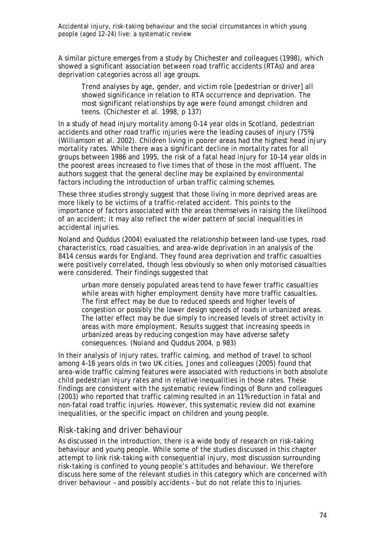A similar picture emerges from a study by Chichester and colleagues (1998), which showed a significant association between road traffic accidents (RTAs) and area deprivation categories across all age groups.

Trend analyses by age, gender, and victim role [pedestrian or driver] all showed significance in relation to RTA occurrence and deprivation. The most significant relationships by age were found amongst children and teens. (Chichester et al. 1998, p 137)

In a study of head injury mortality among 0–14 year olds in Scotland, pedestrian accidents and other road traffic injuries were the leading causes of injury (75%) (Williamson et al. 2002). Children living in poorer areas had the highest head injury mortality rates. While there was a significant decline in mortality rates for all groups between 1986 and 1995, the risk of a fatal head injury for 10–14 year olds in the poorest areas increased to five times that of those in the most affluent. The authors suggest that the general decline may be explained by environmental factors including the introduction of urban traffic calming schemes.

These three studies strongly suggest that those living in more deprived areas are more likely to be victims of a traffic-related accident. This points to the importance of factors associated with the areas themselves in raising the likelihood of an accident; it may also reflect the wider pattern of social inequalities in accidental injuries.

Noland and Quddus (2004) evaluated the relationship between land-use types, road characteristics, road casualties, and area-wide deprivation in an analysis of the 8414 census wards for England. They found area deprivation and traffic casualties were positively correlated, though less obviously so when only motorised casualties were considered. Their findings suggested that

urban more densely populated areas tend to have fewer traffic casualties while areas with higher employment density have more traffic casualties. The first effect may be due to reduced speeds and higher levels of congestion or possibly the lower design speeds of roads in urbanized areas. The latter effect may be due simply to increased levels of street activity in areas with more employment. Results suggest that increasing speeds in urbanized areas by reducing congestion may have adverse safety consequences. (Noland and Quddus 2004, p 983)

In their analysis of injury rates, traffic calming, and method of travel to school among 4–16 years olds in two UK cities, Jones and colleagues (2005) found that area-wide traffic calming features were associated with reductions in both absolute child pedestrian injury rates and in relative inequalities in those rates. These findings are consistent with the systematic review findings of Bunn and colleagues (2003) who reported that traffic calming resulted in an 11% reduction in fatal and non-fatal road traffic injuries. However, this systematic review did not examine inequalities, or the specific impact on children and young people.

### *Risk-taking and driver behaviour*

As discussed in the introduction, there is a wide body of research on risk-taking behaviour and young people. While some of the studies discussed in this chapter attempt to link risk-taking with consequential injury, most discussion surrounding risk-taking is confined to young people's attitudes and behaviour. We therefore discuss here some of the relevant studies in this category which are concerned with driver behaviour – and possibly accidents – but do not relate this to injuries.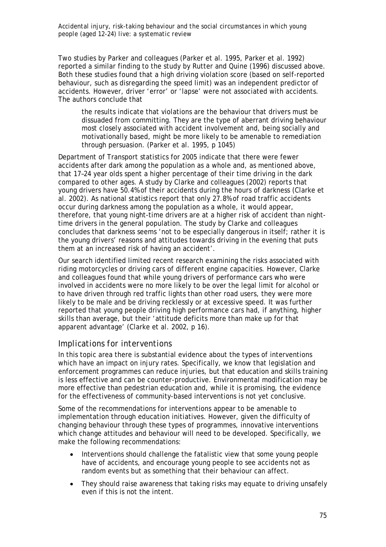Two studies by Parker and colleagues (Parker et al. 1995, Parker et al. 1992) reported a similar finding to the study by Rutter and Quine (1996) discussed above. Both these studies found that a high driving violation score (based on self-reported behaviour, such as disregarding the speed limit) was an independent predictor of accidents. However, driver 'error' or 'lapse' were not associated with accidents. The authors conclude that

the results indicate that violations are the behaviour that drivers must be dissuaded from committing. They are the type of aberrant driving behaviour most closely associated with accident involvement and, being socially and motivationally based, might be more likely to be amenable to remediation through persuasion. (Parker et al. 1995, p 1045)

Department of Transport statistics for 2005 indicate that there were fewer accidents after dark among the population as a whole and, as mentioned above, that 17–24 year olds spent a higher percentage of their time driving in the dark compared to other ages. A study by Clarke and colleagues (2002) reports that young drivers have 50.4% of their accidents during the hours of darkness (Clarke et al. 2002). As national statistics report that only 27.8% of road traffic accidents occur during darkness among the population as a whole, it would appear, therefore, that young night-time drivers are at a higher risk of accident than nighttime drivers in the general population. The study by Clarke and colleagues concludes that darkness seems 'not to be especially dangerous in itself; rather it is the young drivers' reasons and attitudes towards driving in the evening that puts them at an increased risk of having an accident'.

Our search identified limited recent research examining the risks associated with riding motorcycles or driving cars of different engine capacities. However, Clarke and colleagues found that while young drivers of performance cars who were involved in accidents were no more likely to be over the legal limit for alcohol or to have driven through red traffic lights than other road users, they were more likely to be male and be driving recklessly or at excessive speed. It was further reported that young people driving high performance cars had, if anything, higher skills than average, but their 'attitude deficits more than make up for that apparent advantage' (Clarke et al. 2002, p 16).

### *Implications for interventions*

In this topic area there is substantial evidence about the types of interventions which have an impact on injury rates. Specifically, we know that legislation and enforcement programmes can reduce injuries, but that education and skills training is less effective and can be counter-productive. Environmental modification may be more effective than pedestrian education and, while it is promising, the evidence for the effectiveness of community-based interventions is not yet conclusive.

Some of the recommendations for interventions appear to be amenable to implementation through education initiatives. However, given the difficulty of changing behaviour through these types of programmes, innovative interventions which change attitudes and behaviour will need to be developed. Specifically, we make the following recommendations:

- Interventions should challenge the fatalistic view that some young people have of accidents, and encourage young people to see accidents not as random events but as something that their behaviour can affect.
- They should raise awareness that taking risks may equate to driving unsafely even if this is not the intent.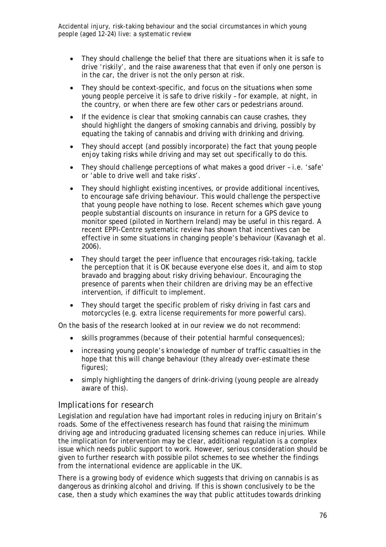- They should challenge the belief that there are situations when it is safe to drive 'riskily', and the raise awareness that that even if only one person is in the car, the driver is not the only person at risk.
- They should be context-specific, and focus on the situations when some young people perceive it is safe to drive riskily – for example, at night, in the country, or when there are few other cars or pedestrians around.
- If the evidence is clear that smoking cannabis can cause crashes, they should highlight the dangers of smoking cannabis and driving, possibly by equating the taking of cannabis and driving with drinking and driving.
- They should accept (and possibly incorporate) the fact that young people enjoy taking risks while driving and may set out specifically to do this.
- They should challenge perceptions of what makes a good driver i.e. 'safe' or 'able to drive well and take risks'.
- They should highlight existing incentives, or provide additional incentives, to encourage safe driving behaviour. This would challenge the perspective that young people have nothing to lose. Recent schemes which gave young people substantial discounts on insurance in return for a GPS device to monitor speed (piloted in Northern Ireland) may be useful in this regard. A recent EPPI-Centre systematic review has shown that incentives can be effective in some situations in changing people's behaviour (Kavanagh et al. 2006).
- They should target the peer influence that encourages risk-taking, tackle the perception that it is OK because everyone else does it, and aim to stop bravado and bragging about risky driving behaviour. Encouraging the presence of parents when their children are driving may be an effective intervention, if difficult to implement.
- They should target the specific problem of risky driving in fast cars and motorcycles (e.g. extra license requirements for more powerful cars).

On the basis of the research looked at in our review we do not recommend:

- skills programmes (because of their potential harmful consequences);
- increasing young people's knowledge of number of traffic casualties in the hope that this will change behaviour (they already over-estimate these figures);
- simply highlighting the dangers of drink-driving (young people are already aware of this).

### *Implications for research*

Legislation and regulation have had important roles in reducing injury on Britain's roads. Some of the effectiveness research has found that raising the minimum driving age and introducing graduated licensing schemes can reduce injuries. While the implication for intervention may be clear, additional regulation is a complex issue which needs public support to work. However, serious consideration should be given to further research with possible pilot schemes to see whether the findings from the international evidence are applicable in the UK.

There is a growing body of evidence which suggests that driving on cannabis is as dangerous as drinking alcohol and driving. If this is shown conclusively to be the case, then a study which examines the way that public attitudes towards drinking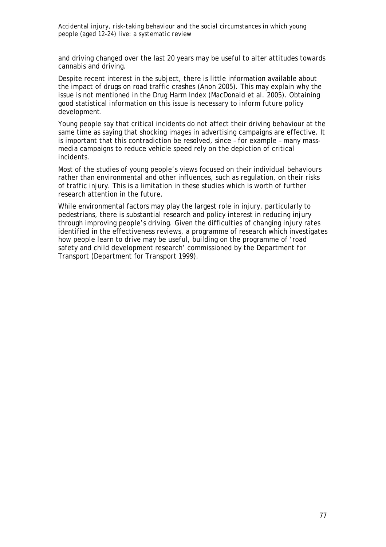and driving changed over the last 20 years may be useful to alter attitudes towards cannabis and driving.

Despite recent interest in the subject, there is little information available about the impact of drugs on road traffic crashes (Anon 2005). This may explain why the issue is not mentioned in the Drug Harm Index (MacDonald et al. 2005). Obtaining good statistical information on this issue is necessary to inform future policy development.

Young people say that critical incidents do not affect their driving behaviour at the same time as saying that shocking images in advertising campaigns are effective. It is important that this contradiction be resolved, since – for example – many massmedia campaigns to reduce vehicle speed rely on the depiction of critical incidents.

Most of the studies of young people's views focused on their individual behaviours rather than environmental and other influences, such as regulation, on their risks of traffic injury. This is a limitation in these studies which is worth of further research attention in the future.

While environmental factors may play the largest role in injury, particularly to pedestrians, there is substantial research and policy interest in reducing injury through improving people's driving. Given the difficulties of changing injury rates identified in the effectiveness reviews, a programme of research which investigates how people learn to drive may be useful, building on the programme of 'road safety and child development research' commissioned by the Department for Transport (Department for Transport 1999).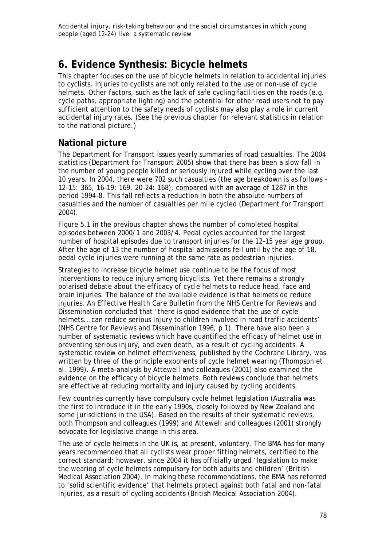# **6. Evidence Synthesis: Bicycle helmets**

This chapter focuses on the use of bicycle helmets in relation to accidental injuries to cyclists. Injuries to cyclists are not only related to the use or non-use of cycle helmets. Other factors, such as the lack of safe cycling facilities on the roads (e.g. cycle paths, appropriate lighting) and the potential for other road users not to pay sufficient attention to the safety needs of cyclists may also play a role in current accidental injury rates. (See the previous chapter for relevant statistics in relation to the national picture.)

## **National picture**

The Department for Transport issues yearly summaries of road casualties. The 2004 statistics (Department for Transport 2005) show that there has been a slow fall in the number of young people killed or seriously injured while cycling over the last 10 years. In 2004, there were 702 such casualties (the age breakdown is as follows - 12–15: 365, 16–19: 169, 20–24: 168), compared with an average of 1287 in the period 1994–8. This fall reflects a reduction in both the absolute numbers of casualties and the number of casualties per mile cycled (Department for Transport 2004).

Figure 5.1 in the previous chapter shows the number of completed hospital episodes between 2000/1 and 2003/4. Pedal cycles accounted for the largest number of hospital episodes due to transport injuries for the 12–15 year age group. After the age of 13 the number of hospital admissions fell until by the age of 18, pedal cycle injuries were running at the same rate as pedestrian injuries.

Strategies to increase bicycle helmet use continue to be the focus of most interventions to reduce injury among bicyclists. Yet there remains a strongly polarised debate about the efficacy of cycle helmets to reduce head, face and brain injuries. The balance of the available evidence is that helmets do reduce injuries. An *Effective Health Care Bulletin* from the NHS Centre for Reviews and Dissemination concluded that 'there is good evidence that the use of cycle helmets...can reduce serious injury to children involved in road traffic accidents' (NHS Centre for Reviews and Dissemination 1996, p 1). There have also been a number of systematic reviews which have quantified the efficacy of helmet use in preventing serious injury, and even death, as a result of cycling accidents. A systematic review on helmet effectiveness, published by the Cochrane Library, was written by three of the principle exponents of cycle helmet wearing (Thompson et al. 1999). A meta-analysis by Attewell and colleagues (2001) also examined the evidence on the efficacy of bicycle helmets. Both reviews conclude that helmets are effective at reducing mortality and injury caused by cycling accidents.

Few countries currently have compulsory cycle helmet legislation (Australia was the first to introduce it in the early 1990s, closely followed by New Zealand and some jurisdictions in the USA). Based on the results of their systematic reviews, both Thompson and colleagues (1999) and Attewell and colleagues (2001) strongly advocate for legislative change in this area.

The use of cycle helmets in the UK is, at present, voluntary. The BMA has for many years recommended that all cyclists wear proper fitting helmets, certified to the correct standard; however, since 2004 it has officially urged 'legislation to make the wearing of cycle helmets compulsory for both adults and children' (British Medical Association 2004). In making these recommendations, the BMA has referred to 'solid scientific evidence' that helmets protect against both fatal and non-fatal injuries, as a result of cycling accidents (British Medical Association 2004).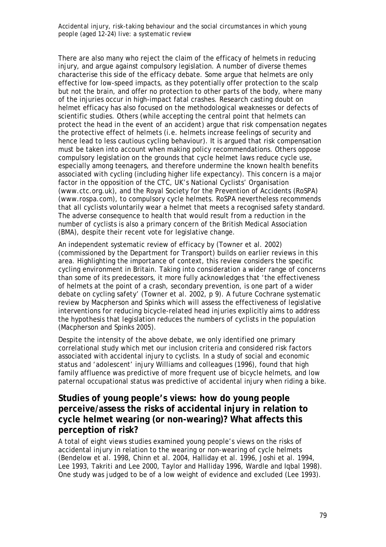There are also many who reject the claim of the efficacy of helmets in reducing injury, and argue against compulsory legislation. A number of diverse themes characterise this side of the efficacy debate. Some argue that helmets are only effective for low-speed impacts, as they potentially offer protection to the scalp but not the brain, and offer no protection to other parts of the body, where many of the injuries occur in high-impact fatal crashes. Research casting doubt on helmet efficacy has also focused on the methodological weaknesses or defects of scientific studies. Others (while accepting the central point that helmets can protect the head *in the event of an accident*) argue that risk compensation negates the protective effect of helmets (i.e. helmets increase feelings of security and hence lead to less cautious cycling behaviour). It is argued that risk compensation must be taken into account when making policy recommendations. Others oppose compulsory legislation on the grounds that cycle helmet laws reduce cycle use, especially among teenagers, and therefore undermine the known health benefits associated with cycling (including higher life expectancy). This concern is a major factor in the opposition of the CTC, UK's National Cyclists' Organisation (www.ctc.org.uk), and the Royal Society for the Prevention of Accidents (RoSPA) (www.rospa.com), to compulsory cycle helmets. RoSPA nevertheless recommends that all cyclists voluntarily wear a helmet that meets a recognised safety standard. The adverse consequence to health that would result from a reduction in the number of cyclists is also a primary concern of the British Medical Association (BMA), despite their recent vote for legislative change.

An independent systematic review of efficacy by (Towner et al. 2002) (commissioned by the Department for Transport) builds on earlier reviews in this area. Highlighting the importance of context, this review considers the specific cycling environment in Britain. Taking into consideration a wider range of concerns than some of its predecessors, it more fully acknowledges that 'the effectiveness of helmets at the point of a crash, secondary prevention, is one part of a wider debate on cycling safety' (Towner et al. 2002, p 9). A future Cochrane systematic review by Macpherson and Spinks which will assess the effectiveness of legislative interventions for reducing bicycle-related head injuries explicitly aims to address the hypothesis that legislation reduces the numbers of cyclists in the population (Macpherson and Spinks 2005).

Despite the intensity of the above debate, we only identified one primary correlational study which met our inclusion criteria and considered risk factors associated with accidental injury to cyclists. In a study of social and economic status and 'adolescent' injury Williams and colleagues (1996), found that high family affluence was predictive of more frequent use of bicycle helmets, and low paternal occupational status was predictive of accidental injury when riding a bike.

## **Studies of young people's views: how do young people perceive/assess the risks of accidental injury in relation to cycle helmet wearing (or non-wearing)? What affects this perception of risk?**

A total of eight views studies examined young people's views on the risks of accidental injury in relation to the wearing or non-wearing of cycle helmets (Bendelow et al. 1998, Chinn et al. 2004, Halliday et al. 1996, Joshi et al. 1994, Lee 1993, Takriti and Lee 2000, Taylor and Halliday 1996, Wardle and Iqbal 1998). One study was judged to be of a low weight of evidence and excluded (Lee 1993).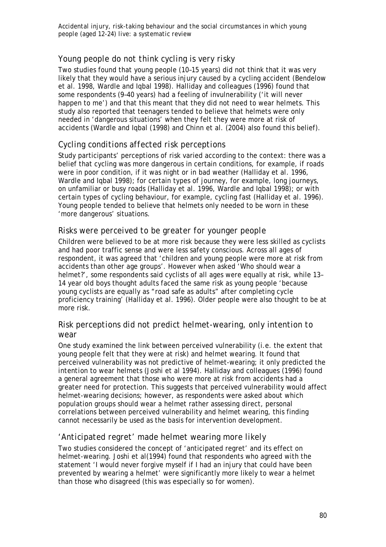## *Young people do not think cycling is very risky*

Two studies found that young people (10–15 years) did not think that it was very likely that they would have a serious injury caused by a cycling accident (Bendelow et al. 1998, Wardle and Iqbal 1998). Halliday and colleagues (1996) found that some respondents (9–40 years) had a feeling of invulnerability ('it will never happen to me') and that this meant that they did not need to wear helmets. This study also reported that teenagers tended to believe that helmets were only needed in 'dangerous situations' when they felt they were more at risk of accidents (Wardle and Iqbal (1998) and Chinn et al. (2004) also found this belief).

## *Cycling conditions affected risk perceptions*

Study participants' perceptions of risk varied according to the context: there was a belief that cycling was more dangerous in certain conditions, for example, if roads were in poor condition, if it was night or in bad weather (Halliday et al*.* 1996, Wardle and Iqbal 1998); for certain types of journey, for example, long journeys, on unfamiliar or busy roads (Halliday et al*.* 1996, Wardle and Iqbal 1998); or with certain types of cycling behaviour, for example, cycling fast (Halliday et al*.* 1996). Young people tended to believe that helmets only needed to be worn in these 'more dangerous' situations.

## *Risks were perceived to be greater for younger people*

Children were believed to be at more risk because they were less skilled as cyclists and had poor traffic sense and were less safety conscious. Across all ages of respondent, it was agreed that 'children and young people were more at risk from accidents than other age groups'. However when asked 'Who should wear a helmet?', some respondents said cyclists of all ages were equally at risk, while 13– 14 year old boys thought adults faced the same risk as young people 'because young cyclists are equally as "road safe as adults" after completing cycle proficiency training' (Halliday et al*.* 1996). Older people were also thought to be at more risk.

## *Risk perceptions did not predict helmet-wearing, only intention to wear*

One study examined the link between perceived vulnerability (i.e. the extent that young people felt that they were at risk) and helmet wearing. It found that perceived vulnerability was not predictive of helmet-wearing; it only predicted the *intention* to wear helmets (Joshi et al 1994). Halliday and colleagues (1996) found a general agreement that those who were more at risk from accidents had a greater need for protection. This suggests that perceived vulnerability would affect helmet-wearing decisions; however, as respondents were asked about which population groups should wear a helmet rather assessing direct, personal correlations between perceived vulnerability and helmet wearing, this finding cannot necessarily be used as the basis for intervention development.

## *'Anticipated regret' made helmet wearing more likely*

Two studies considered the concept of 'anticipated regret' and its effect on helmet-wearing. Joshi et al(1994) found that respondents who agreed with the statement 'I would never forgive myself if I had an injury that could have been prevented by wearing a helmet' were significantly more likely to wear a helmet than those who disagreed (this was especially so for women).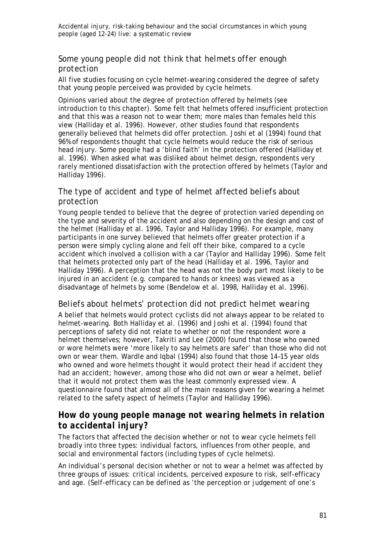## *Some young people did not think that helmets offer enough protection*

All five studies focusing on cycle helmet-wearing considered the degree of safety that young people perceived was provided by cycle helmets.

Opinions varied about the degree of protection offered by helmets (see introduction to this chapter). Some felt that helmets offered insufficient protection and that this was a reason not to wear them; more males than females held this view (Halliday et al*.* 1996). However, other studies found that respondents generally believed that helmets did offer protection. Joshi et al (1994) found that 96% of respondents thought that cycle helmets would reduce the risk of serious head injury. Some people had a 'blind faith' in the protection offered (Halliday et al*.* 1996). When asked what was disliked about helmet design, respondents very rarely mentioned dissatisfaction with the protection offered by helmets (Taylor and Halliday 1996).

## *The type of accident and type of helmet affected beliefs about protection*

Young people tended to believe that the degree of protection varied depending on the type and severity of the accident and also depending on the design and cost of the helmet (Halliday et al*.* 1996, Taylor and Halliday 1996). For example, many participants in one survey believed that helmets offer greater protection if a person were simply cycling alone and fell off their bike, compared to a cycle accident which involved a collision with a car (Taylor and Halliday 1996). Some felt that helmets protected only part of the head (Halliday et al*.* 1996, Taylor and Halliday 1996). A perception that the head was not the body part most likely to be injured in an accident (e.g. compared to hands or knees) was viewed as a disadvantage of helmets by some (Bendelow et al. 1998, Halliday et al*.* 1996).

## *Beliefs about helmets' protection did not predict helmet wearing*

A belief that helmets would protect cyclists did not always appear to be related to helmet-wearing. Both Halliday et al*.* (1996) and Joshi et al*.* (1994) found that perceptions of safety did not relate to whether or not the respondent wore a helmet themselves; however, Takriti and Lee (2000) found that those who owned or wore helmets were 'more likely to say helmets are safer' than those who did not own or wear them. Wardle and Iqbal (1994) also found that those 14–15 year olds who owned and wore helmets thought it would protect their head if accident they had an accident; however, among those who did not own or wear a helmet, belief that it would not protect them was the least commonly expressed view. A questionnaire found that almost all of the main reasons given for wearing a helmet related to the safety aspect of helmets (Taylor and Halliday 1996).

## *How do young people manage not wearing helmets in relation to accidental injury?*

The factors that affected the decision whether or not to wear cycle helmets fell broadly into three types: individual factors, influences from other people, and social and environmental factors (including types of cycle helmets).

An individual's personal decision whether or not to wear a helmet was affected by three groups of issues: critical incidents, perceived exposure to risk, self-efficacy and age. (Self-efficacy can be defined as 'the perception or judgement of one's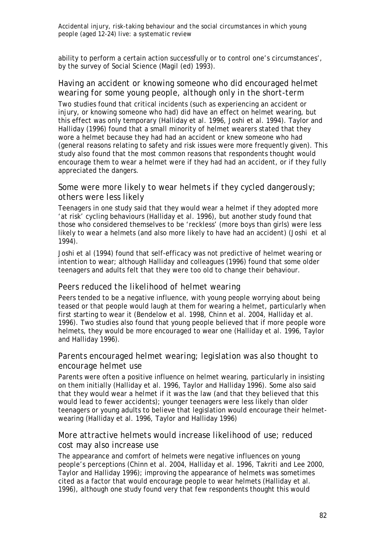ability to perform a certain action successfully or to control one's circumstances', by the survey of Social Science (Magil (ed) 1993).

## *Having an accident or knowing someone who did encouraged helmet wearing for some young people, although only in the short-term*

Two studies found that critical incidents (such as experiencing an accident or injury, or knowing someone who had) did have an effect on helmet wearing, but this effect was only temporary (Halliday et al*.* 1996, Joshi et al*.* 1994). Taylor and Halliday (1996) found that a small minority of helmet wearers stated that they wore a helmet because they had had an accident or knew someone who had (general reasons relating to safety and risk issues were more frequently given). This study also found that the most common reasons that respondents thought would encourage them to wear a helmet were if they had had an accident, or if they fully appreciated the dangers.

### *Some were more likely to wear helmets if they cycled dangerously; others were less likely*

Teenagers in one study said that they would wear a helmet if they adopted more 'at risk' cycling behaviours (Halliday et al*.* 1996), but another study found that those who considered themselves to be 'reckless' (more boys than girls) were less likely to wear a helmets (and also more likely to have had an accident) (Joshi et al 1994).

Joshi et al (1994) found that self-efficacy was not predictive of helmet wearing or intention to wear; although Halliday and colleagues (1996) found that some older teenagers and adults felt that they were too old to change their behaviour.

#### *Peers reduced the likelihood of helmet wearing*

Peers tended to be a negative influence, with young people worrying about being teased or that people would laugh at them for wearing a helmet, particularly when first starting to wear it (Bendelow et al. 1998, Chinn et al. 2004, Halliday et al. 1996). Two studies also found that young people believed that if more people wore helmets, they would be more encouraged to wear one (Halliday et al. 1996, Taylor and Halliday 1996).

## *Parents encouraged helmet wearing; legislation was also thought to encourage helmet use*

Parents were often a positive influence on helmet wearing, particularly in insisting on them initially (Halliday et al. 1996, Taylor and Halliday 1996). Some also said that they would wear a helmet if it was the law (and that they believed that this would lead to fewer accidents); younger teenagers were less likely than older teenagers or young adults to believe that legislation would encourage their helmetwearing (Halliday et al. 1996, Taylor and Halliday 1996)

## *More attractive helmets would increase likelihood of use; reduced cost may also increase use*

The appearance and comfort of helmets were negative influences on young people's perceptions (Chinn et al. 2004, Halliday et al. 1996, Takriti and Lee 2000, Taylor and Halliday 1996); improving the appearance of helmets was sometimes cited as a factor that would encourage people to wear helmets (Halliday et al. 1996), although one study found very that few respondents thought this would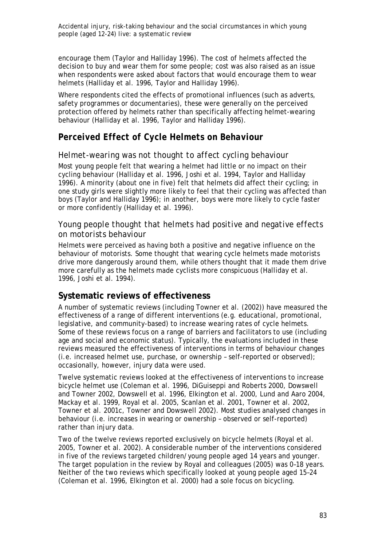encourage them (Taylor and Halliday 1996). The cost of helmets affected the decision to buy and wear them for some people; cost was also raised as an issue when respondents were asked about factors that would encourage them to wear helmets (Halliday et al. 1996, Taylor and Halliday 1996).

Where respondents cited the effects of promotional influences (such as adverts, safety programmes or documentaries), these were generally on the perceived protection offered by helmets rather than specifically affecting helmet-wearing behaviour (Halliday et al. 1996, Taylor and Halliday 1996).

## *Perceived Effect of Cycle Helmets on Behaviour*

## *Helmet-wearing was not thought to affect cycling behaviour*

Most young people felt that wearing a helmet had little or no impact on their cycling behaviour (Halliday et al. 1996, Joshi et al. 1994, Taylor and Halliday 1996). A minority (about one in five) felt that helmets did affect their cycling; in one study girls were slightly more likely to feel that their cycling was affected than boys (Taylor and Halliday 1996); in another, boys were more likely to cycle faster or more confidently (Halliday et al. 1996).

## *Young people thought that helmets had positive and negative effects on motorists behaviour*

Helmets were perceived as having both a positive and negative influence on the behaviour of motorists. Some thought that wearing cycle helmets made motorists drive more dangerously around them, while others thought that it made them drive more carefully as the helmets made cyclists more conspicuous (Halliday et al. 1996, Joshi et al. 1994).

## **Systematic reviews of effectiveness**

A number of systematic reviews (including Towner et al. (2002)) have measured the effectiveness of a range of different interventions (e.g. educational, promotional, legislative, and community-based) to increase wearing rates of cycle helmets. Some of these reviews focus on a range of barriers and facilitators to use (including age and social and economic status). Typically, the evaluations included in these reviews measured the effectiveness of interventions in terms of behaviour changes (i.e. increased helmet use, purchase, or ownership – self-reported or observed); occasionally, however, injury data were used.

Twelve systematic reviews looked at the effectiveness of interventions to increase bicycle helmet use (Coleman et al. 1996, DiGuiseppi and Roberts 2000, Dowswell and Towner 2002, Dowswell et al. 1996, Elkington et al. 2000, Lund and Aaro 2004, Mackay et al. 1999, Royal et al. 2005, Scanlan et al. 2001, Towner et al. 2002, Towner et al. 2001c, Towner and Dowswell 2002). Most studies analysed changes in behaviour (i.e. increases in wearing or ownership – observed or self-reported) rather than injury data.

Two of the twelve reviews reported exclusively on bicycle helmets (Royal et al. 2005, Towner et al. 2002). A considerable number of the interventions considered in five of the reviews targeted children/young people aged 14 years and younger. The target population in the review by Royal and colleagues (2005) was 0–18 years. Neither of the two reviews which specifically looked at young people aged 15–24 (Coleman et al. 1996, Elkington et al. 2000) had a sole focus on bicycling.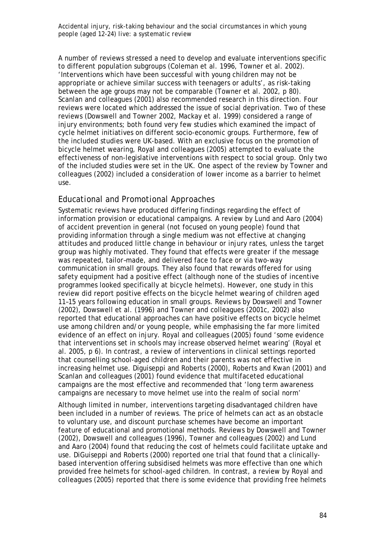A number of reviews stressed a need to develop and evaluate interventions specific to different population subgroups (Coleman et al. 1996, Towner et al. 2002). 'Interventions which have been successful with young children may not be appropriate or achieve similar success with teenagers or adults', as risk-taking between the age groups may not be comparable (Towner et al. 2002, p 80). Scanlan and colleagues (2001) also recommended research in this direction. Four reviews were located which addressed the issue of social deprivation. Two of these reviews (Dowswell and Towner 2002, Mackay et al. 1999) considered a range of injury environments; both found very few studies which examined the impact of cycle helmet initiatives on different socio-economic groups. Furthermore, few of the included studies were UK-based. With an exclusive focus on the promotion of bicycle helmet wearing, Royal and colleagues (2005) attempted to evaluate the effectiveness of non-legislative interventions with respect to social group. Only two of the included studies were set in the UK. One aspect of the review by Towner and colleagues (2002) included a consideration of lower income as a barrier to helmet use.

## *Educational and Promotional Approaches*

Systematic reviews have produced differing findings regarding the effect of information provision or educational campaigns. A review by Lund and Aaro (2004) of accident prevention in general (not focused on young people) found that providing information through a single medium was not effective at changing attitudes and produced little change in behaviour or injury rates, unless the target group was highly motivated. They found that effects were greater if the message was repeated, tailor–made, and delivered face to face or via two-way communication in small groups. They also found that rewards offered for using safety equipment had a positive effect (although none of the studies of incentive programmes looked specifically at bicycle helmets). However, one study in this review did report positive effects on the bicycle helmet wearing of children aged 11–15 years following education in small groups. Reviews by Dowswell and Towner (2002), Dowswell et al. (1996) and Towner and colleagues (2001c, 2002) also reported that educational approaches can have positive effects on bicycle helmet use among children and/or young people, while emphasising the far more limited evidence of an effect on injury. Royal and colleagues (2005) found 'some evidence that interventions set in schools may increase observed helmet wearing' (Royal et al. 2005, p 6). In contrast, a review of interventions in clinical settings reported that counselling school-aged children and their parents was not effective in increasing helmet use. Diguiseppi and Roberts (2000), Roberts and Kwan (2001) and Scanlan and colleagues (2001) found evidence that multifaceted educational campaigns are the most effective and recommended that 'long term awareness campaigns are necessary to move helmet use into the realm of social norm'

Although limited in number, interventions targeting disadvantaged children have been included in a number of reviews. The price of helmets can act as an obstacle to voluntary use, and discount purchase schemes have become an important feature of educational and promotional methods. Reviews by Dowswell and Towner (2002), Dowswell and colleagues (1996), Towner and colleagues (2002) and Lund and Aaro (2004) found that reducing the cost of helmets could facilitate uptake and use. DiGuiseppi and Roberts (2000) reported one trial that found that a clinicallybased intervention offering subsidised helmets was more effective than one which provided free helmets for school-aged children. In contrast, a review by Royal and colleagues (2005) reported that there is some evidence that providing free helmets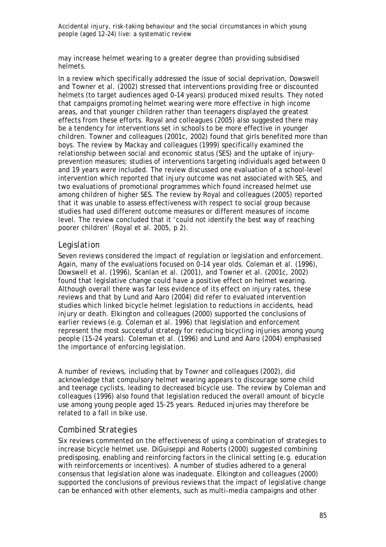may increase helmet wearing to a greater degree than providing subsidised helmets.

In a review which specifically addressed the issue of social deprivation, Dowswell and Towner et al. (2002) stressed that interventions providing free or discounted helmets (to target audiences aged 0–14 years) produced mixed results. They noted that campaigns promoting helmet wearing were more effective in high income areas, and that younger children rather than teenagers displayed the greatest effects from these efforts. Royal and colleagues (2005) also suggested there may be a tendency for interventions set in schools to be more effective in younger children. Towner and colleagues (2001c, 2002) found that girls benefited more than boys. The review by Mackay and colleagues (1999) specifically examined the relationship between social and economic status (SES) and the uptake of injuryprevention measures; studies of interventions targeting individuals aged between 0 and 19 years were included. The review discussed one evaluation of a school-level intervention which reported that injury outcome was not associated with SES, and two evaluations of promotional programmes which found increased helmet use among children of higher SES. The review by Royal and colleagues (2005) reported that it was unable to assess effectiveness with respect to social group because studies had used different outcome measures or different measures of income level. The review concluded that it 'could not identify the best way of reaching poorer children' (Royal et al. 2005, p 2).

## *Legislation*

Seven reviews considered the impact of regulation or legislation and enforcement. Again, many of the evaluations focused on 0–14 year olds. Coleman et al. (1996), Dowswell et al. (1996), Scanlan et al. (2001), and Towner et al. (2001c, 2002) found that legislative change could have a positive effect on helmet wearing. Although overall there was far less evidence of its effect on injury rates, these reviews and that by Lund and Aaro (2004) did refer to evaluated intervention studies which linked bicycle helmet legislation to reductions in accidents, head injury or death. Elkington and colleagues (2000) supported the conclusions of earlier reviews (e.g. Coleman et al. 1996) that legislation and enforcement represent the most successful strategy for reducing bicycling injuries among young people (15–24 years). Coleman et al. (1996) and Lund and Aaro (2004) emphasised the importance of enforcing legislation.

A number of reviews, including that by Towner and colleagues (2002), did acknowledge that compulsory helmet wearing appears to discourage some child and teenage cyclists, leading to decreased bicycle use. The review by Coleman and colleagues (1996) also found that legislation reduced the overall amount of bicycle use among young people aged 15-25 years. Reduced injuries may therefore be related to a fall in bike use.

### *Combined Strategies*

Six reviews commented on the effectiveness of using a combination of strategies to increase bicycle helmet use. DiGuiseppi and Roberts (2000) suggested combining predisposing, enabling and reinforcing factors in the clinical setting (e.g. education with reinforcements or incentives). A number of studies adhered to a general consensus that legislation alone was inadequate. Elkington and colleagues (2000) supported the conclusions of previous reviews that the impact of legislative change can be enhanced with other elements, such as multi-media campaigns and other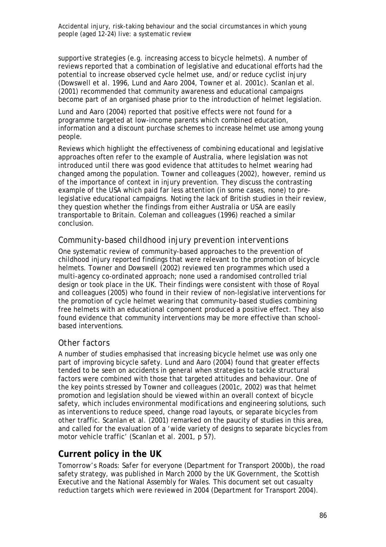supportive strategies (e.g. increasing access to bicycle helmets). A number of reviews reported that a combination of legislative and educational efforts had the potential to increase observed cycle helmet use, and/or reduce cyclist injury (Dowswell et al. 1996, Lund and Aaro 2004, Towner et al. 2001c). Scanlan et al. (2001) recommended that community awareness and educational campaigns become part of an organised phase prior to the introduction of helmet legislation.

Lund and Aaro (2004) reported that positive effects were not found for a programme targeted at low-income parents which combined education, information and a discount purchase schemes to increase helmet use among young people.

Reviews which highlight the effectiveness of combining educational and legislative approaches often refer to the example of Australia, where legislation was not introduced until there was good evidence that attitudes to helmet wearing had changed among the population. Towner and colleagues (2002), however, remind us of the importance of context in injury prevention. They discuss the contrasting example of the USA which paid far less attention (in some cases, none) to prelegislative educational campaigns. Noting the lack of British studies in their review, they question whether the findings from either Australia or USA are easily transportable to Britain. Coleman and colleagues (1996) reached a similar conclusion.

## *Community-based childhood injury prevention interventions*

One systematic review of community-based approaches to the prevention of childhood injury reported findings that were relevant to the promotion of bicycle helmets. Towner and Dowswell (2002) reviewed ten programmes which used a multi-agency co-ordinated approach; none used a randomised controlled trial design or took place in the UK. Their findings were consistent with those of Royal and colleagues (2005) who found in their review of non-legislative interventions for the promotion of cycle helmet wearing that community-based studies combining free helmets with an educational component produced a positive effect. They also found evidence that community interventions may be more effective than schoolbased interventions.

## *Other factors*

A number of studies emphasised that increasing bicycle helmet use was only one part of improving bicycle safety. Lund and Aaro (2004) found that greater effects tended to be seen on accidents in general when strategies to tackle structural factors were combined with those that targeted attitudes and behaviour. One of the key points stressed by Towner and colleagues (2001c, 2002) was that helmet promotion and legislation should be viewed within an overall context of bicycle safety, which includes environmental modifications and engineering solutions, such as interventions to reduce speed, change road layouts, or separate bicycles from other traffic. Scanlan et al. (2001) remarked on the paucity of studies in this area, and called for the evaluation of a 'wide variety of designs to separate bicycles from motor vehicle traffic' (Scanlan et al. 2001, p 57).

## **Current policy in the UK**

*Tomorrow's Roads: Safer for everyone* (Department for Transport 2000b), the road safety strategy, was published in March 2000 by the UK Government, the Scottish Executive and the National Assembly for Wales. This document set out casualty reduction targets which were reviewed in 2004 (Department for Transport 2004).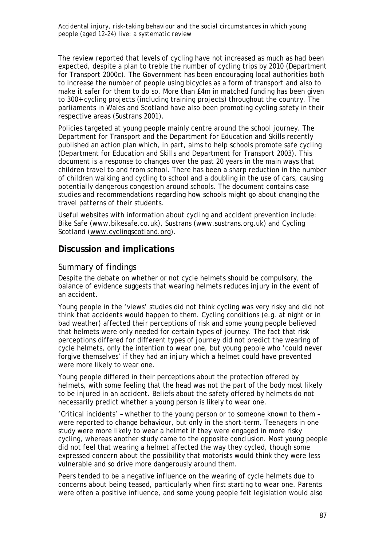The review reported that levels of cycling have not increased as much as had been expected, despite a plan to treble the number of cycling trips by 2010 (Department for Transport 2000c). The Government has been encouraging local authorities both to increase the number of people using bicycles as a form of transport and also to make it safer for them to do so. More than £4m in matched funding has been given to 300+ cycling projects (including training projects) throughout the country. The parliaments in Wales and Scotland have also been promoting cycling safety in their respective areas (Sustrans 2001).

Policies targeted at young people mainly centre around the school journey. The Department for Transport and the Department for Education and Skills recently published an action plan which, in part, aims to help schools promote safe cycling (Department for Education and Skills and Department for Transport 2003). This document is a response to changes over the past 20 years in the main ways that children travel to and from school. There has been a sharp reduction in the number of children walking and cycling to school and a doubling in the use of cars, causing potentially dangerous congestion around schools. The document contains case studies and recommendations regarding how schools might go about changing the travel patterns of their students.

Useful websites with information about cycling and accident prevention include: Bike Safe (www.bikesafe.co.uk), Sustrans (www.sustrans.org.uk) and Cycling Scotland (www.cyclingscotland.org).

## **Discussion and implications**

### *Summary of findings*

Despite the debate on whether or not cycle helmets should be compulsory, the balance of evidence suggests that wearing helmets reduces injury in the event of an accident.

Young people in the 'views' studies did not think cycling was very risky and did not think that accidents would happen to them. Cycling conditions (e.g. at night or in bad weather) affected their perceptions of risk and some young people believed that helmets were only needed for certain types of journey. The fact that risk perceptions differed for different types of journey did not predict the wearing of cycle helmets, only the intention to wear one, but young people who 'could never forgive themselves' if they had an injury which a helmet could have prevented were more likely to wear one.

Young people differed in their perceptions about the protection offered by helmets, with some feeling that the head was not the part of the body most likely to be injured in an accident. Beliefs about the safety offered by helmets do not necessarily predict whether a young person is likely to wear one.

'Critical incidents' – whether to the young person or to someone known to them – were reported to change behaviour, but only in the short-term. Teenagers in one study were more likely to wear a helmet if they were engaged in more risky cycling, whereas another study came to the opposite conclusion. Most young people did not feel that wearing a helmet affected the way they cycled, though some expressed concern about the possibility that motorists would think they were less vulnerable and so drive more dangerously around them.

Peers tended to be a negative influence on the wearing of cycle helmets due to concerns about being teased, particularly when first starting to wear one. Parents were often a positive influence, and some young people felt legislation would also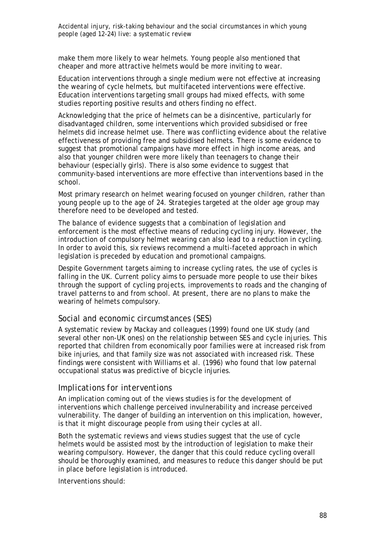make them more likely to wear helmets. Young people also mentioned that cheaper and more attractive helmets would be more inviting to wear.

Education interventions through a single medium were not effective at increasing the wearing of cycle helmets, but multifaceted interventions were effective. Education interventions targeting small groups had mixed effects, with some studies reporting positive results and others finding no effect.

Acknowledging that the price of helmets can be a disincentive, particularly for disadvantaged children, some interventions which provided subsidised or free helmets did increase helmet use. There was conflicting evidence about the relative effectiveness of providing free and subsidised helmets. There is some evidence to suggest that promotional campaigns have more effect in high income areas, and also that younger children were more likely than teenagers to change their behaviour (especially girls). There is also some evidence to suggest that community-based interventions are more effective than interventions based in the school.

Most primary research on helmet wearing focused on younger children, rather than young people up to the age of 24. Strategies targeted at the older age group may therefore need to be developed and tested.

The balance of evidence suggests that a combination of legislation and enforcement is the most effective means of reducing cycling injury. However, the introduction of compulsory helmet wearing can also lead to a reduction in cycling. In order to avoid this, six reviews recommend a multi-faceted approach in which legislation is preceded by education and promotional campaigns.

Despite Government targets aiming to increase cycling rates, the use of cycles is falling in the UK. Current policy aims to persuade more people to use their bikes through the support of cycling projects, improvements to roads and the changing of travel patterns to and from school. At present, there are no plans to make the wearing of helmets compulsory.

#### *Social and economic circumstances (SES)*

A systematic review by Mackay and colleagues (1999) found one UK study (and several other non-UK ones) on the relationship between SES and cycle injuries. This reported that children from economically poor families were at increased risk from bike injuries, and that family size was not associated with increased risk. These findings were consistent with Williams et al. (1996) who found that low paternal occupational status was predictive of bicycle injuries.

#### *Implications for interventions*

An implication coming out of the views studies is for the development of interventions which challenge perceived invulnerability and increase perceived vulnerability. The danger of building an intervention on this implication, however, is that it might discourage people from using their cycles at all.

Both the systematic reviews and views studies suggest that the use of cycle helmets would be assisted most by the introduction of legislation to make their wearing compulsory. However, the danger that this could reduce cycling overall should be thoroughly examined, and measures to reduce this danger should be put in place before legislation is introduced.

Interventions should: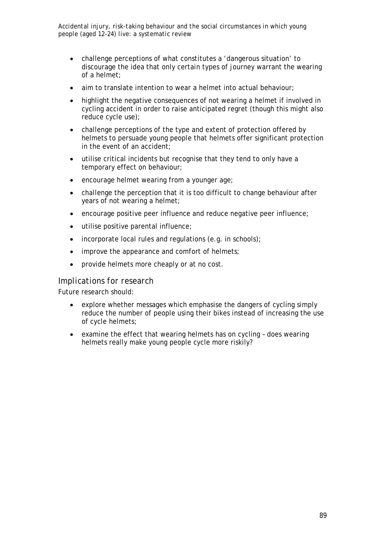- challenge perceptions of what constitutes a 'dangerous situation' to discourage the idea that only certain types of journey warrant the wearing of a helmet;
- aim to translate intention to wear a helmet into actual behaviour:
- highlight the negative consequences of not wearing a helmet if involved in cycling accident in order to raise anticipated regret (though this might also reduce cycle use);
- challenge perceptions of the type and extent of protection offered by helmets to persuade young people that helmets offer significant protection in the event of an accident;
- utilise critical incidents but recognise that they tend to only have a temporary effect on behaviour;
- encourage helmet wearing from a younger age;
- challenge the perception that it is too difficult to change behaviour after years of not wearing a helmet;
- encourage positive peer influence and reduce negative peer influence;
- utilise positive parental influence;
- incorporate local rules and regulations (e.g. in schools);
- improve the appearance and comfort of helmets;
- provide helmets more cheaply or at no cost.

#### *Implications for research*

Future research should:

- explore whether messages which emphasise the dangers of cycling simply reduce the number of people using their bikes instead of increasing the use of cycle helmets;
- examine the effect that wearing helmets has on cycling does wearing helmets really make young people cycle more riskily?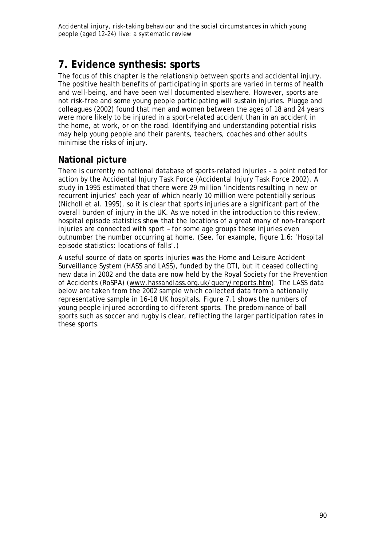# **7. Evidence synthesis: sports**

The focus of this chapter is the relationship between sports and accidental injury. The positive health benefits of participating in sports are varied in terms of health and well-being, and have been well documented elsewhere. However, sports are not risk-free and some young people participating will sustain injuries. Plugge and colleagues (2002) found that men and women between the ages of 18 and 24 years were more likely to be injured in a sport-related accident than in an accident in the home, at work, or on the road. Identifying and understanding potential risks may help young people and their parents, teachers, coaches and other adults minimise the risks of injury.

## **National picture**

There is currently no national database of sports-related injuries – a point noted for action by the Accidental Injury Task Force (Accidental Injury Task Force 2002). A study in 1995 estimated that there were 29 million 'incidents resulting in new or recurrent injuries' each year of which nearly 10 million were potentially serious (Nicholl et al. 1995), so it is clear that sports injuries are a significant part of the overall burden of injury in the UK. As we noted in the introduction to this review, hospital episode statistics show that the locations of a great many of non-transport injuries are connected with sport – for some age groups these injuries even outnumber the number occurring at home. (See, for example, figure 1.6: 'Hospital episode statistics: locations of falls'.)

A useful source of data on sports injuries was the Home and Leisure Accident Surveillance System (HASS and LASS), funded by the DTI, but it ceased collecting new data in 2002 and the data are now held by the Royal Society for the Prevention of Accidents (RoSPA) (www.hassandlass.org.uk/query/reports.htm). The LASS data below are taken from the 2002 sample which collected data from a nationally representative sample in 16–18 UK hospitals. Figure 7.1 shows the numbers of young people injured according to different sports. The predominance of ball sports such as soccer and rugby is clear, reflecting the larger participation rates in these sports.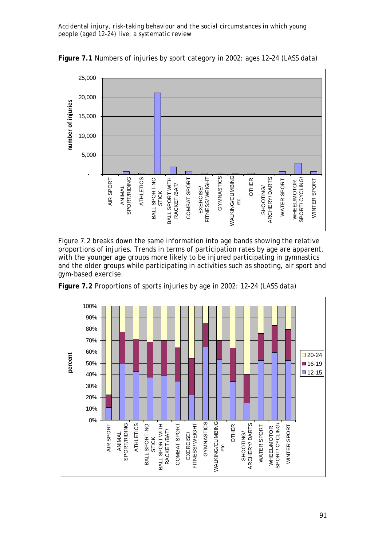

**Figure 7.1** Numbers of injuries by sport category in 2002: ages 12–24 (LASS data)

Figure 7.2 breaks down the same information into age bands showing the relative proportions of injuries. Trends in terms of participation rates by age are apparent, with the younger age groups more likely to be injured participating in gymnastics and the older groups while participating in activities such as shooting, air sport and gym-based exercise.



**Figure 7.2** Proportions of sports injuries by age in 2002: 12-24 (LASS data)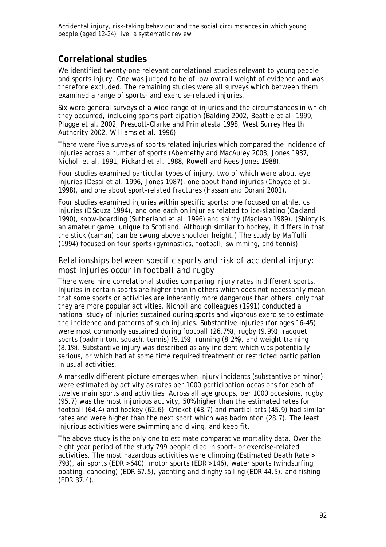## **Correlational studies**

We identified twenty-one relevant correlational studies relevant to young people and sports injury. One was judged to be of low overall weight of evidence and was therefore excluded. The remaining studies were all surveys which between them examined a range of sports- and exercise-related injuries.

Six were general surveys of a wide range of injuries and the circumstances in which they occurred, including sports participation (Balding 2002, Beattie et al. 1999, Plugge et al. 2002, Prescott-Clarke and Primatesta 1998, West Surrey Health Authority 2002, Williams et al. 1996).

There were five surveys of sports-related injuries which compared the incidence of injuries across a number of sports (Abernethy and MacAuley 2003, Jones 1987, Nicholl et al. 1991, Pickard et al. 1988, Rowell and Rees-Jones 1988).

Four studies examined particular types of injury, two of which were about eye injuries (Desai et al. 1996, Jones 1987), one about hand injuries (Choyce et al. 1998), and one about sport-related fractures (Hassan and Dorani 2001).

Four studies examined injuries within specific sports: one focused on athletics injuries (D'Souza 1994), and one each on injuries related to ice-skating (Oakland 1990), snow-boarding (Sutherland et al. 1996) and shinty (Maclean 1989). (Shinty is an amateur game, unique to Scotland. Although similar to hockey, it differs in that the stick (caman) can be swung above shoulder height.) The study by Maffulli (1994) focused on four sports (gymnastics, football, swimming, and tennis).

## *Relationships between specific sports and risk of accidental injury: most injuries occur in football and rugby*

There were nine correlational studies comparing injury rates in different sports. Injuries in certain sports are higher than in others which does not necessarily mean that some sports or activities are inherently more dangerous than others, only that they are more popular activities. Nicholl and colleagues (1991) conducted a national study of injuries sustained during sports and vigorous exercise to estimate the incidence and patterns of such injuries. Substantive injuries (for ages 16–45) were most commonly sustained during football (26.7%), rugby (9.9%), racquet sports (badminton, squash, tennis) (9.1%), running (8.2%), and weight training (8.1%). Substantive injury was described as any incident which was potentially serious, or which had at some time required treatment or restricted participation in usual activities.

A markedly different picture emerges when injury incidents (substantive or minor) were estimated by activity as rates per 1000 participation occasions for each of twelve main sports and activities. Across all age groups, per 1000 occasions, rugby (95.7) was the most injurious activity, 50% higher than the estimated rates for football (64.4) and hockey (62.6). Cricket (48.7) and martial arts (45.9) had similar rates and were higher than the next sport which was badminton (28.7). The least injurious activities were swimming and diving, and keep fit.

The above study is the only one to estimate comparative mortality data. Over the eight year period of the study 799 people died in sport- or exercise-related activities. The most hazardous activities were climbing (Estimated Death Rate > 793), air sports (EDR > 640), motor sports (EDR > 146), water sports (windsurfing, boating, canoeing) (EDR 67.5), yachting and dinghy sailing (EDR 44.5), and fishing (EDR 37.4).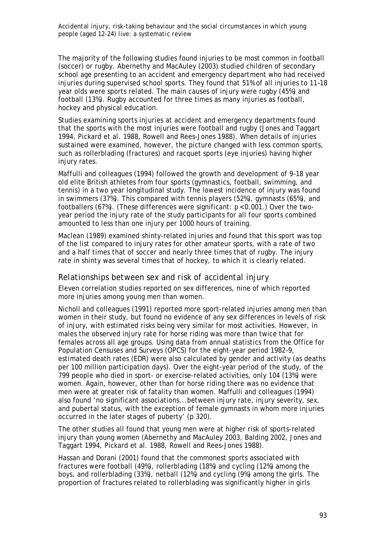The majority of the following studies found injuries to be most common in football (soccer) or rugby. Abernethy and MacAuley (2003) studied children of secondary school age presenting to an accident and emergency department who had received injuries during supervised school sports. They found that 51% of all injuries to 11–18 year olds were sports related. The main causes of injury were rugby (45%) and football (13%). Rugby accounted for three times as many injuries as football, hockey and physical education.

Studies examining sports injuries at accident and emergency departments found that the sports with the most injuries were football and rugby (Jones and Taggart 1994, Pickard et al. 1988, Rowell and Rees-Jones 1988). When details of injuries sustained were examined, however, the picture changed with less common sports, such as rollerblading (fractures) and racquet sports (eye injuries) having higher injury rates.

Maffulli and colleagues (1994) followed the growth and development of 9–18 year old elite British athletes from four sports (gymnastics, football, swimming, and tennis) in a two year longitudinal study. The lowest incidence of injury was found in swimmers (37%). This compared with tennis players (52%), gymnasts (65%), and footballers (67%). (These differences were significant: p < 0.001.) Over the twoyear period the injury rate of the study participants for all four sports combined amounted to less than one injury per 1000 hours of training.

Maclean (1989) examined shinty-related injuries and found that this sport was top of the list compared to injury rates for other amateur sports, with a rate of two and a half times that of soccer and nearly three times that of rugby. The injury rate in shinty was several times that of hockey, to which it is clearly related.

### *Relationships between sex and risk of accidental injury*

Eleven correlation studies reported on sex differences, nine of which reported more injuries among young men than women.

Nicholl and colleagues (1991) reported more sport-related injuries among men than women in their study, but found no evidence of any sex differences in levels of risk of injury, with estimated risks being very similar for most activities. However, in males the observed injury rate for horse riding was more than twice that for females across all age groups. Using data from annual statistics from the Office for Population Censuses and Surveys (OPCS) for the eight-year period 1982–9, estimated death rates (EDR) were also calculated by gender and activity (as deaths per 100 million participation days). Over the eight-year period of the study, of the 799 people who died in sport- or exercise-related activities, only 104 (13%) were women. Again, however, other than for horse riding there was no evidence that men were at greater risk of fatality than women. Maffulli and colleagues (1994) also found 'no significant associations...between injury rate, injury severity, sex, and pubertal status, with the exception of female gymnasts in whom more injuries occurred in the later stages of puberty' (p 320).

The other studies all found that young men were at higher risk of sports-related injury than young women (Abernethy and MacAuley 2003, Balding 2002, Jones and Taggart 1994, Pickard et al. 1988, Rowell and Rees-Jones 1988).

Hassan and Dorani (2001) found that the commonest sports associated with fractures were football (49%), rollerblading (18%) and cycling (12%) among the boys, and rollerblading (33%), netball (12%) and cycling (9%) among the girls. The proportion of fractures related to rollerblading was significantly higher in girls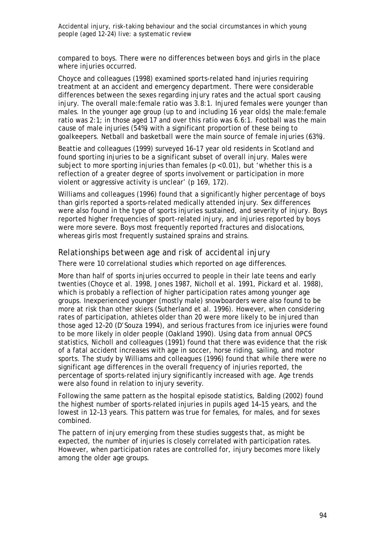compared to boys. There were no differences between boys and girls in the place where injuries occurred.

Choyce and colleagues (1998) examined sports-related hand injuries requiring treatment at an accident and emergency department. There were considerable differences between the sexes regarding injury rates and the actual sport causing injury. The overall male:female ratio was 3.8:1. Injured females were younger than males. In the younger age group (up to and including 16 year olds) the male:female ratio was 2:1; in those aged 17 and over this ratio was 6.6:1. Football was the main cause of male injuries (54%) with a significant proportion of these being to goalkeepers. Netball and basketball were the main source of female injuries (63%).

Beattie and colleagues (1999) surveyed 16–17 year old residents in Scotland and found sporting injuries to be a significant subset of overall injury. Males were subject to more sporting injuries than females  $(p < 0.01)$ , but 'whether this is a reflection of a greater degree of sports involvement or participation in more violent or aggressive activity is unclear' (p 169, 172).

Williams and colleagues (1996) found that a significantly higher percentage of boys than girls reported a sports-related medically attended injury. Sex differences were also found in the type of sports injuries sustained, and severity of injury. Boys reported higher frequencies of sport-related injury, and injuries reported by boys were more severe. Boys most frequently reported fractures and dislocations, whereas girls most frequently sustained sprains and strains.

### *Relationships between age and risk of accidental injury*

There were 10 correlational studies which reported on age differences.

More than half of sports injuries occurred to people in their late teens and early twenties (Choyce et al. 1998, Jones 1987, Nicholl et al. 1991, Pickard et al. 1988), which is probably a reflection of higher participation rates among younger age groups. Inexperienced younger (mostly male) snowboarders were also found to be more at risk than other skiers (Sutherland et al. 1996). However, when considering rates of participation, athletes older than 20 were more likely to be injured than those aged 12–20 (D'Souza 1994), and serious fractures from ice injuries were found to be more likely in older people (Oakland 1990). Using data from annual OPCS statistics, Nicholl and colleagues (1991) found that there was evidence that the risk of a fatal accident increases with age in soccer, horse riding, sailing, and motor sports. The study by Williams and colleagues (1996) found that while there were no significant age differences in the overall frequency of injuries reported, the percentage of sports-related injury significantly increased with age. Age trends were also found in relation to injury severity.

Following the same pattern as the hospital episode statistics, Balding (2002) found the highest number of sports-related injuries in pupils aged 14–15 years, and the lowest in 12–13 years. This pattern was true for females, for males, and for sexes combined.

The pattern of injury emerging from these studies suggests that, as might be expected, the number of injuries is closely correlated with participation rates. However, when participation rates are controlled for, injury becomes more likely among the older age groups.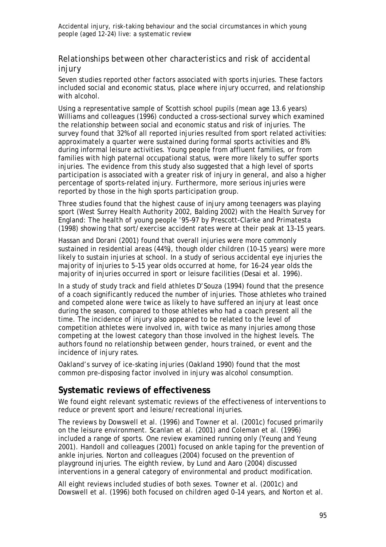## *Relationships between other characteristics and risk of accidental injury*

Seven studies reported other factors associated with sports injuries. These factors included social and economic status, place where injury occurred, and relationship with alcohol.

Using a representative sample of Scottish school pupils (mean age 13.6 years) Williams and colleagues (1996) conducted a cross-sectional survey which examined the relationship between social and economic status and risk of injuries. The survey found that 32% of all reported injuries resulted from sport related activities: approximately a quarter were sustained during formal sports activities and 8% during informal leisure activities. Young people from affluent families, or from families with high paternal occupational status, were more likely to suffer sports injuries. The evidence from this study also suggested that a high level of sports participation is associated with a greater risk of injury in general, and also a higher percentage of sports-related injury. Furthermore, more serious injuries were reported by those in the high sports participation group.

Three studies found that the highest cause of injury among teenagers was playing sport (West Surrey Health Authority 2002, Balding 2002) with the *Health Survey for England: The health of young people '95–97* by Prescott-Clarke and Primatesta (1998) showing that sort/exercise accident rates were at their peak at 13–15 years.

Hassan and Dorani (2001) found that overall injuries were more commonly sustained in residential areas (44%), though older children (10–15 years) were more likely to sustain injuries at school. In a study of serious accidental eye injuries the majority of injuries to 5–15 year olds occurred at home, for 16–24 year olds the majority of injuries occurred in sport or leisure facilities (Desai et al. 1996).

In a study of study track and field athletes D'Souza (1994) found that the presence of a coach significantly reduced the number of injuries. Those athletes who trained and competed alone were twice as likely to have suffered an injury at least once during the season, compared to those athletes who had a coach present all the time. The incidence of injury also appeared to be related to the level of competition athletes were involved in, with twice as many injuries among those competing at the lowest category than those involved in the highest levels. The authors found no relationship between gender, hours trained, or event and the incidence of injury rates.

Oakland's survey of ice-skating injuries (Oakland 1990) found that the most common pre-disposing factor involved in injury was alcohol consumption.

## **Systematic reviews of effectiveness**

We found eight relevant systematic reviews of the effectiveness of interventions to reduce or prevent sport and leisure/recreational injuries.

The reviews by Dowswell et al. (1996) and Towner et al. (2001c) focused primarily on the leisure environment. Scanlan et al. (2001) and Coleman et al. (1996) included a range of sports. One review examined running only (Yeung and Yeung 2001). Handoll and colleagues (2001) focused on ankle taping for the prevention of ankle injuries. Norton and colleagues (2004) focused on the prevention of playground injuries. The eighth review, by Lund and Aaro (2004) discussed interventions in a general category of environmental and product modification.

All eight reviews included studies of both sexes. Towner et al. (2001c) and Dowswell et al. (1996) both focused on children aged 0–14 years, and Norton et al.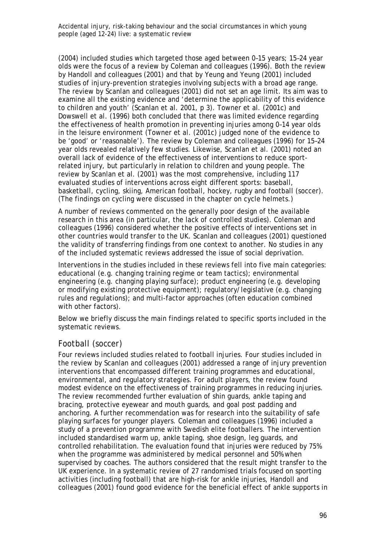(2004) included studies which targeted those aged between 0–15 years; 15–24 year olds were the focus of a review by Coleman and colleagues (1996). Both the review by Handoll and colleagues (2001) and that by Yeung and Yeung (2001) included studies of injury-prevention strategies involving subjects with a broad age range. The review by Scanlan and colleagues (2001) did not set an age limit. Its aim was to examine all the existing evidence and 'determine the applicability of this evidence to children and youth' (Scanlan et al. 2001, p 3). Towner et al. (2001c) and Dowswell et al. (1996) both concluded that there was limited evidence regarding the effectiveness of health promotion in preventing injuries among 0–14 year olds in the leisure environment (Towner et al. (2001c) judged none of the evidence to be 'good' or 'reasonable'). The review by Coleman and colleagues (1996) for 15–24 year olds revealed relatively few studies. Likewise, Scanlan et al. (2001) noted an overall lack of evidence of the effectiveness of interventions to reduce sportrelated injury, but particularly in relation to children and young people. The review by Scanlan et al. (2001) was the most comprehensive, including 117 evaluated studies of interventions across eight different sports: baseball, basketball, cycling, skiing, American football, hockey, rugby and football (soccer). (The findings on cycling were discussed in the chapter on cycle helmets.)

A number of reviews commented on the generally poor design of the available research in this area (in particular, the lack of controlled studies). Coleman and colleagues (1996) considered whether the positive effects of interventions set in other countries would transfer to the UK. Scanlan and colleagues (2001) questioned the validity of transferring findings from one context to another. No studies in any of the included systematic reviews addressed the issue of social deprivation.

Interventions in the studies included in these reviews fell into five main categories: educational (e.g. changing training regime or team tactics); environmental engineering (e.g. changing playing surface); product engineering (e.g. developing or modifying existing protective equipment); regulatory/legislative (e.g. changing rules and regulations); and multi-factor approaches (often education combined with other factors).

Below we briefly discuss the main findings related to specific sports included in the systematic reviews.

## *Football (soccer)*

Four reviews included studies related to football injuries. Four studies included in the review by Scanlan and colleagues (2001) addressed a range of injury prevention interventions that encompassed different training programmes and educational, environmental, and regulatory strategies. For adult players, the review found modest evidence on the effectiveness of training programmes in reducing injuries. The review recommended further evaluation of shin guards, ankle taping and bracing, protective eyewear and mouth guards, and goal post padding and anchoring. A further recommendation was for research into the suitability of safe playing surfaces for younger players. Coleman and colleagues (1996) included a study of a prevention programme with Swedish elite footballers. The intervention included standardised warm up, ankle taping, shoe design, leg guards, and controlled rehabilitation. The evaluation found that injuries were reduced by 75% when the programme was administered by medical personnel and 50% when supervised by coaches. The authors considered that the result might transfer to the UK experience. In a systematic review of 27 randomised trials focused on sporting activities (including football) that are high-risk for ankle injuries, Handoll and colleagues (2001) found good evidence for the beneficial effect of ankle supports in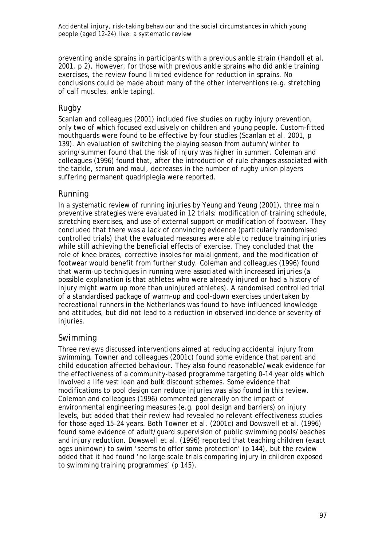preventing ankle sprains in participants with a previous ankle strain (Handoll et al. 2001, p 2). However, for those with previous ankle sprains who did ankle training exercises, the review found limited evidence for reduction in sprains. No conclusions could be made about many of the other interventions (e.g. stretching of calf muscles, ankle taping).

## *Rugby*

Scanlan and colleagues (2001) included five studies on rugby injury prevention, only two of which focused exclusively on children and young people. Custom-fitted mouthguards were found to be effective by four studies (Scanlan et al. 2001, p 139). An evaluation of switching the playing season from autumn/winter to spring/summer found that the risk of injury was higher in summer. Coleman and colleagues (1996) found that, after the introduction of rule changes associated with the tackle, scrum and maul, decreases in the number of rugby union players suffering permanent quadriplegia were reported.

## *Running*

In a systematic review of running injuries by Yeung and Yeung (2001), three main preventive strategies were evaluated in 12 trials: modification of training schedule, stretching exercises, and use of external support or modification of footwear. They concluded that there was a lack of convincing evidence (particularly randomised controlled trials) that the evaluated measures were able to reduce training injuries while still achieving the beneficial effects of exercise. They concluded that the role of knee braces, corrective insoles for malalignment, and the modification of footwear would benefit from further study. Coleman and colleagues (1996) found that warm-up techniques in running were associated with increased injuries (a possible explanation is that athletes who were already injured or had a history of injury might warm up more than uninjured athletes). A randomised controlled trial of a standardised package of warm-up and cool-down exercises undertaken by recreational runners in the Netherlands was found to have influenced knowledge and attitudes, but did not lead to a reduction in observed incidence or severity of injuries.

## *Swimming*

Three reviews discussed interventions aimed at reducing accidental injury from swimming. Towner and colleagues (2001c) found some evidence that parent and child education affected behaviour. They also found reasonable/weak evidence for the effectiveness of a community-based programme targeting 0–14 year olds which involved a life vest loan and bulk discount schemes. Some evidence that modifications to pool design can reduce injuries was also found in this review. Coleman and colleagues (1996) commented generally on the impact of environmental engineering measures (e.g. pool design and barriers) on injury levels, but added that their review had revealed no relevant effectiveness studies for those aged 15–24 years. Both Towner et al. (2001c) and Dowswell et al. (1996) found some evidence of adult/guard supervision of public swimming pools/beaches and injury reduction. Dowswell et al. (1996) reported that teaching children (exact ages unknown) to swim 'seems to offer some protection' (p 144), but the review added that it had found 'no large scale trials comparing injury in children exposed to swimming training programmes' (p 145).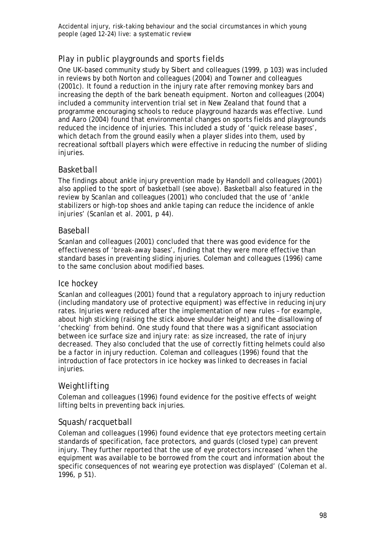## *Play in public playgrounds and sports fields*

One UK-based community study by Sibert and colleagues (1999, p 103) was included in reviews by both Norton and colleagues (2004) and Towner and colleagues (2001c). It found a reduction in the injury rate after removing monkey bars and increasing the depth of the bark beneath equipment. Norton and colleagues (2004) included a community intervention trial set in New Zealand that found that a programme encouraging schools to reduce playground hazards was effective. Lund and Aaro (2004) found that environmental changes on sports fields and playgrounds reduced the incidence of injuries. This included a study of 'quick release bases', which detach from the ground easily when a player slides into them, used by recreational softball players which were effective in reducing the number of sliding injuries.

## *Basketball*

The findings about ankle injury prevention made by Handoll and colleagues (2001) also applied to the sport of basketball (see above). Basketball also featured in the review by Scanlan and colleagues (2001) who concluded that the use of 'ankle stabilizers or high-top shoes and ankle taping can reduce the incidence of ankle injuries' (Scanlan et al. 2001, p 44).

## *Baseball*

Scanlan and colleagues (2001) concluded that there was good evidence for the effectiveness of 'break-away bases', finding that they were more effective than standard bases in preventing sliding injuries. Coleman and colleagues (1996) came to the same conclusion about modified bases.

## *Ice hockey*

Scanlan and colleagues (2001) found that a regulatory approach to injury reduction (including mandatory use of protective equipment) was effective in reducing injury rates. Injuries were reduced after the implementation of new rules – for example, about high sticking (raising the stick above shoulder height) and the disallowing of 'checking' from behind. One study found that there was a significant association between ice surface size and injury rate: as size increased, the rate of injury decreased. They also concluded that the use of correctly fitting helmets could also be a factor in injury reduction. Coleman and colleagues (1996) found that the introduction of face protectors in ice hockey was linked to decreases in facial injuries.

## *Weightlifting*

Coleman and colleagues (1996) found evidence for the positive effects of weight lifting belts in preventing back injuries.

## *Squash/racquetball*

Coleman and colleagues (1996) found evidence that eye protectors meeting certain standards of specification, face protectors, and guards (closed type) can prevent injury. They further reported that the use of eye protectors increased 'when the equipment was available to be borrowed from the court and information about the specific consequences of not wearing eye protection was displayed' (Coleman et al. 1996, p 51).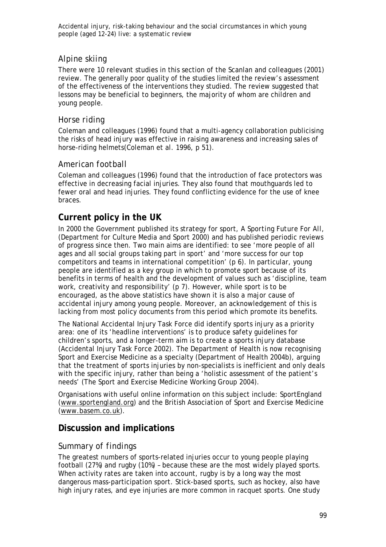## *Alpine skiing*

There were 10 relevant studies in this section of the Scanlan and colleagues (2001) review. The generally poor quality of the studies limited the review's assessment of the effectiveness of the interventions they studied. The review suggested that lessons may be beneficial to beginners, the majority of whom are children and young people.

## *Horse riding*

Coleman and colleagues (1996) found that a multi-agency collaboration publicising the risks of head injury was effective in raising awareness and increasing sales of horse-riding helmets(Coleman et al. 1996, p 51).

## *American football*

Coleman and colleagues (1996) found that the introduction of face protectors was effective in decreasing facial injuries. They also found that mouthguards led to fewer oral and head injuries. They found conflicting evidence for the use of knee braces.

## **Current policy in the UK**

In 2000 the Government published its strategy for sport, *A Sporting Future For All*, (Department for Culture Media and Sport 2000) and has published periodic reviews of progress since then. Two main aims are identified: to see 'more people of all ages and all social groups taking part in sport' and 'more success for our top competitors and teams in international competition' (p 6). In particular, young people are identified as a key group in which to promote sport because of its benefits in terms of health and the development of values such as 'discipline, team work, creativity and responsibility' (p 7). However, while sport is to be encouraged, as the above statistics have shown it is also a major cause of accidental injury among young people. Moreover, an acknowledgement of this is lacking from most policy documents from this period which promote its benefits.

The National Accidental Injury Task Force did identify sports injury as a priority area: one of its 'headline interventions' is to produce safety guidelines for children's sports, and a longer-term aim is to create a sports injury database (Accidental Injury Task Force 2002). The Department of Health is now recognising Sport and Exercise Medicine as a specialty (Department of Health 2004b), arguing that the treatment of sports injuries by non-specialists is inefficient and only deals with the specific injury, rather than being a 'holistic assessment of the patient's needs' (The Sport and Exercise Medicine Working Group 2004).

Organisations with useful online information on this subject include: SportEngland (www.sportengland.org) and the British Association of Sport and Exercise Medicine (www.basem.co.uk).

## **Discussion and implications**

## *Summary of findings*

The greatest numbers of sports-related injuries occur to young people playing football (27%) and rugby (10%) – because these are the most widely played sports. When activity rates are taken into account, rugby is by a long way the most dangerous mass-participation sport. Stick-based sports, such as hockey, also have high injury rates, and eye injuries are more common in racquet sports. One study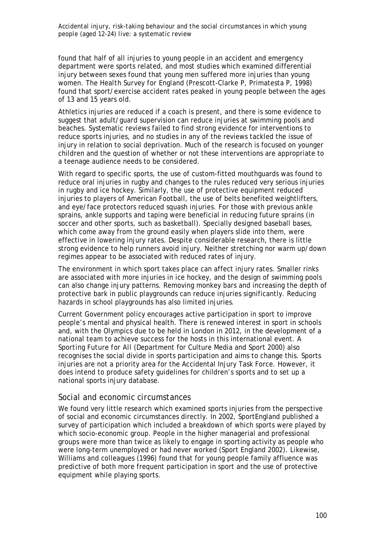found that half of all injuries to young people in an accident and emergency department were sports related, and most studies which examined differential injury between sexes found that young men suffered more injuries than young women. The *Health Survey for England* (Prescott-Clarke P, Primatesta P, 1998) found that sport/exercise accident rates peaked in young people between the ages of 13 and 15 years old.

Athletics injuries are reduced if a coach is present, and there is some evidence to suggest that adult/guard supervision can reduce injuries at swimming pools and beaches. Systematic reviews failed to find strong evidence for interventions to reduce sports injuries, and no studies in any of the reviews tackled the issue of injury in relation to social deprivation. Much of the research is focused on younger children and the question of whether or not these interventions are appropriate to a teenage audience needs to be considered.

With regard to specific sports, the use of custom-fitted mouthguards was found to reduce oral injuries in rugby and changes to the rules reduced very serious injuries in rugby and ice hockey. Similarly, the use of protective equipment reduced injuries to players of American Football, the use of belts benefited weightlifters, and eye/face protectors reduced squash injuries. For those with previous ankle sprains, ankle supports and taping were beneficial in reducing future sprains (in soccer and other sports, such as basketball). Specially designed baseball bases, which come away from the ground easily when players slide into them, were effective in lowering injury rates. Despite considerable research, there is little strong evidence to help runners avoid injury. Neither stretching nor warm up/down regimes appear to be associated with reduced rates of injury.

The environment in which sport takes place can affect injury rates. Smaller rinks are associated with more injuries in ice hockey, and the design of swimming pools can also change injury patterns. Removing monkey bars and increasing the depth of protective bark in public playgrounds can reduce injuries significantly. Reducing hazards in school playgrounds has also limited injuries.

Current Government policy encourages active participation in sport to improve people's mental and physical health. There is renewed interest in sport in schools and, with the Olympics due to be held in London in 2012, in the development of a national team to achieve success for the hosts in this international event. *A Sporting Future for All* (Department for Culture Media and Sport 2000) also recognises the social divide in sports participation and aims to change this. Sports injuries are not a priority area for the Accidental Injury Task Force. However, it does intend to produce safety guidelines for children's sports and to set up a national sports injury database.

### *Social and economic circumstances*

We found very little research which examined sports injuries from the perspective of social and economic circumstances directly. In 2002, SportEngland published a survey of participation which included a breakdown of which sports were played by which socio-economic group. People in the higher managerial and professional groups were more than twice as likely to engage in sporting activity as people who were long-term unemployed or had never worked (Sport England 2002). Likewise, Williams and colleagues (1996) found that for young people family affluence was predictive of both more frequent participation in sport and the use of protective equipment while playing sports.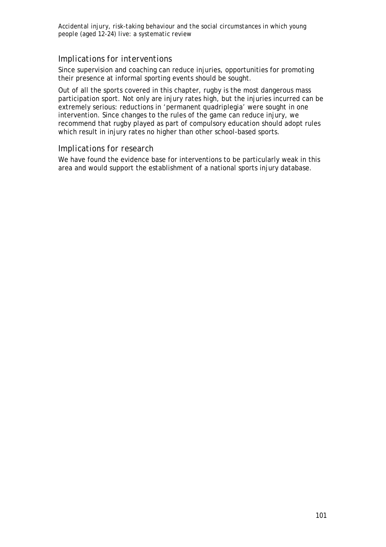## *Implications for interventions*

Since supervision and coaching can reduce injuries, opportunities for promoting their presence at informal sporting events should be sought.

Out of all the sports covered in this chapter, rugby is the most dangerous mass participation sport. Not only are injury rates high, but the injuries incurred can be extremely serious: reductions in 'permanent quadriplegia' were sought in one intervention. Since changes to the rules of the game can reduce injury, we recommend that rugby played as part of compulsory education should adopt rules which result in injury rates no higher than other school-based sports.

### *Implications for research*

We have found the evidence base for interventions to be particularly weak in this area and would support the establishment of a national sports injury database.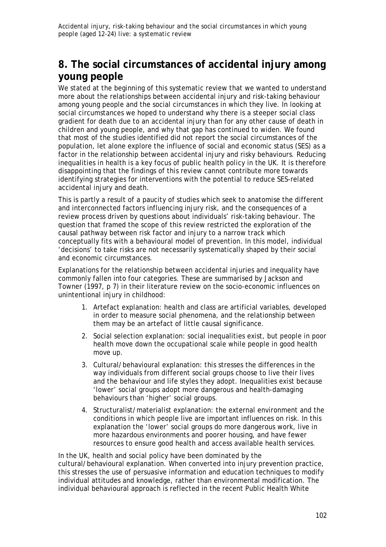# **8. The social circumstances of accidental injury among young people**

We stated at the beginning of this systematic review that we wanted to understand more about the relationships between accidental injury and risk-taking behaviour among young people and the social circumstances in which they live. In looking at social circumstances we hoped to understand why there is a steeper social class gradient for death due to an accidental injury than for any other cause of death in children and young people, and why that gap has continued to widen. We found that most of the studies identified did not report the social circumstances of the population, let alone explore the influence of social and economic status (SES) as a factor in the relationship between accidental injury and risky behaviours. Reducing inequalities in health is a key focus of public health policy in the UK. It is therefore disappointing that the findings of this review cannot contribute more towards identifying strategies for interventions with the potential to reduce SES-related accidental injury and death.

This is partly a result of a paucity of studies which seek to anatomise the different and interconnected factors influencing injury risk, and the consequences of a review process driven by questions about individuals' risk-taking behaviour. The question that framed the scope of this review restricted the exploration of the causal pathway between risk factor and injury to a narrow track which conceptually fits with a behavioural model of prevention. In this model, individual 'decisions' to take risks are not necessarily systematically shaped by their social and economic circumstances.

Explanations for the relationship between accidental injuries and inequality have commonly fallen into four categories. These are summarised by Jackson and Towner (1997, p 7) in their literature review on the socio-economic influences on unintentional injury in childhood:

- 1. Artefact explanation: health and class are artificial variables, developed in order to measure social phenomena, and the relationship between them may be an artefact of little causal significance.
- 2. Social selection explanation: social inequalities exist, but people in poor health move down the occupational scale while people in good health move up.
- 3. Cultural/behavioural explanation: this stresses the differences in the way individuals from different social groups choose to live their lives and the behaviour and life styles they adopt. Inequalities exist because 'lower' social groups adopt more dangerous and health-damaging behaviours than 'higher' social groups.
- 4. Structuralist/materialist explanation: the external environment and the conditions in which people live are important influences on risk. In this explanation the 'lower' social groups do more dangerous work, live in more hazardous environments and poorer housing, and have fewer resources to ensure good health and access available health services.

In the UK, health and social policy have been dominated by the cultural/behavioural explanation. When converted into injury prevention practice, this stresses the use of persuasive information and education techniques to modify individual attitudes and knowledge, rather than environmental modification. The individual behavioural approach is reflected in the recent Public Health White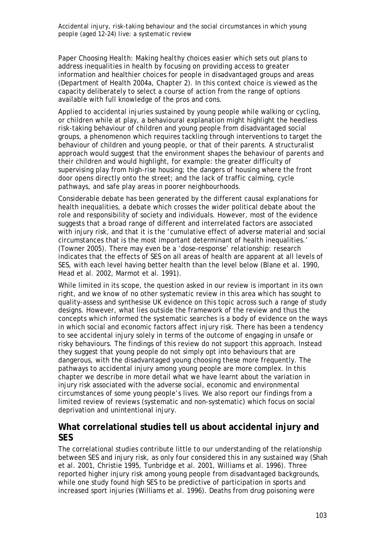Paper C*hoosing Health: Making healthy choices easier* which sets out plans to address inequalities in health by focusing on providing access to greater information and healthier choices for people in disadvantaged groups and areas (Department of Health 2004a, Chapter 2). In this context choice is viewed as the capacity deliberately to select a course of action from the range of options available with full knowledge of the pros and cons.

Applied to accidental injuries sustained by young people while walking or cycling, or children while at play, a behavioural explanation might highlight the heedless risk-taking behaviour of children and young people from disadvantaged social groups, a phenomenon which requires tackling through interventions to target the behaviour of children and young people, or that of their parents. A structuralist approach would suggest that the environment shapes the behaviour of parents and their children and would highlight, for example: the greater difficulty of supervising play from high-rise housing; the dangers of housing where the front door opens directly onto the street; and the lack of traffic calming, cycle pathways, and safe play areas in poorer neighbourhoods.

Considerable debate has been generated by the different causal explanations for health inequalities, a debate which crosses the wider political debate about the role and responsibility of society and individuals. However, most of the evidence suggests that a broad range of different and interrelated factors are associated with injury risk, and that it is the 'cumulative effect of adverse material and social circumstances that is the most important determinant of health inequalities.' (Towner 2005). There may even be a 'dose–response' relationship: research indicates that the effects of SES on all areas of health are apparent at all levels of SES, with each level having better health than the level below (Blane et al. 1990, Head et al. 2002, Marmot et al. 1991).

While limited in its scope, the question asked in our review is important in its own right, and we know of no other systematic review in this area which has sought to quality-assess and synthesise UK evidence on this topic across such a range of study designs. However, what lies outside the framework of the review and thus the concepts which informed the systematic searches is a body of evidence on the ways in which social and economic factors affect injury risk. There has been a tendency to see accidental injury solely in terms of the outcome of engaging in unsafe or risky behaviours. The findings of this review do not support this approach. Instead they suggest that young people do not simply opt into behaviours that are dangerous, with the disadvantaged young choosing these more frequently. The pathways to accidental injury among young people are more complex. In this chapter we describe in more detail what we have learnt about the variation in injury risk associated with the adverse social, economic and environmental circumstances of some young people's lives. We also report our findings from a limited review of reviews (systematic and non-systematic) which focus on social deprivation and unintentional injury.

## **What correlational studies tell us about accidental injury and SES**

The correlational studies contribute little to our understanding of the relationship between SES and injury risk, as only four considered this in any sustained way (Shah et al. 2001, Christie 1995, Tunbridge et al. 2001, Williams et al. 1996). Three reported higher injury risk among young people from disadvantaged backgrounds, while one study found high SES to be predictive of participation in sports and increased sport injuries (Williams et al. 1996). Deaths from drug poisoning were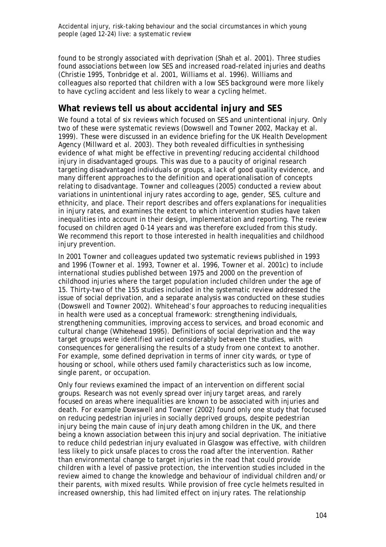found to be strongly associated with deprivation (Shah et al. 2001). Three studies found associations between low SES and increased road-related injuries and deaths (Christie 1995, Tonbridge et al. 2001, Williams et al. 1996). Williams and colleagues also reported that children with a low SES background were more likely to have cycling accident and less likely to wear a cycling helmet.

# **What reviews tell us about accidental injury and SES**

We found a total of six reviews which focused on SES and unintentional injury. Only two of these were systematic reviews (Dowswell and Towner 2002, Mackay et al. 1999). These were discussed in an evidence briefing for the UK Health Development Agency (Millward et al. 2003). They both revealed difficulties in synthesising evidence of what might be effective in preventing/reducing accidental childhood injury in disadvantaged groups. This was due to a paucity of original research targeting disadvantaged individuals or groups, a lack of good quality evidence, and many different approaches to the definition and operationalisation of concepts relating to disadvantage. Towner and colleagues (2005) conducted a review about variations in unintentional injury rates according to age, gender, SES, culture and ethnicity, and place. Their report describes and offers explanations for inequalities in injury rates, and examines the extent to which intervention studies have taken inequalities into account in their design, implementation and reporting. The review focused on children aged 0-14 years and was therefore excluded from this study. We recommend this report to those interested in health inequalities and childhood injury prevention.

In 2001 Towner and colleagues updated two systematic reviews published in 1993 and 1996 (Towner et al. 1993, Towner et al. 1996, Towner et al. 2001c) to include international studies published between 1975 and 2000 on the prevention of childhood injuries where the target population included children under the age of 15. Thirty-two of the 155 studies included in the systematic review addressed the issue of social deprivation, and a separate analysis was conducted on these studies (Dowswell and Towner 2002). Whitehead's four approaches to reducing inequalities in health were used as a conceptual framework: strengthening individuals, strengthening communities, improving access to services, and broad economic and cultural change (Whitehead 1995). Definitions of social deprivation and the way target groups were identified varied considerably between the studies, with consequences for generalising the results of a study from one context to another. For example, some defined deprivation in terms of inner city wards, or type of housing or school, while others used family characteristics such as low income, single parent, or occupation.

Only four reviews examined the impact of an intervention on different social groups. Research was not evenly spread over injury target areas, and rarely focused on areas where inequalities are known to be associated with injuries and death. For example Dowswell and Towner (2002) found only one study that focused on reducing pedestrian injuries in socially deprived groups, despite pedestrian injury being the main cause of injury death among children in the UK, and there being a known association between this injury and social deprivation. The initiative to reduce child pedestrian injury evaluated in Glasgow was effective, with children less likely to pick unsafe places to cross the road after the intervention. Rather than environmental change to target injuries in the road that could provide children with a level of passive protection, the intervention studies included in the review aimed to change the knowledge and behaviour of individual children and/or their parents, with mixed results. While provision of free cycle helmets resulted in increased ownership, this had limited effect on injury rates. The relationship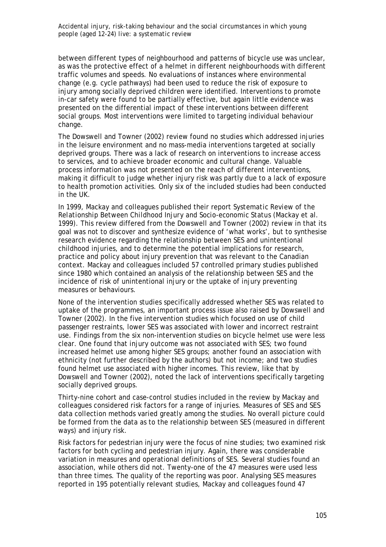between different types of neighbourhood and patterns of bicycle use was unclear, as was the protective effect of a helmet in different neighbourhoods with different traffic volumes and speeds. No evaluations of instances where environmental change (e.g. cycle pathways) had been used to reduce the risk of exposure to injury among socially deprived children were identified. Interventions to promote in-car safety were found to be partially effective, but again little evidence was presented on the differential impact of these interventions between different social groups. Most interventions were limited to targeting individual behaviour change.

The Dowswell and Towner (2002) review found no studies which addressed injuries in the leisure environment and no mass-media interventions targeted at socially deprived groups. There was a lack of research on interventions to increase access to services, and to achieve broader economic and cultural change. Valuable process information was not presented on the reach of different interventions, making it difficult to judge whether injury risk was partly due to a lack of exposure to health promotion activities. Only six of the included studies had been conducted in the UK.

In 1999, Mackay and colleagues published their report *Systematic Review of the Relationship Between Childhood Injury and Socio-economic Status* (Mackay et al. 1999). This review differed from the Dowswell and Towner (2002) review in that its goal was not to discover and synthesize evidence of 'what works', but to synthesise research evidence regarding the relationship between SES and unintentional childhood injuries, and to determine the potential implications for research, practice and policy about injury prevention that was relevant to the Canadian context. Mackay and colleagues included 57 controlled primary studies published since 1980 which contained an analysis of the relationship between SES and the incidence of risk of unintentional injury or the uptake of injury preventing measures or behaviours.

None of the intervention studies specifically addressed whether SES was related to uptake of the programmes, an important process issue also raised by Dowswell and Towner (2002). In the five intervention studies which focused on use of child passenger restraints, lower SES was associated with lower and incorrect restraint use. Findings from the six non-intervention studies on bicycle helmet use were less clear. One found that injury outcome was not associated with SES; two found increased helmet use among higher SES groups; another found an association with ethnicity (not further described by the authors) but not income; and two studies found helmet use associated with higher incomes. This review, like that by Dowswell and Towner (2002), noted the lack of interventions specifically targeting socially deprived groups.

Thirty-nine cohort and case-control studies included in the review by Mackay and colleagues considered risk factors for a range of injuries. Measures of SES and SES data collection methods varied greatly among the studies. No overall picture could be formed from the data as to the relationship between SES (measured in different ways) and injury risk.

Risk factors for pedestrian injury were the focus of nine studies; two examined risk factors for both cycling and pedestrian injury. Again, there was considerable variation in measures and operational definitions of SES. Several studies found an association, while others did not. Twenty-one of the 47 measures were used less than three times. The quality of the reporting was poor. Analysing SES measures reported in 195 potentially relevant studies, Mackay and colleagues found 47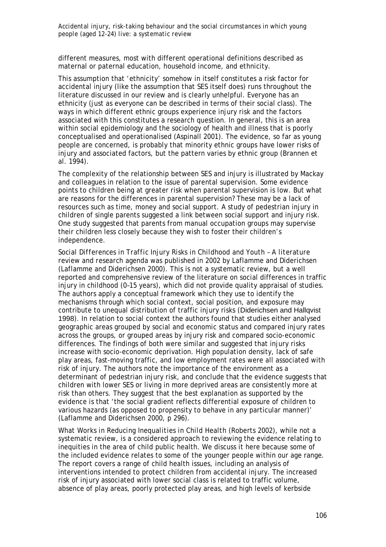different measures, most with different operational definitions described as maternal or paternal education, household income, and ethnicity.

This assumption that 'ethnicity' somehow in itself constitutes a risk factor for accidental injury (like the assumption that SES itself does) runs throughout the literature discussed in our review and is clearly unhelpful. Everyone has an ethnicity (just as everyone can be described in terms of their social class). The ways in which different ethnic groups experience injury risk and the factors associated with this constitutes a research question. In general, this is an area within social epidemiology and the sociology of health and illness that is poorly conceptualised and operationalised (Aspinall 2001). The evidence, so far as young people are concerned, is probably that minority ethnic groups have lower risks of injury and associated factors, but the pattern varies by ethnic group (Brannen et al. 1994).

The complexity of the relationship between SES and injury is illustrated by Mackay and colleagues in relation to the issue of parental supervision. Some evidence points to children being at greater risk when parental supervision is low. But what are reasons for the differences in parental supervision? These may be a lack of resources such as time, money and social support. A study of pedestrian injury in children of single parents suggested a link between social support and injury risk. One study suggested that parents from manual occupation groups may supervise their children less closely because they wish to foster their children's independence.

*Social Differences in Traffic Injury Risks in Childhood and Youth – A literature review and research agenda* was published in 2002 by Laflamme and Diderichsen (Laflamme and Diderichsen 2000). This is not a systematic review, but a well reported and comprehensive review of the literature on social differences in traffic injury in childhood (0–15 years), which did not provide quality appraisal of studies. The authors apply a conceptual framework which they use to identify the mechanisms through which social context, social position, and exposure may contribute to unequal distribution of traffic injury risks (Diderichsen and Hallqvist 1998). In relation to social context the authors found that studies either analysed geographic areas grouped by social and economic status and compared injury rates across the groups, or grouped areas by injury risk and compared socio-economic differences. The findings of both were similar and suggested that injury risks increase with socio-economic deprivation. High population density, lack of safe play areas, fast-moving traffic, and low employment rates were all associated with risk of injury. The authors note the importance of the environment as a determinant of pedestrian injury risk, and conclude that the evidence suggests that children with lower SES or living in more deprived areas are consistently more at risk than others. They suggest that the best explanation as supported by the evidence is that 'the social gradient reflects differential exposure of children to various hazards (as opposed to propensity to behave in any particular manner)' (Laflamme and Diderichsen 2000, p 296).

*What Works in Reducing Inequalities in Child Health* (Roberts 2002), while not a systematic review, is a considered approach to reviewing the evidence relating to inequities in the area of child public health. We discuss it here because some of the included evidence relates to some of the younger people within our age range. The report covers a range of child health issues, including an analysis of interventions intended to protect children from accidental injury. The increased risk of injury associated with lower social class is related to traffic volume, absence of play areas, poorly protected play areas, and high levels of kerbside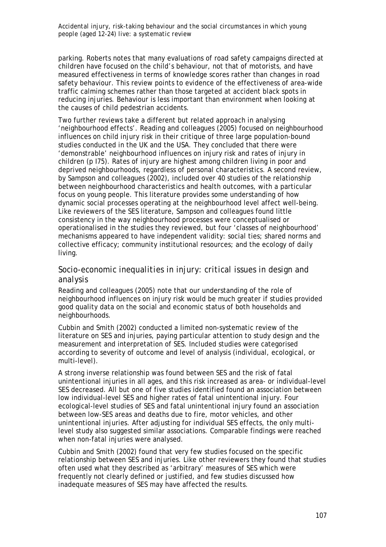parking. Roberts notes that many evaluations of road safety campaigns directed at children have focused on the child's behaviour, not that of motorists, and have measured effectiveness in terms of knowledge scores rather than changes in road safety behaviour. This review points to evidence of the effectiveness of area-wide traffic calming schemes rather than those targeted at accident black spots in reducing injuries. Behaviour is less important than environment when looking at the causes of child pedestrian accidents.

Two further reviews take a different but related approach in analysing 'neighbourhood effects'. Reading and colleagues (2005) focused on neighbourhood influences on child injury risk in their critique of three large population-bound studies conducted in the UK and the USA. They concluded that there were 'demonstrable' neighbourhood influences on injury risk and rates of injury in children (p I75). Rates of injury are highest among children living in poor and deprived neighbourhoods, regardless of personal characteristics. A second review, by Sampson and colleagues (2002), included over 40 studies of the relationship between neighbourhood characteristics and health outcomes, with a particular focus on young people. This literature provides some understanding of how dynamic social processes operating at the neighbourhood level affect well-being. Like reviewers of the SES literature, Sampson and colleagues found little consistency in the way neighbourhood processes were conceptualised or operationalised in the studies they reviewed, but four 'classes of neighbourhood' mechanisms appeared to have independent validity: social ties; shared norms and collective efficacy; community institutional resources; and the ecology of daily living.

### *Socio-economic inequalities in injury: critical issues in design and analysis*

Reading and colleagues (2005) note that our understanding of the role of neighbourhood influences on injury risk would be much greater if studies provided good quality data on the social and economic status of both households *and* neighbourhoods.

Cubbin and Smith (2002) conducted a limited non-systematic review of the literature on SES and injuries, paying particular attention to study design and the measurement and interpretation of SES. Included studies were categorised according to severity of outcome and level of analysis (individual, ecological, or multi-level).

A strong inverse relationship was found between SES and the risk of fatal unintentional injuries in all ages, and this risk increased as area- or individual-level SES decreased. All but one of five studies identified found an association between low individual-level SES and higher rates of fatal unintentional injury. Four ecological-level studies of SES and fatal unintentional injury found an association between low-SES areas and deaths due to fire, motor vehicles, and other unintentional injuries. After adjusting for individual SES effects, the only multilevel study also suggested similar associations. Comparable findings were reached when non-fatal injuries were analysed.

Cubbin and Smith (2002) found that very few studies focused on the specific relationship between SES and injuries. Like other reviewers they found that studies often used what they described as 'arbitrary' measures of SES which were frequently not clearly defined or justified, and few studies discussed how inadequate measures of SES may have affected the results.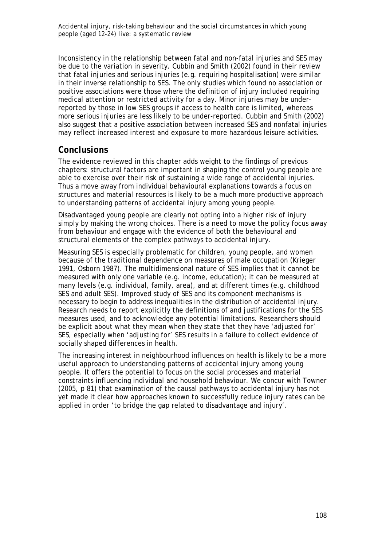Inconsistency in the relationship between fatal and non-fatal injuries and SES may be due to the variation in severity. Cubbin and Smith (2002) found in their review that fatal injuries and serious injuries (e.g. requiring hospitalisation) were similar in their inverse relationship to SES. The only studies which found no association or positive associations were those where the definition of injury included requiring medical attention or restricted activity for a day. Minor injuries may be underreported by those in low SES groups if access to health care is limited, whereas more serious injuries are less likely to be under-reported. Cubbin and Smith (2002) also suggest that a positive association between increased SES and nonfatal injuries may reflect increased interest and exposure to more hazardous leisure activities.

## *Conclusions*

The evidence reviewed in this chapter adds weight to the findings of previous chapters: structural factors are important in shaping the control young people are able to exercise over their risk of sustaining a wide range of accidental injuries. Thus a move away from individual behavioural explanations towards a focus on structures and material resources is likely to be a much more productive approach to understanding patterns of accidental injury among young people.

Disadvantaged young people are clearly not opting into a higher risk of injury simply by making the wrong choices. There is a need to move the policy focus away from behaviour and engage with the evidence of both the behavioural and structural elements of the complex pathways to accidental injury.

Measuring SES is especially problematic for children, young people, and women because of the traditional dependence on measures of male occupation (Krieger 1991, Osborn 1987). The multidimensional nature of SES implies that it cannot be measured with only one variable (e.g. income, education); it can be measured at many levels (e.g. individual, family, area), and at different times (e.g. childhood SES and adult SES). Improved study of SES and its component mechanisms is necessary to begin to address inequalities in the distribution of accidental injury. Research needs to report explicitly the definitions of and justifications for the SES measures used, and to acknowledge any potential limitations. Researchers should be explicit about what they mean when they state that they have 'adjusted for' SES, especially when 'adjusting for' SES results in a failure to collect evidence of socially shaped differences in health.

The increasing interest in neighbourhood influences on health is likely to be a more useful approach to understanding patterns of accidental injury among young people. It offers the potential to focus on the social processes and material constraints influencing individual and household behaviour. We concur with Towner (2005, p 81) that examination of the causal pathways to accidental injury has not yet made it clear how approaches known to successfully reduce injury rates can be applied in order 'to bridge the gap related to disadvantage and injury'.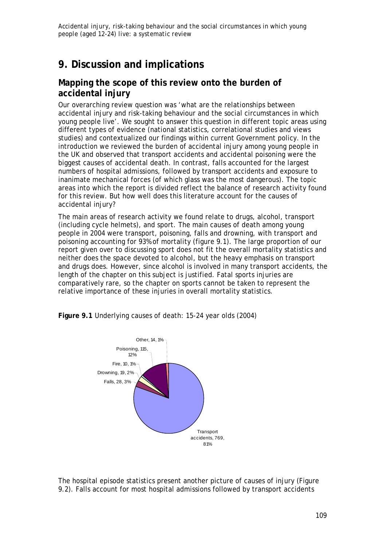# **9. Discussion and implications**

# **Mapping the scope of this review onto the burden of accidental injury**

Our overarching review question was 'what are the relationships between accidental injury and risk-taking behaviour and the social circumstances in which young people live'. We sought to answer this question in different topic areas using different types of evidence (national statistics, correlational studies and views studies) and contextualized our findings within current Government policy. In the introduction we reviewed the burden of accidental injury among young people in the UK and observed that transport accidents and accidental poisoning were the biggest causes of accidental death. In contrast, falls accounted for the largest numbers of hospital admissions, followed by transport accidents and exposure to inanimate mechanical forces (of which glass was the most dangerous). The topic areas into which the report is divided reflect the balance of research activity found for this review. But how well does this literature account for the causes of accidental injury?

The main areas of research activity we found relate to drugs, alcohol, transport (including cycle helmets), and sport. The main causes of death among young people in 2004 were transport, poisoning, falls and drowning, with transport and poisoning accounting for 93% of mortality (figure 9.1). The large proportion of our report given over to discussing sport does not fit the overall mortality statistics and neither does the space devoted to alcohol, but the heavy emphasis on transport and drugs does. However, since alcohol is involved in many transport accidents, the length of the chapter on this subject is justified. Fatal sports injuries are comparatively rare, so the chapter on sports cannot be taken to represent the relative importance of these injuries in overall mortality statistics.





The hospital episode statistics present another picture of causes of injury (Figure 9.2). Falls account for most hospital admissions followed by transport accidents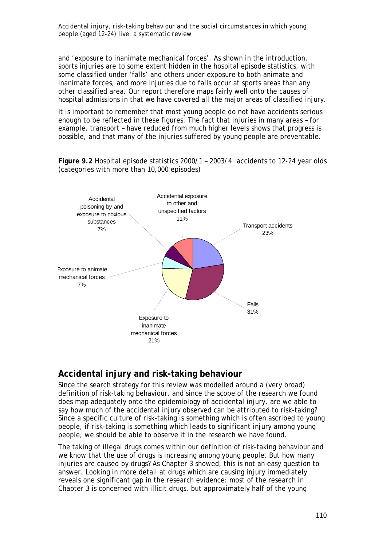and 'exposure to inanimate mechanical forces'. As shown in the introduction, sports injuries are to some extent hidden in the hospital episode statistics, with some classified under 'falls' and others under exposure to both animate and inanimate forces, and more injuries due to falls occur at sports areas than any other classified area. Our report therefore maps fairly well onto the causes of hospital admissions in that we have covered all the major areas of classified injury.

It is important to remember that most young people do not have accidents serious enough to be reflected in these figures. The fact that injuries in many areas – for example, transport – have reduced from much higher levels shows that progress is possible, and that many of the injuries suffered by young people are preventable.

**Figure 9.2** Hospital episode statistics 2000/1 – 2003/4: accidents to 12-24 year olds (categories with more than 10,000 episodes)



### **Accidental injury and risk-taking behaviour**

Since the search strategy for this review was modelled around a (very broad) definition of risk-taking behaviour, and since the scope of the research we found does map adequately onto the epidemiology of accidental injury, are we able to say how much of the accidental injury observed can be attributed to risk-taking? Since a specific culture of risk-taking is something which is often ascribed to young people, if risk-taking is something which leads to significant injury among young people, we should be able to observe it in the research we have found.

The taking of illegal drugs comes within our definition of risk-taking behaviour and we know that the use of drugs is increasing among young people. But how many injuries are caused by drugs? As Chapter 3 showed, this is not an easy question to answer. Looking in more detail at drugs which are causing injury immediately reveals one significant gap in the research evidence: most of the research in Chapter 3 is concerned with illicit drugs, but approximately half of the young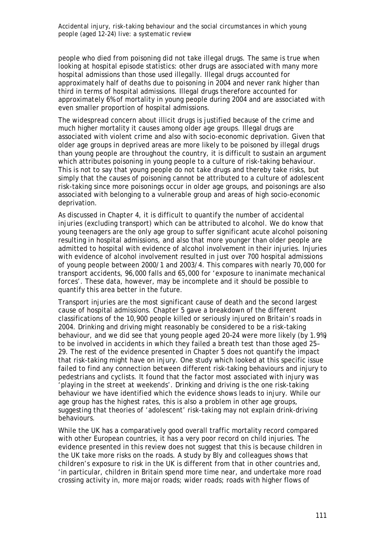people who died from poisoning did not take illegal drugs. The same is true when looking at hospital episode statistics: other drugs are associated with many more hospital admissions than those used illegally. Illegal drugs accounted for approximately half of deaths due to poisoning in 2004 and never rank higher than third in terms of hospital admissions. Illegal drugs therefore accounted for approximately 6% of mortality in young people during 2004 and are associated with even smaller proportion of hospital admissions.

The widespread concern about illicit drugs is justified because of the crime and much higher mortality it causes among older age groups. Illegal drugs are associated with violent crime and also with socio-economic deprivation. Given that older age groups in deprived areas are more likely to be poisoned by illegal drugs than young people are throughout the country, it is difficult to sustain an argument which attributes poisoning in young people to a culture of risk-taking behaviour. This is not to say that young people do not take drugs and thereby take risks, but simply that the causes of poisoning cannot be attributed to a culture of adolescent risk-taking since more poisonings occur in older age groups, and poisonings are also associated with belonging to a vulnerable group and areas of high socio-economic deprivation.

As discussed in Chapter 4, it is difficult to quantify the number of accidental injuries (excluding transport) which can be attributed to alcohol. We do know that young teenagers are the only age group to suffer significant acute alcohol poisoning resulting in hospital admissions, and also that more younger than older people are admitted to hospital with evidence of alcohol involvement in their injuries. Injuries with evidence of alcohol involvement resulted in just over 700 hospital admissions of young people between 2000/1 and 2003/4. This compares with nearly 70,000 for transport accidents, 96,000 falls and 65,000 for 'exposure to inanimate mechanical forces'. These data, however, may be incomplete and it should be possible to quantify this area better in the future.

Transport injuries are the most significant cause of death and the second largest cause of hospital admissions. Chapter 5 gave a breakdown of the different classifications of the 10,900 people killed or seriously injured on Britain's roads in 2004. Drinking and driving might reasonably be considered to be a risk-taking behaviour, and we did see that young people aged 20–24 were more likely (by 1.9%) to be involved in accidents in which they failed a breath test than those aged 25– 29. The rest of the evidence presented in Chapter 5 does not quantify the impact that risk-taking might have on injury. One study which looked at this specific issue failed to find any connection between different risk-taking behaviours and injury to pedestrians and cyclists. It found that the factor most associated with injury was 'playing in the street at weekends'. Drinking and driving is the one risk-taking behaviour we have identified which the evidence shows leads to injury. While our age group has the highest rates, this is also a problem in other age groups, suggesting that theories of 'adolescent' risk-taking may not explain drink-driving behaviours.

While the UK has a comparatively good overall traffic mortality record compared with other European countries, it has a very poor record on child injuries. The evidence presented in this review does not suggest that this is because children in the UK take more risks on the roads. A study by Bly and colleagues shows that children's exposure to risk in the UK is different from that in other countries and, 'in particular, children in Britain spend more time near, and undertake more road crossing activity in, more major roads; wider roads; roads with higher flows of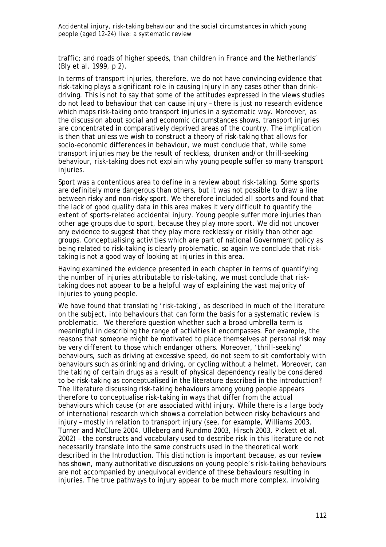traffic; and roads of higher speeds, than children in France and the Netherlands' (Bly et al. 1999, p 2).

In terms of transport injuries, therefore, we do not have convincing evidence that risk-taking plays a significant role in causing injury in any cases other than drinkdriving. This is not to say that some of the attitudes expressed in the views studies do not lead to behaviour that can cause injury – there is just no research evidence which maps risk-taking onto transport injuries in a systematic way. Moreover, as the discussion about social and economic circumstances shows, transport injuries are concentrated in comparatively deprived areas of the country. The implication is then that unless we wish to construct a theory of risk-taking that allows for socio-economic differences in behaviour, we must conclude that, while some transport injuries may be the result of reckless, drunken and/or thrill-seeking behaviour, risk-taking does not explain why young people suffer so many transport injuries.

Sport was a contentious area to define in a review about risk-taking. Some sports are definitely more dangerous than others, but it was not possible to draw a line between risky and non-risky sport. We therefore included all sports and found that the lack of good quality data in this area makes it very difficult to quantify the extent of sports-related accidental injury. Young people suffer more injuries than other age groups due to sport, because they play more sport. We did not uncover any evidence to suggest that they play more recklessly or riskily than other age groups. Conceptualising activities which are part of national Government policy as being related to risk-taking is clearly problematic, so again we conclude that risktaking is not a good way of looking at injuries in this area.

Having examined the evidence presented in each chapter in terms of quantifying the number of injuries attributable to risk-taking, we must conclude that risktaking does not appear to be a helpful way of explaining the vast majority of injuries to young people.

We have found that translating 'risk-taking', as described in much of the literature on the subject, into behaviours that can form the basis for a systematic review is problematic. We therefore question whether such a broad umbrella term is meaningful in describing the range of activities it encompasses. For example, the reasons that someone might be motivated to place themselves at personal risk may be very different to those which endanger others. Moreover, 'thrill-seeking' behaviours, such as driving at excessive speed, do not seem to sit comfortably with behaviours such as drinking and driving, or cycling without a helmet. Moreover, can the taking of certain drugs as a result of physical dependency really be considered to be risk-taking as conceptualised in the literature described in the introduction? The literature discussing risk-taking behaviours among young people appears therefore to conceptualise risk-taking in ways that differ from the actual behaviours which cause (or are associated with) injury. While there is a large body of international research which shows a correlation between risky behaviours and injury – mostly in relation to transport injury (see, for example, Williams 2003, Turner and McClure 2004, Ulleberg and Rundmo 2003, Hirsch 2003, Pickett et al. 2002) – the constructs and vocabulary used to describe risk in this literature do not necessarily translate into the same constructs used in the theoretical work described in the Introduction. This distinction is important because, as our review has shown, many authoritative discussions on young people's risk-taking behaviours are not accompanied by unequivocal evidence of these behaviours resulting in injuries. The true pathways to injury appear to be much more complex, involving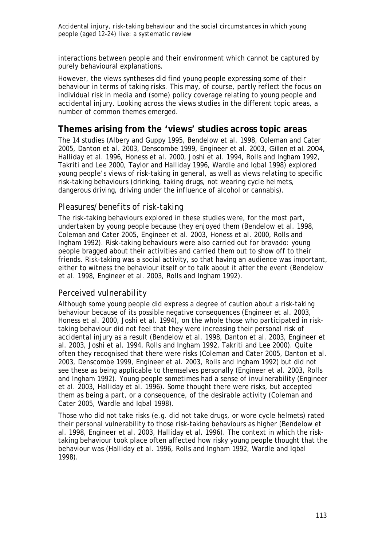interactions between people and their environment which cannot be captured by purely behavioural explanations.

However, the views syntheses did find young people expressing some of their behaviour in terms of taking risks. This may, of course, partly reflect the focus on individual risk in media and (some) policy coverage relating to young people and accidental injury. Looking across the views studies in the different topic areas, a number of common themes emerged.

### **Themes arising from the 'views' studies across topic areas**

The 14 studies (Albery and Guppy 1995, Bendelow et al. 1998, Coleman and Cater 2005, Danton et al. 2003, Denscombe 1999, Engineer et al. 2003, Gillen et al. 2004, Halliday et al. 1996, Honess et al. 2000, Joshi et al. 1994, Rolls and Ingham 1992, Takriti and Lee 2000, Taylor and Halliday 1996, Wardle and Iqbal 1998) explored young people's views of risk-taking in general, as well as views relating to specific risk-taking behaviours (drinking, taking drugs, not wearing cycle helmets, dangerous driving, driving under the influence of alcohol or cannabis).

### *Pleasures/benefits of risk-taking*

The risk-taking behaviours explored in these studies were, for the most part, undertaken by young people because they enjoyed them (Bendelow et al. 1998, Coleman and Cater 2005, Engineer et al. 2003, Honess et al. 2000, Rolls and Ingham 1992). Risk-taking behaviours were also carried out for bravado: young people bragged about their activities and carried them out to show off to their friends. Risk-taking was a social activity, so that having an audience was important, either to witness the behaviour itself or to talk about it after the event (Bendelow et al. 1998, Engineer et al. 2003, Rolls and Ingham 1992).

### *Perceived vulnerability*

Although some young people did express a degree of caution about a risk-taking behaviour because of its possible negative consequences (Engineer et al. 2003, Honess et al. 2000, Joshi et al. 1994), on the whole those who participated in risktaking behaviour did not feel that they were increasing their personal risk of accidental injury as a result (Bendelow et al. 1998, Danton et al. 2003, Engineer et al. 2003, Joshi et al. 1994, Rolls and Ingham 1992, Takriti and Lee 2000). Quite often they recognised that there were risks (Coleman and Cater 2005, Danton et al. 2003, Denscombe 1999, Engineer et al. 2003, Rolls and Ingham 1992) but did not see these as being applicable to themselves personally (Engineer et al. 2003, Rolls and Ingham 1992). Young people sometimes had a sense of invulnerability (Engineer et al. 2003, Halliday et al. 1996). Some thought there were risks, but accepted them as being a part, or a consequence, of the desirable activity (Coleman and Cater 2005, Wardle and Iqbal 1998).

Those who did not take risks (e.g. did not take drugs, or wore cycle helmets) rated their personal vulnerability to those risk-taking behaviours as higher (Bendelow et al. 1998, Engineer et al. 2003, Halliday et al. 1996). The context in which the risktaking behaviour took place often affected how risky young people thought that the behaviour was (Halliday et al. 1996, Rolls and Ingham 1992, Wardle and Iqbal 1998).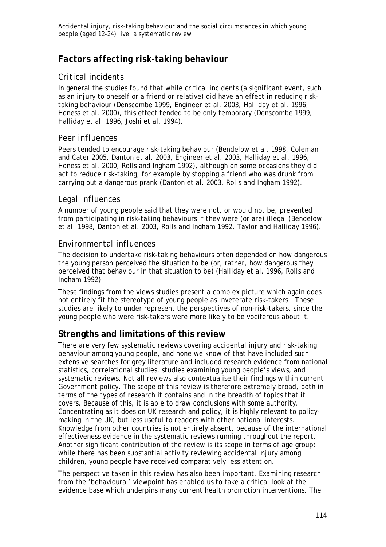# *Factors affecting risk-taking behaviour*

## *Critical incidents*

In general the studies found that while critical incidents (a significant event, such as an injury to oneself or a friend or relative) did have an effect in reducing risktaking behaviour (Denscombe 1999, Engineer et al. 2003, Halliday et al. 1996, Honess et al. 2000), this effect tended to be only temporary (Denscombe 1999, Halliday et al. 1996, Joshi et al. 1994).

### *Peer influences*

Peers tended to encourage risk-taking behaviour (Bendelow et al. 1998, Coleman and Cater 2005, Danton et al. 2003, Engineer et al. 2003, Halliday et al. 1996, Honess et al. 2000, Rolls and Ingham 1992), although on some occasions they did act to reduce risk-taking, for example by stopping a friend who was drunk from carrying out a dangerous prank (Danton et al. 2003, Rolls and Ingham 1992).

### *Legal influences*

A number of young people said that they were not, or would not be, prevented from participating in risk-taking behaviours if they were (or are) illegal (Bendelow et al. 1998, Danton et al. 2003, Rolls and Ingham 1992, Taylor and Halliday 1996).

### *Environmental influences*

The decision to undertake risk-taking behaviours often depended on how dangerous the young person perceived the situation to be (or, rather, how dangerous they perceived that behaviour in that situation to be) (Halliday et al. 1996, Rolls and Ingham 1992).

These findings from the views studies present a complex picture which again does not entirely fit the stereotype of young people as inveterate risk-takers. These studies are likely to under represent the perspectives of non-risk-takers, since the young people who were risk-takers were more likely to be vociferous about it.

# **Strengths and limitations of this review**

There are very few systematic reviews covering accidental injury and risk-taking behaviour among young people, and none we know of that have included such extensive searches for grey literature and included research evidence from national statistics, correlational studies, studies examining young people's views, and systematic reviews. Not all reviews also contextualise their findings within current Government policy. The scope of this review is therefore extremely broad, both in terms of the types of research it contains and in the breadth of topics that it covers. Because of this, it is able to draw conclusions with some authority. Concentrating as it does on UK research and policy, it is highly relevant to policymaking in the UK, but less useful to readers with other national interests. Knowledge from other countries is not entirely absent, because of the international effectiveness evidence in the systematic reviews running throughout the report. Another significant contribution of the review is its scope in terms of age group: while there has been substantial activity reviewing accidental injury among children, young people have received comparatively less attention.

The perspective taken in this review has also been important. Examining research from the 'behavioural' viewpoint has enabled us to take a critical look at the evidence base which underpins many current health promotion interventions. The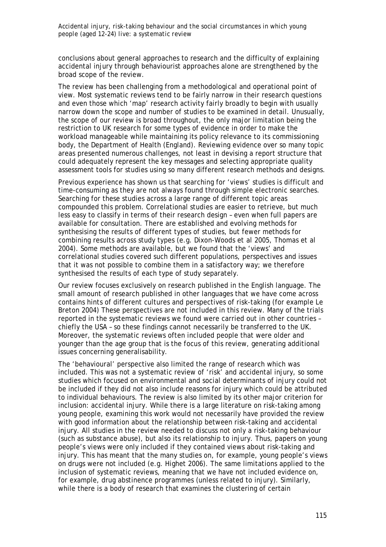conclusions about general approaches to research and the difficulty of explaining accidental injury through behaviourist approaches alone are strengthened by the broad scope of the review.

The review has been challenging from a methodological and operational point of view. Most systematic reviews tend to be fairly narrow in their research questions and even those which 'map' research activity fairly broadly to begin with usually narrow down the scope and number of studies to be examined in detail. Unusually, the scope of our review is broad throughout, the only major limitation being the restriction to UK research for some types of evidence in order to make the workload manageable while maintaining its policy relevance to its commissioning body, the Department of Health (England). Reviewing evidence over so many topic areas presented numerous challenges, not least in devising a report structure that could adequately represent the key messages and selecting appropriate quality assessment tools for studies using so many different research methods and designs.

Previous experience has shown us that searching for 'views' studies is difficult and time-consuming as they are not always found through simple electronic searches. Searching for these studies across a large range of different topic areas compounded this problem. Correlational studies are easier to retrieve, but much less easy to classify in terms of their research design – even when full papers are available for consultation. There are established and evolving methods for synthesising the results of different types of studies, but fewer methods for combining results *across* study types (e.g. Dixon-Woods *et al* 2005, Thomas *et al* 2004). Some methods are available, but we found that the 'views' and correlational studies covered such different populations, perspectives and issues that it was not possible to combine them in a satisfactory way; we therefore synthesised the results of each type of study separately.

Our review focuses exclusively on research published in the English language. The small amount of research published in other languages that we have come across contains hints of different cultures and perspectives of risk-taking (for example Le Breton 2004) These perspectives are not included in this review. Many of the trials reported in the systematic reviews we found were carried out in other countries – chiefly the USA – so these findings cannot necessarily be transferred to the UK. Moreover, the systematic reviews often included people that were older and younger than the age group that is the focus of this review, generating additional issues concerning generalisability.

The 'behavioural' perspective also limited the range of research which was included. This was not a systematic review of 'risk' and accidental injury, so some studies which focused on environmental and social determinants of injury could not be included if they did not also include reasons for injury which could be attributed to individual behaviours. The review is also limited by its other major criterion for inclusion: accidental injury. While there is a large literature on risk-taking among young people, examining this work would not necessarily have provided the review with good information about the relationship between risk-taking and accidental injury. All studies in the review needed to discuss not only a risk-taking behaviour (such as substance abuse), but also its relationship to injury. Thus, papers on young people's views were only included if they contained views about risk-taking *and* injury. This has meant that the many studies on, for example, young people's views on drugs were not included (e.g. Highet 2006). The same limitations applied to the inclusion of systematic reviews, meaning that we have not included evidence on, for example, drug abstinence programmes (unless related to injury). Similarly, while there is a body of research that examines the clustering of certain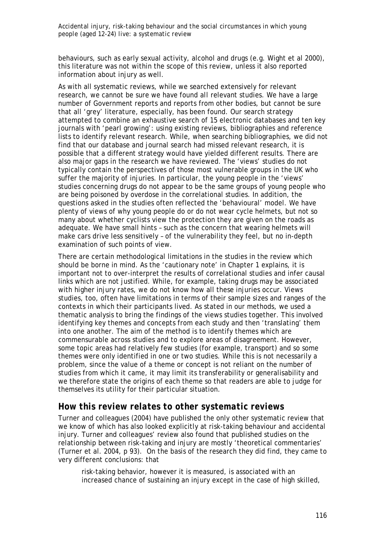behaviours, such as early sexual activity, alcohol and drugs (e.g. Wight et al 2000), this literature was not within the scope of this review, unless it also reported information about injury as well.

As with all systematic reviews, while we searched extensively for relevant research, we cannot be sure we have found *all* relevant studies. We have a large number of Government reports and reports from other bodies, but cannot be sure that all 'grey' literature, especially, has been found. Our search strategy attempted to combine an exhaustive search of 15 electronic databases and ten key journals with 'pearl growing': using existing reviews, bibliographies and reference lists to identify relevant research. While, when searching bibliographies, we did not find that our database and journal search had missed relevant research, it is possible that a different strategy would have yielded different results. There are also major gaps in the research we have reviewed. The 'views' studies do not typically contain the perspectives of those most vulnerable groups in the UK who suffer the majority of injuries. In particular, the young people in the 'views' studies concerning drugs do not appear to be the same groups of young people who are being poisoned by overdose in the correlational studies. In addition, the questions asked in the studies often reflected the 'behavioural' model. We have plenty of views of why young people do or do not wear cycle helmets, but not so many about whether cyclists view the protection they are given on the roads as adequate. We have small hints – such as the concern that wearing helmets will make cars drive less sensitively – of the vulnerability they feel, but no in-depth examination of such points of view.

There are certain methodological limitations in the studies in the review which should be borne in mind. As the 'cautionary note' in Chapter 1 explains, it is important not to over-interpret the results of correlational studies and infer causal links which are not justified. While, for example, taking drugs may be associated with higher injury rates, we do not know how all these injuries occur. Views studies, too, often have limitations in terms of their sample sizes and ranges of the contexts in which their participants lived. As stated in our methods, we used a thematic analysis to bring the findings of the views studies together. This involved identifying key themes and concepts from each study and then 'translating' them into one another. The aim of the method is to identify themes which are commensurable across studies and to explore areas of disagreement. However, some topic areas had relatively few studies (for example, transport) and so some themes were only identified in one or two studies. While this is not necessarily a problem, since the value of a theme or concept is not reliant on the number of studies from which it came, it may limit its transferability or generalisability and we therefore state the origins of each theme so that readers are able to judge for themselves its utility for their particular situation.

### *How this review relates to other systematic reviews*

Turner and colleagues (2004) have published the only other systematic review that we know of which has also looked explicitly at risk-taking behaviour and accidental injury. Turner and colleagues' review also found that published studies on the relationship between risk-taking and injury are mostly 'theoretical commentaries' (Turner et al. 2004, p 93). On the basis of the research they did find, they came to very different conclusions: that

risk-taking behavior, however it is measured, is associated with an increased chance of sustaining an injury except in the case of high skilled,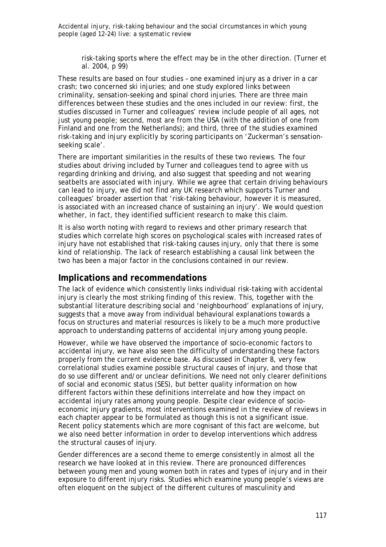risk-taking sports where the effect may be in the other direction. (Turner et al. 2004, p 99)

These results are based on four studies – one examined injury as a driver in a car crash; two concerned ski injuries; and one study explored links between criminality, sensation-seeking and spinal chord injuries. There are three main differences between these studies and the ones included in our review: first, the studies discussed in Turner and colleagues' review include people of all ages, not just young people; second, most are from the USA (with the addition of one from Finland and one from the Netherlands); and third, three of the studies examined risk-taking and injury explicitly by scoring participants on 'Zuckerman's sensationseeking scale'.

There are important similarities in the results of these two reviews. The four studies about driving included by Turner and colleagues tend to agree with us regarding drinking and driving, and also suggest that speeding and not wearing seatbelts are associated with injury. While we agree that certain driving behaviours can lead to injury, we did not find any UK research which supports Turner and colleagues' broader assertion that 'risk-taking behaviour, however it is measured, is associated with an increased chance of sustaining an injury'. We would question whether, in fact, they identified sufficient research to make this claim.

It is also worth noting with regard to reviews and other primary research that studies which correlate high scores on psychological scales with increased rates of injury have not established that risk-taking *causes* injury, only that there is some kind of relationship. The lack of research establishing a causal link between the two has been a major factor in the conclusions contained in our review.

### **Implications and recommendations**

The lack of evidence which consistently links individual risk-taking with accidental injury is clearly the most striking finding of this review. This, together with the substantial literature describing social and 'neighbourhood' explanations of injury, suggests that a move away from individual behavioural explanations towards a focus on structures and material resources is likely to be a much more productive approach to understanding patterns of accidental injury among young people.

However, while we have observed the importance of socio-economic factors to accidental injury, we have also seen the difficulty of understanding these factors properly from the current evidence base. As discussed in Chapter 8, very few correlational studies examine possible structural causes of injury, and those that do so use different and/or unclear definitions. We need not only clearer definitions of social and economic status (SES), but better quality information on how different factors within these definitions interrelate and how they impact on accidental injury rates among young people. Despite clear evidence of socioeconomic injury gradients, most interventions examined in the review of reviews in each chapter appear to be formulated as though this is not a significant issue. Recent policy statements which are more cognisant of this fact are welcome, but we also need better information in order to develop interventions which address the structural causes of injury.

Gender differences are a second theme to emerge consistently in almost all the research we have looked at in this review. There are pronounced differences between young men and young women both in rates and types of injury and in their exposure to different injury risks. Studies which examine young people's views are often eloquent on the subject of the different cultures of masculinity and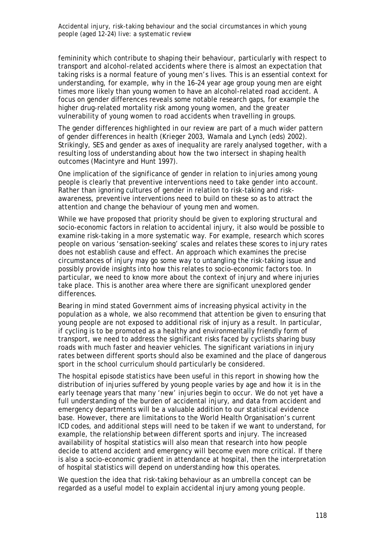femininity which contribute to shaping their behaviour, particularly with respect to transport and alcohol-related accidents where there is almost an expectation that taking risks is a normal feature of young men's lives. This is an essential context for understanding, for example, why in the 16–24 year age group young men are eight times more likely than young women to have an alcohol-related road accident. A focus on gender differences reveals some notable research gaps, for example the higher drug-related mortality risk among young women, and the greater vulnerability of young women to road accidents when travelling in groups.

The gender differences highlighted in our review are part of a much wider pattern of gender differences in health (Krieger 2003, Wamala and Lynch (eds) 2002). Strikingly, SES and gender as axes of inequality are rarely analysed together, with a resulting loss of understanding about how the two intersect in shaping health outcomes (Macintyre and Hunt 1997).

One implication of the significance of gender in relation to injuries among young people is clearly that preventive interventions need to take gender into account. Rather than ignoring cultures of gender in relation to risk-taking and riskawareness, preventive interventions need to build on these so as to attract the attention and change the behaviour of young men and women.

While we have proposed that priority should be given to exploring structural and socio-economic factors in relation to accidental injury, it also would be possible to examine risk-taking in a more systematic way. For example, research which scores people on various 'sensation-seeking' scales and relates these scores to injury rates does not establish cause and effect. An approach which examines the precise circumstances of injury may go some way to untangling the risk-taking issue and possibly provide insights into how this relates to socio-economic factors too. In particular, we need to know more about the context of injury and where injuries take place. This is another area where there are significant unexplored gender differences.

Bearing in mind stated Government aims of increasing physical activity in the population as a whole, we also recommend that attention be given to ensuring that young people are not exposed to additional risk of injury as a result. In particular, if cycling is to be promoted as a healthy and environmentally friendly form of transport, we need to address the significant risks faced by cyclists sharing busy roads with much faster and heavier vehicles. The significant variations in injury rates between different sports should also be examined and the place of dangerous sport in the school curriculum should particularly be considered.

The hospital episode statistics have been useful in this report in showing how the distribution of injuries suffered by young people varies by age and how it is in the early teenage years that many 'new' injuries begin to occur. We do not yet have a full understanding of the burden of accidental injury, and data from accident and emergency departments will be a valuable addition to our statistical evidence base. However, there are limitations to the World Health Organisation's current ICD codes, and additional steps will need to be taken if we want to understand, for example, the relationship between different sports and injury. The increased availability of hospital statistics will also mean that research into how people decide to attend accident and emergency will become even more critical. If there is also a socio-economic gradient in attendance at hospital, then the interpretation of hospital statistics will depend on understanding how this operates.

We question the idea that risk-taking behaviour as an umbrella concept can be regarded as a useful model to explain accidental injury among young people.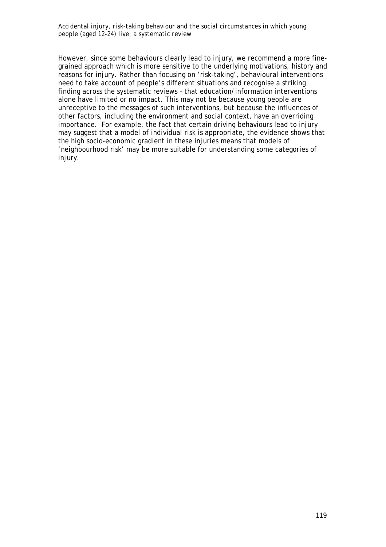However, since some behaviours clearly lead to injury, we recommend a more finegrained approach which is more sensitive to the underlying motivations, history and reasons for injury. Rather than focusing on 'risk-taking', behavioural interventions need to take account of people's different situations and recognise a striking finding across the systematic reviews – that education/information interventions alone have limited or no impact. This may not be because young people are unreceptive to the messages of such interventions, but because the influences of other factors, including the environment and social context, have an overriding importance. For example, the fact that certain driving behaviours lead to injury may suggest that a model of individual risk is appropriate, the evidence shows that the high socio-economic gradient in these injuries means that models of 'neighbourhood risk' may be more suitable for understanding some categories of injury.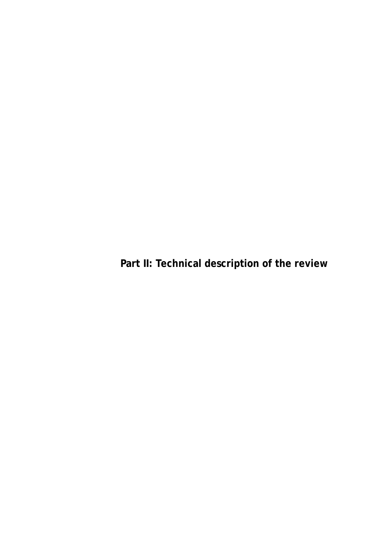**Part II: Technical description of the review**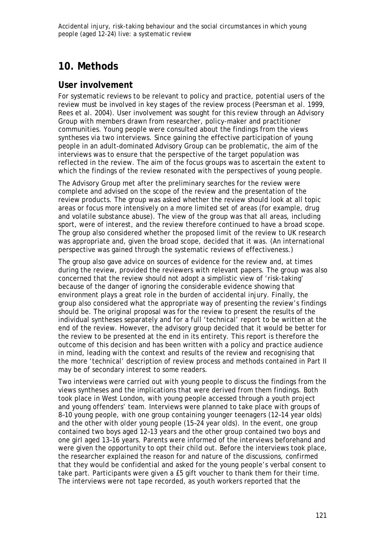# **10. Methods**

# **User involvement**

For systematic reviews to be relevant to policy and practice, potential users of the review must be involved in key stages of the review process (Peersman et al. 1999, Rees et al. 2004). User involvement was sought for this review through an Advisory Group with members drawn from researcher, policy-maker and practitioner communities. Young people were consulted about the findings from the views syntheses via two interviews. Since gaining the effective participation of young people in an adult-dominated Advisory Group can be problematic, the aim of the interviews was to ensure that the perspective of the target population was reflected in the review. The aim of the focus groups was to ascertain the extent to which the findings of the review resonated with the perspectives of young people.

The Advisory Group met after the preliminary searches for the review were complete and advised on the scope of the review and the presentation of the review products. The group was asked whether the review should look at all topic areas or focus more intensively on a more limited set of areas (for example, drug and volatile substance abuse). The view of the group was that all areas, including sport, were of interest, and the review therefore continued to have a broad scope. The group also considered whether the proposed limit of the review to UK research was appropriate and, given the broad scope, decided that it was. (An international perspective was gained through the systematic reviews of effectiveness.)

The group also gave advice on sources of evidence for the review and, at times during the review, provided the reviewers with relevant papers. The group was also concerned that the review should not adopt a simplistic view of 'risk-taking' because of the danger of ignoring the considerable evidence showing that environment plays a great role in the burden of accidental injury. Finally, the group also considered what the appropriate way of presenting the review's findings should be. The original proposal was for the review to present the results of the individual syntheses separately and for a full 'technical' report to be written at the end of the review. However, the advisory group decided that it would be better for the review to be presented at the end in its entirety. This report is therefore the outcome of this decision and has been written with a policy and practice audience in mind, leading with the context and results of the review and recognising that the more 'technical' description of review process and methods contained in Part II may be of secondary interest to some readers.

Two interviews were carried out with young people to discuss the findings from the views syntheses and the implications that were derived from them findings. Both took place in West London, with young people accessed through a youth project and young offenders' team. Interviews were planned to take place with groups of 8–10 young people, with one group containing younger teenagers (12–14 year olds) and the other with older young people (15–24 year olds). In the event, one group contained two boys aged 12–13 years and the other group contained two boys and one girl aged 13–16 years. Parents were informed of the interviews beforehand and were given the opportunity to opt their child out. Before the interviews took place, the researcher explained the reason for and nature of the discussions, confirmed that they would be confidential and asked for the young people's verbal consent to take part. Participants were given a £5 gift voucher to thank them for their time. The interviews were not tape recorded, as youth workers reported that the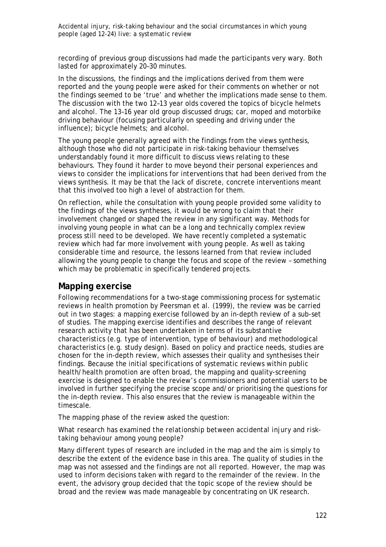recording of previous group discussions had made the participants very wary. Both lasted for approximately 20–30 minutes.

In the discussions, the findings and the implications derived from them were reported and the young people were asked for their comments on whether or not the findings seemed to be 'true' and whether the implications made sense to them. The discussion with the two 12–13 year olds covered the topics of bicycle helmets and alcohol. The 13–16 year old group discussed drugs; car, moped and motorbike driving behaviour (focusing particularly on speeding and driving under the influence); bicycle helmets; and alcohol.

The young people generally agreed with the findings from the views synthesis, although those who did not participate in risk-taking behaviour themselves understandably found it more difficult to discuss views relating to these behaviours. They found it harder to move beyond their personal experiences and views to consider the implications for interventions that had been derived from the views synthesis. It may be that the lack of discrete, concrete interventions meant that this involved too high a level of abstraction for them.

On reflection, while the consultation with young people provided some validity to the findings of the views syntheses, it would be wrong to claim that their involvement changed or shaped the review in any significant way. Methods for involving young people in what can be a long and technically complex review process still need to be developed. We have recently completed a systematic review which had far more involvement with young people. As well as taking considerable time and resource, the lessons learned from that review included allowing the young people to change the focus and scope of the review – something which may be problematic in specifically tendered projects.

### **Mapping exercise**

Following recommendations for a two-stage commissioning process for systematic reviews in health promotion by Peersman et al. (1999), the review was be carried out in two stages: a mapping exercise followed by an in-depth review of a sub-set of studies. The mapping exercise identifies and describes the range of relevant research activity that has been undertaken in terms of its substantive characteristics (e.g. type of intervention, type of behaviour) and methodological characteristics (e.g. study design). Based on policy and practice needs, studies are chosen for the in-depth review, which assesses their quality and synthesises their findings. Because the initial specifications of systematic reviews within public health/health promotion are often broad, the mapping and quality-screening exercise is designed to enable the review's commissioners and potential users to be involved in further specifying the precise scope and/or prioritising the questions for the in-depth review. This also ensures that the review is manageable within the timescale.

The mapping phase of the review asked the question:

### *What research has examined the relationship between accidental injury and risktaking behaviour among young people?*

Many different types of research are included in the map and the aim is simply to describe the extent of the evidence base in this area. The quality of studies in the map was not assessed and the findings are not all reported. However, the map was used to inform decisions taken with regard to the remainder of the review. In the event, the advisory group decided that the topic scope of the review should be broad and the review was made manageable by concentrating on UK research.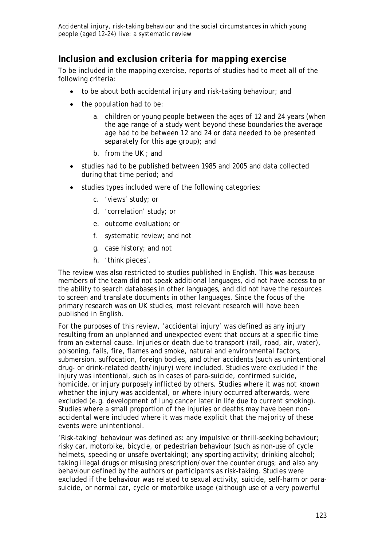# *Inclusion and exclusion criteria for mapping exercise*

To be included in the mapping exercise, reports of studies had to meet all of the following criteria:

- to be about both accidental injury and risk-taking behaviour; and
- the population had to be:
	- a. children or young people between the ages of 12 and 24 years (when the age range of a study went beyond these boundaries the average age had to be between 12 and 24 or data needed to be presented separately for this age group); and
	- b. from the UK ; and
- studies had to be published between 1985 and 2005 and data collected during that time period; and
- studies types included were of the following categories:
	- c. 'views' study; or
	- d. 'correlation' study; or
	- e. outcome evaluation; or
	- f. systematic review; and not
	- g. case history; and not
	- h. 'think pieces'.

The review was also restricted to studies published in English. This was because members of the team did not speak additional languages, did not have access to or the ability to search databases in other languages, and did not have the resources to screen and translate documents in other languages. Since the focus of the primary research was on UK studies, most relevant research will have been published in English.

For the purposes of this review, 'accidental injury' was defined as any injury resulting from an unplanned and unexpected event that occurs at a specific time from an external cause. Injuries or death due to transport (rail, road, air, water), poisoning, falls, fire, flames and smoke, natural and environmental factors, submersion, suffocation, foreign bodies, and other accidents (such as unintentional drug- or drink-related death/injury) were included. Studies were excluded if the injury was intentional, such as in cases of para-suicide, confirmed suicide, homicide, or injury purposely inflicted by others. Studies where it was not known whether the injury was accidental, or where injury occurred afterwards, were excluded (e.g. development of lung cancer later in life due to current smoking). Studies where a small proportion of the injuries or deaths may have been nonaccidental were included where it was made explicit that the majority of these events were unintentional.

'Risk-taking' behaviour was defined as: any impulsive or thrill-seeking behaviour; risky car, motorbike, bicycle, or pedestrian behaviour (such as non-use of cycle helmets, speeding or unsafe overtaking); any sporting activity; drinking alcohol; taking illegal drugs or misusing prescription/over the counter drugs; and also any behaviour defined by the authors or participants as risk-taking. Studies were excluded if the behaviour was related to sexual activity, suicide, self-harm or parasuicide, or normal car, cycle or motorbike usage (although use of a very powerful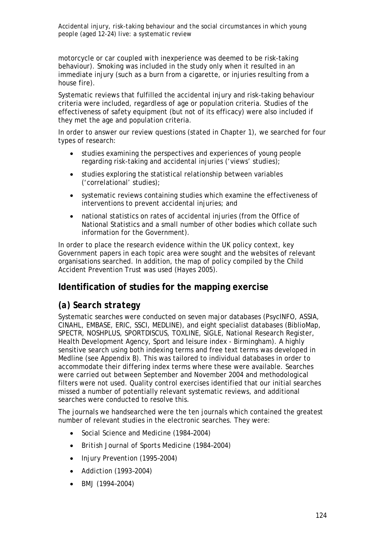motorcycle or car coupled with inexperience was deemed to be risk-taking behaviour). Smoking was included in the study only when it resulted in an immediate injury (such as a burn from a cigarette, or injuries resulting from a house fire).

Systematic reviews that fulfilled the accidental injury and risk-taking behaviour criteria were included, regardless of age or population criteria. Studies of the effectiveness of safety equipment (but not of its efficacy) were also included if they met the age and population criteria.

In order to answer our review questions (stated in Chapter 1), we searched for four types of research:

- studies examining the perspectives and experiences of young people regarding risk-taking and accidental injuries ('views' studies);
- studies exploring the statistical relationship between variables ('correlational' studies);
- systematic reviews containing studies which examine the effectiveness of interventions to prevent accidental injuries; and
- national statistics on rates of accidental injuries (from the Office of National Statistics and a small number of other bodies which collate such information for the Government).

In order to place the research evidence within the UK policy context, key Government papers in each topic area were sought and the websites of relevant organisations searched. In addition, the map of policy compiled by the Child Accident Prevention Trust was used (Hayes 2005).

# **Identification of studies for the mapping exercise**

# *(a) Search strategy*

Systematic searches were conducted on seven major databases (PsycINFO, ASSIA, CINAHL, EMBASE, ERIC, SSCI, MEDLINE), and eight specialist databases (BiblioMap, SPECTR, NOSHPLUS, SPORTDISCUS, TOXLINE, SIGLE, National Research Register, Health Development Agency, Sport and leisure index - Birmingham). A highly sensitive search using both indexing terms and free text terms was developed in Medline (see Appendix B). This was tailored to individual databases in order to accommodate their differing index terms where these were available. Searches were carried out between September and November 2004 and methodological filters were not used. Quality control exercises identified that our initial searches missed a number of potentially relevant systematic reviews, and additional searches were conducted to resolve this.

The journals we handsearched were the ten journals which contained the greatest number of relevant studies in the electronic searches. They were:

- *Social Science and Medicine* (1984–2004)
- *British Journal of Sports Medicine* (1984–2004)
- *Injury Prevention* (1995–2004)
- *Addiction* (1993–2004)
- *BMJ* (1994–2004)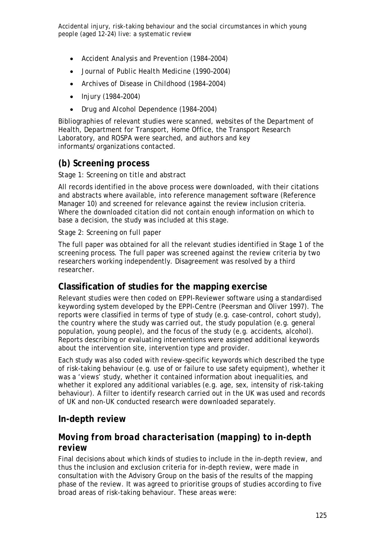- *Accident Analysis and Prevention* (1984–2004)
- *Journal of Public Health Medicine* (1990–2004)
- *Archives of Disease in Childhood* (1984–2004)
- *Injury* (1984–2004)
- *Drug and Alcohol Dependence* (1984–2004)

Bibliographies of relevant studies were scanned, websites of the Department of Health, Department for Transport, Home Office, the Transport Research Laboratory, and ROSPA were searched, and authors and key informants/organizations contacted.

# *(b) Screening process*

### *Stage 1: Screening on title and abstract*

All records identified in the above process were downloaded, with their citations and abstracts where available, into reference management software (Reference Manager 10) and screened for relevance against the review inclusion criteria. Where the downloaded citation did not contain enough information on which to base a decision, the study was included at this stage.

### *Stage 2: Screening on full paper*

The full paper was obtained for all the relevant studies identified in Stage 1 of the screening process. The full paper was screened against the review criteria by two researchers working independently. Disagreement was resolved by a third researcher.

# **Classification of studies for the mapping exercise**

Relevant studies were then coded on EPPI-Reviewer software using a standardised keywording system developed by the EPPI-Centre (Peersman and Oliver 1997). The reports were classified in terms of type of study (e.g. case-control, cohort study), the country where the study was carried out, the study population (e.g. general population, young people), and the focus of the study (e.g. accidents, alcohol). Reports describing or evaluating interventions were assigned additional keywords about the intervention site, intervention type and provider.

Each study was also coded with review-specific keywords which described the type of risk-taking behaviour (e.g. use of or failure to use safety equipment), whether it was a 'views' study, whether it contained information about inequalities, and whether it explored any additional variables (e.g. age, sex, intensity of risk-taking behaviour). A filter to identify research carried out in the UK was used and records of UK and non-UK conducted research were downloaded separately.

### **In-depth review**

# *Moving from broad characterisation (mapping) to in-depth review*

Final decisions about which kinds of studies to include in the in-depth review, and thus the inclusion and exclusion criteria for in-depth review, were made in consultation with the Advisory Group on the basis of the results of the mapping phase of the review. It was agreed to prioritise groups of studies according to five broad areas of risk-taking behaviour. These areas were: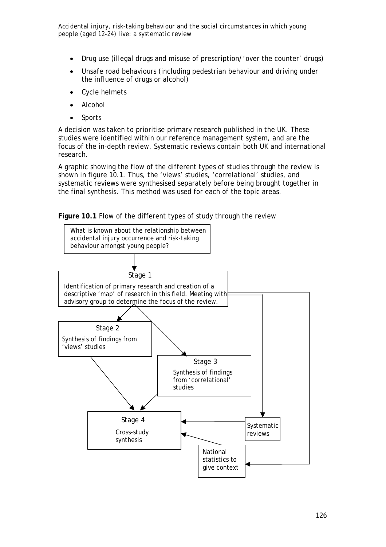- Drug use (illegal drugs and misuse of prescription/'over the counter' drugs)
- Unsafe road behaviours (including pedestrian behaviour and driving under the influence of drugs or alcohol)
- Cycle helmets
- Alcohol
- **Sports**

A decision was taken to prioritise primary research published in the UK. These studies were identified within our reference management system, and are the focus of the in-depth review. Systematic reviews contain both UK and international research.

A graphic showing the flow of the different types of studies through the review is shown in figure 10.1. Thus, the 'views' studies, 'correlational' studies, and systematic reviews were synthesised separately before being brought together in the final synthesis. This method was used for each of the topic areas.



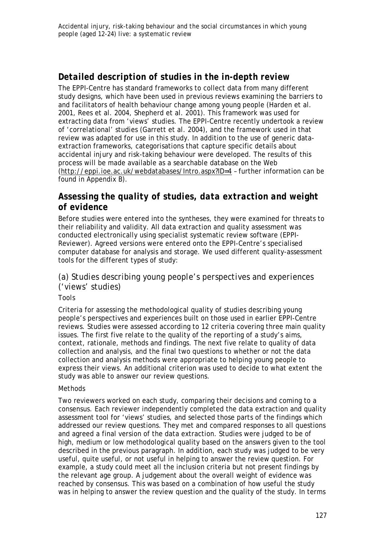# *Detailed description of studies in the in-depth review*

The EPPI-Centre has standard frameworks to collect data from many different study designs, which have been used in previous reviews examining the barriers to and facilitators of health behaviour change among young people (Harden et al. 2001, Rees et al. 2004, Shepherd et al. 2001). This framework was used for extracting data from 'views' studies. The EPPI-Centre recently undertook a review of 'correlational' studies (Garrett et al. 2004), and the framework used in that review was adapted for use in this study. In addition to the use of generic dataextraction frameworks, categorisations that capture specific details about accidental injury and risk-taking behaviour were developed. The results of this process will be made available as a searchable database on the Web (http://eppi.ioe.ac.uk/webdatabases/Intro.aspx?ID=4 – further information can be found in Appendix B).

# *Assessing the quality of studies, data extraction and weight of evidence*

Before studies were entered into the syntheses, they were examined for threats to their reliability and validity. All data extraction and quality assessment was conducted electronically using specialist systematic review software (EPPI-Reviewer). Agreed versions were entered onto the EPPI-Centre's specialised computer database for analysis and storage. We used different quality-assessment tools for the different types of study:

# *(a) Studies describing young people's perspectives and experiences ('views' studies)*

### *Tools*

Criteria for assessing the methodological quality of studies describing young people's perspectives and experiences built on those used in earlier EPPI-Centre reviews. Studies were assessed according to 12 criteria covering three main quality issues. The first five relate to the quality of the *reporting* of a study's aims, context, rationale, methods and findings. The next five relate to quality of data collection and analysis, and the final two questions to whether or not the data collection and analysis methods were appropriate to helping young people to express their views. An additional criterion was used to decide to what extent the study was able to answer our review questions.

### *Methods*

Two reviewers worked on each study, comparing their decisions and coming to a consensus. Each reviewer independently completed the data extraction and quality assessment tool for 'views' studies, and selected those parts of the findings which addressed our review questions. They met and compared responses to all questions and agreed a final version of the data extraction. Studies were judged to be of high, medium or low methodological quality based on the answers given to the tool described in the previous paragraph. In addition, each study was judged to be very useful, quite useful, or not useful in helping to answer the review question. For example, a study could meet all the inclusion criteria but not present findings by the relevant age group. A judgement about the overall weight of evidence was reached by consensus. This was based on a combination of how useful the study was in helping to answer the review question and the quality of the study. In terms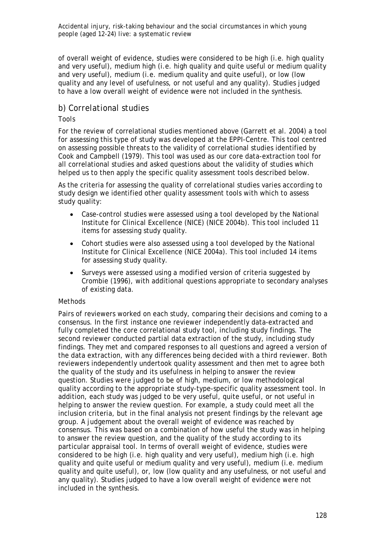of overall weight of evidence, studies were considered to be high (i.e. high quality and very useful), medium high (i.e. high quality and quite useful or medium quality and very useful), medium (i.e. medium quality and quite useful), or low (low quality and any level of usefulness, or not useful and any quality). Studies judged to have a low overall weight of evidence were not included in the synthesis.

### *b) Correlational studies*

### *Tools*

For the review of correlational studies mentioned above (Garrett et al. 2004) a tool for assessing this type of study was developed at the EPPI-Centre. This tool centred on assessing possible threats to the validity of correlational studies identified by Cook and Campbell (1979). This tool was used as our core data-extraction tool for all correlational studies and asked questions about the validity of studies which helped us to then apply the specific quality assessment tools described below.

As the criteria for assessing the quality of correlational studies varies according to study design we identified other quality assessment tools with which to assess study quality:

- Case-control studies were assessed using a tool developed by the National Institute for Clinical Excellence (NICE) (NICE 2004b). This tool included 11 items for assessing study quality.
- Cohort studies were also assessed using a tool developed by the National Institute for Clinical Excellence (NICE 2004a). This tool included 14 items for assessing study quality.
- Surveys were assessed using a modified version of criteria suggested by Crombie (1996), with additional questions appropriate to secondary analyses of existing data.

### *Methods*

Pairs of reviewers worked on each study, comparing their decisions and coming to a consensus. In the first instance one reviewer independently data-extracted and fully completed the core correlational study tool, including study findings. The second reviewer conducted partial data extraction of the study, including study findings. They met and compared responses to all questions and agreed a version of the data extraction, with any differences being decided with a third reviewer. Both reviewers independently undertook quality assessment and then met to agree both the quality of the study and its usefulness in helping to answer the review question. Studies were judged to be of high, medium, or low methodological quality according to the appropriate study-type-specific quality assessment tool. In addition, each study was judged to be very useful, quite useful, or not useful in helping to answer the review question. For example, a study could meet all the inclusion criteria, but in the final analysis not present findings by the relevant age group. A judgement about the overall weight of evidence was reached by consensus. This was based on a combination of how useful the study was in helping to answer the review question, and the quality of the study according to its particular appraisal tool. In terms of overall weight of evidence, studies were considered to be high (i.e. high quality and very useful), medium high (i.e. high quality and quite useful or medium quality and very useful), medium (i.e. medium quality and quite useful), or, low (low quality and any usefulness, or not useful and any quality). Studies judged to have a low overall weight of evidence were not included in the synthesis.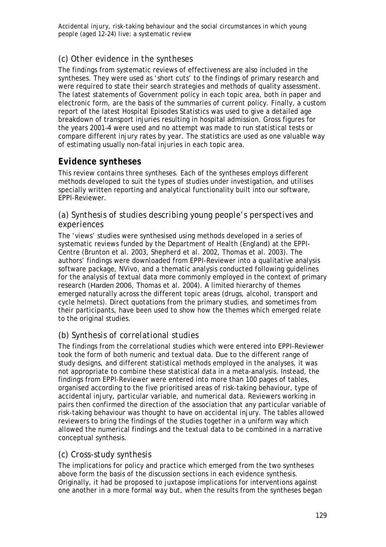## *(c) Other evidence in the syntheses*

The findings from systematic reviews of effectiveness are also included in the syntheses. They were used as 'short cuts' to the findings of primary research and were required to state their search strategies and methods of quality assessment. The latest statements of Government policy in each topic area, both in paper and electronic form, are the basis of the summaries of current policy. Finally, a custom report of the latest Hospital Episodes Statistics was used to give a detailed age breakdown of transport injuries resulting in hospital admission. Gross figures for the years 2001–4 were used and no attempt was made to run statistical tests or compare different injury rates by year. The statistics are used as one valuable way of estimating usually non-fatal injuries in each topic area.

## *Evidence syntheses*

This review contains three syntheses. Each of the syntheses employs different methods developed to suit the types of studies under investigation, and utilises specially written reporting and analytical functionality built into our software, EPPI-Reviewer.

### *(a) Synthesis of studies describing young people's perspectives and experiences*

The 'views' studies were synthesised using methods developed in a series of systematic reviews funded by the Department of Health (England) at the EPPI-Centre (Brunton et al. 2003, Shepherd et al. 2002, Thomas et al. 2003). The authors' findings were downloaded from EPPI-Reviewer into a qualitative analysis software package, NVivo, and a thematic analysis conducted following guidelines for the analysis of textual data more commonly employed in the context of primary research (Harden 2006, Thomas et al. 2004). A limited hierarchy of themes emerged naturally across the different topic areas (drugs, alcohol, transport and cycle helmets). Direct quotations from the primary studies, and sometimes from their participants, have been used to show how the themes which emerged relate to the original studies.

# *(b) Synthesis of correlational studies*

The findings from the correlational studies which were entered into EPPI-Reviewer took the form of both numeric and textual data. Due to the different range of study designs, and different statistical methods employed in the analyses, it was not appropriate to combine these statistical data in a meta-analysis. Instead, the findings from EPPI-Reviewer were entered into more than 100 pages of tables, organised according to the five prioritised areas of risk-taking behaviour, type of accidental injury, particular variable, and numerical data. Reviewers working in pairs then confirmed the direction of the association that any particular variable of risk-taking behaviour was thought to have on accidental injury. The tables allowed reviewers to bring the findings of the studies together in a uniform way which allowed the numerical findings and the textual data to be combined in a narrative conceptual synthesis.

### *(c) Cross-study synthesis*

The implications for policy and practice which emerged from the two syntheses above form the basis of the discussion sections in each evidence synthesis. Originally, it had be proposed to juxtapose implications for interventions against one another in a more formal way but, when the results from the syntheses began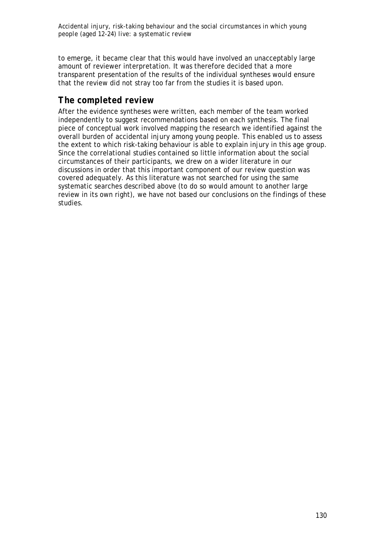to emerge, it became clear that this would have involved an unacceptably large amount of reviewer interpretation. It was therefore decided that a more transparent presentation of the results of the individual syntheses would ensure that the review did not stray too far from the studies it is based upon.

# *The completed review*

After the evidence syntheses were written, each member of the team worked independently to suggest recommendations based on each synthesis. The final piece of conceptual work involved mapping the research we identified against the overall burden of accidental injury among young people. This enabled us to assess the extent to which risk-taking behaviour is able to explain injury in this age group. Since the correlational studies contained so little information about the social circumstances of their participants, we drew on a wider literature in our discussions in order that this important component of our review question was covered adequately. As this literature was not searched for using the same systematic searches described above (to do so would amount to another large review in its own right), we have not based our conclusions on the findings of these studies.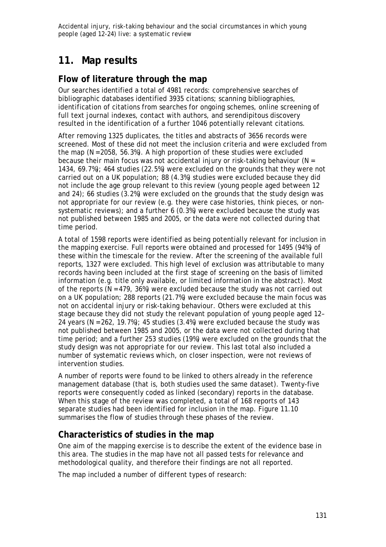# **11. Map results**

# **Flow of literature through the map**

Our searches identified a total of 4981 records: comprehensive searches of bibliographic databases identified 3935 citations; scanning bibliographies, identification of citations from searches for ongoing schemes, online screening of full text journal indexes, contact with authors, and serendipitous discovery resulted in the identification of a further 1046 potentially relevant citations.

After removing 1325 duplicates, the titles and abstracts of 3656 records were screened. Most of these did not meet the inclusion criteria and were excluded from the map (N = 2058, 56.3%). A high proportion of these studies were excluded because their main focus was not accidental injury or risk-taking behaviour ( $N =$ 1434, 69.7%); 464 studies (22.5%) were excluded on the grounds that they were not carried out on a UK population; 88 (4.3%) studies were excluded because they did not include the age group relevant to this review (young people aged between 12 and 24); 66 studies (3.2%) were excluded on the grounds that the study design was not appropriate for our review (e.g. they were case histories, think pieces, or nonsystematic reviews); and a further 6 (0.3%) were excluded because the study was not published between 1985 and 2005, or the data were not collected during that time period.

A total of 1598 reports were identified as being potentially relevant for inclusion in the mapping exercise. Full reports were obtained and processed for 1495 (94%) of these within the timescale for the review. After the screening of the available full reports, 1327 were excluded. This high level of exclusion was attributable to many records having been included at the first stage of screening on the basis of limited information (e.g. title only available, or limited information in the abstract). Most of the reports ( $N = 479$ , 36%) were excluded because the study was not carried out on a UK population; 288 reports (21.7%) were excluded because the main focus was not on accidental injury or risk-taking behaviour. Others were excluded at this stage because they did not study the relevant population of young people aged 12– 24 years ( $N = 262$ , 19.7%); 45 studies (3.4%) were excluded because the study was not published between 1985 and 2005, or the data were not collected during that time period; and a further 253 studies (19%) were excluded on the grounds that the study design was not appropriate for our review. This last total also included a number of systematic reviews which, on closer inspection, were not reviews of intervention studies.

A number of reports were found to be linked to others already in the reference management database (that is, both studies used the same dataset). Twenty-five reports were consequently coded as linked (secondary) reports in the database. When this stage of the review was completed, a total of 168 reports of 143 separate studies had been identified for inclusion in the map. Figure 11.10 summarises the flow of studies through these phases of the review.

# **Characteristics of studies in the map**

One aim of the mapping exercise is to describe the extent of the evidence base in this area. The studies in the map have not all passed tests for relevance and methodological quality, and therefore their findings are not all reported.

The map included a number of different types of research: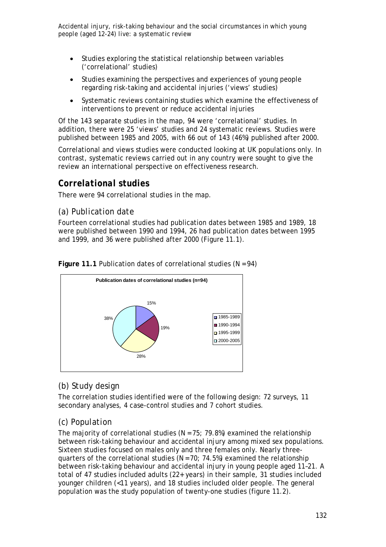- Studies exploring the statistical relationship between variables ('correlational' studies)
- Studies examining the perspectives and experiences of young people regarding risk-taking and accidental injuries ('views' studies)
- Systematic reviews containing studies which examine the effectiveness of interventions to prevent or reduce accidental injuries

Of the 143 separate studies in the map, 94 were 'correlational' studies. In addition, there were 25 'views' studies and 24 systematic reviews. Studies were published between 1985 and 2005, with 66 out of 143 (46%) published after 2000.

Correlational and views studies were conducted looking at UK populations only. In contrast, systematic reviews carried out in any country were sought to give the review an international perspective on effectiveness research.

## *Correlational studies*

There were 94 correlational studies in the map.

## *(a) Publication date*

Fourteen correlational studies had publication dates between 1985 and 1989, 18 were published between 1990 and 1994, 26 had publication dates between 1995 and 1999, and 36 were published after 2000 (Figure 11.1).



**Figure 11.1** Publication dates of correlational studies (N = 94)

# *(b) Study design*

The correlation studies identified were of the following design: 72 surveys, 11 secondary analyses, 4 case-control studies and 7 cohort studies.

# *(c) Population*

The majority of correlational studies ( $N = 75$ ; 79.8%) examined the relationship between risk-taking behaviour and accidental injury among mixed sex populations. Sixteen studies focused on males only and three females only. Nearly threequarters of the correlational studies ( $N = 70$ ; 74.5%) examined the relationship between risk-taking behaviour and accidental injury in young people aged 11–21. A total of 47 studies included adults (22+ years) in their sample, 31 studies included younger children (<11 years), and 18 studies included older people. The general population was the study population of twenty-one studies (figure 11.2).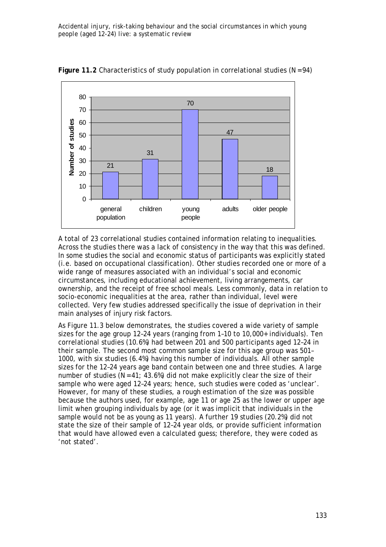

Figure 11.2 Characteristics of study population in correlational studies (N = 94)

A total of 23 correlational studies contained information relating to inequalities. Across the studies there was a lack of consistency in the way that this was defined. In some studies the social and economic status of participants was explicitly stated (i.e. based on occupational classification). Other studies recorded one or more of a wide range of measures associated with an individual's social and economic circumstances, including educational achievement, living arrangements, car ownership, and the receipt of free school meals. Less commonly, data in relation to socio-economic inequalities at the area, rather than individual, level were collected. Very few studies addressed specifically the issue of deprivation in their main analyses of injury risk factors.

As Figure 11.3 below demonstrates, the studies covered a wide variety of sample sizes for the age group 12–24 years (ranging from 1–10 to 10,000+ individuals). Ten correlational studies (10.6%) had between 201 and 500 participants aged 12–24 in their sample. The second most common sample size for this age group was 501– 1000, with six studies (6.4%) having this number of individuals. All other sample sizes for the 12–24 years age band contain between one and three studies. A large number of studies ( $N = 41$ ; 43.6%) did not make explicitly clear the size of their sample who were aged 12–24 years; hence, such studies were coded as 'unclear'. However, for many of these studies, a rough estimation of the size was possible because the authors used, for example, age 11 or age 25 as the lower or upper age limit when grouping individuals by age (or it was implicit that individuals in the sample would not be as young as 11 years). A further 19 studies (20.2%) did not state the size of their sample of 12–24 year olds, or provide sufficient information that would have allowed even a calculated guess; therefore, they were coded as 'not stated'.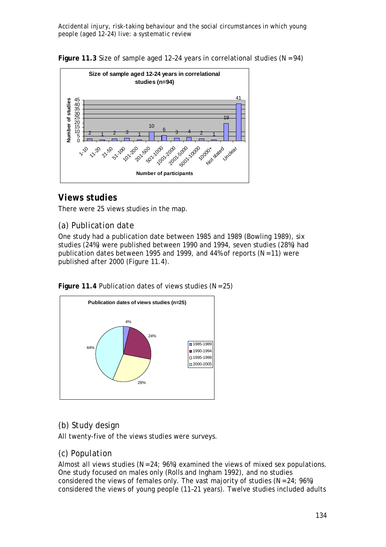**Figure 11.3** Size of sample aged 12-24 years in correlational studies ( $N = 94$ )



# *Views studies*

There were 25 views studies in the map.

## *(a) Publication date*

One study had a publication date between 1985 and 1989 (Bowling 1989), six studies (24%) were published between 1990 and 1994, seven studies (28%) had publication dates between 1995 and 1999, and 44% of reports ( $N = 11$ ) were published after 2000 (Figure 11.4).

**Figure 11.4** Publication dates of views studies (N = 25)



# *(b) Study design*

All twenty-five of the views studies were surveys.

### *(c) Population*

Almost all views studies ( $N = 24$ ; 96%) examined the views of mixed sex populations. One study focused on males only (Rolls and Ingham 1992), and no studies considered the views of females only. The vast majority of studies ( $N = 24$ ; 96%) considered the views of young people (11–21 years). Twelve studies included adults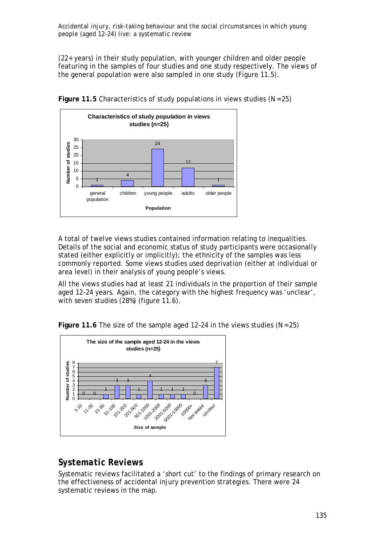(22+ years) in their study population, with younger children and older people featuring in the samples of four studies and one study respectively. The views of the general population were also sampled in one study (Figure 11.5).



**Figure 11.5** Characteristics of study populations in views studies (N = 25)

A total of twelve views studies contained information relating to inequalities. Details of the social and economic status of study participants were occasionally stated (either explicitly or implicitly); the ethnicity of the samples was less commonly reported. Some views studies used deprivation (either at individual or area level) in their analysis of young people's views.

All the views studies had at least 21 individuals in the proportion of their sample aged 12–24 years. Again, the category with the highest frequency was 'unclear', with seven studies (28%) (figure 11.6).

**Figure 11.6** The size of the sample aged 12–24 in the views studies (N = 25)



# *Systematic Reviews*

Systematic reviews facilitated a 'short cut' to the findings of primary research on the effectiveness of accidental injury prevention strategies. There were 24 systematic reviews in the map.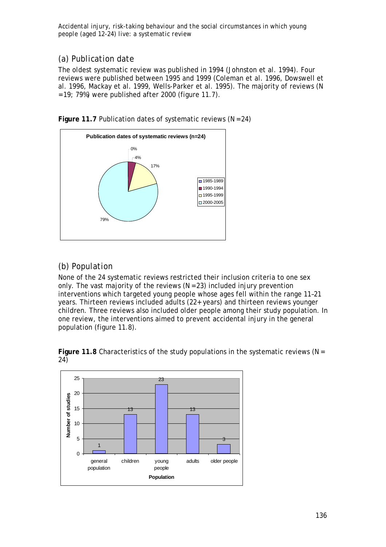## *(a) Publication date*

The oldest systematic review was published in 1994 (Johnston et al. 1994). Four reviews were published between 1995 and 1999 (Coleman et al. 1996, Dowswell et al. 1996, Mackay et al. 1999, Wells-Parker et al. 1995). The majority of reviews (N  $= 19$ ; 79%) were published after 2000 (figure 11.7).



Figure 11.7 Publication dates of systematic reviews (N = 24)

# *(b) Population*

None of the 24 systematic reviews restricted their inclusion criteria to one sex only. The vast majority of the reviews  $(N = 23)$  included injury prevention interventions which targeted young people whose ages fell within the range 11–21 years. Thirteen reviews included adults (22+ years) and thirteen reviews younger children. Three reviews also included older people among their study population. In one review, the interventions aimed to prevent accidental injury in the general population (figure 11.8).



**Figure 11.8** Characteristics of the study populations in the systematic reviews (N = 24)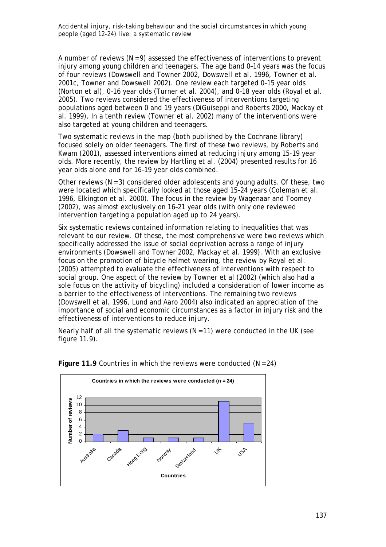A number of reviews  $(N = 9)$  assessed the effectiveness of interventions to prevent injury among young children and teenagers. The age band 0–14 years was the focus of four reviews (Dowswell and Towner 2002, Dowswell et al. 1996, Towner et al. 2001c, Towner and Dowswell 2002). One review each targeted 0–15 year olds (Norton et al), 0–16 year olds (Turner et al. 2004), and 0–18 year olds (Royal et al. 2005). Two reviews considered the effectiveness of interventions targeting populations aged between 0 and 19 years (DiGuiseppi and Roberts 2000, Mackay et al. 1999). In a tenth review (Towner et al. 2002) many of the interventions were also targeted at young children and teenagers.

Two systematic reviews in the map (both published by the Cochrane library) focused solely on older teenagers. The first of these two reviews, by Roberts and Kwam (2001), assessed interventions aimed at reducing injury among 15-19 year olds. More recently, the review by Hartling et al. (2004) presented results for 16 year olds alone and for 16–19 year olds combined.

Other reviews  $(N = 3)$  considered older adolescents and young adults. Of these, two were located which specifically looked at those aged 15–24 years (Coleman et al. 1996, Elkington et al. 2000). The focus in the review by Wagenaar and Toomey (2002), was almost exclusively on 16–21 year olds (with only one reviewed intervention targeting a population aged up to 24 years).

Six systematic reviews contained information relating to inequalities that was relevant to our review. Of these, the most comprehensive were two reviews which specifically addressed the issue of social deprivation across a range of injury environments (Dowswell and Towner 2002, Mackay et al. 1999). With an exclusive focus on the promotion of bicycle helmet wearing, the review by Royal et al. (2005) attempted to evaluate the effectiveness of interventions with respect to social group. One aspect of the review by Towner et al (2002) (which also had a sole focus on the activity of bicycling) included a consideration of lower income as a barrier to the effectiveness of interventions. The remaining two reviews (Dowswell et al. 1996, Lund and Aaro 2004) also indicated an appreciation of the importance of social and economic circumstances as a factor in injury risk and the effectiveness of interventions to reduce injury.

Nearly half of all the systematic reviews  $(N = 11)$  were conducted in the UK (see figure 11.9).



Figure 11.9 Countries in which the reviews were conducted (N = 24)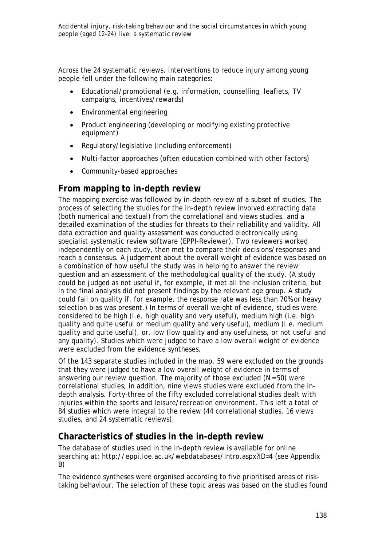Across the 24 systematic reviews, interventions to reduce injury among young people fell under the following main categories:

- Educational/promotional (e.g. information, counselling, leaflets, TV campaigns, incentives/rewards)
- Environmental engineering
- Product engineering (developing or modifying existing protective equipment)
- Regulatory/legislative (including enforcement)
- Multi-factor approaches (often education combined with other factors)
- Community-based approaches

## **From mapping to in-depth review**

The mapping exercise was followed by in-depth review of a subset of studies. The process of selecting the studies for the in-depth review involved extracting data (both numerical and textual) from the correlational and views studies, and a detailed examination of the studies for threats to their reliability and validity. All data extraction and quality assessment was conducted electronically using specialist systematic review software (EPPI-Reviewer). Two reviewers worked independently on each study, then met to compare their decisions/responses and reach a consensus. A judgement about the overall weight of evidence was based on a combination of how useful the study was in helping to answer the review question and an assessment of the methodological quality of the study. (A study could be judged as not useful if, for example, it met all the inclusion criteria, but in the final analysis did not present findings by the relevant age group. A study could fail on quality if, for example, the response rate was less than 70% or heavy selection bias was present.) In terms of overall weight of evidence, studies were considered to be high (i.e. high quality and very useful), medium high (i.e. high quality and quite useful or medium quality and very useful), medium (i.e. medium quality and quite useful), or, low (low quality and any usefulness, or not useful and any quality). Studies which were judged to have a low overall weight of evidence were excluded from the evidence syntheses.

Of the 143 separate studies included in the map, 59 were excluded on the grounds that they were judged to have a low overall weight of evidence in terms of answering our review question. The majority of those excluded  $(N = 50)$  were correlational studies; in addition, nine views studies were excluded from the indepth analysis. Forty-three of the fifty excluded correlational studies dealt with injuries within the sports and leisure/recreation environment. This left a total of 84 studies which were integral to the review (44 correlational studies, 16 views studies, and 24 systematic reviews).

# **Characteristics of studies in the in-depth review**

The database of studies used in the in-depth review is available for online searching at: http://eppi.ioe.ac.uk/webdatabases/Intro.aspx?ID=4 (see Appendix B)

The evidence syntheses were organised according to five prioritised areas of risktaking behaviour. The selection of these topic areas was based on the studies found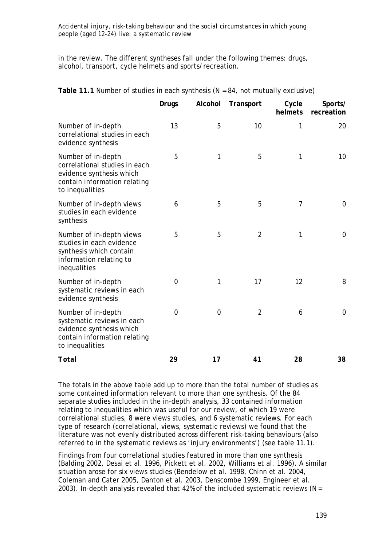in the review. The different syntheses fall under the following themes: drugs, alcohol, transport, cycle helmets and sports/recreation.

| Fable TT. Fivalities of stadies in each synthesis (N = 04, not matually exclusive)                                                 |                |                |                |                  |                       |
|------------------------------------------------------------------------------------------------------------------------------------|----------------|----------------|----------------|------------------|-----------------------|
|                                                                                                                                    | <b>Drugs</b>   | Alcohol        | Transport      | Cycle<br>helmets | Sports/<br>recreation |
| Number of in-depth<br>correlational studies in each<br>evidence synthesis                                                          | 13             | 5              | 10             | 1                | 20                    |
| Number of in-depth<br>correlational studies in each<br>evidence synthesis which<br>contain information relating<br>to inequalities | 5              | 1              | 5              | 1                | 10                    |
| Number of in-depth views<br>studies in each evidence<br>synthesis                                                                  | 6              | 5              | 5              | $\overline{7}$   | 0                     |
| Number of in-depth views<br>studies in each evidence<br>synthesis which contain<br>information relating to<br>inequalities         | 5              | 5              | $\overline{2}$ | 1                | $\mathbf 0$           |
| Number of in-depth<br>systematic reviews in each<br>evidence synthesis                                                             | $\overline{0}$ | 1              | 17             | 12               | 8                     |
| Number of in-depth<br>systematic reviews in each<br>evidence synthesis which<br>contain information relating<br>to inequalities    | $\overline{0}$ | $\overline{0}$ | $\overline{2}$ | 6                | $\mathbf 0$           |
| Total                                                                                                                              | 29             | 17             | 41             | 28               | 38                    |

**Table 11.1** Number of studies in each synthesis (N = 84, not mutually exclusive)

The totals in the above table add up to more than the total number of studies as some contained information relevant to more than one synthesis. Of the 84 separate studies included in the in-depth analysis, 33 contained information relating to inequalities which was useful for our review, of which 19 were correlational studies, 8 were views studies, and 6 systematic reviews. For each type of research (correlational, views, systematic reviews) we found that the literature was not evenly distributed across different risk-taking behaviours (also referred to in the systematic reviews as 'injury environments') (see table 11.1).

Findings from four correlational studies featured in more than one synthesis (Balding 2002, Desai et al. 1996, Pickett et al. 2002, Williams et al. 1996). A similar situation arose for six views studies (Bendelow et al. 1998, Chinn et al. 2004, Coleman and Cater 2005, Danton et al. 2003, Denscombe 1999, Engineer et al. 2003). In-depth analysis revealed that 42% of the included systematic reviews ( $N =$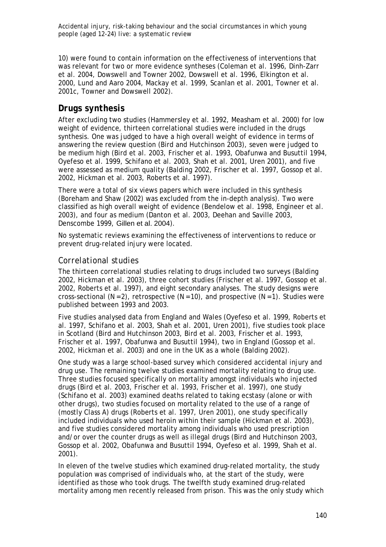10) were found to contain information on the effectiveness of interventions that was relevant for two or more evidence syntheses (Coleman et al. 1996, Dinh-Zarr et al. 2004, Dowswell and Towner 2002, Dowswell et al. 1996, Elkington et al. 2000, Lund and Aaro 2004, Mackay et al. 1999, Scanlan et al. 2001, Towner et al. 2001c, Towner and Dowswell 2002).

# *Drugs synthesis*

After excluding two studies (Hammersley et al. 1992, Measham et al. 2000) for low weight of evidence, thirteen correlational studies were included in the drugs synthesis. One was judged to have a high overall weight of evidence in terms of answering the review question (Bird and Hutchinson 2003), seven were judged to be medium high (Bird et al. 2003, Frischer et al. 1993, Obafunwa and Busuttil 1994, Oyefeso et al. 1999, Schifano et al. 2003, Shah et al. 2001, Uren 2001), and five were assessed as medium quality (Balding 2002, Frischer et al. 1997, Gossop et al. 2002, Hickman et al. 2003, Roberts et al. 1997).

There were a total of six views papers which were included in this synthesis (Boreham and Shaw (2002) was excluded from the in-depth analysis). Two were classified as high overall weight of evidence (Bendelow et al. 1998, Engineer et al. 2003), and four as medium (Danton et al. 2003, Deehan and Saville 2003, Denscombe 1999, Gillen et al. 2004).

No systematic reviews examining the effectiveness of interventions to reduce or prevent drug-related injury were located.

## *Correlational studies*

The thirteen correlational studies relating to drugs included two surveys (Balding 2002, Hickman et al. 2003), three cohort studies (Frischer et al. 1997, Gossop et al. 2002, Roberts et al. 1997), and eight secondary analyses. The study designs were cross-sectional  $(N = 2)$ , retrospective  $(N = 10)$ , and prospective  $(N = 1)$ . Studies were published between 1993 and 2003.

Five studies analysed data from England and Wales (Oyefeso et al. 1999, Roberts et al. 1997, Schifano et al. 2003, Shah et al. 2001, Uren 2001), five studies took place in Scotland (Bird and Hutchinson 2003, Bird et al. 2003, Frischer et al. 1993, Frischer et al. 1997, Obafunwa and Busuttil 1994), two in England (Gossop et al. 2002, Hickman et al. 2003) and one in the UK as a whole (Balding 2002).

One study was a large school-based survey which considered accidental injury and drug use. The remaining twelve studies examined mortality relating to drug use. Three studies focused specifically on mortality amongst individuals who injected drugs (Bird et al. 2003, Frischer et al. 1993, Frischer et al. 1997), one study (Schifano et al. 2003) examined deaths related to taking ecstasy (alone or with other drugs), two studies focused on mortality related to the use of a range of (mostly Class A) drugs (Roberts et al. 1997, Uren 2001), one study specifically included individuals who used heroin within their sample (Hickman et al. 2003), and five studies considered mortality among individuals who used prescription and/or over the counter drugs as well as illegal drugs (Bird and Hutchinson 2003, Gossop et al. 2002, Obafunwa and Busuttil 1994, Oyefeso et al. 1999, Shah et al. 2001).

In eleven of the twelve studies which examined drug-related mortality, the study population was comprised of individuals who, at the start of the study, were identified as those who took drugs. The twelfth study examined drug-related mortality among men recently released from prison. This was the only study which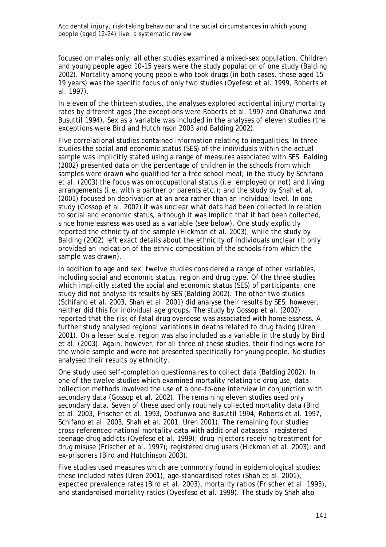focused on males only; all other studies examined a mixed-sex population. Children and young people aged 10–15 years were the study population of one study (Balding 2002). Mortality among young people who took drugs (in both cases, those aged 15– 19 years) was the specific focus of only two studies (Oyefeso et al. 1999, Roberts et al. 1997).

In eleven of the thirteen studies, the analyses explored accidental injury/mortality rates by different ages (the exceptions were Roberts et al. 1997 and Obafunwa and Busuttil 1994). Sex as a variable was included in the analyses of eleven studies (the exceptions were Bird and Hutchinson 2003 and Balding 2002).

Five correlational studies contained information relating to inequalities. In three studies the social and economic status (SES) of the individuals within the actual sample was implicitly stated using a range of measures associated with SES. Balding (2002) presented data on the percentage of children in the schools from which samples were drawn who qualified for a free school meal; in the study by Schifano et al. (2003) the focus was on occupational status (i.e. employed or not) and living arrangements (i.e. with a partner or parents etc.); and the study by Shah et al. (2001) focused on deprivation at an area rather than an individual level. In one study (Gossop et al. 2002) it was unclear what data had been collected in relation to social and economic status, although it was implicit that it had been collected, since homelessness was used as a variable (see below). One study explicitly reported the ethnicity of the sample (Hickman et al. 2003), while the study by Balding (2002) left exact details about the ethnicity of individuals unclear (it only provided an indication of the ethnic composition of the schools from which the sample was drawn).

In addition to age and sex, twelve studies considered a range of other variables, including social and economic status, region and drug type. Of the three studies which implicitly stated the social and economic status (SES) of participants, one study did not analyse its results by SES (Balding 2002). The other two studies (Schifano et al. 2003, Shah et al. 2001) did analyse their results by SES; however, neither did this for individual age groups*.* The study by Gossop et al. (2002) reported that the risk of fatal drug overdose was associated with homelessness. A further study analysed regional variations in deaths related to drug taking (Uren 2001). On a lesser scale, region was also included as a variable in the study by Bird et al. (2003). Again, however, for all three of these studies, their findings were for the whole sample and were not presented specifically for young people. No studies analysed their results by ethnicity.

One study used self-completion questionnaires to collect data (Balding 2002). In one of the twelve studies which examined mortality relating to drug use, data collection methods involved the use of a one-to-one interview in conjunction with secondary data (Gossop et al. 2002). The remaining eleven studies used only secondary data. Seven of these used only routinely collected mortality data (Bird et al. 2003, Frischer et al. 1993, Obafunwa and Busuttil 1994, Roberts et al. 1997, Schifano et al. 2003, Shah et al. 2001, Uren 2001). The remaining four studies cross-referenced national mortality data with additional datasets – registered teenage drug addicts (Oyefeso et al. 1999); drug injectors receiving treatment for drug misuse (Frischer et al. 1997); registered drug users (Hickman et al. 2003); and ex-prisoners (Bird and Hutchinson 2003).

Five studies used measures which are commonly found in epidemiological studies: these included rates (Uren 2001), age-standardised rates (Shah et al. 2001), expected prevalence rates (Bird et al. 2003), mortality ratios (Frischer et al. 1993), and standardised mortality ratios (Oyesfeso et al. 1999). The study by Shah also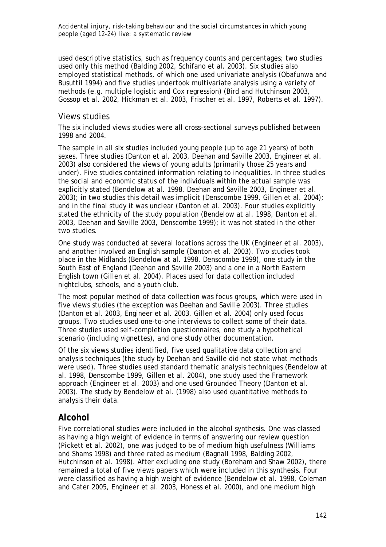used descriptive statistics, such as frequency counts and percentages; two studies used only this method (Balding 2002, Schifano et al. 2003). Six studies also employed statistical methods, of which one used univariate analysis (Obafunwa and Busuttil 1994) and five studies undertook multivariate analysis using a variety of methods (e.g. multiple logistic and Cox regression) (Bird and Hutchinson 2003, Gossop et al. 2002, Hickman et al. 2003, Frischer et al. 1997, Roberts et al. 1997).

## *Views studies*

The six included views studies were all cross-sectional surveys published between 1998 and 2004.

The sample in all six studies included young people (up to age 21 years) of both sexes. Three studies (Danton et al. 2003, Deehan and Saville 2003, Engineer et al. 2003) also considered the views of young adults (primarily those 25 years and under). Five studies contained information relating to inequalities. In three studies the social and economic status of the individuals within the actual sample was explicitly stated (Bendelow at al. 1998, Deehan and Saville 2003, Engineer et al. 2003); in two studies this detail was implicit (Denscombe 1999, Gillen et al. 2004); and in the final study it was unclear (Danton et al. 2003). Four studies explicitly stated the ethnicity of the study population (Bendelow at al. 1998, Danton et al. 2003, Deehan and Saville 2003, Denscombe 1999); it was not stated in the other two studies.

One study was conducted at several locations across the UK (Engineer et al. 2003), and another involved an English sample (Danton et al. 2003). Two studies took place in the Midlands (Bendelow at al. 1998, Denscombe 1999), one study in the South East of England (Deehan and Saville 2003) and a one in a North Eastern English town (Gillen et al. 2004). Places used for data collection included nightclubs, schools, and a youth club.

The most popular method of data collection was focus groups, which were used in five views studies (the exception was Deehan and Saville 2003). Three studies (Danton et al. 2003, Engineer et al. 2003, Gillen et al. 2004) only used focus groups. Two studies used one-to-one interviews to collect some of their data. Three studies used self-completion questionnaires, one study a hypothetical scenario (including vignettes), and one study other documentation.

Of the six views studies identified, five used qualitative data collection and analysis techniques (the study by Deehan and Saville did not state what methods were used). Three studies used standard thematic analysis techniques (Bendelow at al. 1998, Denscombe 1999, Gillen et al. 2004), one study used the Framework approach (Engineer et al. 2003) and one used Grounded Theory (Danton et al. 2003). The study by Bendelow et al. (1998) also used quantitative methods to analysis their data.

# *Alcohol*

Five correlational studies were included in the alcohol synthesis. One was classed as having a high weight of evidence in terms of answering our review question (Pickett et al. 2002), one was judged to be of medium high usefulness (Williams and Shams 1998) and three rated as medium (Bagnall 1998, Balding 2002, Hutchinson et al. 1998). After excluding one study (Boreham and Shaw 2002), there remained a total of five views papers which were included in this synthesis. Four were classified as having a high weight of evidence (Bendelow et al. 1998, Coleman and Cater 2005, Engineer et al. 2003, Honess et al. 2000), and one medium high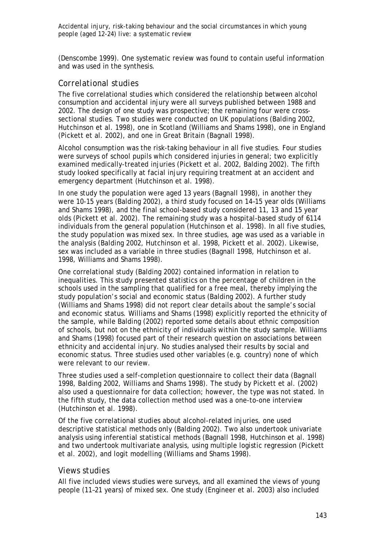(Denscombe 1999). One systematic review was found to contain useful information and was used in the synthesis.

#### *Correlational studies*

The five correlational studies which considered the relationship between alcohol consumption and accidental injury were all surveys published between 1988 and 2002. The design of one study was prospective; the remaining four were crosssectional studies. Two studies were conducted on UK populations (Balding 2002, Hutchinson et al. 1998), one in Scotland (Williams and Shams 1998), one in England (Pickett et al. 2002), and one in Great Britain (Bagnall 1998).

Alcohol consumption was the risk-taking behaviour in all five studies. Four studies were surveys of school pupils which considered injuries in general; two explicitly examined medically-treated injuries (Pickett et al. 2002, Balding 2002). The fifth study looked specifically at facial injury requiring treatment at an accident and emergency department (Hutchinson et al. 1998).

In one study the population were aged 13 years (Bagnall 1998), in another they were 10-15 years (Balding 2002), a third study focused on 14–15 year olds (Williams and Shams 1998), and the final school-based study considered 11, 13 and 15 year olds (Pickett et al. 2002). The remaining study was a hospital-based study of 6114 individuals from the general population (Hutchinson et al. 1998). In all five studies, the study population was mixed sex. In three studies, age was used as a variable in the analysis (Balding 2002, Hutchinson et al. 1998, Pickett et al. 2002). Likewise, sex was included as a variable in three studies (Bagnall 1998, Hutchinson et al. 1998, Williams and Shams 1998).

One correlational study (Balding 2002) contained information in relation to inequalities. This study presented statistics on the percentage of children in the schools used in the sampling that qualified for a free meal, thereby implying the study population's social and economic status (Balding 2002). A further study (Williams and Shams 1998) did not report clear details about the sample's social and economic status. Williams and Shams (1998) explicitly reported the ethnicity of the sample, while Balding (2002) reported some details about ethnic composition of schools, but not on the ethnicity of individuals within the study sample. Williams and Shams (1998) focused part of their research question on associations between ethnicity and accidental injury. No studies analysed their results by social and economic status. Three studies used other variables (e.g. country) none of which were relevant to our review.

Three studies used a self-completion questionnaire to collect their data (Bagnall 1998, Balding 2002, Williams and Shams 1998). The study by Pickett et al. (2002) also used a questionnaire for data collection; however, the type was not stated. In the fifth study, the data collection method used was a one-to-one interview (Hutchinson et al. 1998).

Of the five correlational studies about alcohol-related injuries, one used descriptive statistical methods only (Balding 2002). Two also undertook univariate analysis using inferential statistical methods (Bagnall 1998, Hutchinson et al. 1998) and two undertook multivariate analysis, using multiple logistic regression (Pickett et al. 2002), and logit modelling (Williams and Shams 1998).

#### *Views studies*

All five included views studies were surveys, and all examined the views of young people (11–21 years) of mixed sex. One study (Engineer et al. 2003) also included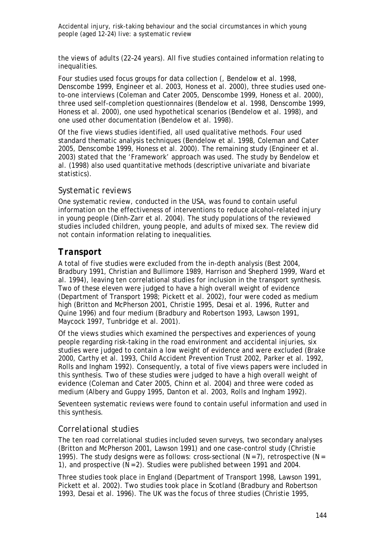the views of adults (22–24 years). All five studies contained information relating to inequalities.

Four studies used focus groups for data collection (, Bendelow et al. 1998, Denscombe 1999, Engineer et al. 2003, Honess et al. 2000), three studies used oneto-one interviews (Coleman and Cater 2005, Denscombe 1999, Honess et al. 2000), three used self-completion questionnaires (Bendelow et al. 1998, Denscombe 1999, Honess et al. 2000), one used hypothetical scenarios (Bendelow et al. 1998), and one used other documentation (Bendelow et al. 1998).

Of the five views studies identified, all used qualitative methods. Four used standard thematic analysis techniques (Bendelow et al. 1998, Coleman and Cater 2005, Denscombe 1999, Honess et al. 2000). The remaining study (Engineer et al. 2003) stated that the 'Framework' approach was used. The study by Bendelow et al. (1998) also used quantitative methods (descriptive univariate and bivariate statistics).

#### *Systematic reviews*

One systematic review, conducted in the USA, was found to contain useful information on the effectiveness of interventions to reduce alcohol-related injury in young people (Dinh-Zarr et al. 2004). The study populations of the reviewed studies included children, young people, and adults of mixed sex. The review did not contain information relating to inequalities.

## *Transport*

A total of five studies were excluded from the in-depth analysis (Best 2004, Bradbury 1991, Christian and Bullimore 1989, Harrison and Shepherd 1999, Ward et al. 1994), leaving ten correlational studies for inclusion in the transport synthesis. Two of these eleven were judged to have a high overall weight of evidence (Department of Transport 1998; Pickett et al. 2002), four were coded as medium high (Britton and McPherson 2001, Christie 1995, Desai et al. 1996, Rutter and Quine 1996) and four medium (Bradbury and Robertson 1993, Lawson 1991, Maycock 1997, Tunbridge et al. 2001).

Of the views studies which examined the perspectives and experiences of young people regarding risk-taking in the road environment and accidental injuries, six studies were judged to contain a low weight of evidence and were excluded (Brake 2000, Carthy et al. 1993, Child Accident Prevention Trust 2002, Parker et al. 1992, Rolls and Ingham 1992). Consequently, a total of five views papers were included in this synthesis. Two of these studies were judged to have a high overall weight of evidence (Coleman and Cater 2005, Chinn et al. 2004) and three were coded as medium (Albery and Guppy 1995, Danton et al. 2003, Rolls and Ingham 1992).

Seventeen systematic reviews were found to contain useful information and used in this synthesis.

## *Correlational studies*

The ten road correlational studies included seven surveys, two secondary analyses (Britton and McPherson 2001, Lawson 1991) and one case-control study (Christie 1995). The study designs were as follows: cross-sectional  $(N = 7)$ , retrospective  $(N = 1)$ 1), and prospective (N = 2). Studies were published between 1991 and 2004.

Three studies took place in England (Department of Transport 1998, Lawson 1991, Pickett et al. 2002). Two studies took place in Scotland (Bradbury and Robertson 1993, Desai et al. 1996). The UK was the focus of three studies (Christie 1995,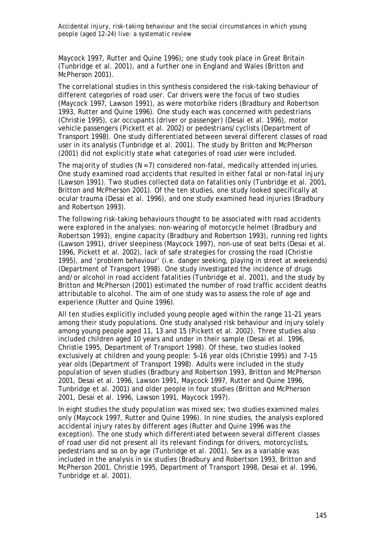Maycock 1997, Rutter and Quine 1996); one study took place in Great Britain (Tunbridge et al. 2001), and a further one in England and Wales (Britton and McPherson 2001).

The correlational studies in this synthesis considered the risk-taking behaviour of different categories of road user. Car drivers were the focus of two studies (Maycock 1997, Lawson 1991), as were motorbike riders (Bradbury and Robertson 1993, Rutter and Quine 1996). One study each was concerned with pedestrians (Christie 1995), car occupants (driver or passenger) (Desai et al. 1996), motor vehicle passengers (Pickett et al. 2002) or pedestrians/cyclists (Department of Transport 1998). One study differentiated between several different classes of road user in its analysis (Tunbridge et al. 2001). The study by Britton and McPherson (2001) did not explicitly state what categories of road user were included.

The majority of studies ( $N = 7$ ) considered non-fatal, medically attended injuries. One study examined road accidents that resulted in either fatal or non-fatal injury (Lawson 1991). Two studies collected data on fatalities only (Tunbridge et al. 2001, Britton and McPherson 2001). Of the ten studies, one study looked specifically at ocular trauma (Desai et al. 1996), and one study examined head injuries (Bradbury and Robertson 1993).

The following risk-taking behaviours thought to be associated with road accidents were explored in the analyses: non-wearing of motorcycle helmet (Bradbury and Robertson 1993), engine capacity (Bradbury and Robertson 1993), running red lights (Lawson 1991), driver sleepiness (Maycock 1997), non-use of seat belts (Desai et al. 1996, Pickett et al. 2002), lack of safe strategies for crossing the road (Christie 1995), and 'problem behaviour' (i.e. danger seeking, playing in street at weekends) (Department of Transport 1998). One study investigated the incidence of drugs and/or alcohol in road accident fatalities (Tunbridge et al. 2001), and the study by Britton and McPherson (2001) estimated the number of road traffic accident deaths attributable to alcohol. The aim of one study was to assess the role of age and experience (Rutter and Quine 1996).

All ten studies explicitly included young people aged within the range 11–21 years among their study populations. One study analysed risk behaviour and injury solely among young people aged 11, 13 and 15 (Pickett et al. 2002). Three studies also included children aged 10 years and under in their sample (Desai et al. 1996, Christie 1995, Department of Transport 1998). Of these, two studies looked exclusively at children and young people: 5–16 year olds (Christie 1995) and 7–15 year olds (Department of Transport 1998). Adults were included in the study population of seven studies (Bradbury and Robertson 1993, Britton and McPherson 2001, Desai et al. 1996, Lawson 1991, Maycock 1997, Rutter and Quine 1996, Tunbridge et al. 2001) and older people in four studies (Britton and McPherson 2001, Desai et al. 1996, Lawson 1991, Maycock 1997).

In eight studies the study population was mixed sex; two studies examined males only (Maycock 1997, Rutter and Quine 1996). In nine studies, the analysis explored accidental injury rates by different ages (Rutter and Quine 1996 was the exception). The one study which differentiated between several different classes of road user did not present all its relevant findings for drivers, motorcyclists, pedestrians and so on by age (Tunbridge et al. 2001). Sex as a variable was included in the analysis in six studies (Bradbury and Robertson 1993, Britton and McPherson 2001, Christie 1995, Department of Transport 1998, Desai et al. 1996, Tunbridge et al. 2001).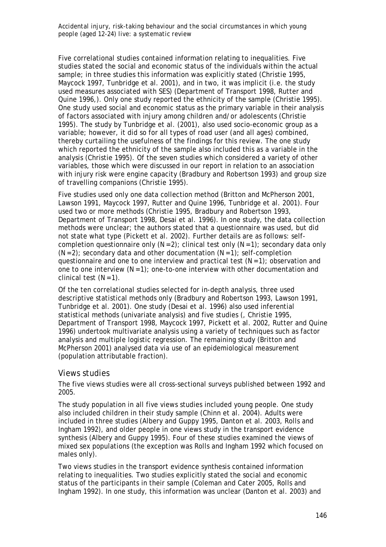Five correlational studies contained information relating to inequalities. Five studies stated the social and economic status of the individuals within the actual sample; in three studies this information was explicitly stated (Christie 1995, Maycock 1997, Tunbridge et al. 2001), and in two, it was implicit (i.e. the study used measures associated with SES) (Department of Transport 1998, Rutter and Quine 1996,). Only one study reported the ethnicity of the sample (Christie 1995). One study used social and economic status as the primary variable in their analysis of factors associated with injury among children and/or adolescents (Christie 1995). The study by Tunbridge et al. (2001), also used socio-economic group as a variable; however, it did so for all types of road user (and all ages) combined, thereby curtailing the usefulness of the findings for this review. The one study which reported the ethnicity of the sample also included this as a variable in the analysis (Christie 1995). Of the seven studies which considered a variety of other variables, those which were discussed in our report in relation to an association with injury risk were engine capacity (Bradbury and Robertson 1993) and group size of travelling companions (Christie 1995).

Five studies used only one data collection method (Britton and McPherson 2001, Lawson 1991, Maycock 1997, Rutter and Quine 1996, Tunbridge et al. 2001). Four used two or more methods (Christie 1995, Bradbury and Robertson 1993, Department of Transport 1998, Desai et al. 1996). In one study, the data collection methods were unclear; the authors stated that a questionnaire was used, but did not state what type (Pickett et al. 2002). Further details are as follows: selfcompletion questionnaire only  $(N = 2)$ ; clinical test only  $(N = 1)$ ; secondary data only  $(N = 2)$ ; secondary data and other documentation  $(N = 1)$ ; self-completion questionnaire and one to one interview and practical test  $(N = 1)$ ; observation and one to one interview  $(N = 1)$ ; one-to-one interview with other documentation and clinical test  $(N = 1)$ .

Of the ten correlational studies selected for in-depth analysis, three used descriptive statistical methods only (Bradbury and Robertson 1993, Lawson 1991, Tunbridge et al. 2001). One study (Desai et al. 1996) also used inferential statistical methods (univariate analysis) and five studies (, Christie 1995, Department of Transport 1998, Maycock 1997, Pickett et al. 2002, Rutter and Quine 1996) undertook multivariate analysis using a variety of techniques such as factor analysis and multiple logistic regression. The remaining study (Britton and McPherson 2001) analysed data via use of an epidemiological measurement (population attributable fraction).

#### *Views studies*

The five views studies were all cross-sectional surveys published between 1992 and 2005.

The study population in all five views studies included young people. One study also included children in their study sample (Chinn et al. 2004). Adults were included in three studies (Albery and Guppy 1995, Danton et al. 2003, Rolls and Ingham 1992), and older people in one views study in the transport evidence synthesis (Albery and Guppy 1995). Four of these studies examined the views of mixed sex populations (the exception was Rolls and Ingham 1992 which focused on males only).

Two views studies in the transport evidence synthesis contained information relating to inequalities. Two studies explicitly stated the social and economic status of the participants in their sample (Coleman and Cater 2005, Rolls and Ingham 1992). In one study, this information was unclear (Danton et al. 2003) and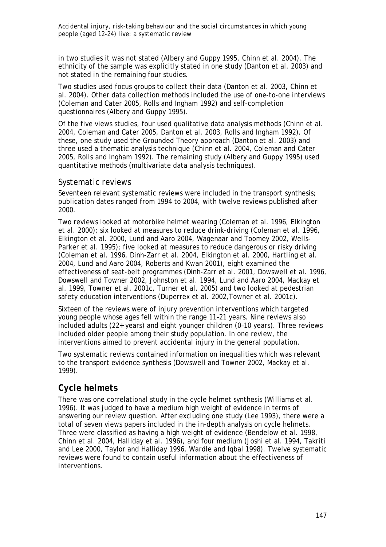in two studies it was not stated (Albery and Guppy 1995, Chinn et al. 2004). The ethnicity of the sample was explicitly stated in one study (Danton et al. 2003) and not stated in the remaining four studies.

Two studies used focus groups to collect their data (Danton et al. 2003, Chinn et al. 2004). Other data collection methods included the use of one-to-one interviews (Coleman and Cater 2005, Rolls and Ingham 1992) and self-completion questionnaires (Albery and Guppy 1995).

Of the five views studies, four used qualitative data analysis methods (Chinn et al. 2004, Coleman and Cater 2005, Danton et al. 2003, Rolls and Ingham 1992). Of these, one study used the Grounded Theory approach (Danton et al. 2003) and three used a thematic analysis technique (Chinn et al. 2004, Coleman and Cater 2005, Rolls and Ingham 1992). The remaining study (Albery and Guppy 1995) used quantitative methods (multivariate data analysis techniques).

#### *Systematic reviews*

Seventeen relevant systematic reviews were included in the transport synthesis; publication dates ranged from 1994 to 2004, with twelve reviews published after 2000.

Two reviews looked at motorbike helmet wearing (Coleman et al. 1996, Elkington et al. 2000); six looked at measures to reduce drink-driving (Coleman et al. 1996, Elkington et al. 2000, Lund and Aaro 2004, Wagenaar and Toomey 2002, Wells-Parker et al. 1995); five looked at measures to reduce dangerous or risky driving (Coleman et al. 1996, Dinh-Zarr et al. 2004, Elkington et al. 2000, Hartling et al. 2004, Lund and Aaro 2004, Roberts and Kwan 2001), eight examined the effectiveness of seat-belt programmes (Dinh-Zarr et al. 2001, Dowswell et al. 1996, Dowswell and Towner 2002, Johnston et al. 1994, Lund and Aaro 2004, Mackay et al. 1999, Towner et al. 2001c, Turner et al. 2005) and two looked at pedestrian safety education interventions (Duperrex et al. 2002,Towner et al. 2001c).

Sixteen of the reviews were of injury prevention interventions which targeted young people whose ages fell within the range 11–21 years. Nine reviews also included adults (22+ years) and eight younger children (0–10 years). Three reviews included older people among their study population. In one review, the interventions aimed to prevent accidental injury in the general population.

Two systematic reviews contained information on inequalities which was relevant to the transport evidence synthesis (Dowswell and Towner 2002, Mackay et al. 1999).

# *Cycle helmets*

There was one correlational study in the cycle helmet synthesis (Williams et al. 1996). It was judged to have a medium high weight of evidence in terms of answering our review question. After excluding one study (Lee 1993), there were a total of seven views papers included in the in-depth analysis on cycle helmets. Three were classified as having a high weight of evidence (Bendelow et al. 1998, Chinn et al. 2004, Halliday et al. 1996), and four medium (Joshi et al. 1994, Takriti and Lee 2000, Taylor and Halliday 1996, Wardle and Iqbal 1998). Twelve systematic reviews were found to contain useful information about the effectiveness of interventions.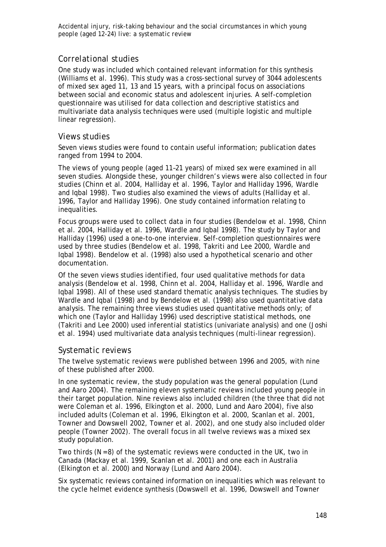### *Correlational studies*

One study was included which contained relevant information for this synthesis (Williams et al. 1996). This study was a cross-sectional survey of 3044 adolescents of mixed sex aged 11, 13 and 15 years, with a principal focus on associations between social and economic status and adolescent injuries. A self-completion questionnaire was utilised for data collection and descriptive statistics and multivariate data analysis techniques were used (multiple logistic and multiple linear regression).

#### *Views studies*

Seven views studies were found to contain useful information; publication dates ranged from 1994 to 2004.

The views of young people (aged 11–21 years) of mixed sex were examined in all seven studies. Alongside these, younger children's views were also collected in four studies (Chinn et al. 2004, Halliday et al. 1996, Taylor and Halliday 1996, Wardle and Iqbal 1998). Two studies also examined the views of adults (Halliday et al. 1996, Taylor and Halliday 1996). One study contained information relating to inequalities.

Focus groups were used to collect data in four studies (Bendelow et al. 1998, Chinn et al. 2004, Halliday et al. 1996, Wardle and Iqbal 1998). The study by Taylor and Halliday (1996) used a one-to-one interview. Self-completion questionnaires were used by three studies (Bendelow et al. 1998, Takriti and Lee 2000, Wardle and Iqbal 1998). Bendelow et al. (1998) also used a hypothetical scenario and other documentation.

Of the seven views studies identified, four used qualitative methods for data analysis (Bendelow et al. 1998, Chinn et al. 2004, Halliday et al. 1996, Wardle and Iqbal 1998). All of these used standard thematic analysis techniques. The studies by Wardle and Iqbal (1998) and by Bendelow et al. (1998) also used quantitative data analysis. The remaining three views studies used quantitative methods only; of which one (Taylor and Halliday 1996) used descriptive statistical methods, one (Takriti and Lee 2000) used inferential statistics (univariate analysis) and one (Joshi et al. 1994) used multivariate data analysis techniques (multi-linear regression).

#### *Systematic reviews*

The twelve systematic reviews were published between 1996 and 2005, with nine of these published after 2000.

In one systematic review, the study population was the general population (Lund and Aaro 2004). The remaining eleven systematic reviews included young people in their target population. Nine reviews also included children (the three that did not were Coleman et al. 1996, Elkington et al. 2000, Lund and Aaro 2004), five also included adults (Coleman et al. 1996, Elkington et al. 2000, Scanlan et al. 2001, Towner and Dowswell 2002, Towner et al. 2002), and one study also included older people (Towner 2002). The overall focus in all twelve reviews was a mixed sex study population.

Two thirds  $(N = 8)$  of the systematic reviews were conducted in the UK, two in Canada (Mackay et al. 1999, Scanlan et al. 2001) and one each in Australia (Elkington et al. 2000) and Norway (Lund and Aaro 2004).

Six systematic reviews contained information on inequalities which was relevant to the cycle helmet evidence synthesis (Dowswell et al. 1996, Dowswell and Towner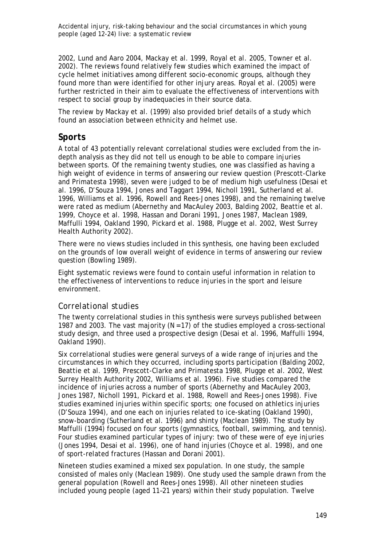2002, Lund and Aaro 2004, Mackay et al. 1999, Royal et al. 2005, Towner et al. 2002). The reviews found relatively few studies which examined the impact of cycle helmet initiatives among different socio-economic groups, although they found more than were identified for other injury areas. Royal et al. (2005) were further restricted in their aim to evaluate the effectiveness of interventions with respect to social group by inadequacies in their source data.

The review by Mackay et al. (1999) also provided brief details of a study which found an association between ethnicity and helmet use.

## *Sports*

A total of 43 potentially relevant correlational studies were excluded from the indepth analysis as they did not tell us enough to be able to compare injuries between sports. Of the remaining twenty studies, one was classified as having a high weight of evidence in terms of answering our review question (Prescott-Clarke and Primatesta 1998), seven were judged to be of medium high usefulness (Desai et al. 1996, D'Souza 1994, Jones and Taggart 1994, Nicholl 1991, Sutherland et al. 1996, Williams et al. 1996, Rowell and Rees-Jones 1998), and the remaining twelve were rated as medium (Abernethy and MacAuley 2003, Balding 2002, Beattie et al. 1999, Choyce et al. 1998, Hassan and Dorani 1991, Jones 1987, Maclean 1989, Maffulli 1994, Oakland 1990, Pickard et al. 1988, Plugge et al. 2002, West Surrey Health Authority 2002).

There were no views studies included in this synthesis, one having been excluded on the grounds of low overall weight of evidence in terms of answering our review question (Bowling 1989).

Eight systematic reviews were found to contain useful information in relation to the effectiveness of interventions to reduce injuries in the sport and leisure environment.

## *Correlational studies*

The twenty correlational studies in this synthesis were surveys published between 1987 and 2003. The vast majority ( $N = 17$ ) of the studies employed a cross-sectional study design, and three used a prospective design (Desai et al. 1996, Maffulli 1994, Oakland 1990).

Six correlational studies were general surveys of a wide range of injuries and the circumstances in which they occurred, including sports participation (Balding 2002, Beattie et al. 1999, Prescott-Clarke and Primatesta 1998, Plugge et al. 2002, West Surrey Health Authority 2002, Williams et al. 1996). Five studies compared the incidence of injuries across a number of sports (Abernethy and MacAuley 2003, Jones 1987, Nicholl 1991, Pickard et al. 1988, Rowell and Rees-Jones 1998). Five studies examined injuries within specific sports; one focused on athletics injuries (D'Souza 1994), and one each on injuries related to ice-skating (Oakland 1990), snow-boarding (Sutherland et al*.* 1996) and shinty (Maclean 1989). The study by Maffulli (1994) focused on four sports (gymnastics, football, swimming, and tennis). Four studies examined particular types of injury: two of these were of eye injuries (Jones 1994, Desai et al. 1996), one of hand injuries (Choyce et al. 1998), and one of sport-related fractures (Hassan and Dorani 2001).

Nineteen studies examined a mixed sex population. In one study, the sample consisted of males only (Maclean 1989). One study used the sample drawn from the general population (Rowell and Rees-Jones 1998). All other nineteen studies included young people (aged 11–21 years) within their study population. Twelve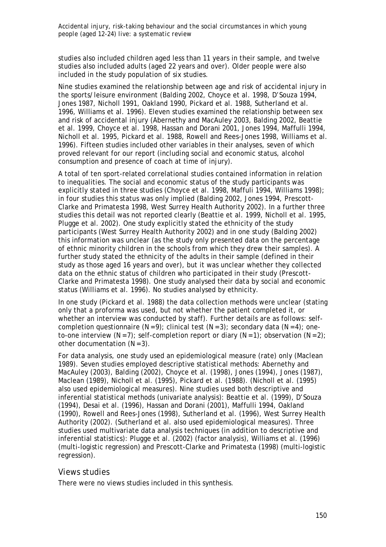studies also included children aged less than 11 years in their sample, and twelve studies also included adults (aged 22 years and over). Older people were also included in the study population of six studies.

Nine studies examined the relationship between age and risk of accidental injury in the sports/leisure environment (Balding 2002, Choyce et al. 1998, D'Souza 1994, Jones 1987, Nicholl 1991, Oakland 1990, Pickard et al. 1988, Sutherland et al. 1996, Williams et al. 1996). Eleven studies examined the relationship between sex and risk of accidental injury (Abernethy and MacAuley 2003, Balding 2002, Beattie et al. 1999, Choyce et al. 1998, Hassan and Dorani 2001, Jones 1994, Maffulli 1994, Nicholl et al. 1995, Pickard et al. 1988, Rowell and Rees-Jones 1998, Williams et al. 1996). Fifteen studies included other variables in their analyses, seven of which proved relevant for our report (including social and economic status, alcohol consumption and presence of coach at time of injury).

A total of ten sport-related correlational studies contained information in relation to inequalities. The social and economic status of the study participants was explicitly stated in three studies (Choyce et al. 1998, Maffuli 1994, Williams 1998); in four studies this status was only implied (Balding 2002, Jones 1994, Prescott-Clarke and Primatesta 1998, West Surrey Health Authority 2002). In a further three studies this detail was not reported clearly (Beattie et al. 1999, Nicholl et al. 1995, Plugge et al. 2002). One study explicitly stated the ethnicity of the study participants (West Surrey Health Authority 2002) and in one study (Balding 2002) this information was unclear (as the study only presented data on the percentage of ethnic minority children in the schools from which they drew their samples). A further study stated the ethnicity of the adults in their sample (defined in their study as those aged 16 years and over), but it was unclear whether they collected data on the ethnic status of children who participated in their study (Prescott-Clarke and Primatesta 1998). One study analysed their data by social and economic status (Williams et al. 1996). No studies analysed by ethnicity.

In one study (Pickard et al. 1988) the data collection methods were unclear (stating only that a proforma was used, but not whether the patient completed it, or whether an interview was conducted by staff). Further details are as follows: selfcompletion questionnaire  $(N = 9)$ ; clinical test  $(N = 3)$ ; secondary data  $(N = 4)$ ; oneto-one interview  $(N = 7)$ ; self-completion report or diary  $(N = 1)$ ; observation  $(N = 2)$ ; other documentation  $(N = 3)$ .

For data analysis, one study used an epidemiological measure (rate) only (Maclean 1989). Seven studies employed descriptive statistical methods: Abernethy and MacAuley (2003), Balding (2002), Choyce et al. (1998), Jones (1994), Jones (1987), Maclean (1989), Nicholl et al. (1995), Pickard et al. (1988). (Nicholl et al. (1995) also used epidemiological measures). Nine studies used both descriptive and inferential statistical methods (univariate analysis): Beattie et al. (1999), D'Souza (1994), Desai et al. (1996), Hassan and Dorani (2001), Maffulli 1994, Oakland (1990), Rowell and Rees-Jones (1998), Sutherland et al. (1996), West Surrey Health Authority (2002). (Sutherland et al. also used epidemiological measures). Three studies used multivariate data analysis techniques (in addition to descriptive and inferential statistics): Plugge et al. (2002) (factor analysis), Williams et al. (1996) (multi-logistic regression) and Prescott-Clarke and Primatesta (1998) (multi-logistic regression).

#### *Views studies*

There were no views studies included in this synthesis.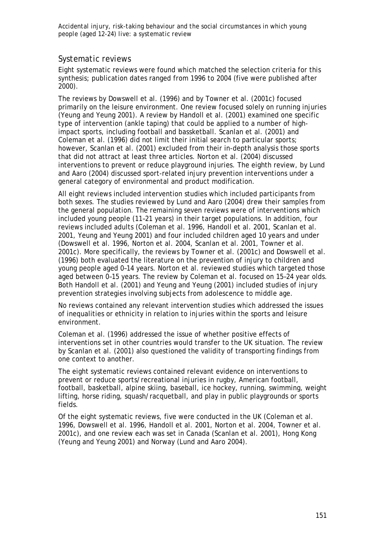## *Systematic reviews*

Eight systematic reviews were found which matched the selection criteria for this synthesis; publication dates ranged from 1996 to 2004 (five were published after 2000).

The reviews by Dowswell et al. (1996) and by Towner et al. (2001c) focused primarily on the leisure environment. One review focused solely on running injuries (Yeung and Yeung 2001). A review by Handoll et al. (2001) examined one specific type of intervention (ankle taping) that could be applied to a number of highimpact sports, including football and bassketball. Scanlan et al. (2001) and Coleman et al. (1996) did not limit their initial search to particular sports; however, Scanlan et al. (2001) excluded from their in-depth analysis those sports that did not attract at least three articles. Norton et al. (2004) discussed interventions to prevent or reduce playground injuries. The eighth review, by Lund and Aaro (2004) discussed sport-related injury prevention interventions under a general category of environmental and product modification.

All eight reviews included intervention studies which included participants from both sexes. The studies reviewed by Lund and Aaro (2004) drew their samples from the general population. The remaining seven reviews were of interventions which included young people (11–21 years) in their target populations. In addition, four reviews included adults (Coleman et al. 1996, Handoll et al. 2001, Scanlan et al. 2001, Yeung and Yeung 2001) and four included children aged 10 years and under (Dowswell et al. 1996, Norton et al. 2004, Scanlan et al. 2001, Towner et al. 2001c). More specifically, the reviews by Towner et al. (2001c) and Dowswell et al. (1996) both evaluated the literature on the prevention of injury to children and young people aged 0–14 years. Norton et al. reviewed studies which targeted those aged between 0–15 years. The review by Coleman et al. focused on 15–24 year olds. Both Handoll et al. (2001) and Yeung and Yeung (2001) included studies of injury prevention strategies involving subjects from adolescence to middle age.

No reviews contained any relevant intervention studies which addressed the issues of inequalities or ethnicity in relation to injuries within the sports and leisure environment.

Coleman et al. (1996) addressed the issue of whether positive effects of interventions set in other countries would transfer to the UK situation. The review by Scanlan et al. (2001) also questioned the validity of transporting findings from one context to another.

The eight systematic reviews contained relevant evidence on interventions to prevent or reduce sports/recreational injuries in rugby, American football, football, basketball, alpine skiing, baseball, ice hockey, running, swimming, weight lifting, horse riding, squash/racquetball, and play in public playgrounds or sports fields.

Of the eight systematic reviews, five were conducted in the UK (Coleman et al. 1996, Dowswell et al. 1996, Handoll et al. 2001, Norton et al. 2004, Towner et al. 2001c), and one review each was set in Canada (Scanlan et al. 2001), Hong Kong (Yeung and Yeung 2001) and Norway (Lund and Aaro 2004).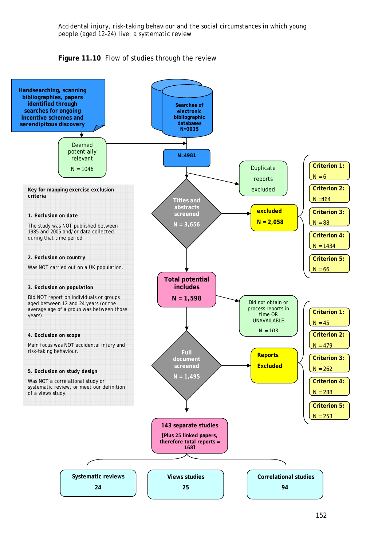

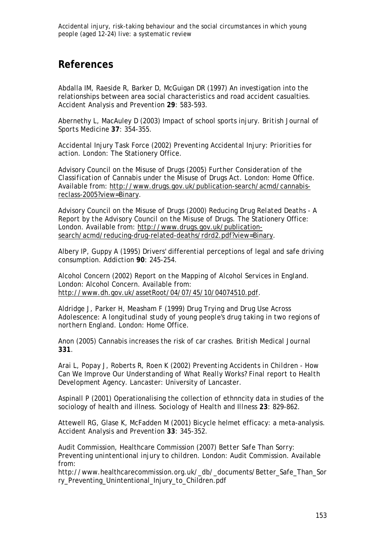# **References**

Abdalla IM, Raeside R, Barker D, McGuigan DR (1997) An investigation into the relationships between area social characteristics and road accident casualties. *Accident Analysis and Prevention* **29**: 583-593.

Abernethy L, MacAuley D (2003) Impact of school sports injury. *British Journal of Sports Medicine* **37**: 354-355.

Accidental Injury Task Force (2002) *Preventing Accidental Injury: Priorities for action.* London: The Stationery Office.

Advisory Council on the Misuse of Drugs (2005) *Further Consideration of the Classification of Cannabis under the Misuse of Drugs Act.* London: Home Office. Available from: http://www.drugs.gov.uk/publication-search/acmd/cannabisreclass-2005?view=Binary.

Advisory Council on the Misuse of Drugs (2000) *Reducing Drug Related Deaths - A Report by the Advisory Council on the Misuse of Drugs.* The Stationery Office: London. Available from: http://www.drugs.gov.uk/publicationsearch/acmd/reducing-drug-related-deaths/rdrd2.pdf?view=Binary.

Albery IP, Guppy A (1995) Drivers' differential perceptions of legal and safe driving consumption. *Addiction* **90**: 245-254.

Alcohol Concern (2002) *Report on the Mapping of Alcohol Services in England.* London: Alcohol Concern. Available from: http://www.dh.gov.uk/assetRoot/04/07/45/10/04074510.pdf.

Aldridge J, Parker H, Measham F (1999) *Drug Trying and Drug Use Across Adolescence: A longitudinal study of young people's drug taking in two regions of northern England.* London: Home Office.

Anon (2005) Cannabis increases the risk of car crashes. *British Medical Journal* **331**.

Arai L, Popay J, Roberts R, Roen K (2002) *Preventing Accidents in Children - How Can We Improve Our Understanding of What Really Works? Final report to Health Development Agency*. Lancaster: University of Lancaster.

Aspinall P (2001) Operationalising the collection of ethnncity data in studies of the sociology of health and illness. *Sociology of Health and Illness* **23**: 829-862.

Attewell RG, Glase K, McFadden M (2001) Bicycle helmet efficacy: a meta-analysis. *Accident Analysis and Prevention* **33**: 345-352.

Audit Commission, Healthcare Commission (2007) *Better Safe Than Sorry: Preventing unintentional injury to children*. London: Audit Commission. Available from:

http://www.healthcarecommission.org.uk/\_db/\_documents/Better\_Safe\_Than\_Sor ry\_Preventing\_Unintentional\_Injury\_to\_Children.pdf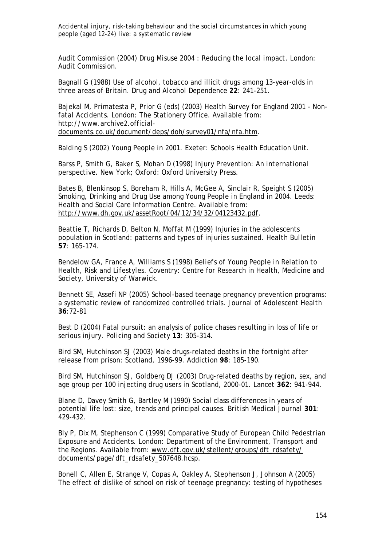Audit Commission (2004) *Drug Misuse 2004 : Reducing the local impact*. London: Audit Commission.

Bagnall G (1988) Use of alcohol, tobacco and illicit drugs among 13-year-olds in three areas of Britain. *Drug and Alcohol Dependence* **22**: 241-251.

Bajekal M, Primatesta P, Prior G (eds) (2003) *Health Survey for England 2001 - Nonfatal Accidents.* London: The Stationery Office. Available from: http://www.archive2.officialdocuments.co.uk/document/deps/doh/survey01/nfa/nfa.htm.

Balding S (2002) *Young People in 2001.* Exeter: Schools Health Education Unit.

Barss P, Smith G, Baker S, Mohan D (1998) *Injury Prevention: An international perspective.* New York; Oxford: Oxford University Press.

Bates B, Blenkinsop S, Boreham R, Hills A, McGee A, Sinclair R, Speight S (2005) *Smoking, Drinking and Drug Use among Young People in England in 2004.* Leeds: Health and Social Care Information Centre. Available from: http://www.dh.gov.uk/assetRoot/04/12/34/32/04123432.pdf.

Beattie T, Richards D, Belton N, Moffat M (1999) Injuries in the adolescents population in Scotland: patterns and types of injuries sustained. *Health Bulletin* **57**: 165-174.

Bendelow GA, France A, Williams S (1998) *Beliefs of Young People in Relation to Health, Risk and Lifestyles.* Coventry: Centre for Research in Health, Medicine and Society, University of Warwick.

Bennett SE, Assefi NP (2005) School-based teenage pregnancy prevention programs: a systematic review of randomized controlled trials. *Journal of Adolescent Health*  **36**:72-81

Best D (2004) Fatal pursuit: an analysis of police chases resulting in loss of life or serious injury. *Policing and Society* **13**: 305-314.

Bird SM, Hutchinson SJ (2003) Male drugs-related deaths in the fortnight after release from prison: Scotland, 1996-99. *Addiction* **98**: 185-190.

Bird SM, Hutchinson SJ, Goldberg DJ (2003) Drug-related deaths by region, sex, and age group per 100 injecting drug users in Scotland, 2000-01. *Lancet* **362**: 941-944.

Blane D, Davey Smith G, Bartley M (1990) Social class differences in years of potential life lost: size, trends and principal causes. *British Medical Journal* **301**: 429-432.

Bly P, Dix M, Stephenson C (1999) *Comparative Study of European Child Pedestrian Exposure and Accidents.* London: Department of the Environment, Transport and the Regions. Available from: www.dft.gov.uk/stellent/groups/dft\_rdsafety/ documents/page/dft\_rdsafety\_507648.hcsp.

Bonell C, Allen E, Strange V, Copas A, Oakley A, Stephenson J, Johnson A (2005) The effect of dislike of school on risk of teenage pregnancy: testing of hypotheses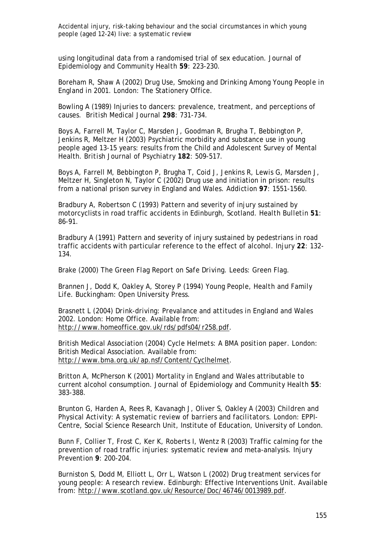using longitudinal data from a randomised trial of sex education. *Journal of Epidemiology and Community Health* **59**: 223-230.

Boreham R, Shaw A (2002) *Drug Use, Smoking and Drinking Among Young People in England in 2001.* London: The Stationery Office.

Bowling A (1989) Injuries to dancers: prevalence, treatment, and perceptions of causes. *British Medical Journal* **298**: 731-734.

Boys A, Farrell M, Taylor C, Marsden J, Goodman R, Brugha T, Bebbington P, Jenkins R, Meltzer H (2003) Psychiatric morbidity and substance use in young people aged 13-15 years: results from the Child and Adolescent Survey of Mental Health. *British Journal of Psychiatry* **182**: 509-517.

Boys A, Farrell M, Bebbington P, Brugha T, Coid J, Jenkins R, Lewis G, Marsden J, Meltzer H, Singleton N, Taylor C (2002) Drug use and initiation in prison: results from a national prison survey in England and Wales. *Addiction* **97**: 1551-1560.

Bradbury A, Robertson C (1993) Pattern and severity of injury sustained by motorcyclists in road traffic accidents in Edinburgh, Scotland. *Health Bulletin* **51**: 86-91.

Bradbury A (1991) Pattern and severity of injury sustained by pedestrians in road traffic accidents with particular reference to the effect of alcohol. *Injury* **22**: 132- 134.

Brake (2000) *The Green Flag Report on Safe Driving.* Leeds: Green Flag.

Brannen J, Dodd K, Oakley A, Storey P (1994) *Young People, Health and Family Life*. Buckingham: Open University Press.

Brasnett L (2004) *Drink-driving: Prevalance and attitudes in England and Wales 2002.* London: Home Office. Available from: http://www.homeoffice.gov.uk/rds/pdfs04/r258.pdf.

British Medical Association (2004) *Cycle Helmets: A BMA position paper.* London: British Medical Association. Available from: http://www.bma.org.uk/ap.nsf/Content/Cyclhelmet.

Britton A, McPherson K (2001) Mortality in England and Wales attributable to current alcohol consumption. *Journal of Epidemiology and Community Health* **55**: 383-388.

Brunton G, Harden A, Rees R, Kavanagh J, Oliver S, Oakley A (2003) *Children and Physical Activity: A systematic review of barriers and facilitators.* London: EPPI-Centre, Social Science Research Unit, Institute of Education, University of London.

Bunn F, Collier T, Frost C, Ker K, Roberts I, Wentz R (2003) Traffic calming for the prevention of road traffic injuries: systematic review and meta-analysis. *Injury Prevention* **9**: 200-204.

Burniston S, Dodd M, Elliott L, Orr L, Watson L (2002) *Drug treatment services for young people: A research review.* Edinburgh: Effective Interventions Unit. Available from: http://www.scotland.gov.uk/Resource/Doc/46746/0013989.pdf.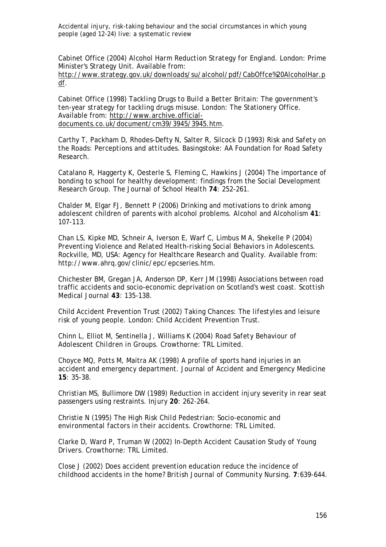Cabinet Office (2004) *Alcohol Harm Reduction Strategy for England.* London: Prime Minister's Strategy Unit. Available from:

http://www.strategy.gov.uk/downloads/su/alcohol/pdf/CabOffce%20AlcoholHar.p df.

Cabinet Office (1998) *Tackling Drugs to Build a Better Britain: The government's ten-year strategy for tackling drugs misuse.* London: The Stationery Office. Available from: http://www.archive.officialdocuments.co.uk/document/cm39/3945/3945.htm.

Carthy T, Packham D, Rhodes-Defty N, Salter R, Silcock D (1993) *Risk and Safety on the Roads: Perceptions and attitudes*. Basingstoke: AA Foundation for Road Safety Research.

Catalano R, Haggerty K, Oesterle S, Fleming C, Hawkins J (2004) The importance of bonding to school for healthy development: findings from the Social Development Research Group. *The Journal of School Health* **74**: 252-261.

Chalder M, Elgar FJ, Bennett P (2006) Drinking and motivations to drink among adolescent children of parents with alcohol problems. *Alcohol and Alcoholism* **41**: 107-113.

Chan LS, Kipke MD, Schneir A, Iverson E, Warf C, Limbus M A, Shekelle P (2004) *Preventing Violence and Related Health-risking Social Behaviors in Adolescents.*  Rockville, MD, USA: Agency for Healthcare Research and Quality. Available from: http://www.ahrq.gov/clinic/epc/epcseries.htm.

Chichester BM, Gregan JA, Anderson DP, Kerr JM (1998) Associations between road traffic accidents and socio-economic deprivation on Scotland's west coast. *Scottish Medical Journal* **43**: 135-138.

Child Accident Prevention Trust (2002) *Taking Chances: The lifestyles and leisure risk of young people.* London: Child Accident Prevention Trust.

Chinn L, Elliot M, Sentinella J, Williams K (2004) *Road Safety Behaviour of Adolescent Children in Groups.* Crowthorne: TRL Limited.

Choyce MQ, Potts M, Maitra AK (1998) A profile of sports hand injuries in an accident and emergency department. *Journal of Accident and Emergency Medicine* **15**: 35-38.

Christian MS, Bullimore DW (1989) Reduction in accident injury severity in rear seat passengers using restraints. *Injury* **20**: 262-264.

Christie N (1995) *The High Risk Child Pedestrian: Socio-economic and environmental factors in their accidents.* Crowthorne: TRL Limited.

Clarke D, Ward P, Truman W (2002) *In-Depth Accident Causation Study of Young Drivers.* Crowthorne: TRL Limited.

Close J (2002) Does accident prevention education reduce the incidence of childhood accidents in the home? *British Journal of Community Nursing*. **7**:639-644.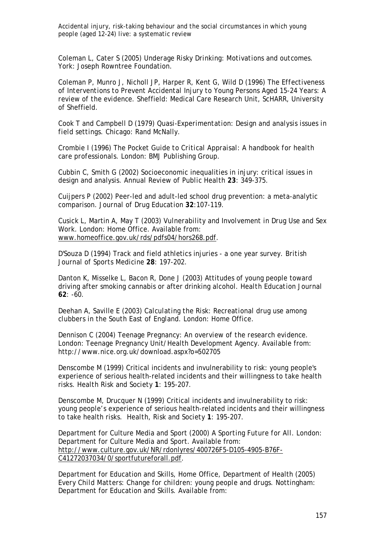Coleman L, Cater S (2005) *Underage Risky Drinking: Motivations and outcomes.*  York: Joseph Rowntree Foundation.

Coleman P, Munro J, Nicholl JP, Harper R, Kent G, Wild D (1996) *The Effectiveness of Interventions to Prevent Accidental Injury to Young Persons Aged 15-24 Years: A review of the evidence.* Sheffield: Medical Care Research Unit, ScHARR, University of Sheffield.

Cook T and Campbell D (1979) *Quasi-Experimentation: Design and analysis issues in field settings*. Chicago: Rand McNally.

Crombie I (1996) *The Pocket Guide to Critical Appraisal: A handbook for health care professionals*. London: BMJ Publishing Group.

Cubbin C, Smith G (2002) Socioeconomic inequalities in injury: critical issues in design and analysis. *Annual Review of Public Health* **23**: 349-375.

Cuiipers P (2002) Peer-led and adult-led school drug prevention: a meta-analytic comparison. *Journal of Drug Education* **32**:107-119.

Cusick L, Martin A, May T (2003) *Vulnerability and Involvement in Drug Use and Sex Work.* London: Home Office. Available from: www.homeoffice.gov.uk/rds/pdfs04/hors268.pdf.

D'Souza D (1994) Track and field athletics injuries - a one year survey. *British Journal of Sports Medicine* **28**: 197-202.

Danton K, Misselke L, Bacon R, Done J (2003) Attitudes of young people toward driving after smoking cannabis or after drinking alcohol. *Health Education Journal* **62**: -60.

Deehan A, Saville E (2003) *Calculating the Risk: Recreational drug use among clubbers in the South East of England.* London: Home Office.

Dennison C (2004) *Teenage Pregnancy: An overview of the research evidence.* London: Teenage Pregnancy Unit/Health Development Agency. Available from: http://www.nice.org.uk/download.aspx?o=502705

Denscombe M (1999) Critical incidents and invulnerability to risk: young people's experience of serious health-related incidents and their willingness to take health risks. *Health Risk and Society* **1**: 195-207.

Denscombe M, Drucquer N (1999) Critical incidents and invulnerability to risk: young people's experience of serious health-related incidents and their willingness to take health risks. *Health, Risk and Society* **1**: 195-207.

Department for Culture Media and Sport (2000) *A Sporting Future for All.* London: Department for Culture Media and Sport. Available from: http://www.culture.gov.uk/NR/rdonlyres/400726F5-D105-4905-B76F-C41272037034/0/sportfutureforall.pdf.

Department for Education and Skills, Home Office, Department of Health (2005) *Every Child Matters: Change for children: young people and drugs.* Nottingham: Department for Education and Skills. Available from: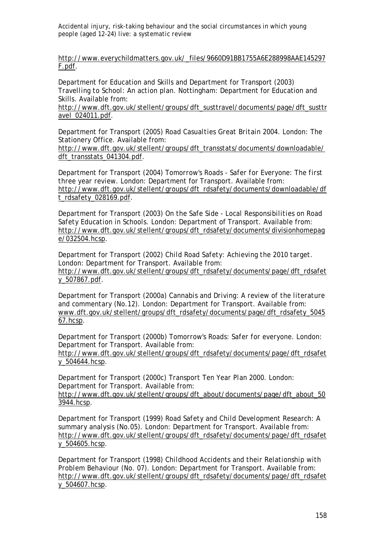http://www.everychildmatters.gov.uk/\_files/9660D91BB1755A6E288998AAE145297 F.pdf.

Department for Education and Skills and Department for Transport (2003) *Travelling to School: An action plan.* Nottingham: Department for Education and Skills. Available from:

http://www.dft.gov.uk/stellent/groups/dft\_susttravel/documents/page/dft\_susttr avel\_024011.pdf.

Department for Transport (2005) *Road Casualties Great Britain 2004.* London: The Stationery Office. Available from:

http://www.dft.gov.uk/stellent/groups/dft\_transstats/documents/downloadable/ dft\_transstats\_041304.pdf.

Department for Transport (2004) *Tomorrow's Roads - Safer for Everyone: The first three year review.* London: Department for Transport. Available from: http://www.dft.gov.uk/stellent/groups/dft\_rdsafety/documents/downloadable/df t\_rdsafety\_028169.pdf.

Department for Transport (2003) *On the Safe Side - Local Responsibilities on Road Safety Education in Schools.* London: Department of Transport. Available from: http://www.dft.gov.uk/stellent/groups/dft\_rdsafety/documents/divisionhomepag e/032504.hcsp.

Department for Transport (2002) *Child Road Safety: Achieving the 2010 target.* London: Department for Transport. Available from: http://www.dft.gov.uk/stellent/groups/dft\_rdsafety/documents/page/dft\_rdsafet y\_507867.pdf.

Department for Transport (2000a) *Cannabis and Driving: A review of the literature and commentary (No.12).* London: Department for Transport. Available from: www.dft.gov.uk/stellent/groups/dft\_rdsafety/documents/page/dft\_rdsafety\_5045 67.hcsp.

Department for Transport (2000b) *Tomorrow's Roads: Safer for everyone.* London: Department for Transport. Available from:

http://www.dft.gov.uk/stellent/groups/dft\_rdsafety/documents/page/dft\_rdsafet y\_504644.hcsp.

Department for Transport (2000c) *Transport Ten Year Plan 2000.* London: Department for Transport. Available from:

http://www.dft.gov.uk/stellent/groups/dft\_about/documents/page/dft\_about\_50 3944.hcsp.

Department for Transport (1999) *Road Safety and Child Development Research: A summary analysis (No.05).* London: Department for Transport. Available from: http://www.dft.gov.uk/stellent/groups/dft\_rdsafety/documents/page/dft\_rdsafet y\_504605.hcsp.

Department for Transport (1998) *Childhood Accidents and their Relationship with Problem Behaviour (No. 07).* London: Department for Transport. Available from: http://www.dft.gov.uk/stellent/groups/dft\_rdsafety/documents/page/dft\_rdsafet y\_504607.hcsp.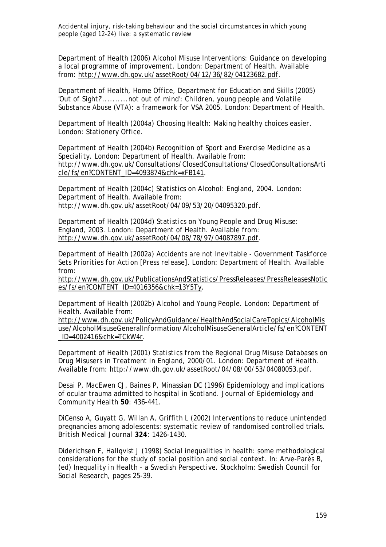Department of Health (2006) *Alcohol Misuse Interventions: Guidance on developing a local programme of improvement.* London: Department of Health. Available from: http://www.dh.gov.uk/assetRoot/04/12/36/82/04123682.pdf.

Department of Health, Home Office, Department for Education and Skills (2005) *'Out of Sight?'..........not out of mind': Children, young people and Volatile Substance Abuse (VTA): a framework for VSA 2005.* London: Department of Health.

Department of Health (2004a) *Choosing Health: Making healthy choices easier.*  London: Stationery Office.

Department of Health (2004b) *Recognition of Sport and Exercise Medicine as a Speciality.* London: Department of Health. Available from: http://www.dh.gov.uk/Consultations/ClosedConsultations/ClosedConsultationsArti cle/fs/en?CONTENT\_ID=4093874&chk=xFB141.

Department of Health (2004c) *Statistics on Alcohol: England, 2004.* London: Department of Health. Available from: http://www.dh.gov.uk/assetRoot/04/09/53/20/04095320.pdf.

Department of Health (2004d) *Statistics on Young People and Drug Misuse: England, 2003.* London: Department of Health. Available from: http://www.dh.gov.uk/assetRoot/04/08/78/97/04087897.pdf.

Department of Health (2002a) *Accidents are not Inevitable - Government Taskforce Sets Priorities for Action [Press release].* London: Department of Health. Available from:

http://www.dh.gov.uk/PublicationsAndStatistics/PressReleases/PressReleasesNotic es/fs/en?CONTENT\_ID=4016356&chk=13Y5Ty.

Department of Health (2002b) *Alcohol and Young People.* London: Department of Health. Available from:

http://www.dh.gov.uk/PolicyAndGuidance/HealthAndSocialCareTopics/AlcoholMis use/AlcoholMisuseGeneralInformation/AlcoholMisuseGeneralArticle/fs/en?CONTENT \_ID=4002416&chk=TCkW4r.

Department of Health (2001) *Statistics from the Regional Drug Misuse Databases on Drug Misusers in Treatment in England, 2000/01.* London: Department of Health. Available from: http://www.dh.gov.uk/assetRoot/04/08/00/53/04080053.pdf.

Desai P, MacEwen CJ, Baines P, Minassian DC (1996) Epidemiology and implications of ocular trauma admitted to hospital in Scotland. *Journal of Epidemiology and Community Health* **50**: 436-441.

DiCenso A, Guyatt G, Willan A, Griffith L (2002) Interventions to reduce unintended pregnancies among adolescents: systematic review of randomised controlled trials. *British Medical Journal* **324**: 1426-1430.

Diderichsen F, Hallqvist J (1998) Social inequalities in health: some methodological considerations for the study of social position and social context. In: Arve-Parès B, (ed) *Inequality in Health - a Swedish Perspective.* Stockholm: Swedish Council for Social Research, pages 25-39.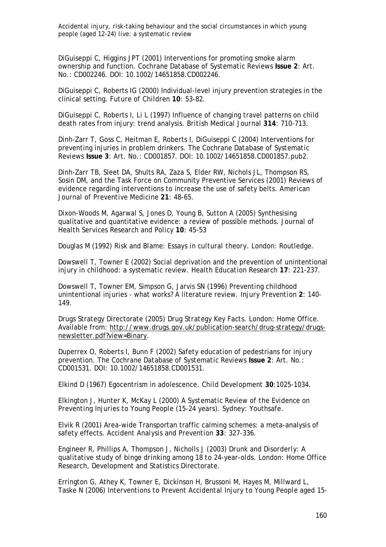DiGuiseppi C, Higgins JPT (2001) Interventions for promoting smoke alarm ownership and function. *Cochrane Database of Systematic Reviews* **Issue 2**: Art. No.: CD002246. DOI: 10.1002/14651858.CD002246.

DiGuiseppi C, Roberts IG (2000) Individual-level injury prevention strategies in the clinical setting. *Future of Children* **10**: 53-82.

DiGuiseppi C, Roberts I, Li L (1997) Influence of changing travel patterns on child death rates from injury: trend analysis. *British Medical Journal* **314**: 710-713.

Dinh-Zarr T, Goss C, Heitman E, Roberts I, DiGuiseppi C (2004) Interventions for preventing injuries in problem drinkers. *The Cochrane Database of Systematic Reviews* **Issue 3**: Art. No.: CD001857. DOI: 10.1002/14651858.CD001857.pub2.

Dinh-Zarr TB, Sleet DA, Shults RA, Zaza S, Elder RW, Nichols JL, Thompson RS, Sosin DM, and the Task Force on Community Preventive Services (2001) Reviews of evidence regarding interventions to increase the use of safety belts. *American Journal of Preventive Medicine* **21**: 48-65.

Dixon-Woods M, Agarwal S, Jones D, Young B, Sutton A (2005) Synthesising qualitative and quantitative evidence: a review of possible methods. *Journal of Health Services Research and Policy* **10**: 45-53

Douglas M (1992) *Risk and Blame: Essays in cultural theory*. London: Routledge.

Dowswell T, Towner E (2002) Social deprivation and the prevention of unintentional injury in childhood: a systematic review. *Health Education Research* **17**: 221-237.

Dowswell T, Towner EM, Simpson G, Jarvis SN (1996) Preventing childhood unintentional injuries - what works? A literature review. *Injury Prevention* **2**: 140- 149.

Drugs Strategy Directorate (2005) *Drug Strategy Key Facts.* London: Home Office. Available from: http://www.drugs.gov.uk/publication-search/drug-strategy/drugsnewsletter.pdf?view=Binary.

Duperrex O, Roberts I, Bunn F (2002) Safety education of pedestrians for injury prevention. *The Cochrane Database of Systematic Reviews* **Issue 2**: Art. No.: CD001531. DOI: 10.1002/14651858.CD001531.

Elkind D (1967) Egocentrism in adolescence. *Child Development* **30**:1025-1034.

Elkington J, Hunter K, McKay L (2000) *A Systematic Review of the Evidence on Preventing Injuries to Young People (15-24 years).* Sydney: Youthsafe.

Elvik R (2001) Area-wide Transportan traffic calming schemes: a meta-analysis of safety effects. *Accident Analysis and Prevention* **33**: 327-336.

Engineer R, Phillips A, Thompson J, Nicholls J (2003) *Drunk and Disorderly: A qualitative study of binge drinking among 18 to 24-year-olds.* London: Home Office Research, Development and Statistics Directorate.

Errington G, Athey K, Towner E, Dickinson H, Brussoni M, Hayes M, Millward L, Taske N (2006) *Interventions to Prevent Accidental Injury to Young People aged 15-*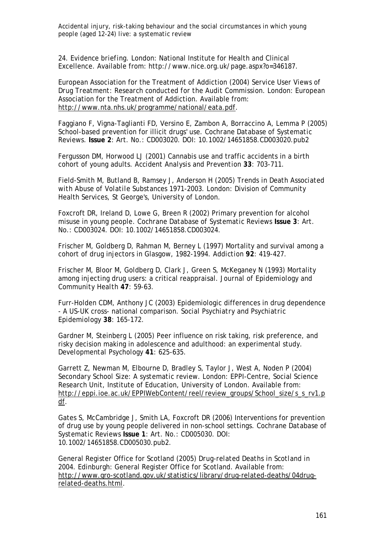*24. Evidence briefing*. London: National Institute for Health and Clinical Excellence. Available from: http://www.nice.org.uk/page.aspx?o=346187.

European Association for the Treatment of Addiction (2004) *Service User Views of Drug Treatment: Research conducted for the Audit Commission.* London: European Association for the Treatment of Addiction. Available from: http://www.nta.nhs.uk/programme/national/eata.pdf.

Faggiano F, Vigna-Taglianti FD, Versino E, Zambon A, Borraccino A, Lemma P (2005) School-based prevention for illicit drugs' use. *Cochrane Database of Systematic Reviews*. **Issue 2**: Art. No.: CD003020. DOI: 10.1002/14651858.CD003020.pub2

Fergusson DM, Horwood LJ (2001) Cannabis use and traffic accidents in a birth cohort of young adults. *Accident Analysis and Prevention* **33**: 703-711.

Field-Smith M, Butland B, Ramsey J, Anderson H (2005) *Trends in Death Associated with Abuse of Volatile Substances 1971-2003.* London: Division of Community Health Services, St George's, University of London.

Foxcroft DR, Ireland D, Lowe G, Breen R (2002) Primary prevention for alcohol misuse in young people. *Cochrane Database of Systematic Reviews* **Issue 3**: Art. No.: CD003024. DOI: 10.1002/14651858.CD003024.

Frischer M, Goldberg D, Rahman M, Berney L (1997) Mortality and survival among a cohort of drug injectors in Glasgow, 1982-1994. *Addiction* **92**: 419-427.

Frischer M, Bloor M, Goldberg D, Clark J, Green S, McKeganey N (1993) Mortality among injecting drug users: a critical reappraisal. *Journal of Epidemiology and Community Health* **47**: 59-63.

Furr-Holden CDM, Anthony JC (2003) Epidemiologic differences in drug dependence - A US-UK cross- national comparison. *Social Psychiatry and Psychiatric Epidemiology* **38**: 165-172.

Gardner M, Steinberg L (2005) Peer influence on risk taking, risk preference, and risky decision making in adolescence and adulthood: an experimental study. *Developmental Psychology* **41**: 625-635.

Garrett Z, Newman M, Elbourne D, Bradley S, Taylor J, West A, Noden P (2004) *Secondary School Size: A systematic review.* London: EPPI-Centre, Social Science Research Unit, Institute of Education, University of London. Available from: http://eppi.ioe.ac.uk/EPPIWebContent/reel/review\_groups/School\_size/s\_s\_rv1.p df.

Gates S, McCambridge J, Smith LA, Foxcroft DR (2006) Interventions for prevention of drug use by young people delivered in non-school settings. *Cochrane Database of Systematic Reviews* **Issue 1**: Art. No.: CD005030. DOI: 10.1002/14651858.CD005030.pub2.

General Register Office for Scotland (2005) *Drug-related Deaths in Scotland in 2004.* Edinburgh: General Register Office for Scotland. Available from: http://www.gro-scotland.gov.uk/statistics/library/drug-related-deaths/04drugrelated-deaths.html.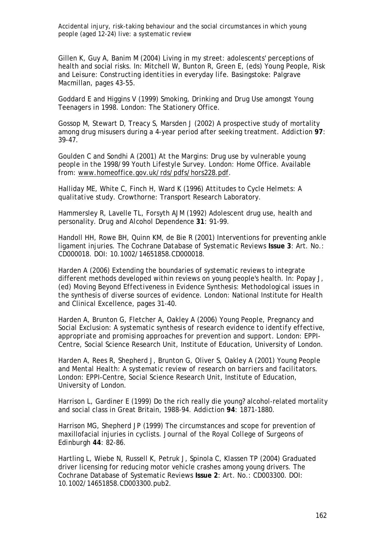Gillen K, Guy A, Banim M (2004) Living in my street: adolescents' perceptions of health and social risks. In: Mitchell W, Bunton R, Green E, (eds) *Young People, Risk and Leisure: Constructing identities in everyday life*. Basingstoke: Palgrave Macmillan, pages 43-55.

Goddard E and Higgins V (1999) *Smoking, Drinking and Drug Use amongst Young Teenagers in 1998*. London: The Stationery Office.

Gossop M, Stewart D, Treacy S, Marsden J (2002) A prospective study of mortality among drug misusers during a 4-year period after seeking treatment. *Addiction* **97**: 39-47.

Goulden C and Sondhi A (2001) *At the Margins: Drug use by vulnerable young people in the 1998/99 Youth Lifestyle Survey.* London: Home Office. Available from: www.homeoffice.gov.uk/rds/pdfs/hors228.pdf.

Halliday ME, White C, Finch H, Ward K (1996) *Attitudes to Cycle Helmets: A qualitative study.* Crowthorne: Transport Research Laboratory.

Hammersley R, Lavelle TL, Forsyth AJM (1992) Adolescent drug use, health and personality. *Drug and Alcohol Dependence* **31**: 91-99.

Handoll HH, Rowe BH, Quinn KM, de Bie R (2001) Interventions for preventing ankle ligament injuries. *The Cochrane Database of Systematic Reviews* **Issue 3**: Art. No.: CD000018. DOI: 10.1002/14651858.CD000018.

Harden A (2006) Extending the boundaries of systematic reviews to integrate different methods developed within reviews on young people's health. In: Popay J, (ed) *Moving Beyond Effectiveness in Evidence Synthesis: Methodological issues in the synthesis of diverse sources of evidence.* London: National Institute for Health and Clinical Excellence, pages 31-40.

Harden A, Brunton G, Fletcher A, Oakley A (2006) *Young People, Pregnancy and Social Exclusion: A systematic synthesis of research evidence to identify effective, appropriate and promising approaches for prevention and support.* London: EPPI-Centre, Social Science Research Unit, Institute of Education, University of London.

Harden A, Rees R, Shepherd J, Brunton G, Oliver S, Oakley A (2001) *Young People and Mental Health: A systematic review of research on barriers and facilitators.*  London: EPPI-Centre, Social Science Research Unit, Institute of Education, University of London.

Harrison L, Gardiner E (1999) Do the rich really die young? alcohol-related mortality and social class in Great Britain, 1988-94. *Addiction* **94**: 1871-1880.

Harrison MG, Shepherd JP (1999) The circumstances and scope for prevention of maxillofacial injuries in cyclists. *Journal of the Royal College of Surgeons of Edinburgh* **44**: 82-86.

Hartling L, Wiebe N, Russell K, Petruk J, Spinola C, Klassen TP (2004) Graduated driver licensing for reducing motor vehicle crashes among young drivers. *The Cochrane Database of Systematic Reviews* **Issue 2**: Art. No.: CD003300. DOI: 10.1002/14651858.CD003300.pub2.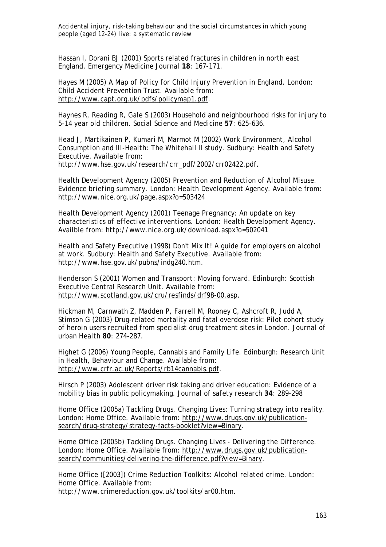Hassan I, Dorani BJ (2001) Sports related fractures in children in north east England. *Emergency Medicine Journal* **18**: 167-171.

Hayes M (2005) *A Map of Policy for Child Injury Prevention in England.* London: Child Accident Prevention Trust. Available from: http://www.capt.org.uk/pdfs/policymap1.pdf.

Haynes R, Reading R, Gale S (2003) Household and neighbourhood risks for injury to 5-14 year old children. *Social Science and Medicine* **57**: 625-636.

Head J, Martikainen P, Kumari M, Marmot M (2002) *Work Environment, Alcohol Consumption and Ill-Health: The Whitehall II study.* Sudbury: Health and Safety Executive. Available from: http://www.hse.gov.uk/research/crr\_pdf/2002/crr02422.pdf.

Health Development Agency (2005) *Prevention and Reduction of Alcohol Misuse. Evidence briefing summary*. London: Health Development Agency. Available from: http://www.nice.org.uk/page.aspx?o=503424

Health Development Agency (2001) *Teenage Pregnancy: An update on key characteristics of effective interventions*. London: Health Development Agency. Availble from: http://www.nice.org.uk/download.aspx?o=502041

Health and Safety Executive (1998) *Don't Mix It! A guide for employers on alcohol at work.* Sudbury: Health and Safety Executive. Available from: http://www.hse.gov.uk/pubns/indg240.htm.

Henderson S (2001) *Women and Transport: Moving forward.* Edinburgh: Scottish Executive Central Research Unit. Available from: http://www.scotland.gov.uk/cru/resfinds/drf98-00.asp.

Hickman M, Carnwath Z, Madden P, Farrell M, Rooney C, Ashcroft R, Judd A, Stimson G (2003) Drug-related mortality and fatal overdose risk: Pilot cohort study of heroin users recruited from specialist drug treatment sites in London. *Journal of urban Health* **80**: 274-287.

Highet G (2006) *Young People, Cannabis and Family Life.* Edinburgh: Research Unit in Health, Behaviour and Change. Available from: http://www.crfr.ac.uk/Reports/rb14cannabis.pdf.

Hirsch P (2003) Adolescent driver risk taking and driver education: Evidence of a mobility bias in public policymaking. *Journal of safety research* **34**: 289-298

Home Office (2005a) *Tackling Drugs, Changing Lives: Turning strategy into reality.* London: Home Office. Available from: http://www.drugs.gov.uk/publicationsearch/drug-strategy/strategy-facts-booklet?view=Binary.

Home Office (2005b) *Tackling Drugs. Changing Lives - Delivering the Difference.* London: Home Office. Available from: http://www.drugs.gov.uk/publicationsearch/communities/delivering-the-difference.pdf?view=Binary.

Home Office ([2003]) *Crime Reduction Toolkits: Alcohol related crime.* London: Home Office. Available from: http://www.crimereduction.gov.uk/toolkits/ar00.htm.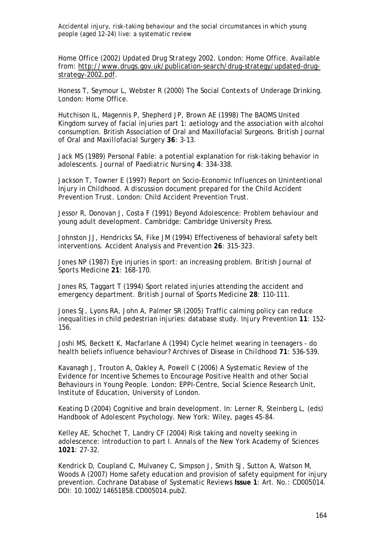Home Office (2002) *Updated Drug Strategy 2002.* London: Home Office. Available from: http://www.drugs.gov.uk/publication-search/drug-strategy/updated-drugstrategy-2002.pdf.

Honess T, Seymour L, Webster R (2000) *The Social Contexts of Underage Drinking*. London: Home Office.

Hutchison IL, Magennis P, Shepherd JP, Brown AE (1998) The BAOMS United Kingdom survey of facial injuries part 1: aetiology and the association with alcohol consumption. British Association of Oral and Maxillofacial Surgeons. *British Journal of Oral and Maxillofacial Surgery* **36**: 3-13.

Jack MS (1989) Personal Fable: a potential explanation for risk-taking behavior in adolescents. *Journal of Paediatric Nursing* **4**: 334-338.

Jackson T, Towner E (1997) *Report on Socio-Economic Influences on Unintentional Injury in Childhood. A discussion document prepared for the Child Accident Prevention Trust.* London: Child Accident Prevention Trust.

Jessor R, Donovan J, Costa F (1991) *Beyond Adolescence: Problem behaviour and young adult development.* Cambridge: Cambridge University Press.

Johnston JJ, Hendricks SA, Fike JM (1994) Effectiveness of behavioral safety belt interventions. *Accident Analysis and Prevention* **26**: 315-323.

Jones NP (1987) Eye injuries in sport: an increasing problem. *British Journal of Sports Medicine* **21**: 168-170.

Jones RS, Taggart T (1994) Sport related injuries attending the accident and emergency department. *British Journal of Sports Medicine* **28**: 110-111.

Jones SJ, Lyons RA, John A, Palmer SR (2005) Traffic calming policy can reduce inequalities in child pedestrian injuries: database study. *Injury Prevention* **11**: 152- 156.

Joshi MS, Beckett K, Macfarlane A (1994) Cycle helmet wearing in teenagers - do health beliefs influence behaviour? *Archives of Disease in Childhood* **71**: 536-539.

Kavanagh J, Trouton A, Oakley A, Powell C (2006) *A Systematic Review of the Evidence for Incentive Schemes to Encourage Positive Health and other Social Behaviours in Young People.* London: EPPI-Centre, Social Science Research Unit, Institute of Education, University of London.

Keating D (2004) Cognitive and brain development. In: Lerner R, Steinberg L, (eds) *Handbook of Adolescent Psychology*. New York: Wiley, pages 45-84.

Kelley AE, Schochet T, Landry CF (2004) Risk taking and novelty seeking in adolescence: introduction to part I. *Annals of the New York Academy of Sciences* **1021**: 27-32.

Kendrick D, Coupland C, Mulvaney C, Simpson J, Smith SJ, Sutton A, Watson M, Woods A (2007) Home safety education and provision of safety equipment for injury prevention. *Cochrane Database of Systematic Reviews* **Issue 1**: Art. No.: CD005014. DOI: 10.1002/14651858.CD005014.pub2.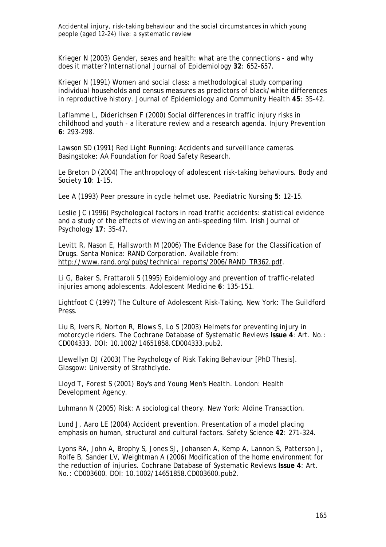Krieger N (2003) Gender, sexes and health: what are the connections - and why does it matter? *International Journal of Epidemiology* **32**: 652-657.

Krieger N (1991) Women and social class: a methodological study comparing individual households and census measures as predictors of black/white differences in reproductive history. *Journal of Epidemiology and Community Health* **45**: 35-42.

Laflamme L, Diderichsen F (2000) Social differences in traffic injury risks in childhood and youth - a literature review and a research agenda. *Injury Prevention* **6**: 293-298.

Lawson SD (1991) *Red Light Running: Accidents and surveillance cameras.*  Basingstoke: AA Foundation for Road Safety Research.

Le Breton D (2004) The anthropology of adolescent risk-taking behaviours. *Body and Society* **10**: 1-15.

Lee A (1993) Peer pressure in cycle helmet use. *Paediatric Nursing* **5**: 12-15.

Leslie JC (1996) Psychological factors in road traffic accidents: statistical evidence and a study of the effects of viewing an anti-speeding film. *Irish Journal of Psychology* **17**: 35-47.

Levitt R, Nason E, Hallsworth M (2006) *The Evidence Base for the Classification of Drugs.* Santa Monica: RAND Corporation. Available from: http://www.rand.org/pubs/technical\_reports/2006/RAND\_TR362.pdf.

Li G, Baker S, Frattaroli S (1995) Epidemiology and prevention of traffic-related injuries among adolescents. *Adolescent Medicine* **6**: 135-151.

Lightfoot C (1997) *The Culture of Adolescent Risk-Taking*. New York: The Guildford Press.

Liu B, Ivers R, Norton R, Blows S, Lo S (2003) Helmets for preventing injury in motorcycle riders. *The Cochrane Database of Systematic Reviews* **Issue 4**: Art. No.: CD004333. DOI: 10.1002/14651858.CD004333.pub2.

Llewellyn DJ (2003) *The Psychology of Risk Taking Behaviour [PhD Thesis].*  Glasgow: University of Strathclyde.

Lloyd T, Forest S (2001) *Boy's and Young Men's Health.* London: Health Development Agency.

Luhmann N (2005) *Risk: A sociological theory*. New York: Aldine Transaction.

Lund J, Aaro LE (2004) Accident prevention. Presentation of a model placing emphasis on human, structural and cultural factors. *Safety Science* **42**: 271-324.

Lyons RA, John A, Brophy S, Jones SJ, Johansen A, Kemp A, Lannon S, Patterson J, Rolfe B, Sander LV, Weightman A (2006) Modification of the home environment for the reduction of injuries. *Cochrane Database of Systematic Reviews* **Issue 4**: Art. No.: CD003600. DOI: 10.1002/14651858.CD003600.pub2.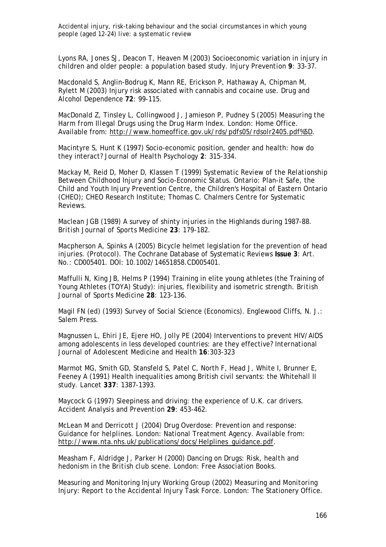Lyons RA, Jones SJ, Deacon T, Heaven M (2003) Socioeconomic variation in injury in children and older people: a population based study. *Injury Prevention* **9**: 33-37.

Macdonald S, Anglin-Bodrug K, Mann RE, Erickson P, Hathaway A, Chipman M, Rylett M (2003) Injury risk associated with cannabis and cocaine use. *Drug and Alcohol Dependence* **72**: 99-115.

MacDonald Z, Tinsley L, Collingwood J, Jamieson P, Pudney S (2005) *Measuring the Harm from Illegal Drugs using the Drug Harm Index.* London: Home Office. Available from: http://www.homeoffice.gov.uk/rds/pdfs05/rdsolr2405.pdf%5D.

Macintyre S, Hunt K (1997) Socio-economic position, gender and health: how do they interact? *Journal of Health Psychology* **2**: 315-334.

Mackay M, Reid D, Moher D, Klassen T (1999) *Systematic Review of the Relationship Between Childhood Injury and Socio-Economic Status.* Ontario: Plan-it Safe, the Child and Youth Injury Prevention Centre, the Children's Hospital of Eastern Ontario (CHEO); CHEO Research Institute; Thomas C. Chalmers Centre for Systematic Reviews.

Maclean JGB (1989) A survey of shinty injuries in the Highlands during 1987-88. *British Journal of Sports Medicine* **23**: 179-182.

Macpherson A, Spinks A (2005) Bicycle helmet legislation for the prevention of head injuries. (Protocol). *The Cochrane Database of Systematic Reviews* **Issue 3**: Art. No.: CD005401. DOI: 10.1002/14651858.CD005401.

Maffulli N, King JB, Helms P (1994) Training in elite young athletes (the Training of Young Athletes (TOYA) Study): injuries, flexibility and isometric strength. *British Journal of Sports Medicine* **28**: 123-136.

Magil FN (ed) (1993) *Survey of Social Science (Economics)*. Englewood Cliffs, N. J.: Salem Press.

Magnussen L, Ehiri JE, Ejere HO, Jolly PE (2004) Interventions to prevent HIV/AIDS among adolescents in less developed countries: are they effective? *International Journal of Adolescent Medicine and Health* **16**:303-323

Marmot MG, Smith GD, Stansfeld S, Patel C, North F, Head J, White I, Brunner E, Feeney A (1991) Health inequalities among British civil servants: the Whitehall II study. *Lancet* **337**: 1387-1393.

Maycock G (1997) Sleepiness and driving: the experience of U.K. car drivers. *Accident Analysis and Prevention* **29**: 453-462.

McLean M and Derricott J (2004) *Drug Overdose: Prevention and response: Guidance for helplines.* London: National Treatment Agency. Available from: http://www.nta.nhs.uk/publications/docs/Helplines\_guidance.pdf.

Measham F, Aldridge J, Parker H (2000) *Dancing on Drugs: Risk, health and hedonism in the British club scene*. London: Free Association Books.

Measuring and Monitoring Injury Working Group (2002) *Measuring and Monitoring Injury: Report to the Accidental Injury Task Force.* London: The Stationery Office.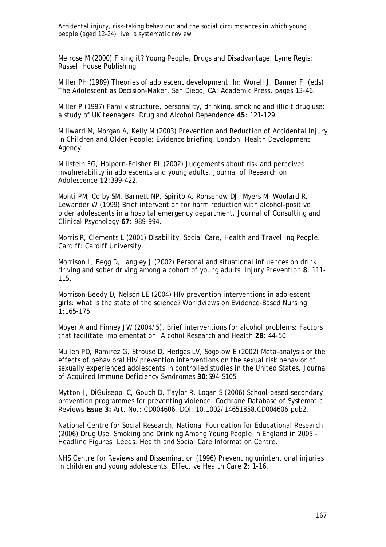Melrose M (2000) *Fixing it? Young People, Drugs and Disadvantage*. Lyme Regis: Russell House Publishing.

Miller PH (1989) Theories of adolescent development. In: Worell J, Danner F, (eds) *The Adolescent as Decision-Maker*. San Diego, CA: Academic Press, pages 13-46.

Miller P (1997) Family structure, personality, drinking, smoking and illicit drug use: a study of UK teenagers. *Drug and Alcohol Dependence* **45**: 121-129.

Millward M, Morgan A, Kelly M (2003) *Prevention and Reduction of Accidental Injury in Children and Older People: Evidence briefing.* London: Health Development Agency.

Millstein FG, Halpern-Felsher BL (2002) Judgements about risk and perceived invulnerability in adolescents and young adults. *Journal of Research on Adolescence* **12**:399-422.

Monti PM, Colby SM, Barnett NP, Spirito A, Rohsenow DJ, Myers M, Woolard R, Lewander W (1999) Brief intervention for harm reduction with alcohol-positive older adolescents in a hospital emergency department. *Journal of Consulting and Clinical Psychology* **67**: 989-994.

Morris R, Clements L (2001) *Disability, Social Care, Health and Travelling People.*  Cardiff: Cardiff University.

Morrison L, Begg D, Langley J (2002) Personal and situational influences on drink driving and sober driving among a cohort of young adults. *Injury Prevention* **8**: 111- 115.

Morrison-Beedy D, Nelson LE (2004) HIV prevention interventions in adolescent girls: what is the state of the science? *Worldviews on Evidence-Based Nursing*  **1**:165-175.

Moyer A and Finney JW (2004/5). Brief interventions for alcohol problems: Factors that facilitate implementation. *Alcohol Research and Health* **28**: 44-50

Mullen PD, Ramirez G, Strouse D, Hedges LV, Sogolow E (2002) Meta-analysis of the effects of behavioral HIV prevention interventions on the sexual risk behavior of sexually experienced adolescents in controlled studies in the United States. *Journal of Acquired Immune Deficiency Syndromes* **30**:S94-S105

Mytton J, DiGuiseppi C, Gough D, Taylor R, Logan S (2006) School-based secondary prevention programmes for preventing violence. *Cochrane Database of Systematic Reviews* **Issue 3:** Art. No.: CD004606. DOI: 10.1002/14651858.CD004606.pub2.

National Centre for Social Research, National Foundation for Educational Research (2006) *Drug Use, Smoking and Drinking Among Young People in England in 2005 - Headline Figures.* Leeds: Health and Social Care Information Centre.

NHS Centre for Reviews and Dissemination (1996) Preventing unintentional injuries in children and young adolescents. *Effective Health Care* **2**: 1-16.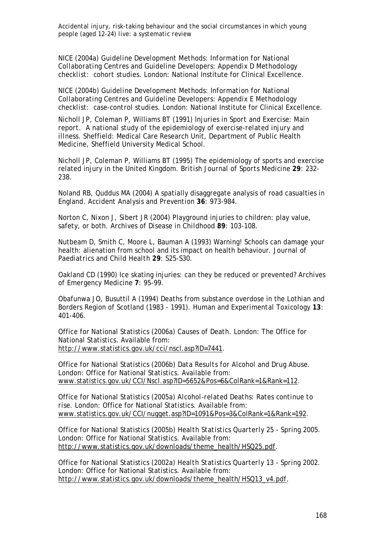NICE (2004a) *Guideline Development Methods: Information for National Collaborating Centres and Guideline Developers: Appendix D Methodology checklist: cohort studies.* London: National Institute for Clinical Excellence.

NICE (2004b) *Guideline Development Methods: Information for National Collaborating Centres and Guideline Developers: Appendix E Methodology checklist: case-control studies.* London: National Institute for Clinical Excellence.

Nicholl JP, Coleman P, Williams BT (1991) *Injuries in Sport and Exercise: Main report. A national study of the epidemiology of exercise-related injury and illness.* Sheffield: Medical Care Research Unit, Department of Public Health Medicine, Sheffield University Medical School.

Nicholl JP, Coleman P, Williams BT (1995) The epidemiology of sports and exercise related injury in the United Kingdom. *British Journal of Sports Medicine* **29**: 232- 238.

Noland RB, Quddus MA (2004) A spatially disaggregate analysis of road casualties in England. *Accident Analysis and Prevention* **36**: 973-984.

Norton C, Nixon J, Sibert JR (2004) Playground injuries to children: play value, safety, or both. *Archives of Disease in Childhood* **89**: 103-108.

Nutbeam D, Smith C, Moore L, Bauman A (1993) Warning! Schools can damage your health: alienation from school and its impact on health behaviour. *Journal of Paediatrics and Child Health* **29**: S25-S30.

Oakland CD (1990) Ice skating injuries: can they be reduced or prevented? *Archives of Emergency Medicine* **7**: 95-99.

Obafunwa JO, Busuttil A (1994) Deaths from substance overdose in the Lothian and Borders Region of Scotland (1983 - 1991). *Human and Experimental Toxicology* **13**: 401-406.

Office for National Statistics (2006a) *Causes of Death.* London: The Office for National Statistics. Available from: http://www.statistics.gov.uk/cci/nscl.asp?ID=7441.

Office for National Statistics (2006b) *Data Results for Alcohol and Drug Abuse.* London: Office for National Statistics. Available from: www.statistics.gov.uk/CCI/Nscl.asp?ID=5652&Pos=6&ColRank=1&Rank=112.

Office for National Statistics (2005a) *Alcohol-related Deaths: Rates continue to rise.* London: Office for National Statistics. Available from: www.statistics.gov.uk/CCI/nugget.asp?ID=1091&Pos=3&ColRank=1&Rank=192.

Office for National Statistics (2005b) *Health Statistics Quarterly 25 - Spring 2005.* London: Office for National Statistics. Available from: http://www.statistics.gov.uk/downloads/theme\_health/HSQ25.pdf.

Office for National Statistics (2002a) *Health Statistics Quarterly 13 - Spring 2002.* London: Office for National Statistics. Available from: http://www.statistics.gov.uk/downloads/theme\_health/HSQ13\_v4.pdf.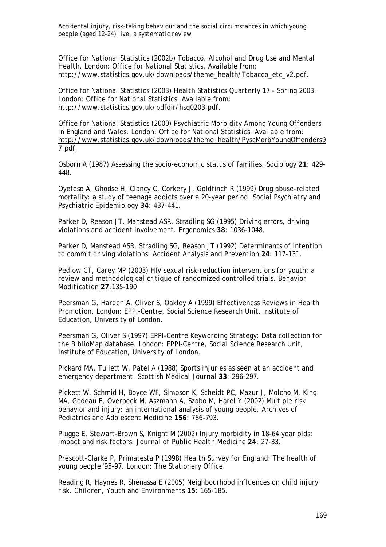Office for National Statistics (2002b) *Tobacco, Alcohol and Drug Use and Mental Health.* London: Office for National Statistics. Available from: http://www.statistics.gov.uk/downloads/theme\_health/Tobacco\_etc\_v2.pdf.

Office for National Statistics (2003) *Health Statistics Quarterly 17 - Spring 2003.* London: Office for National Statistics. Available from: http://www.statistics.gov.uk/pdfdir/hsq0203.pdf.

Office for National Statistics (2000) *Psychiatric Morbidity Among Young Offenders in England and Wales.* London: Office for National Statistics. Available from: http://www.statistics.gov.uk/downloads/theme\_health/PyscMorbYoungOffenders9 7.pdf.

Osborn A (1987) Assessing the socio-economic status of families. *Sociology* **21**: 429- 448.

Oyefeso A, Ghodse H, Clancy C, Corkery J, Goldfinch R (1999) Drug abuse-related mortality: a study of teenage addicts over a 20-year period. *Social Psychiatry and Psychiatric Epidemiology* **34**: 437-441.

Parker D, Reason JT, Manstead ASR, Stradling SG (1995) Driving errors, driving violations and accident involvement. *Ergonomics* **38**: 1036-1048.

Parker D, Manstead ASR, Stradling SG, Reason JT (1992) Determinants of intention to commit driving violations. *Accident Analysis and Prevention* **24**: 117-131.

Pedlow CT, Carey MP (2003) HIV sexual risk-reduction interventions for youth: a review and methodological critique of randomized controlled trials. *Behavior Modification* **27**:135-190

Peersman G, Harden A, Oliver S, Oakley A (1999) *Effectiveness Reviews in Health Promotion.* London: EPPI-Centre, Social Science Research Unit, Institute of Education, University of London.

Peersman G, Oliver S (1997) *EPPI-Centre Keywording Strategy: Data collection for the BiblioMap database.* London: EPPI-Centre, Social Science Research Unit, Institute of Education, University of London.

Pickard MA, Tullett W, Patel A (1988) Sports injuries as seen at an accident and emergency department. *Scottish Medical Journal* **33**: 296-297.

Pickett W, Schmid H, Boyce WF, Simpson K, Scheidt PC, Mazur J, Molcho M, King MA, Godeau E, Overpeck M, Aszmann A, Szabo M, Harel Y (2002) Multiple risk behavior and injury: an international analysis of young people. *Archives of Pediatrics and Adolescent Medicine* **156**: 786-793.

Plugge E, Stewart-Brown S, Knight M (2002) Injury morbidity in 18-64 year olds: impact and risk factors. *Journal of Public Health Medicine* **24**: 27-33.

Prescott-Clarke P, Primatesta P (1998) *Health Survey for England: The health of young people '95-97.* London: The Stationery Office.

Reading R, Haynes R, Shenassa E (2005) Neighbourhood influences on child injury risk. *Children, Youth and Environments* **15**: 165-185.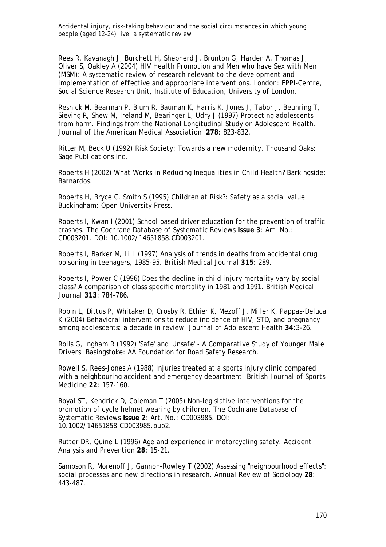Rees R, Kavanagh J, Burchett H, Shepherd J, Brunton G, Harden A, Thomas J, Oliver S, Oakley A (2004) *HIV Health Promotion and Men who have Sex with Men (MSM): A systematic review of research relevant to the development and implementation of effective and appropriate interventions.* London: EPPI-Centre, Social Science Research Unit, Institute of Education, University of London.

Resnick M, Bearman P, Blum R, Bauman K, Harris K, Jones J, Tabor J, Beuhring T, Sieving R, Shew M, Ireland M, Bearinger L, Udry J (1997) Protecting adolescents from harm. Findings from the National Longitudinal Study on Adolescent Health. *Journal of the American Medical Association* **278**: 823-832.

Ritter M, Beck U (1992) *Risk Society: Towards a new modernity*. Thousand Oaks: Sage Publications Inc.

Roberts H (2002) *What Works in Reducing Inequalities in Child Health?* Barkingside: Barnardos.

Roberts H, Bryce C, Smith S (1995) *Children at Risk?: Safety as a social value*. Buckingham: Open University Press.

Roberts I, Kwan I (2001) School based driver education for the prevention of traffic crashes. *The Cochrane Database of Systematic Reviews* **Issue 3**: Art. No.: CD003201. DOI: 10.1002/14651858.CD003201.

Roberts I, Barker M, Li L (1997) Analysis of trends in deaths from accidental drug poisoning in teenagers, 1985-95. *British Medical Journal* **315**: 289.

Roberts I, Power C (1996) Does the decline in child injury mortality vary by social class? A comparison of class specific mortality in 1981 and 1991. *British Medical Journal* **313**: 784-786.

Robin L, Dittus P, Whitaker D, Crosby R, Ethier K, Mezoff J, Miller K, Pappas-Deluca K (2004) Behavioral interventions to reduce incidence of HIV, STD, and pregnancy among adolescents: a decade in review. *Journal of Adolescent Health* **34**:3-26.

Rolls G, Ingham R (1992) *'Safe' and 'Unsafe' - A Comparative Study of Younger Male Drivers.* Basingstoke: AA Foundation for Road Safety Research.

Rowell S, Rees-Jones A (1988) Injuries treated at a sports injury clinic compared with a neighbouring accident and emergency department. *British Journal of Sports Medicine* **22**: 157-160.

Royal ST, Kendrick D, Coleman T (2005) Non-legislative interventions for the promotion of cycle helmet wearing by children. *The Cochrane Database of Systematic Reviews* **Issue 2**: Art. No.: CD003985. DOI: 10.1002/14651858.CD003985.pub2.

Rutter DR, Quine L (1996) Age and experience in motorcycling safety. *Accident Analysis and Prevention* **28**: 15-21.

Sampson R, Morenoff J, Gannon-Rowley T (2002) Assessing "neighbourhood effects": social processes and new directions in research. *Annual Review of Sociology* **28**: 443-487.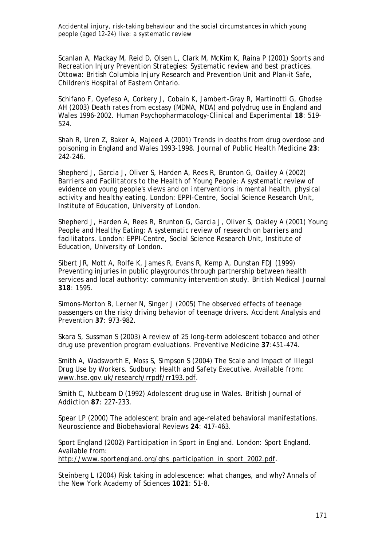Scanlan A, Mackay M, Reid D, Olsen L, Clark M, McKim K, Raina P (2001) *Sports and Recreation Injury Prevention Strategies: Systematic review and best practices.*  Ottowa: British Columbia Injury Research and Prevention Unit and Plan-it Safe, Children's Hospital of Eastern Ontario.

Schifano F, Oyefeso A, Corkery J, Cobain K, Jambert-Gray R, Martinotti G, Ghodse AH (2003) Death rates from ecstasy (MDMA, MDA) and polydrug use in England and Wales 1996-2002. *Human Psychopharmacology-Clinical and Experimental* **18**: 519- 524.

Shah R, Uren Z, Baker A, Majeed A (2001) Trends in deaths from drug overdose and poisoning in England and Wales 1993-1998. *Journal of Public Health Medicine* **23**: 242-246.

Shepherd J, Garcia J, Oliver S, Harden A, Rees R, Brunton G, Oakley A (2002) *Barriers and Facilitators to the Health of Young People: A systematic review of evidence on young people's views and on interventions in mental health, physical activity and healthy eating.* London: EPPI-Centre, Social Science Research Unit, Institute of Education, University of London.

Shepherd J, Harden A, Rees R, Brunton G, Garcia J, Oliver S, Oakley A (2001) *Young People and Healthy Eating: A systematic review of research on barriers and facilitators.* London: EPPI-Centre, Social Science Research Unit, Institute of Education, University of London.

Sibert JR, Mott A, Rolfe K, James R, Evans R, Kemp A, Dunstan FDJ (1999) Preventing injuries in public playgrounds through partnership between health services and local authority: community intervention study. *British Medical Journal* **318**: 1595.

Simons-Morton B, Lerner N, Singer J (2005) The observed effects of teenage passengers on the risky driving behavior of teenage drivers. *Accident Analysis and Prevention* **37**: 973-982.

Skara S, Sussman S (2003) A review of 25 long-term adolescent tobacco and other drug use prevention program evaluations. *Preventive Medicine* **37**:451-474.

Smith A, Wadsworth E, Moss S, Simpson S (2004) *The Scale and Impact of Illegal Drug Use by Workers.* Sudbury: Health and Safety Executive. Available from: www.hse.gov.uk/research/rrpdf/rr193.pdf.

Smith C, Nutbeam D (1992) Adolescent drug use in Wales. *British Journal of Addiction* **87**: 227-233.

Spear LP (2000) The adolescent brain and age-related behavioral manifestations. *Neuroscience and Biobehavioral Reviews* **24**: 417-463.

Sport England (2002) *Participation in Sport in England.* London: Sport England. Available from: http://www.sportengland.org/ghs\_participation\_in\_sport\_2002.pdf.

Steinberg L (2004) Risk taking in adolescence: what changes, and why? *Annals of the New York Academy of Sciences* **1021**: 51-8.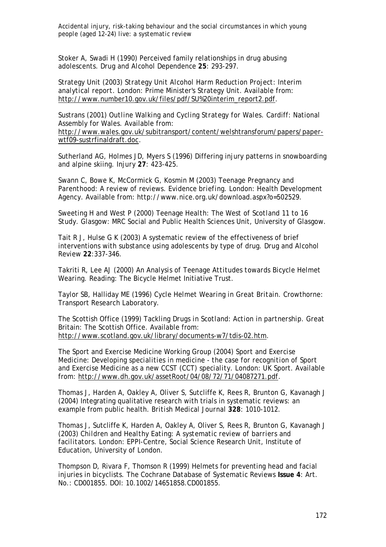Stoker A, Swadi H (1990) Perceived family relationships in drug abusing adolescents. *Drug and Alcohol Dependence* **25**: 293-297.

Strategy Unit (2003) *Strategy Unit Alcohol Harm Reduction Project: Interim analytical report.* London: Prime Minister's Strategy Unit. Available from: http://www.number10.gov.uk/files/pdf/SU%20interim\_report2.pdf.

Sustrans (2001) *Outline Walking and Cycling Strategy for Wales.* Cardiff: National Assembly for Wales. Available from:

http://www.wales.gov.uk/subitransport/content/welshtransforum/papers/paperwtf09-sustrfinaldraft.doc.

Sutherland AG, Holmes JD, Myers S (1996) Differing injury patterns in snowboarding and alpine skiing. *Injury* **27**: 423-425.

Swann C, Bowe K, McCormick G, Kosmin M (2003) *Teenage Pregnancy and Parenthood: A review of reviews. Evidence briefing*. London: Health Development Agency. Available from: http://www.nice.org.uk/download.aspx?o=502529.

Sweeting H and West P (2000) *Teenage Health: The West of Scotland 11 to 16 Study*. Glasgow: MRC Social and Public Health Sciences Unit, University of Glasgow.

Tait R J, Hulse G K (2003) A systematic review of the effectiveness of brief interventions with substance using adolescents by type of drug. *Drug and Alcohol Review* **22**:337-346.

Takriti R, Lee AJ (2000) *An Analysis of Teenage Attitudes towards Bicycle Helmet Wearing.* Reading: The Bicycle Helmet Initiative Trust.

Taylor SB, Halliday ME (1996) *Cycle Helmet Wearing in Great Britain.* Crowthorne: Transport Research Laboratory.

The Scottish Office (1999) *Tackling Drugs in Scotland: Action in partnership.* Great Britain: The Scottish Office. Available from: http://www.scotland.gov.uk/library/documents-w7/tdis-02.htm.

The Sport and Exercise Medicine Working Group (2004) *Sport and Exercise Medicine: Developing specialities in medicine - the case for recognition of Sport and Exercise Medicine as a new CCST (CCT) speciality.* London: UK Sport. Available from: http://www.dh.gov.uk/assetRoot/04/08/72/71/04087271.pdf.

Thomas J, Harden A, Oakley A, Oliver S, Sutcliffe K, Rees R, Brunton G, Kavanagh J (2004) Integrating qualitative research with trials in systematic reviews: an example from public health. *British Medical Journal* **328**: 1010-1012.

Thomas J, Sutcliffe K, Harden A, Oakley A, Oliver S, Rees R, Brunton G, Kavanagh J (2003) *Children and Healthy Eating: A systematic review of barriers and facilitators.* London: EPPI-Centre, Social Science Research Unit, Institute of Education, University of London.

Thompson D, Rivara F, Thomson R (1999) Helmets for preventing head and facial injuries in bicyclists. *The Cochrane Database of Systematic Reviews* **Issue 4**: Art. No.: CD001855. DOI: 10.1002/14651858.CD001855.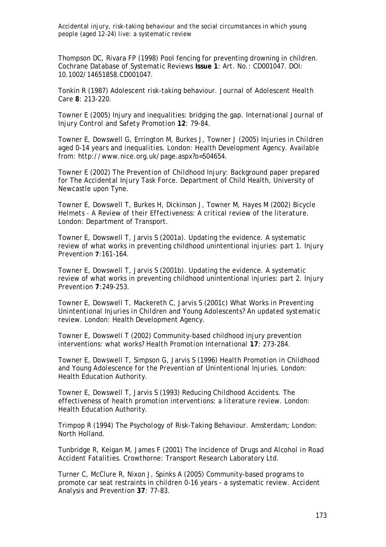Thompson DC, Rivara FP (1998) Pool fencing for preventing drowning in children. *Cochrane Database of Systematic Reviews* **Issue 1**: Art. No.: CD001047. DOI: 10.1002/14651858.CD001047.

Tonkin R (1987) Adolescent risk-taking behaviour. *Journal of Adolescent Health Care* **8**: 213-220.

Towner E (2005) Injury and inequalities: bridging the gap. *International Journal of Injury Control and Safety Promotion* **12**: 79-84.

Towner E, Dowswell G, Errington M, Burkes J, Towner J (2005) *Injuries in Children aged 0-14 years and inequalities*. London: Health Development Agency. Available from: http://www.nice.org.uk/page.aspx?o=504654.

Towner E (2002) *The Prevention of Childhood Injury: Background paper prepared for The Accidental Injury Task Force*. Department of Child Health, University of Newcastle upon Tyne.

Towner E, Dowswell T, Burkes H, Dickinson J, Towner M, Hayes M (2002) *Bicycle Helmets - A Review of their Effectiveness: A critical review of the literature.*  London: Department of Transport.

Towner E, Dowswell T, Jarvis S (2001a). Updating the evidence. A systematic review of what works in preventing childhood unintentional injuries: part 1. *Injury Prevention* **7**:161-164.

Towner E, Dowswell T, Jarvis S (2001b). Updating the evidence. A systematic review of what works in preventing childhood unintentional injuries: part 2. *Injury Prevention* **7**:249-253.

Towner E, Dowswell T, Mackereth C, Jarvis S (2001c) *What Works in Preventing Unintentional Injuries in Children and Young Adolescents? An updated systematic review.* London: Health Development Agency.

Towner E, Dowswell T (2002) Community-based childhood injury prevention interventions: what works? *Health Promotion International* **17**: 273-284.

Towner E, Dowswell T, Simpson G, Jarvis S (1996) *Health Promotion in Childhood and Young Adolescence for the Prevention of Unintentional Injuries.* London: Health Education Authority.

Towner E, Dowswell T, Jarvis S (1993) *Reducing Childhood Accidents. The effectiveness of health promotion interventions: a literature review.* London: Health Education Authority.

Trimpop R (1994) *The Psychology of Risk-Taking Behaviour*. Amsterdam; London: North Holland.

Tunbridge R, Keigan M, James F (2001) *The Incidence of Drugs and Alcohol in Road Accident Fatalities.* Crowthorne: Transport Research Laboratory Ltd.

Turner C, McClure R, Nixon J, Spinks A (2005) Community-based programs to promote car seat restraints in children 0-16 years - a systematic review. *Accident Analysis and Prevention* **37**: 77-83.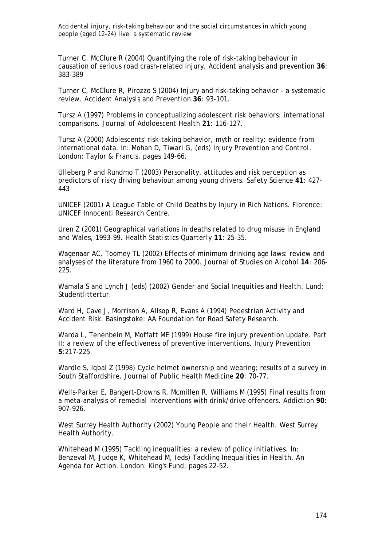Turner C, McClure R (2004) Quantifying the role of risk-taking behaviour in causation of serious road crash-related injury. *Accident analysis and prevention* **36**: 383-389

Turner C, McClure R, Pirozzo S (2004) Injury and risk-taking behavior - a systematic review. *Accident Analysis and Prevention* **36**: 93-101.

Tursz A (1997) Problems in conceptualizing adolescent risk behaviors: international comparisons. *Journal of Adoloescent Health* **21**: 116-127.

Tursz A (2000) Adolescents' risk-taking behavior, myth or reality: evidence from international data. In: Mohan D, Tiwari G, (eds) *Injury Prevention and Control*. London: Taylor & Francis, pages 149-66.

Ulleberg P and Rundmo T (2003) Personality, attitudes and risk perception as predictors of risky driving behaviour among young drivers. *Safety Science* **41**: 427- 443

UNICEF (2001) *A League Table of Child Deaths by Injury in Rich Nations.* Florence: UNICEF Innocenti Research Centre.

Uren Z (2001) Geographical variations in deaths related to drug misuse in England and Wales, 1993-99. *Health Statistics Quarterly* **11**: 25-35.

Wagenaar AC, Toomey TL (2002) Effects of minimum drinking age laws: review and analyses of the literature from 1960 to 2000. *Journal of Studies on Alcohol* **14**: 206- 225.

Wamala S and Lynch J (eds) (2002) *Gender and Social Inequities and Health*. Lund: Studentlittertur.

Ward H, Cave J, Morrison A, Allsop R, Evans A (1994) *Pedestrian Activity and Accident Risk.* Basingstoke: AA Foundation for Road Safety Research.

Warda L, Tenenbein M, Moffatt ME (1999) House fire injury prevention update. Part II: a review of the effectiveness of preventive interventions. *Injury Prevention* **5**:217-225.

Wardle S, Igbal Z (1998) Cycle helmet ownership and wearing; results of a survey in South Staffordshire. *Journal of Public Health Medicine* **20**: 70-77.

Wells-Parker E, Bangert-Drowns R, Mcmillen R, Williams M (1995) Final results from a meta-analysis of remedial interventions with drink/drive offenders. *Addiction* **90**: 907-926.

West Surrey Health Authority (2002) *Young People and their Health.* West Surrey Health Authority.

Whitehead M (1995) Tackling inequalities: a review of policy initiatives. In: Benzeval M, Judge K, Whitehead M, (eds) *Tackling Inequalities in Health. An Agenda for Action*. London: King's Fund, pages 22-52.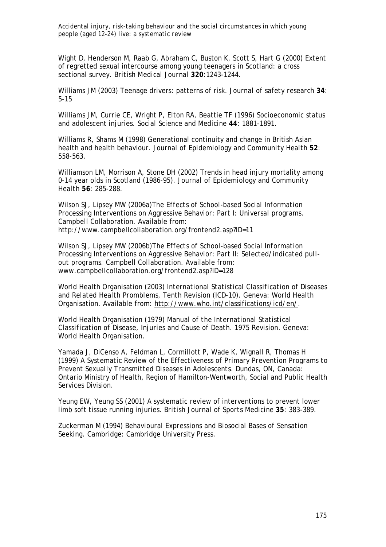Wight D, Henderson M, Raab G, Abraham C, Buston K, Scott S, Hart G (2000) Extent of regretted sexual intercourse among young teenagers in Scotland: a cross sectional survey. *British Medical Journal* **320**:1243-1244.

Williams JM (2003) Teenage drivers: patterns of risk. *Journal of safety research* **34**: 5-15

Williams JM, Currie CE, Wright P, Elton RA, Beattie TF (1996) Socioeconomic status and adolescent injuries. *Social Science and Medicine* **44**: 1881-1891.

Williams R, Shams M (1998) Generational continuity and change in British Asian health and health behaviour. *Journal of Epidemiology and Community Health* **52**: 558-563.

Williamson LM, Morrison A, Stone DH (2002) Trends in head injury mortality among 0-14 year olds in Scotland (1986-95). *Journal of Epidemiology and Community Health* **56**: 285-288.

Wilson SJ, Lipsey MW (2006a)*The Effects of School-based Social Information Processing Interventions on Aggressive Behavior: Part I: Universal programs.*  Campbell Collaboration. Available from: http://www.campbellcollaboration.org/frontend2.asp?ID=11

Wilson SJ, Lipsey MW (2006b)*The Effects of School-based Social Information Processing Interventions on Aggressive Behavior: Part II: Selected/indicated pullout programs*. Campbell Collaboration. Available from: www.campbellcollaboration.org/frontend2.asp?ID=128

World Health Organisation (2003) *International Statistical Classification of Diseases and Related Health Promblems, Tenth Revision (ICD-10).* Geneva: World Health Organisation. Available from: http://www.who.int/classifications/icd/en/.

World Health Organisation (1979) *Manual of the International Statistical Classification of Disease, Injuries and Cause of Death. 1975 Revision*. Geneva: World Health Organisation.

Yamada J, DiCenso A, Feldman L, Cormillott P, Wade K, Wignall R, Thomas H (1999) *A Systematic Review of the Effectiveness of Primary Prevention Programs to Prevent Sexually Transmitted Diseases in Adolescents*. Dundas, ON, Canada: Ontario Ministry of Health, Region of Hamilton-Wentworth, Social and Public Health Services Division.

Yeung EW, Yeung SS (2001) A systematic review of interventions to prevent lower limb soft tissue running injuries. *British Journal of Sports Medicine* **35**: 383-389.

Zuckerman M (1994) *Behavioural Expressions and Biosocial Bases of Sensation Seeking*. Cambridge: Cambridge University Press.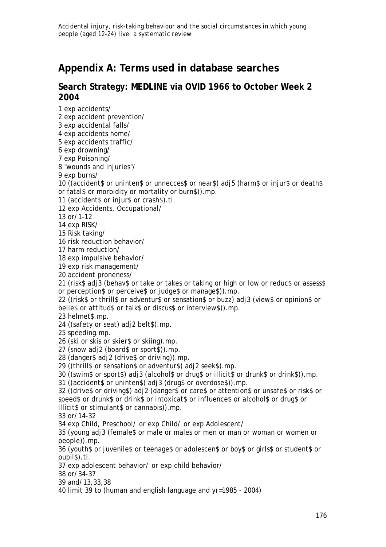# **Appendix A: Terms used in database searches**

### **Search Strategy: MEDLINE via OVID 1966 to October Week 2 2004**

1 exp accidents/

2 exp accident prevention/

3 exp accidental falls/

4 exp accidents home/

5 exp accidents traffic/

6 exp drowning/

7 exp Poisoning/

8 "wounds and injuries"/

9 exp burns/

10 ((accident\$ or uninten\$ or unnecces\$ or near\$) adj5 (harm\$ or injur\$ or death\$ or fatal\$ or morbidity or mortality or burn\$)).mp.

11 (accident\$ or injur\$ or crash\$).ti.

12 exp Accidents, Occupational/

13 or/1-12

14 exp RISK/

15 Risk taking/

16 risk reduction behavior/

17 harm reduction/

18 exp impulsive behavior/

19 exp risk management/

20 accident proneness/

21 (risk\$ adj3 (behav\$ or take or takes or taking or high or low or reduc\$ or assess\$ or perception\$ or perceive\$ or judge\$ or manage\$)).mp.

22 ((risk\$ or thrill\$ or adventur\$ or sensation\$ or buzz) adj3 (view\$ or opinion\$ or belie\$ or attitud\$ or talk\$ or discus\$ or interview\$)).mp.

23 helmet\$.mp.

24 ((safety or seat) adj2 belt\$).mp.

25 speeding.mp.

26 (ski or skis or skier\$ or skiing).mp.

27 (snow adj2 (board\$ or sport\$)).mp.

28 (danger\$ adj2 (drive\$ or driving)).mp.

29 ((thrill\$ or sensation\$ or adventur\$) adj2 seek\$).mp.

30 ((swim\$ or sport\$) adj3 (alcohol\$ or drug\$ or illicit\$ or drunk\$ or drink\$)).mp.

31 ((accident\$ or uninten\$) adj3 (drug\$ or overdose\$)).mp.

32 ((drive\$ or driving\$) adj2 (danger\$ or care\$ or attention\$ or unsafe\$ or risk\$ or speed\$ or drunk\$ or drink\$ or intoxicat\$ or influence\$ or alcohol\$ or drug\$ or illicit\$ or stimulant\$ or cannabis)).mp.

33 or/14-32

34 exp Child, Preschool/ or exp Child/ or exp Adolescent/

35 (young adj3 (female\$ or male or males or men or man or woman or women or people)).mp.

36 (youth\$ or juvenile\$ or teenage\$ or adolescen\$ or boy\$ or girls\$ or student\$ or pupil\$).ti.

37 exp adolescent behavior/ or exp child behavior/

38 or/34-37

39 and/13,33,38

40 limit 39 to (human and english language and yr=1985 - 2004)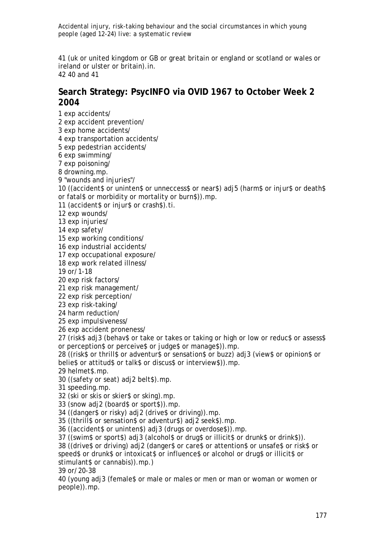41 (uk or united kingdom or GB or great britain or england or scotland or wales or ireland or ulster or britain).in. 42 40 and 41

## **Search Strategy: PsycINFO via OVID 1967 to October Week 2 2004**

1 exp accidents/ 2 exp accident prevention/ 3 exp home accidents/ 4 exp transportation accidents/ 5 exp pedestrian accidents/

6 exp swimming/

7 exp poisoning/

8 drowning.mp.

9 "wounds and injuries"/

10 ((accident\$ or uninten\$ or unneccess\$ or near\$) adj5 (harm\$ or injur\$ or death\$ or fatal\$ or morbidity or mortality or burn\$)).mp.

11 (accident\$ or injur\$ or crash\$).ti.

12 exp wounds/

13 exp injuries/

14 exp safety/

15 exp working conditions/

16 exp industrial accidents/

17 exp occupational exposure/

18 exp work related illness/

19 or/1-18

20 exp risk factors/

21 exp risk management/

22 exp risk perception/

23 exp risk-taking/

24 harm reduction/

25 exp impulsiveness/

26 exp accident proneness/

27 (risk\$ adj3 (behav\$ or take or takes or taking or high or low or reduc\$ or assess\$ or perception\$ or perceive\$ or judge\$ or manage\$)).mp.

28 ((risk\$ or thrill\$ or adventur\$ or sensation\$ or buzz) adj3 (view\$ or opinion\$ or belie\$ or attitud\$ or talk\$ or discus\$ or interview\$)).mp.

29 helmet\$.mp.

30 ((safety or seat) adj2 belt\$).mp.

31 speeding.mp.

32 (ski or skis or skier\$ or sking).mp.

33 (snow adj2 (board\$ or sport\$)).mp.

34 ((danger\$ or risky) adj2 (drive\$ or driving)).mp.

35 ((thrill\$ or sensation\$ or adventur\$) adj2 seek\$).mp.

36 ((accident\$ or uninten\$) adj3 (drugs or overdose\$)).mp.

37 ((swim\$ or sport\$) adj3 (alcohol\$ or drug\$ or illicit\$ or drunk\$ or drink\$)).

38 ((drive\$ or driving) adj2 (danger\$ or care\$ or attention\$ or unsafe\$ or risk\$ or speed\$ or drunk\$ or intoxicat\$ or influence\$ or alcohol or drug\$ or illicit\$ or stimulant\$ or cannabis)).mp.)

39 or/20-38

40 (young adj3 (female\$ or male or males or men or man or woman or women or people)).mp.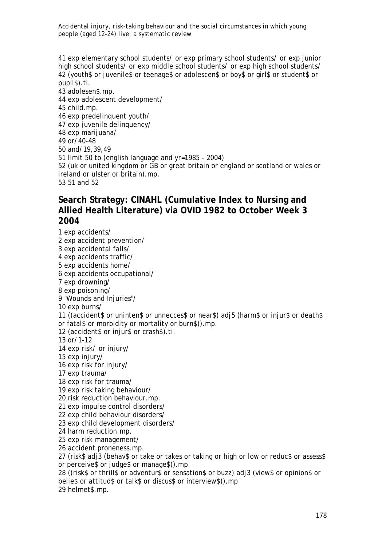41 exp elementary school students/ or exp primary school students/ or exp junior high school students/ or exp middle school students/ or exp high school students/ 42 (youth\$ or juvenile\$ or teenage\$ or adolescen\$ or boy\$ or girl\$ or student\$ or pupil\$).ti.

43 adolesen\$.mp. 44 exp adolescent development/ 45 child.mp. 46 exp predelinquent youth/ 47 exp juvenile delinquency/ 48 exp marijuana/ 49 or/40-48 50 and/19,39,49 51 limit 50 to (english language and yr=1985 - 2004) 52 (uk or united kingdom or GB or great britain or england or scotland or wales or ireland or ulster or britain).mp. 53 51 and 52

# **Search Strategy: CINAHL (Cumulative Index to Nursing and Allied Health Literature) via OVID 1982 to October Week 3 2004**

1 exp accidents/ 2 exp accident prevention/ 3 exp accidental falls/ 4 exp accidents traffic/ 5 exp accidents home/ 6 exp accidents occupational/ 7 exp drowning/ 8 exp poisoning/ 9 "Wounds and Injuries"/ 10 exp burns/ 11 ((accident\$ or uninten\$ or unnecces\$ or near\$) adj5 (harm\$ or injur\$ or death\$ or fatal\$ or morbidity or mortality or burn\$)).mp. 12 (accident\$ or injur\$ or crash\$).ti. 13 or/1-12 14 exp risk/ or injury/ 15 exp injury/ 16 exp risk for injury/ 17 exp trauma/ 18 exp risk for trauma/ 19 exp risk taking behaviour/ 20 risk reduction behaviour.mp. 21 exp impulse control disorders/ 22 exp child behaviour disorders/ 23 exp child development disorders/ 24 harm reduction.mp. 25 exp risk management/ 26 accident proneness.mp. 27 (risk\$ adj3 (behav\$ or take or takes or taking or high or low or reduc\$ or assess\$ or perceive\$ or judge\$ or manage\$)).mp. 28 ((risk\$ or thrill\$ or adventur\$ or sensation\$ or buzz) adj3 (view\$ or opinion\$ or belie\$ or attitud\$ or talk\$ or discus\$ or interview\$)).mp

29 helmet\$.mp.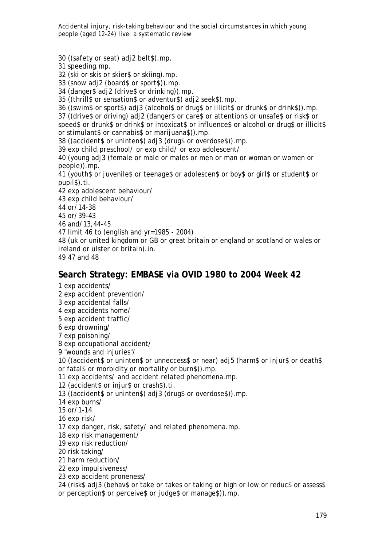30 ((safety or seat) adj2 belt\$).mp.

31 speeding.mp.

32 (ski or skis or skier\$ or skiing).mp.

33 (snow adj2 (board\$ or sport\$)).mp.

34 (danger\$ adj2 (drive\$ or drinking)).mp.

35 ((thrill\$ or sensation\$ or adventur\$) adj2 seek\$).mp.

36 ((swim\$ or sport\$) adj3 (alcohol\$ or drug\$ or illicit\$ or drunk\$ or drink\$)).mp.

37 ((drive\$ or driving) adj2 (danger\$ or care\$ or attention\$ or unsafe\$ or risk\$ or speed\$ or drunk\$ or drink\$ or intoxicat\$ or influence\$ or alcohol or drug\$ or illicit\$ or stimulant\$ or cannabis\$ or marijuana\$)).mp.

38 ((accident\$ or uninten\$) adj3 (drug\$ or overdose\$)).mp.

39 exp child,preschool/ or exp child/ or exp adolescent/

40 (young adj3 (female or male or males or men or man or woman or women or people)).mp.

41 (youth\$ or juvenile\$ or teenage\$ or adolescen\$ or boy\$ or girl\$ or student\$ or pupil\$).ti.

42 exp adolescent behaviour/

43 exp child behaviour/

44 or/14-38

45 or/39-43

46 and/13,44-45

47 limit 46 to (english and yr=1985 - 2004)

48 (uk or united kingdom or GB or great britain or england or scotland or wales or ireland or ulster or britain).in.

49 47 and 48

#### **Search Strategy: EMBASE via OVID 1980 to 2004 Week 42**

1 exp accidents/

2 exp accident prevention/

3 exp accidental falls/

4 exp accidents home/

5 exp accident traffic/

6 exp drowning/

7 exp poisoning/

8 exp occupational accident/

9 "wounds and injuries"/

10 ((accident\$ or uninten\$ or unneccess\$ or near) adj5 (harm\$ or injur\$ or death\$ or fatal\$ or morbidity or mortality or burn\$)).mp.

11 exp accidents/ and accident related phenomena.mp.

12 (accident\$ or injur\$ or crash\$).ti.

13 ((accident\$ or uninten\$) adj3 (drug\$ or overdose\$)).mp.

14 exp burns/

15 or/1-14

16 exp risk/

17 exp danger, risk, safety/ and related phenomena.mp.

18 exp risk management/

19 exp risk reduction/

20 risk taking/

21 harm reduction/

22 exp impulsiveness/

23 exp accident proneness/

24 (risk\$ adj3 (behav\$ or take or takes or taking or high or low or reduc\$ or assess\$ or perception\$ or perceive\$ or judge\$ or manage\$)).mp.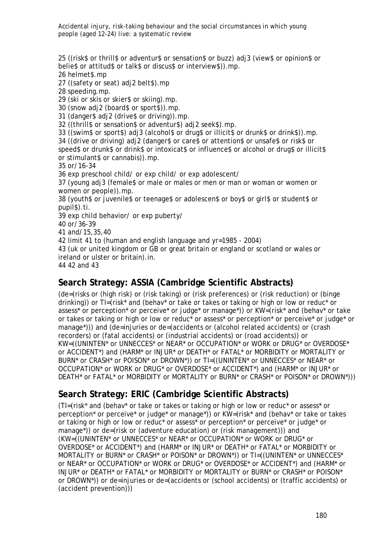25 ((risk\$ or thrill\$ or adventur\$ or sensation\$ or buzz) adj3 (view\$ or opinion\$ or belie\$ or attitud\$ or talk\$ or discus\$ or interview\$)).mp.

26 helmet\$.mp

27 ((safety or seat) adi2 belt\$).mp

28 speeding.mp.

29 (ski or skis or skier\$ or skiing).mp.

30 (snow adj2 (board\$ or sport\$)).mp.

31 (danger\$ adj2 (drive\$ or driving)).mp.

32 ((thrill\$ or sensation\$ or adventur\$) adj2 seek\$).mp.

33 ((swim\$ or sport\$) adj3 (alcohol\$ or drug\$ or illicit\$ or drunk\$ or drink\$)).mp.

34 ((drive or driving) adj2 (danger\$ or care\$ or attention\$ or unsafe\$ or risk\$ or speed\$ or drunk\$ or drink\$ or intoxicat\$ or influence\$ or alcohol or drug\$ or illicit\$ or stimulant\$ or cannabis)).mp.

35 or/16-34

36 exp preschool child/ or exp child/ or exp adolescent/

37 (young adj3 (female\$ or male or males or men or man or woman or women or women or people)).mp.

38 (youth\$ or juvenile\$ or teenage\$ or adolescen\$ or boy\$ or girl\$ or student\$ or pupil\$).ti.

39 exp child behavior/ or exp puberty/

40 or/36-39

41 and/15,35,40

42 limit 41 to (human and english language and yr=1985 - 2004)

43 (uk or united kingdom or GB or great britain or england or scotland or wales or ireland or ulster or britain).in.

44 42 and 43

### **Search Strategy: ASSIA (Cambridge Scientific Abstracts)**

(de=(risks or (high risk) or (risk taking) or (risk preferences) or (risk reduction) or (binge drinking)) or TI=(risk\* and (behav\* or take or takes or taking or high or low or reduc\* or assess\* or perception\* or perceive\* or judge\* or manage\*)) or KW=(risk\* and (behav\* or take or takes or taking or high or low or reduc\* or assess\* or perception\* or perceive\* or judge\* or manage\*))) and (de=injuries or de=(accidents or (alcohol related accidents) or (crash recorders) or (fatal accidents) or (industrial accidents) or (road accidents)) or KW=((UNINTEN\* or UNNECCES\* or NEAR\* or OCCUPATION\* or WORK or DRUG\* or OVERDOSE\* or ACCIDENT\*) and (HARM\* or INJUR\* or DEATH\* or FATAL\* or MORBIDITY or MORTALITY or BURN\* or CRASH\* or POISON\* or DROWN\*)) or TI=((UNINTEN\* or UNNECCES\* or NEAR\* or OCCUPATION\* or WORK or DRUG\* or OVERDOSE\* or ACCIDENT\*) and (HARM\* or INJUR\* or DEATH\* or FATAL\* or MORBIDITY or MORTALITY or BURN\* or CRASH\* or POISON\* or DROWN\*)))

# **Search Strategy: ERIC (Cambridge Scientific Abstracts)**

(TI=(risk\* and (behav\* or take or takes or taking or high or low or reduc\* or assess\* or perception\* or perceive\* or judge\* or manage\*)) or KW=(risk\* and (behav\* or take or takes or taking or high or low or reduc\* or assess\* or perception\* or perceive\* or judge\* or manage\*)) or de=(risk or (adventure education) or (risk management))) and (KW=((UNINTEN\* or UNNECCES\* or NEAR\* or OCCUPATION\* or WORK or DRUG\* or OVERDOSE\* or ACCIDENT\*) and (HARM\* or INJUR\* or DEATH\* or FATAL\* or MORBIDITY or MORTALITY or BURN\* or CRASH\* or POISON\* or DROWN\*)) or TI=((UNINTEN\* or UNNECCES\* or NEAR\* or OCCUPATION\* or WORK or DRUG\* or OVERDOSE\* or ACCIDENT\*) and (HARM\* or INJUR\* or DEATH\* or FATAL\* or MORBIDITY or MORTALITY or BURN\* or CRASH\* or POISON\* or DROWN\*)) or de=injuries or de=(accidents or (school accidents) or (traffic accidents) or (accident prevention)))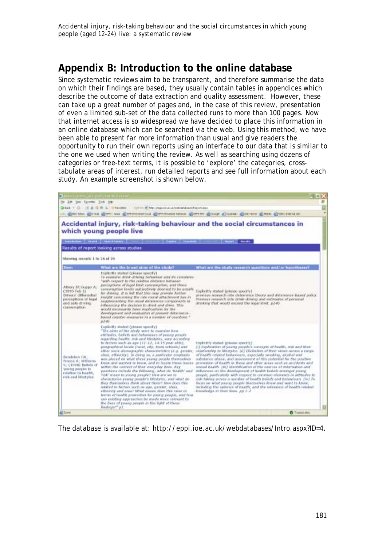# **Appendix B: Introduction to the online database**

Since systematic reviews aim to be transparent, and therefore summarise the data on which their findings are based, they usually contain tables in appendices which describe the outcome of data extraction and quality assessment. However, these can take up a great number of pages and, in the case of this review, presentation of even a limited sub-set of the data collected runs to more than 100 pages. Now that internet access is so widespread we have decided to place this information in an online database which can be searched via the web. Using this method, we have been able to present far more information than usual and give readers the opportunity to run their own reports using an interface to our data that is similar to the one we used when writing the review. As well as searching using dozens of categories or free-text terms, it is possible to 'explore' the categories, crosstabulate areas of interest, run detailed reports and see full information about each study. An example screenshot is shown below.



The database is available at: http://eppi.ioe.ac.uk/webdatabases/Intro.aspx?ID=4.